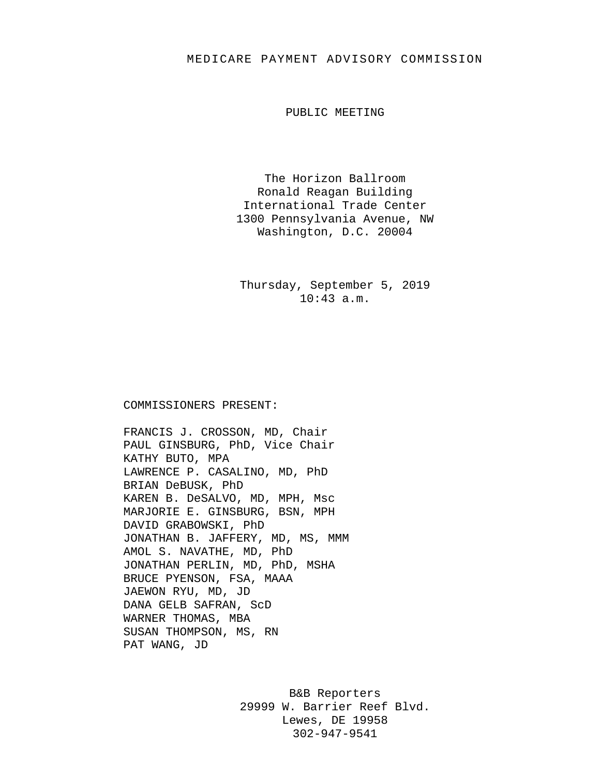## MEDICARE PAYMENT ADVISORY COMMISSION

PUBLIC MEETING

The Horizon Ballroom Ronald Reagan Building International Trade Center 1300 Pennsylvania Avenue, NW Washington, D.C. 20004

Thursday, September 5, 2019 10:43 a.m.

## COMMISSIONERS PRESENT:

FRANCIS J. CROSSON, MD, Chair PAUL GINSBURG, PhD, Vice Chair KATHY BUTO, MPA LAWRENCE P. CASALINO, MD, PhD BRIAN DeBUSK, PhD KAREN B. DeSALVO, MD, MPH, Msc MARJORIE E. GINSBURG, BSN, MPH DAVID GRABOWSKI, PhD JONATHAN B. JAFFERY, MD, MS, MMM AMOL S. NAVATHE, MD, PhD JONATHAN PERLIN, MD, PhD, MSHA BRUCE PYENSON, FSA, MAAA JAEWON RYU, MD, JD DANA GELB SAFRAN, ScD WARNER THOMAS, MBA SUSAN THOMPSON, MS, RN PAT WANG, JD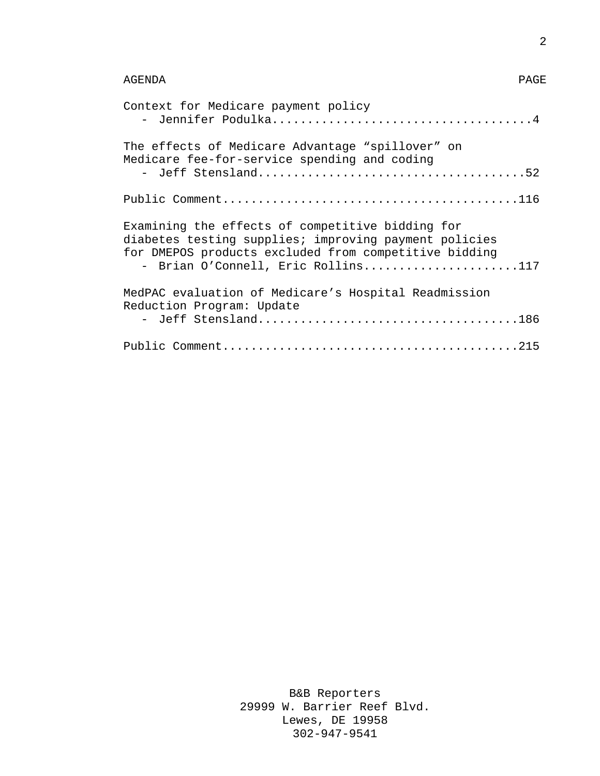| Context for Medicare payment policy                                                                                                                                                                      |
|----------------------------------------------------------------------------------------------------------------------------------------------------------------------------------------------------------|
| The effects of Medicare Advantage "spillover" on<br>Medicare fee-for-service spending and coding                                                                                                         |
|                                                                                                                                                                                                          |
| Examining the effects of competitive bidding for<br>diabetes testing supplies; improving payment policies<br>for DMEPOS products excluded from competitive bidding<br>- Brian O'Connell, Eric Rollins117 |
| MedPAC evaluation of Medicare's Hospital Readmission<br>Reduction Program: Update                                                                                                                        |
|                                                                                                                                                                                                          |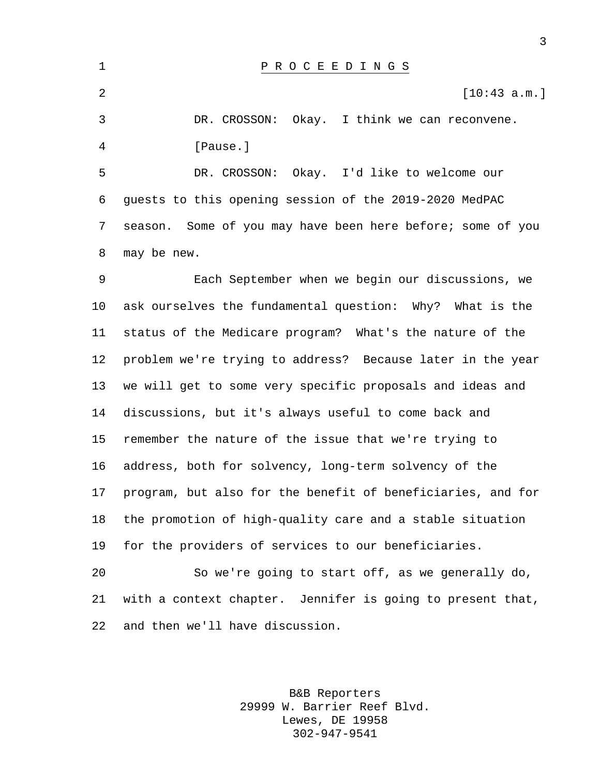P R O C E E D I N G S  $[10:43 \text{ a.m.}]$  DR. CROSSON: Okay. I think we can reconvene. [Pause.] DR. CROSSON: Okay. I'd like to welcome our guests to this opening session of the 2019-2020 MedPAC season. Some of you may have been here before; some of you may be new. Each September when we begin our discussions, we ask ourselves the fundamental question: Why? What is the status of the Medicare program? What's the nature of the problem we're trying to address? Because later in the year we will get to some very specific proposals and ideas and discussions, but it's always useful to come back and remember the nature of the issue that we're trying to address, both for solvency, long-term solvency of the program, but also for the benefit of beneficiaries, and for the promotion of high-quality care and a stable situation for the providers of services to our beneficiaries. So we're going to start off, as we generally do, with a context chapter. Jennifer is going to present that, and then we'll have discussion.

> B&B Reporters 29999 W. Barrier Reef Blvd. Lewes, DE 19958 302-947-9541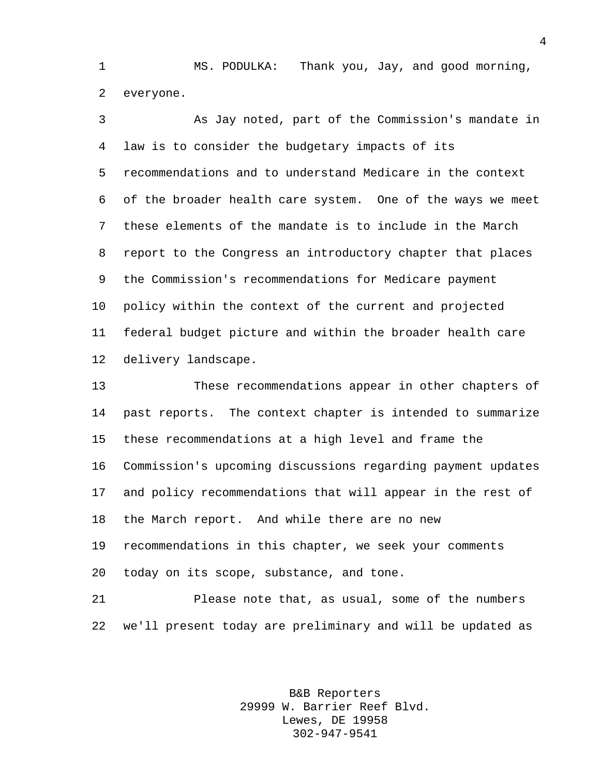MS. PODULKA: Thank you, Jay, and good morning, everyone.

 As Jay noted, part of the Commission's mandate in law is to consider the budgetary impacts of its recommendations and to understand Medicare in the context of the broader health care system. One of the ways we meet these elements of the mandate is to include in the March report to the Congress an introductory chapter that places the Commission's recommendations for Medicare payment policy within the context of the current and projected federal budget picture and within the broader health care delivery landscape.

 These recommendations appear in other chapters of past reports. The context chapter is intended to summarize these recommendations at a high level and frame the Commission's upcoming discussions regarding payment updates and policy recommendations that will appear in the rest of the March report. And while there are no new recommendations in this chapter, we seek your comments today on its scope, substance, and tone.

 Please note that, as usual, some of the numbers we'll present today are preliminary and will be updated as

> B&B Reporters 29999 W. Barrier Reef Blvd. Lewes, DE 19958 302-947-9541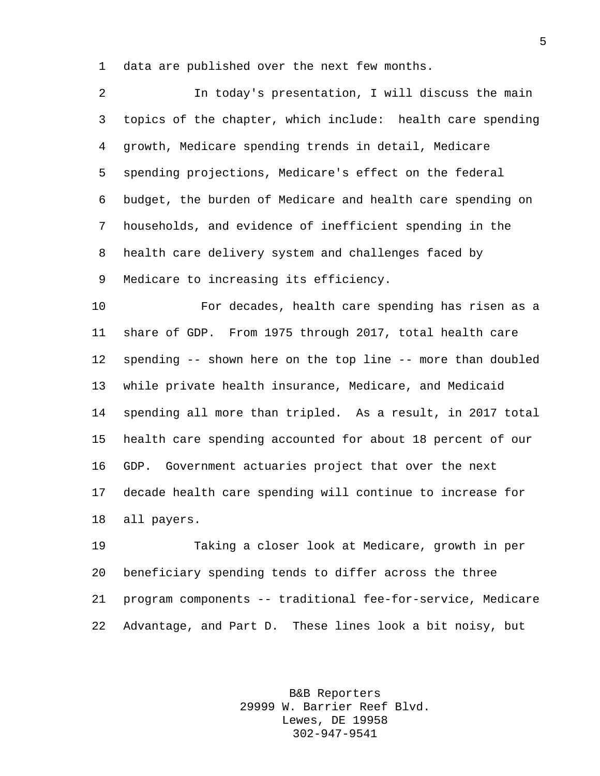data are published over the next few months.

 In today's presentation, I will discuss the main topics of the chapter, which include: health care spending growth, Medicare spending trends in detail, Medicare spending projections, Medicare's effect on the federal budget, the burden of Medicare and health care spending on households, and evidence of inefficient spending in the health care delivery system and challenges faced by Medicare to increasing its efficiency.

 For decades, health care spending has risen as a share of GDP. From 1975 through 2017, total health care spending -- shown here on the top line -- more than doubled while private health insurance, Medicare, and Medicaid spending all more than tripled. As a result, in 2017 total health care spending accounted for about 18 percent of our GDP. Government actuaries project that over the next decade health care spending will continue to increase for all payers.

 Taking a closer look at Medicare, growth in per beneficiary spending tends to differ across the three program components -- traditional fee-for-service, Medicare Advantage, and Part D. These lines look a bit noisy, but

> B&B Reporters 29999 W. Barrier Reef Blvd. Lewes, DE 19958 302-947-9541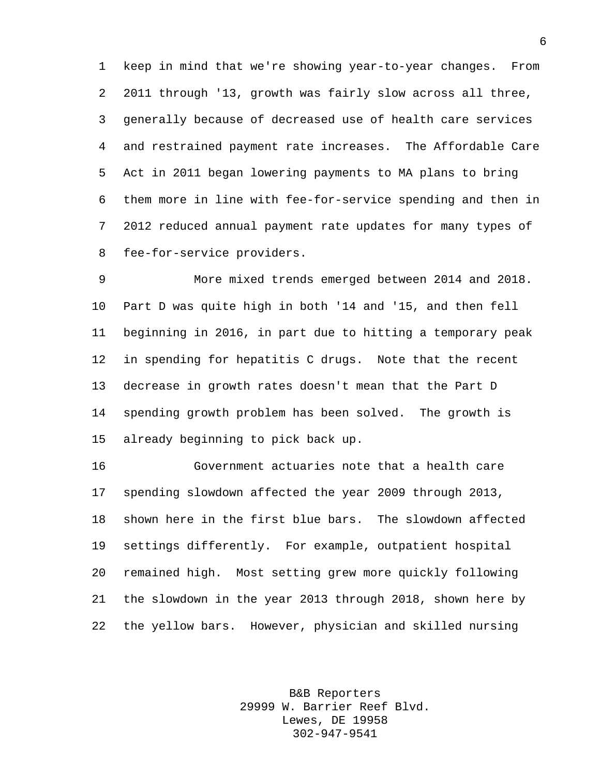keep in mind that we're showing year-to-year changes. From 2011 through '13, growth was fairly slow across all three, generally because of decreased use of health care services and restrained payment rate increases. The Affordable Care Act in 2011 began lowering payments to MA plans to bring them more in line with fee-for-service spending and then in 2012 reduced annual payment rate updates for many types of fee-for-service providers.

 More mixed trends emerged between 2014 and 2018. Part D was quite high in both '14 and '15, and then fell beginning in 2016, in part due to hitting a temporary peak in spending for hepatitis C drugs. Note that the recent decrease in growth rates doesn't mean that the Part D spending growth problem has been solved. The growth is already beginning to pick back up.

 Government actuaries note that a health care spending slowdown affected the year 2009 through 2013, shown here in the first blue bars. The slowdown affected settings differently. For example, outpatient hospital remained high. Most setting grew more quickly following the slowdown in the year 2013 through 2018, shown here by the yellow bars. However, physician and skilled nursing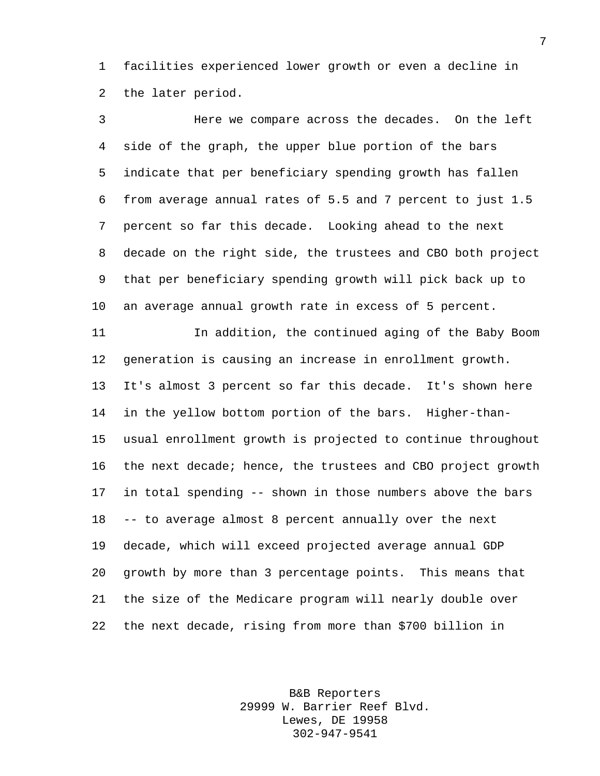facilities experienced lower growth or even a decline in the later period.

 Here we compare across the decades. On the left side of the graph, the upper blue portion of the bars indicate that per beneficiary spending growth has fallen from average annual rates of 5.5 and 7 percent to just 1.5 percent so far this decade. Looking ahead to the next decade on the right side, the trustees and CBO both project that per beneficiary spending growth will pick back up to an average annual growth rate in excess of 5 percent. In addition, the continued aging of the Baby Boom generation is causing an increase in enrollment growth. It's almost 3 percent so far this decade. It's shown here in the yellow bottom portion of the bars. Higher-than- usual enrollment growth is projected to continue throughout the next decade; hence, the trustees and CBO project growth in total spending -- shown in those numbers above the bars -- to average almost 8 percent annually over the next decade, which will exceed projected average annual GDP growth by more than 3 percentage points. This means that the size of the Medicare program will nearly double over

the next decade, rising from more than \$700 billion in

B&B Reporters 29999 W. Barrier Reef Blvd. Lewes, DE 19958 302-947-9541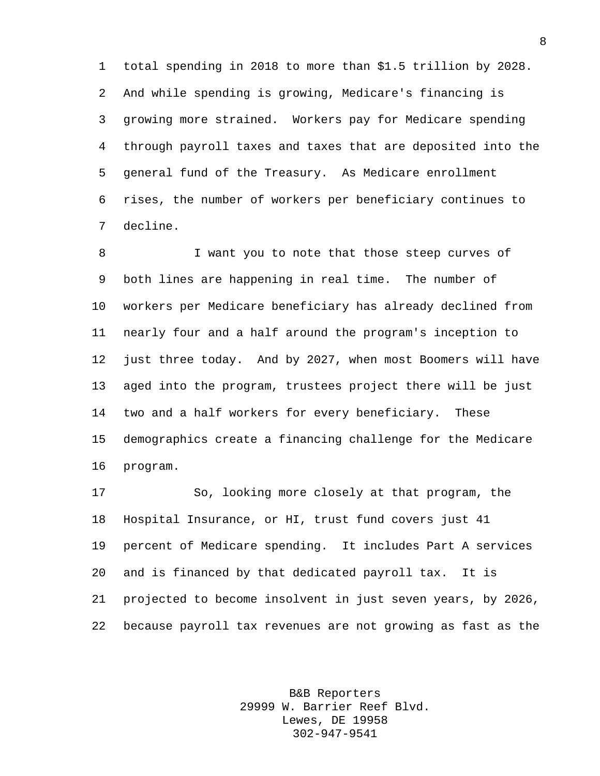total spending in 2018 to more than \$1.5 trillion by 2028. And while spending is growing, Medicare's financing is growing more strained. Workers pay for Medicare spending through payroll taxes and taxes that are deposited into the general fund of the Treasury. As Medicare enrollment rises, the number of workers per beneficiary continues to decline.

 I want you to note that those steep curves of both lines are happening in real time. The number of workers per Medicare beneficiary has already declined from nearly four and a half around the program's inception to just three today. And by 2027, when most Boomers will have aged into the program, trustees project there will be just two and a half workers for every beneficiary. These demographics create a financing challenge for the Medicare program.

 So, looking more closely at that program, the Hospital Insurance, or HI, trust fund covers just 41 percent of Medicare spending. It includes Part A services and is financed by that dedicated payroll tax. It is projected to become insolvent in just seven years, by 2026, because payroll tax revenues are not growing as fast as the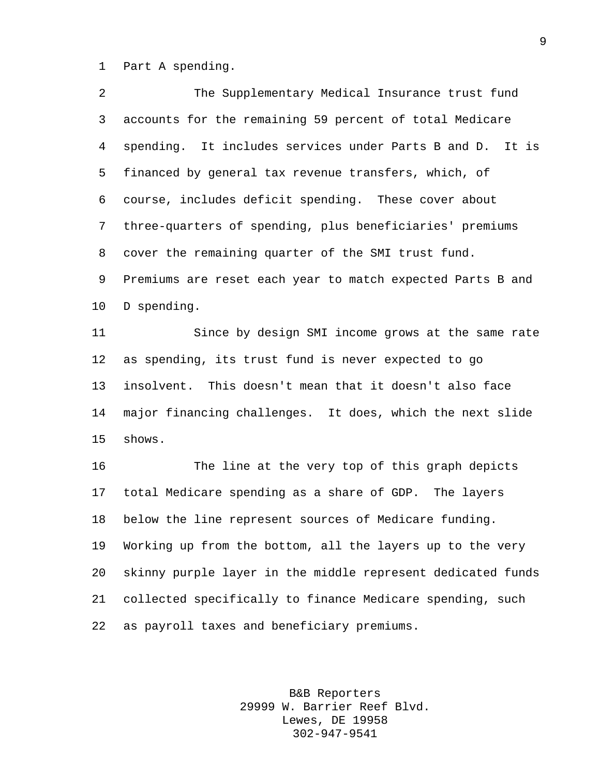Part A spending.

| $\overline{2}$ | The Supplementary Medical Insurance trust fund              |
|----------------|-------------------------------------------------------------|
| 3              | accounts for the remaining 59 percent of total Medicare     |
| 4              | spending. It includes services under Parts B and D. It is   |
| 5              | financed by general tax revenue transfers, which, of        |
| 6              | course, includes deficit spending. These cover about        |
| 7              | three-quarters of spending, plus beneficiaries' premiums    |
| 8              | cover the remaining quarter of the SMI trust fund.          |
| 9              | Premiums are reset each year to match expected Parts B and  |
| 10             | D spending.                                                 |
| 11             | Since by design SMI income grows at the same rate           |
| 12             | as spending, its trust fund is never expected to go         |
| 13             | insolvent. This doesn't mean that it doesn't also face      |
| 14             | major financing challenges. It does, which the next slide   |
| 15             | shows.                                                      |
| 16             | The line at the very top of this graph depicts              |
| 17             | total Medicare spending as a share of GDP. The layers       |
| 18             | below the line represent sources of Medicare funding.       |
| 19             | Working up from the bottom, all the layers up to the very   |
| 20             | skinny purple layer in the middle represent dedicated funds |
| 21             | collected specifically to finance Medicare spending, such   |
| 22             | as payroll taxes and beneficiary premiums.                  |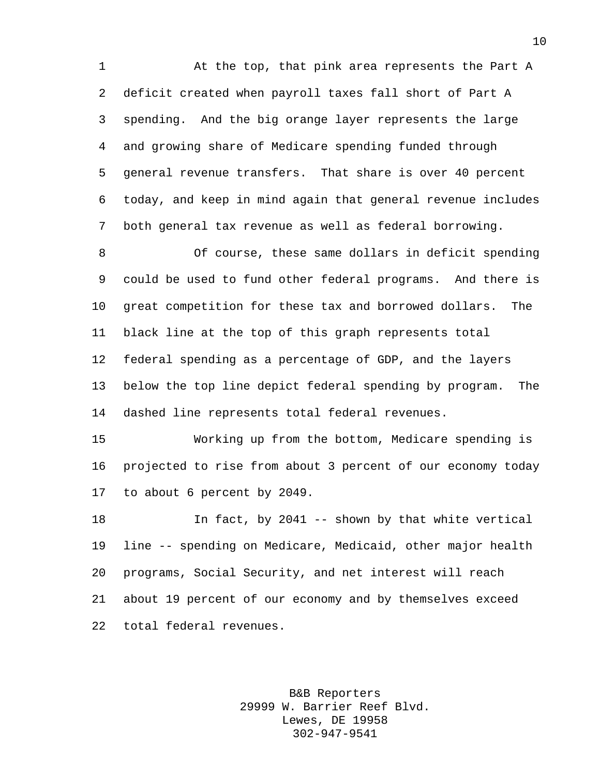At the top, that pink area represents the Part A deficit created when payroll taxes fall short of Part A spending. And the big orange layer represents the large and growing share of Medicare spending funded through general revenue transfers. That share is over 40 percent today, and keep in mind again that general revenue includes both general tax revenue as well as federal borrowing.

 Of course, these same dollars in deficit spending could be used to fund other federal programs. And there is great competition for these tax and borrowed dollars. The black line at the top of this graph represents total federal spending as a percentage of GDP, and the layers below the top line depict federal spending by program. The dashed line represents total federal revenues.

 Working up from the bottom, Medicare spending is projected to rise from about 3 percent of our economy today to about 6 percent by 2049.

 In fact, by 2041 -- shown by that white vertical line -- spending on Medicare, Medicaid, other major health programs, Social Security, and net interest will reach about 19 percent of our economy and by themselves exceed total federal revenues.

> B&B Reporters 29999 W. Barrier Reef Blvd. Lewes, DE 19958 302-947-9541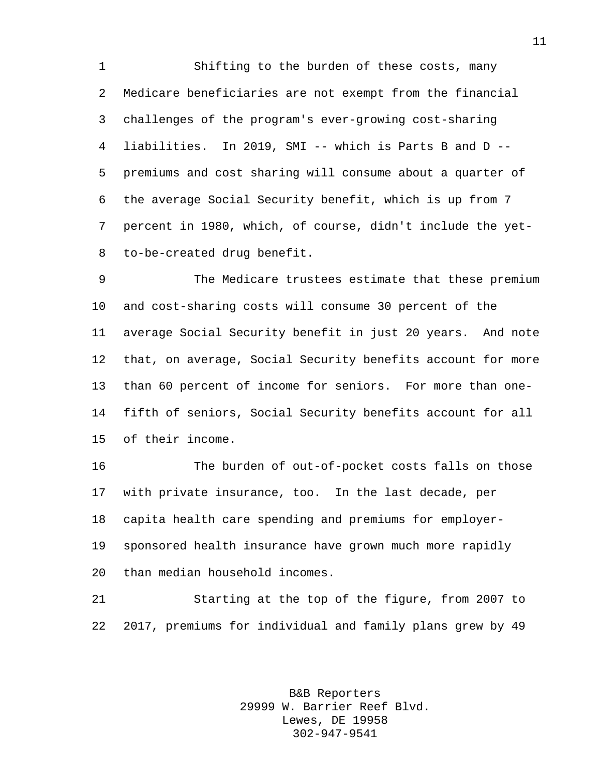Shifting to the burden of these costs, many Medicare beneficiaries are not exempt from the financial challenges of the program's ever-growing cost-sharing liabilities. In 2019, SMI -- which is Parts B and D -- premiums and cost sharing will consume about a quarter of the average Social Security benefit, which is up from 7 percent in 1980, which, of course, didn't include the yet-to-be-created drug benefit.

 The Medicare trustees estimate that these premium and cost-sharing costs will consume 30 percent of the average Social Security benefit in just 20 years. And note that, on average, Social Security benefits account for more than 60 percent of income for seniors. For more than one- fifth of seniors, Social Security benefits account for all of their income.

 The burden of out-of-pocket costs falls on those with private insurance, too. In the last decade, per capita health care spending and premiums for employer- sponsored health insurance have grown much more rapidly than median household incomes.

 Starting at the top of the figure, from 2007 to 2017, premiums for individual and family plans grew by 49

> B&B Reporters 29999 W. Barrier Reef Blvd. Lewes, DE 19958 302-947-9541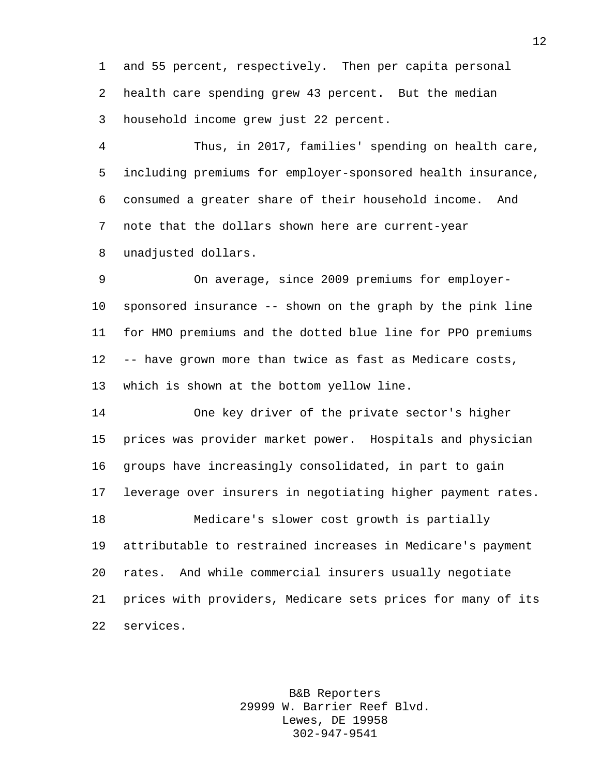and 55 percent, respectively. Then per capita personal health care spending grew 43 percent. But the median household income grew just 22 percent.

 Thus, in 2017, families' spending on health care, including premiums for employer-sponsored health insurance, consumed a greater share of their household income. And note that the dollars shown here are current-year unadjusted dollars.

 On average, since 2009 premiums for employer- sponsored insurance -- shown on the graph by the pink line for HMO premiums and the dotted blue line for PPO premiums -- have grown more than twice as fast as Medicare costs, which is shown at the bottom yellow line.

 One key driver of the private sector's higher prices was provider market power. Hospitals and physician groups have increasingly consolidated, in part to gain leverage over insurers in negotiating higher payment rates. Medicare's slower cost growth is partially attributable to restrained increases in Medicare's payment rates. And while commercial insurers usually negotiate prices with providers, Medicare sets prices for many of its services.

> B&B Reporters 29999 W. Barrier Reef Blvd. Lewes, DE 19958 302-947-9541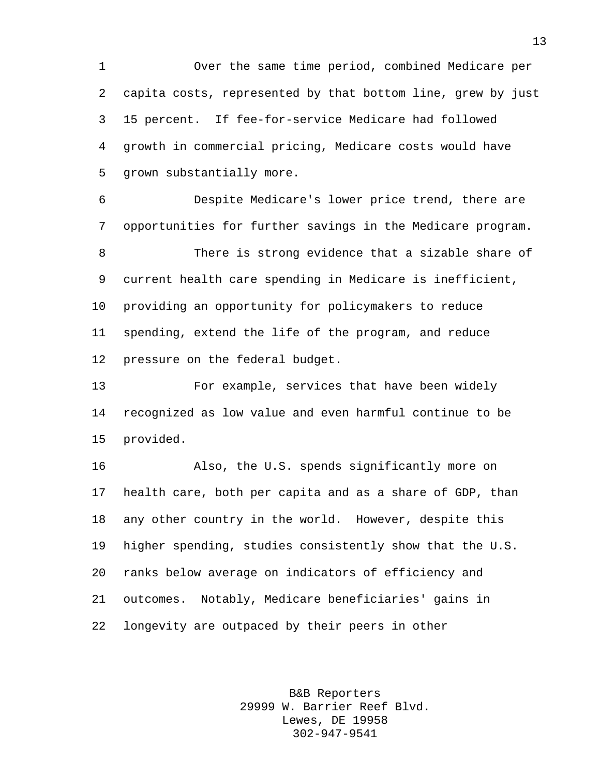Over the same time period, combined Medicare per capita costs, represented by that bottom line, grew by just 15 percent. If fee-for-service Medicare had followed growth in commercial pricing, Medicare costs would have grown substantially more.

 Despite Medicare's lower price trend, there are opportunities for further savings in the Medicare program.

 There is strong evidence that a sizable share of current health care spending in Medicare is inefficient, providing an opportunity for policymakers to reduce spending, extend the life of the program, and reduce pressure on the federal budget.

 For example, services that have been widely recognized as low value and even harmful continue to be provided.

 Also, the U.S. spends significantly more on health care, both per capita and as a share of GDP, than any other country in the world. However, despite this higher spending, studies consistently show that the U.S. ranks below average on indicators of efficiency and outcomes. Notably, Medicare beneficiaries' gains in longevity are outpaced by their peers in other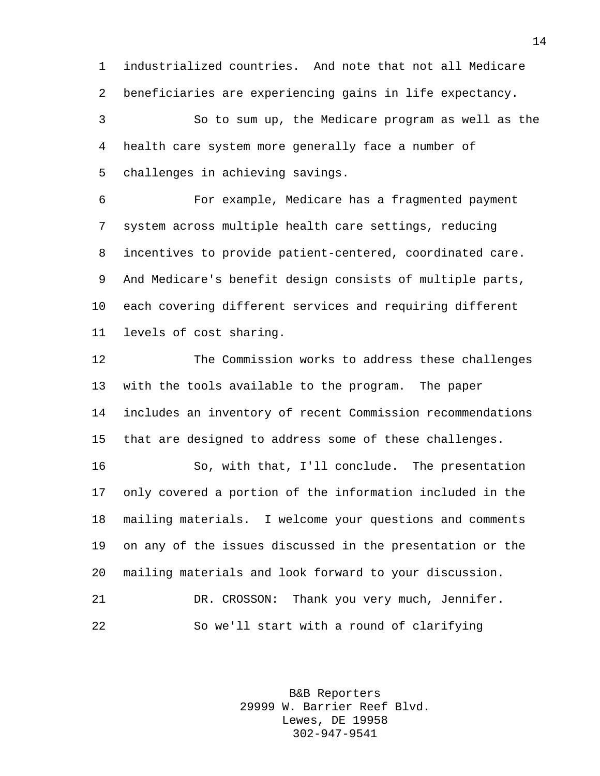industrialized countries. And note that not all Medicare beneficiaries are experiencing gains in life expectancy.

 So to sum up, the Medicare program as well as the health care system more generally face a number of challenges in achieving savings.

 For example, Medicare has a fragmented payment system across multiple health care settings, reducing incentives to provide patient-centered, coordinated care. And Medicare's benefit design consists of multiple parts, each covering different services and requiring different levels of cost sharing.

 The Commission works to address these challenges with the tools available to the program. The paper includes an inventory of recent Commission recommendations that are designed to address some of these challenges.

 So, with that, I'll conclude. The presentation only covered a portion of the information included in the mailing materials. I welcome your questions and comments on any of the issues discussed in the presentation or the mailing materials and look forward to your discussion. DR. CROSSON: Thank you very much, Jennifer. So we'll start with a round of clarifying

> B&B Reporters 29999 W. Barrier Reef Blvd. Lewes, DE 19958 302-947-9541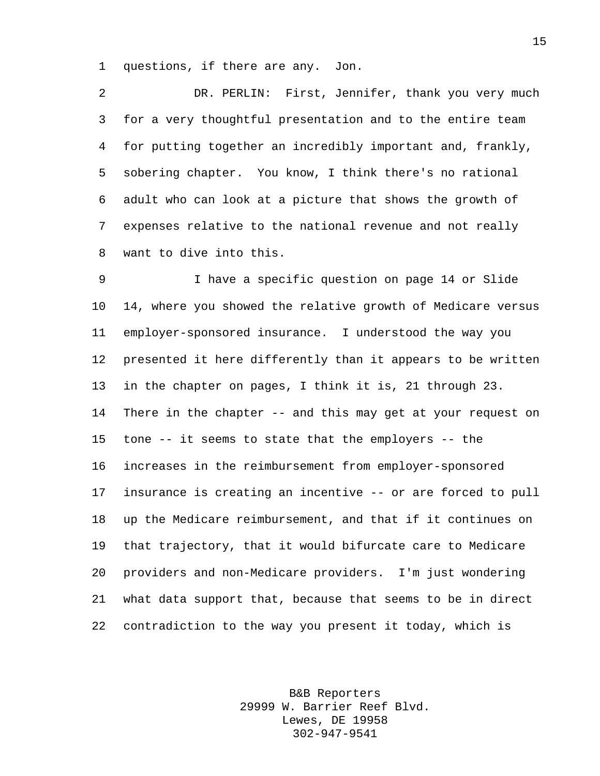questions, if there are any. Jon.

 DR. PERLIN: First, Jennifer, thank you very much for a very thoughtful presentation and to the entire team for putting together an incredibly important and, frankly, sobering chapter. You know, I think there's no rational adult who can look at a picture that shows the growth of expenses relative to the national revenue and not really want to dive into this.

 I have a specific question on page 14 or Slide 14, where you showed the relative growth of Medicare versus employer-sponsored insurance. I understood the way you presented it here differently than it appears to be written in the chapter on pages, I think it is, 21 through 23. There in the chapter -- and this may get at your request on tone -- it seems to state that the employers -- the increases in the reimbursement from employer-sponsored insurance is creating an incentive -- or are forced to pull up the Medicare reimbursement, and that if it continues on that trajectory, that it would bifurcate care to Medicare providers and non-Medicare providers. I'm just wondering what data support that, because that seems to be in direct contradiction to the way you present it today, which is

> B&B Reporters 29999 W. Barrier Reef Blvd. Lewes, DE 19958 302-947-9541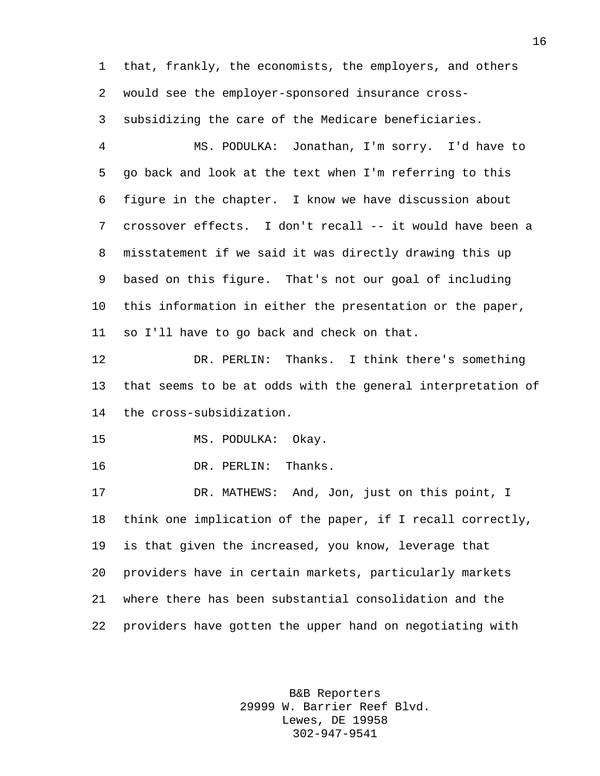that, frankly, the economists, the employers, and others would see the employer-sponsored insurance cross-

subsidizing the care of the Medicare beneficiaries.

 MS. PODULKA: Jonathan, I'm sorry. I'd have to go back and look at the text when I'm referring to this figure in the chapter. I know we have discussion about crossover effects. I don't recall -- it would have been a misstatement if we said it was directly drawing this up based on this figure. That's not our goal of including this information in either the presentation or the paper, so I'll have to go back and check on that.

 DR. PERLIN: Thanks. I think there's something that seems to be at odds with the general interpretation of the cross-subsidization.

MS. PODULKA: Okay.

DR. PERLIN: Thanks.

 DR. MATHEWS: And, Jon, just on this point, I think one implication of the paper, if I recall correctly, is that given the increased, you know, leverage that providers have in certain markets, particularly markets where there has been substantial consolidation and the providers have gotten the upper hand on negotiating with

> B&B Reporters 29999 W. Barrier Reef Blvd. Lewes, DE 19958 302-947-9541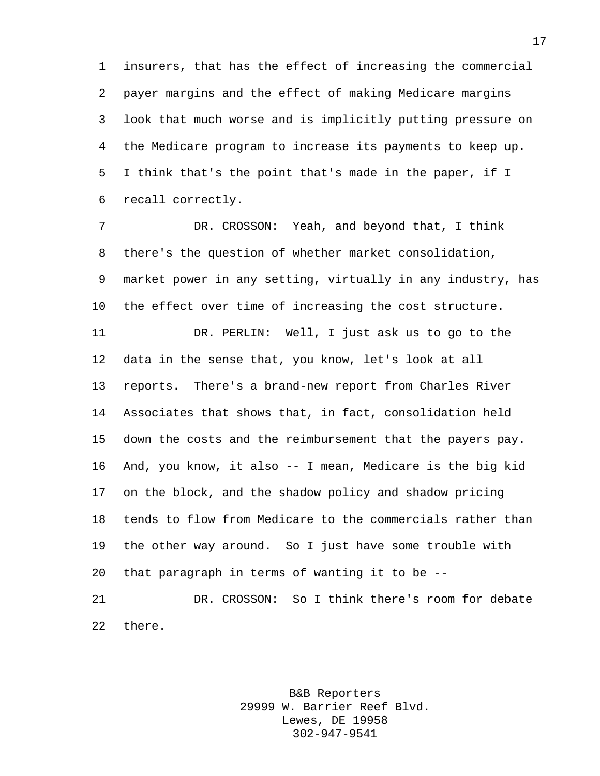insurers, that has the effect of increasing the commercial payer margins and the effect of making Medicare margins look that much worse and is implicitly putting pressure on the Medicare program to increase its payments to keep up. I think that's the point that's made in the paper, if I recall correctly.

 DR. CROSSON: Yeah, and beyond that, I think there's the question of whether market consolidation, market power in any setting, virtually in any industry, has the effect over time of increasing the cost structure. DR. PERLIN: Well, I just ask us to go to the data in the sense that, you know, let's look at all reports. There's a brand-new report from Charles River Associates that shows that, in fact, consolidation held down the costs and the reimbursement that the payers pay. And, you know, it also -- I mean, Medicare is the big kid on the block, and the shadow policy and shadow pricing tends to flow from Medicare to the commercials rather than the other way around. So I just have some trouble with that paragraph in terms of wanting it to be --

 DR. CROSSON: So I think there's room for debate there.

> B&B Reporters 29999 W. Barrier Reef Blvd. Lewes, DE 19958 302-947-9541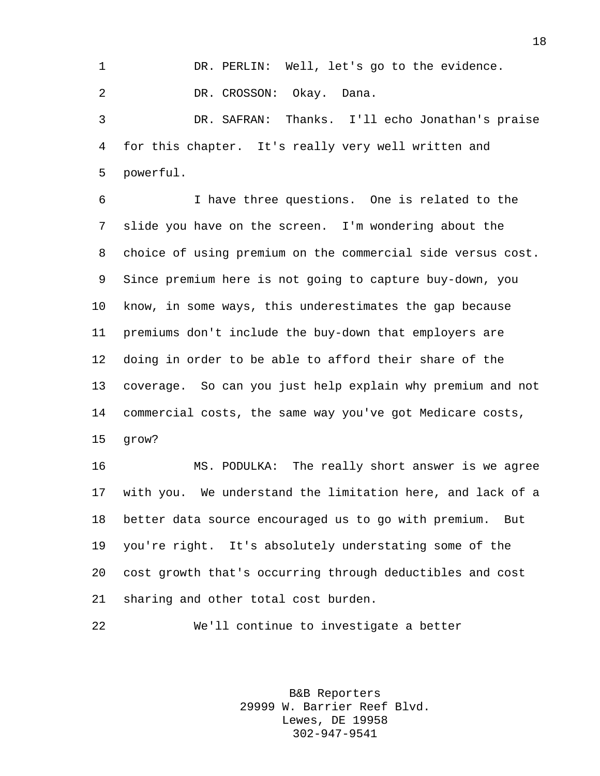DR. PERLIN: Well, let's go to the evidence. DR. CROSSON: Okay. Dana. DR. SAFRAN: Thanks. I'll echo Jonathan's praise

 for this chapter. It's really very well written and powerful.

 I have three questions. One is related to the slide you have on the screen. I'm wondering about the choice of using premium on the commercial side versus cost. Since premium here is not going to capture buy-down, you know, in some ways, this underestimates the gap because premiums don't include the buy-down that employers are doing in order to be able to afford their share of the coverage. So can you just help explain why premium and not commercial costs, the same way you've got Medicare costs, grow?

 MS. PODULKA: The really short answer is we agree with you. We understand the limitation here, and lack of a better data source encouraged us to go with premium. But you're right. It's absolutely understating some of the cost growth that's occurring through deductibles and cost sharing and other total cost burden.

We'll continue to investigate a better

B&B Reporters 29999 W. Barrier Reef Blvd. Lewes, DE 19958 302-947-9541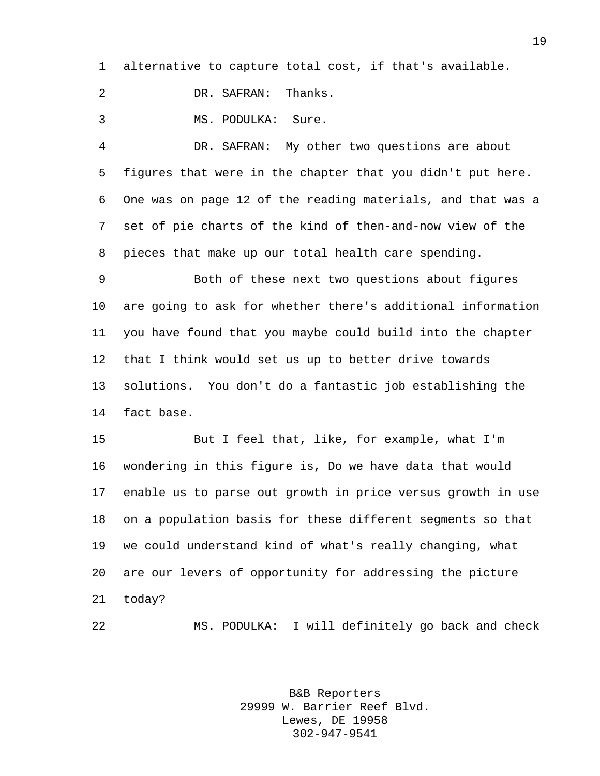alternative to capture total cost, if that's available.

DR. SAFRAN: Thanks.

MS. PODULKA: Sure.

 DR. SAFRAN: My other two questions are about figures that were in the chapter that you didn't put here. One was on page 12 of the reading materials, and that was a set of pie charts of the kind of then-and-now view of the pieces that make up our total health care spending.

 Both of these next two questions about figures are going to ask for whether there's additional information you have found that you maybe could build into the chapter that I think would set us up to better drive towards solutions. You don't do a fantastic job establishing the fact base.

 But I feel that, like, for example, what I'm wondering in this figure is, Do we have data that would enable us to parse out growth in price versus growth in use on a population basis for these different segments so that we could understand kind of what's really changing, what are our levers of opportunity for addressing the picture today?

MS. PODULKA: I will definitely go back and check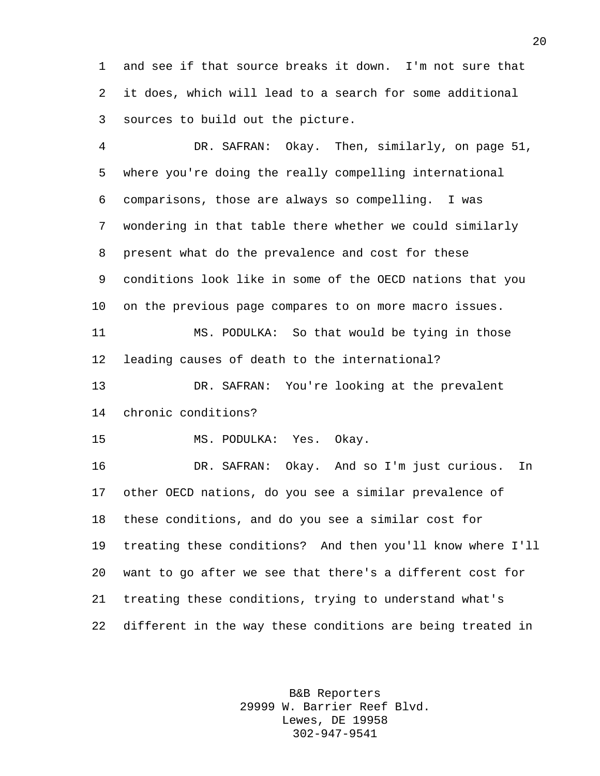and see if that source breaks it down. I'm not sure that it does, which will lead to a search for some additional sources to build out the picture.

 DR. SAFRAN: Okay. Then, similarly, on page 51, where you're doing the really compelling international comparisons, those are always so compelling. I was wondering in that table there whether we could similarly present what do the prevalence and cost for these conditions look like in some of the OECD nations that you on the previous page compares to on more macro issues. MS. PODULKA: So that would be tying in those leading causes of death to the international? DR. SAFRAN: You're looking at the prevalent chronic conditions? MS. PODULKA: Yes. Okay. DR. SAFRAN: Okay. And so I'm just curious. In other OECD nations, do you see a similar prevalence of these conditions, and do you see a similar cost for treating these conditions? And then you'll know where I'll want to go after we see that there's a different cost for treating these conditions, trying to understand what's different in the way these conditions are being treated in

> B&B Reporters 29999 W. Barrier Reef Blvd. Lewes, DE 19958 302-947-9541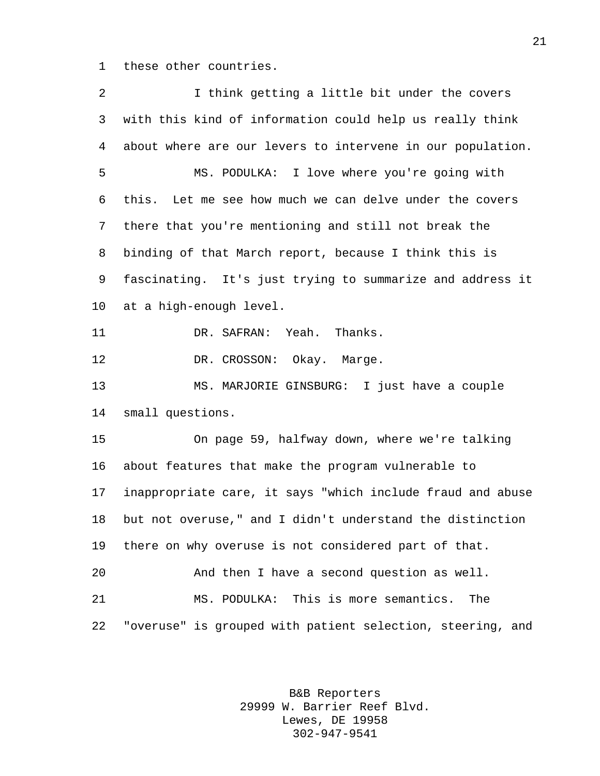these other countries.

 I think getting a little bit under the covers with this kind of information could help us really think about where are our levers to intervene in our population. MS. PODULKA: I love where you're going with this. Let me see how much we can delve under the covers there that you're mentioning and still not break the binding of that March report, because I think this is fascinating. It's just trying to summarize and address it at a high-enough level. DR. SAFRAN: Yeah. Thanks. 12 DR. CROSSON: Okay. Marge. MS. MARJORIE GINSBURG: I just have a couple small questions. On page 59, halfway down, where we're talking about features that make the program vulnerable to inappropriate care, it says "which include fraud and abuse but not overuse," and I didn't understand the distinction there on why overuse is not considered part of that. And then I have a second question as well. MS. PODULKA: This is more semantics. The "overuse" is grouped with patient selection, steering, and

> B&B Reporters 29999 W. Barrier Reef Blvd. Lewes, DE 19958 302-947-9541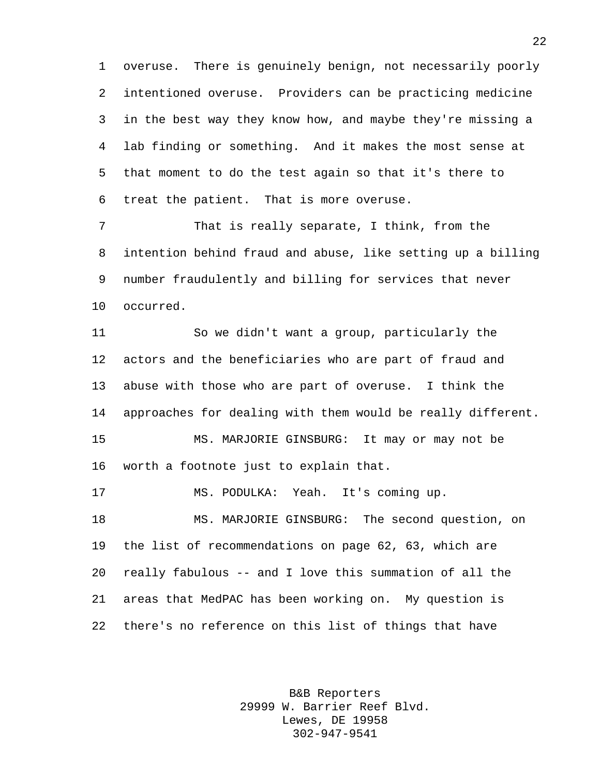overuse. There is genuinely benign, not necessarily poorly intentioned overuse. Providers can be practicing medicine in the best way they know how, and maybe they're missing a lab finding or something. And it makes the most sense at that moment to do the test again so that it's there to treat the patient. That is more overuse.

 That is really separate, I think, from the intention behind fraud and abuse, like setting up a billing number fraudulently and billing for services that never occurred.

 So we didn't want a group, particularly the actors and the beneficiaries who are part of fraud and abuse with those who are part of overuse. I think the approaches for dealing with them would be really different. MS. MARJORIE GINSBURG: It may or may not be worth a footnote just to explain that.

 MS. PODULKA: Yeah. It's coming up. MS. MARJORIE GINSBURG: The second question, on the list of recommendations on page 62, 63, which are really fabulous -- and I love this summation of all the areas that MedPAC has been working on. My question is there's no reference on this list of things that have

> B&B Reporters 29999 W. Barrier Reef Blvd. Lewes, DE 19958 302-947-9541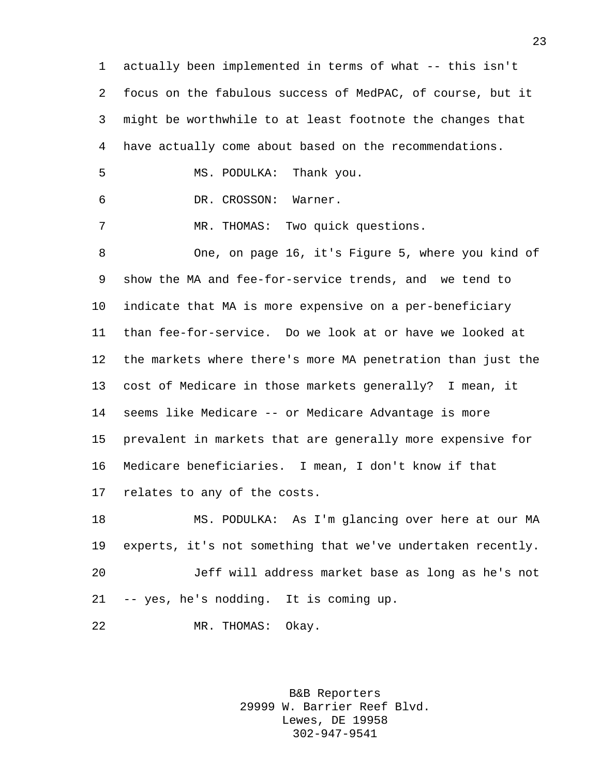actually been implemented in terms of what -- this isn't focus on the fabulous success of MedPAC, of course, but it might be worthwhile to at least footnote the changes that have actually come about based on the recommendations. MS. PODULKA: Thank you. DR. CROSSON: Warner. MR. THOMAS: Two quick questions. One, on page 16, it's Figure 5, where you kind of show the MA and fee-for-service trends, and we tend to indicate that MA is more expensive on a per-beneficiary than fee-for-service. Do we look at or have we looked at the markets where there's more MA penetration than just the cost of Medicare in those markets generally? I mean, it seems like Medicare -- or Medicare Advantage is more prevalent in markets that are generally more expensive for Medicare beneficiaries. I mean, I don't know if that relates to any of the costs. MS. PODULKA: As I'm glancing over here at our MA experts, it's not something that we've undertaken recently. Jeff will address market base as long as he's not -- yes, he's nodding. It is coming up.

MR. THOMAS: Okay.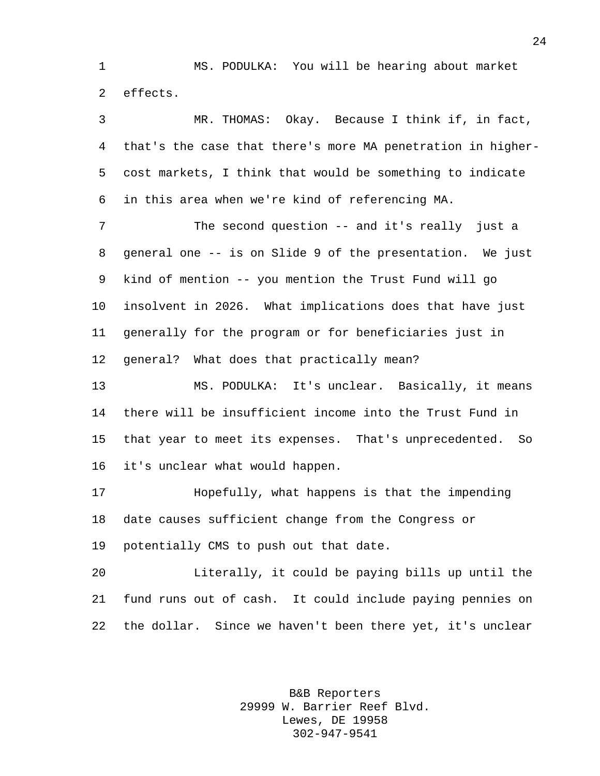MS. PODULKA: You will be hearing about market effects.

 MR. THOMAS: Okay. Because I think if, in fact, that's the case that there's more MA penetration in higher- cost markets, I think that would be something to indicate in this area when we're kind of referencing MA.

7 The second question -- and it's really just a general one -- is on Slide 9 of the presentation. We just kind of mention -- you mention the Trust Fund will go insolvent in 2026. What implications does that have just generally for the program or for beneficiaries just in general? What does that practically mean?

 MS. PODULKA: It's unclear. Basically, it means there will be insufficient income into the Trust Fund in that year to meet its expenses. That's unprecedented. So it's unclear what would happen.

 Hopefully, what happens is that the impending date causes sufficient change from the Congress or potentially CMS to push out that date.

 Literally, it could be paying bills up until the fund runs out of cash. It could include paying pennies on the dollar. Since we haven't been there yet, it's unclear

> B&B Reporters 29999 W. Barrier Reef Blvd. Lewes, DE 19958 302-947-9541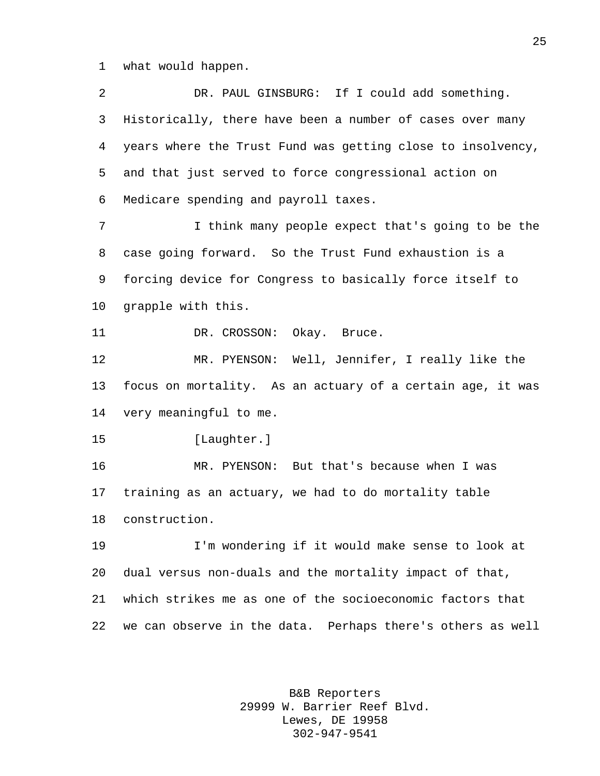what would happen.

 DR. PAUL GINSBURG: If I could add something. Historically, there have been a number of cases over many years where the Trust Fund was getting close to insolvency, and that just served to force congressional action on Medicare spending and payroll taxes. I think many people expect that's going to be the case going forward. So the Trust Fund exhaustion is a forcing device for Congress to basically force itself to grapple with this. 11 DR. CROSSON: Okay. Bruce. MR. PYENSON: Well, Jennifer, I really like the focus on mortality. As an actuary of a certain age, it was very meaningful to me. [Laughter.] MR. PYENSON: But that's because when I was training as an actuary, we had to do mortality table construction. I'm wondering if it would make sense to look at dual versus non-duals and the mortality impact of that, which strikes me as one of the socioeconomic factors that we can observe in the data. Perhaps there's others as well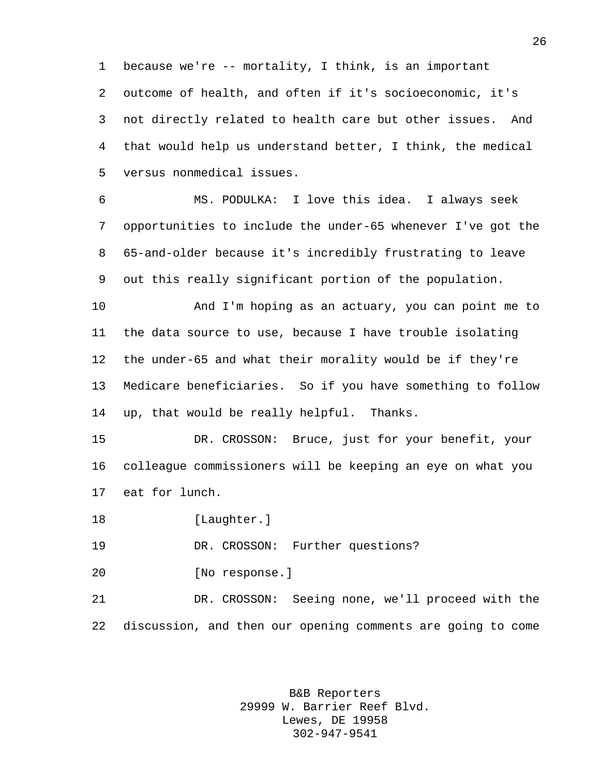because we're -- mortality, I think, is an important outcome of health, and often if it's socioeconomic, it's not directly related to health care but other issues. And that would help us understand better, I think, the medical versus nonmedical issues.

 MS. PODULKA: I love this idea. I always seek opportunities to include the under-65 whenever I've got the 65-and-older because it's incredibly frustrating to leave out this really significant portion of the population.

 And I'm hoping as an actuary, you can point me to the data source to use, because I have trouble isolating the under-65 and what their morality would be if they're Medicare beneficiaries. So if you have something to follow up, that would be really helpful. Thanks.

 DR. CROSSON: Bruce, just for your benefit, your colleague commissioners will be keeping an eye on what you eat for lunch.

18 [Laughter.]

DR. CROSSON: Further questions?

[No response.]

 DR. CROSSON: Seeing none, we'll proceed with the discussion, and then our opening comments are going to come

> B&B Reporters 29999 W. Barrier Reef Blvd. Lewes, DE 19958 302-947-9541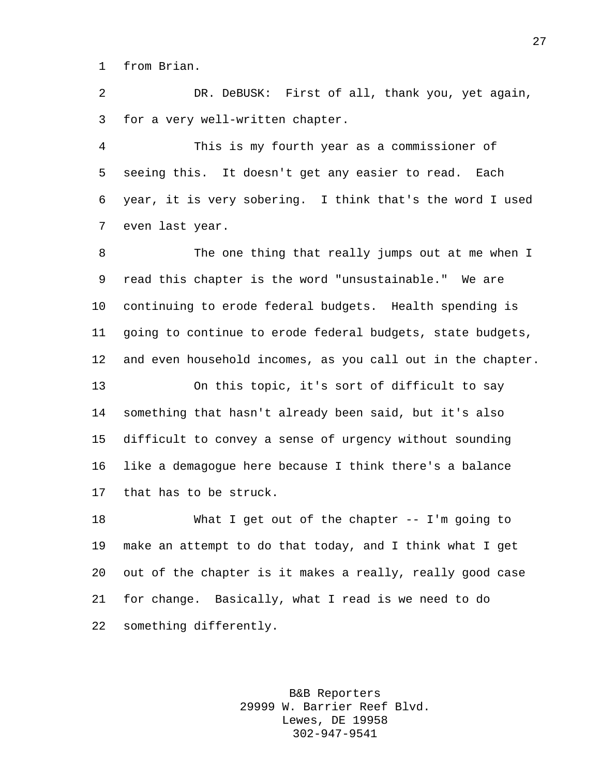from Brian.

 DR. DeBUSK: First of all, thank you, yet again, for a very well-written chapter.

 This is my fourth year as a commissioner of seeing this. It doesn't get any easier to read. Each year, it is very sobering. I think that's the word I used even last year.

 The one thing that really jumps out at me when I read this chapter is the word "unsustainable." We are continuing to erode federal budgets. Health spending is going to continue to erode federal budgets, state budgets, and even household incomes, as you call out in the chapter.

 On this topic, it's sort of difficult to say something that hasn't already been said, but it's also difficult to convey a sense of urgency without sounding like a demagogue here because I think there's a balance that has to be struck.

 What I get out of the chapter -- I'm going to make an attempt to do that today, and I think what I get out of the chapter is it makes a really, really good case for change. Basically, what I read is we need to do something differently.

> B&B Reporters 29999 W. Barrier Reef Blvd. Lewes, DE 19958 302-947-9541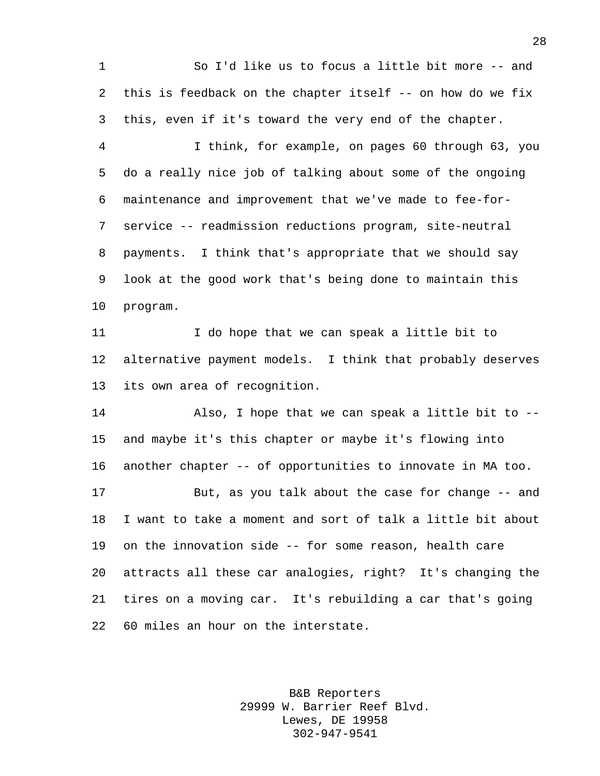So I'd like us to focus a little bit more -- and this is feedback on the chapter itself -- on how do we fix this, even if it's toward the very end of the chapter. I think, for example, on pages 60 through 63, you do a really nice job of talking about some of the ongoing maintenance and improvement that we've made to fee-for- service -- readmission reductions program, site-neutral payments. I think that's appropriate that we should say look at the good work that's being done to maintain this program. I do hope that we can speak a little bit to alternative payment models. I think that probably deserves its own area of recognition. Also, I hope that we can speak a little bit to -- and maybe it's this chapter or maybe it's flowing into another chapter -- of opportunities to innovate in MA too. But, as you talk about the case for change -- and I want to take a moment and sort of talk a little bit about on the innovation side -- for some reason, health care attracts all these car analogies, right? It's changing the tires on a moving car. It's rebuilding a car that's going 60 miles an hour on the interstate.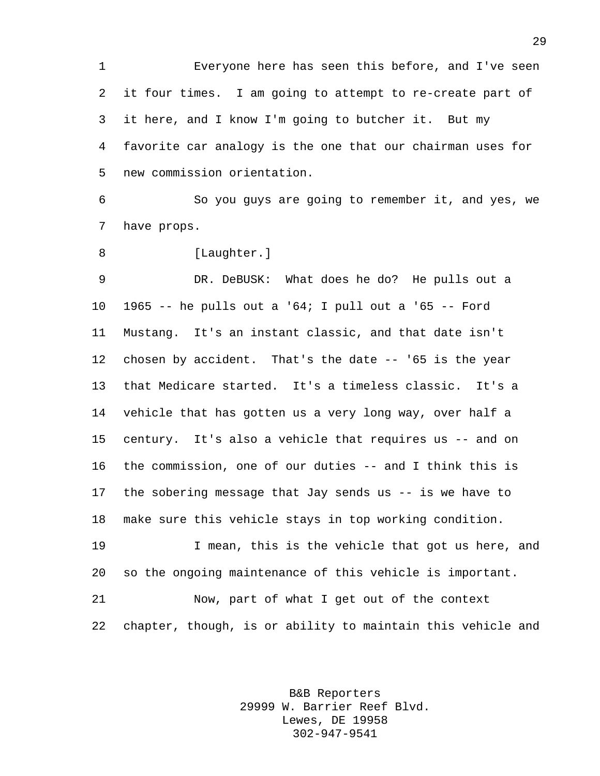Everyone here has seen this before, and I've seen it four times. I am going to attempt to re-create part of it here, and I know I'm going to butcher it. But my favorite car analogy is the one that our chairman uses for new commission orientation.

 So you guys are going to remember it, and yes, we have props.

8 [Laughter.]

 DR. DeBUSK: What does he do? He pulls out a 1965 -- he pulls out a '64; I pull out a '65 -- Ford Mustang. It's an instant classic, and that date isn't chosen by accident. That's the date -- '65 is the year that Medicare started. It's a timeless classic. It's a vehicle that has gotten us a very long way, over half a century. It's also a vehicle that requires us -- and on the commission, one of our duties -- and I think this is the sobering message that Jay sends us -- is we have to make sure this vehicle stays in top working condition.

 I mean, this is the vehicle that got us here, and so the ongoing maintenance of this vehicle is important.

 Now, part of what I get out of the context chapter, though, is or ability to maintain this vehicle and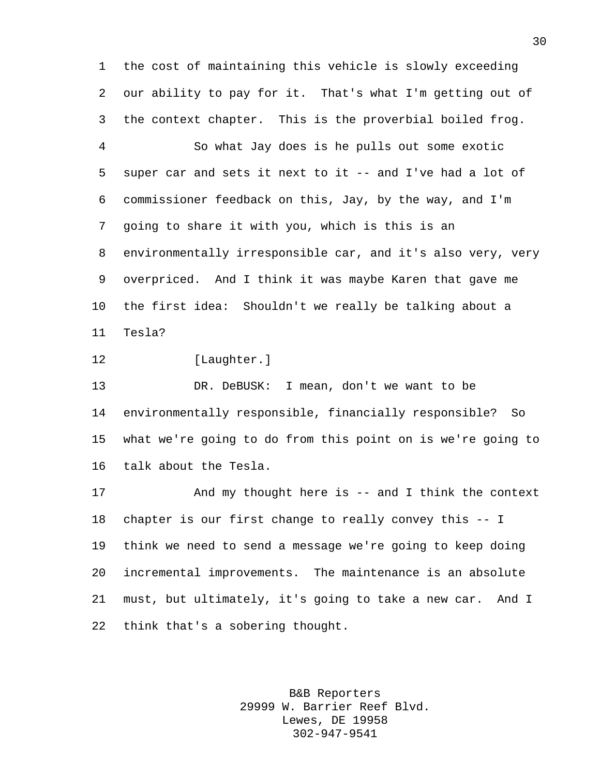the cost of maintaining this vehicle is slowly exceeding our ability to pay for it. That's what I'm getting out of the context chapter. This is the proverbial boiled frog.

 So what Jay does is he pulls out some exotic super car and sets it next to it -- and I've had a lot of commissioner feedback on this, Jay, by the way, and I'm going to share it with you, which is this is an environmentally irresponsible car, and it's also very, very overpriced. And I think it was maybe Karen that gave me the first idea: Shouldn't we really be talking about a Tesla?

12 [Laughter.]

 DR. DeBUSK: I mean, don't we want to be environmentally responsible, financially responsible? So what we're going to do from this point on is we're going to talk about the Tesla.

 And my thought here is -- and I think the context chapter is our first change to really convey this -- I think we need to send a message we're going to keep doing incremental improvements. The maintenance is an absolute must, but ultimately, it's going to take a new car. And I think that's a sobering thought.

> B&B Reporters 29999 W. Barrier Reef Blvd. Lewes, DE 19958 302-947-9541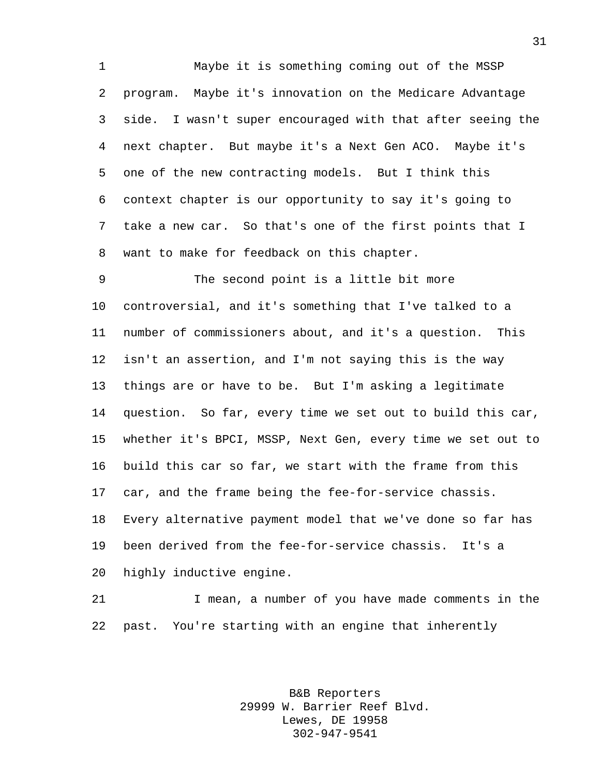Maybe it is something coming out of the MSSP program. Maybe it's innovation on the Medicare Advantage side. I wasn't super encouraged with that after seeing the next chapter. But maybe it's a Next Gen ACO. Maybe it's one of the new contracting models. But I think this context chapter is our opportunity to say it's going to take a new car. So that's one of the first points that I want to make for feedback on this chapter.

 The second point is a little bit more controversial, and it's something that I've talked to a number of commissioners about, and it's a question. This isn't an assertion, and I'm not saying this is the way things are or have to be. But I'm asking a legitimate question. So far, every time we set out to build this car, whether it's BPCI, MSSP, Next Gen, every time we set out to build this car so far, we start with the frame from this car, and the frame being the fee-for-service chassis. Every alternative payment model that we've done so far has been derived from the fee-for-service chassis. It's a highly inductive engine.

 I mean, a number of you have made comments in the past. You're starting with an engine that inherently

> B&B Reporters 29999 W. Barrier Reef Blvd. Lewes, DE 19958 302-947-9541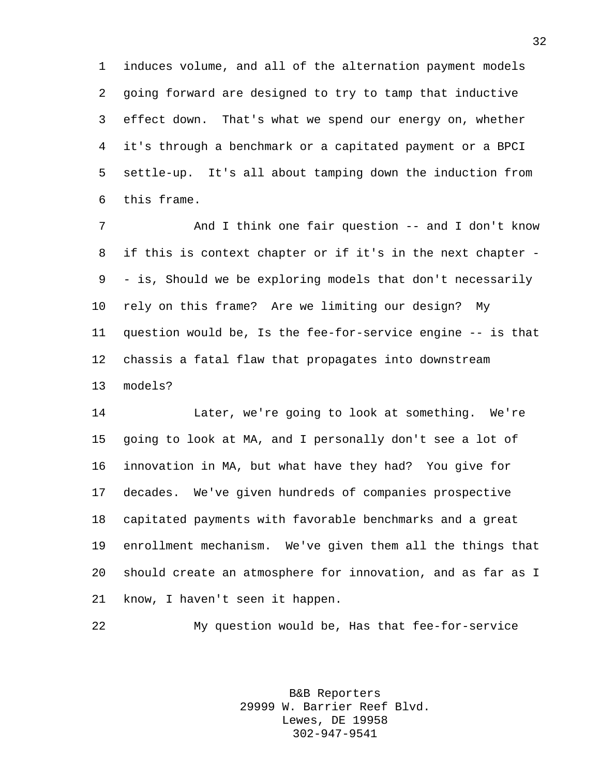induces volume, and all of the alternation payment models going forward are designed to try to tamp that inductive effect down. That's what we spend our energy on, whether it's through a benchmark or a capitated payment or a BPCI settle-up. It's all about tamping down the induction from this frame.

7 And I think one fair question -- and I don't know if this is context chapter or if it's in the next chapter - - is, Should we be exploring models that don't necessarily rely on this frame? Are we limiting our design? My question would be, Is the fee-for-service engine -- is that chassis a fatal flaw that propagates into downstream models?

 Later, we're going to look at something. We're going to look at MA, and I personally don't see a lot of innovation in MA, but what have they had? You give for decades. We've given hundreds of companies prospective capitated payments with favorable benchmarks and a great enrollment mechanism. We've given them all the things that should create an atmosphere for innovation, and as far as I know, I haven't seen it happen.

My question would be, Has that fee-for-service

B&B Reporters 29999 W. Barrier Reef Blvd. Lewes, DE 19958 302-947-9541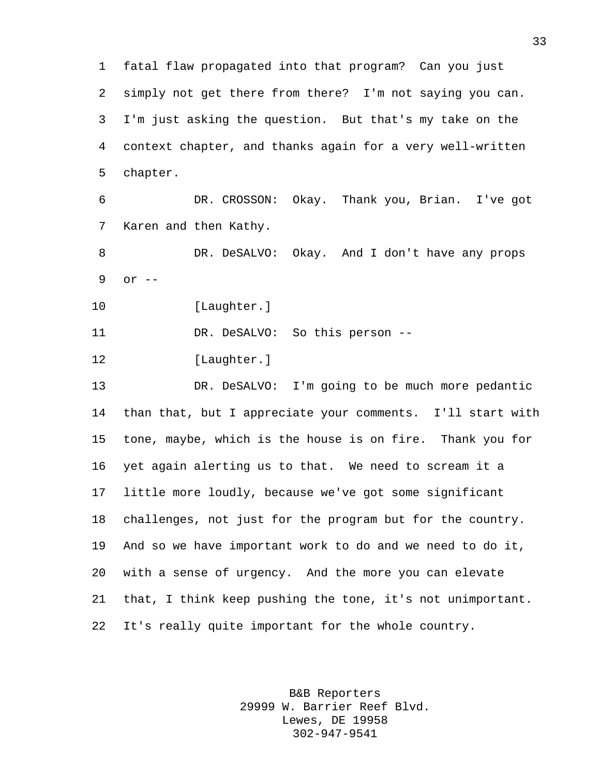fatal flaw propagated into that program? Can you just simply not get there from there? I'm not saying you can. I'm just asking the question. But that's my take on the context chapter, and thanks again for a very well-written chapter.

 DR. CROSSON: Okay. Thank you, Brian. I've got Karen and then Kathy.

 DR. DeSALVO: Okay. And I don't have any props or --

10 [Laughter.]

DR. DeSALVO: So this person --

[Laughter.]

 DR. DeSALVO: I'm going to be much more pedantic than that, but I appreciate your comments. I'll start with tone, maybe, which is the house is on fire. Thank you for yet again alerting us to that. We need to scream it a little more loudly, because we've got some significant challenges, not just for the program but for the country. And so we have important work to do and we need to do it, with a sense of urgency. And the more you can elevate that, I think keep pushing the tone, it's not unimportant. It's really quite important for the whole country.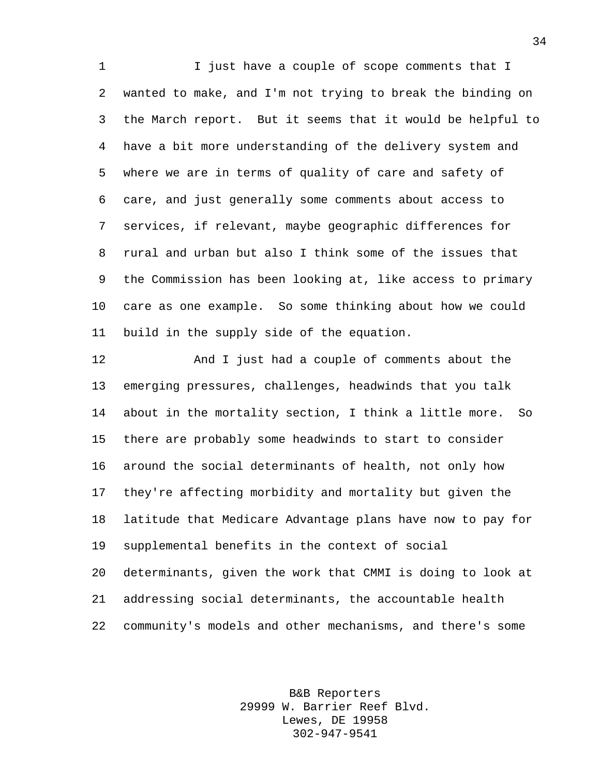1 I just have a couple of scope comments that I wanted to make, and I'm not trying to break the binding on the March report. But it seems that it would be helpful to have a bit more understanding of the delivery system and where we are in terms of quality of care and safety of care, and just generally some comments about access to services, if relevant, maybe geographic differences for rural and urban but also I think some of the issues that the Commission has been looking at, like access to primary care as one example. So some thinking about how we could build in the supply side of the equation.

 And I just had a couple of comments about the emerging pressures, challenges, headwinds that you talk about in the mortality section, I think a little more. So there are probably some headwinds to start to consider around the social determinants of health, not only how they're affecting morbidity and mortality but given the latitude that Medicare Advantage plans have now to pay for supplemental benefits in the context of social determinants, given the work that CMMI is doing to look at addressing social determinants, the accountable health community's models and other mechanisms, and there's some

> B&B Reporters 29999 W. Barrier Reef Blvd. Lewes, DE 19958 302-947-9541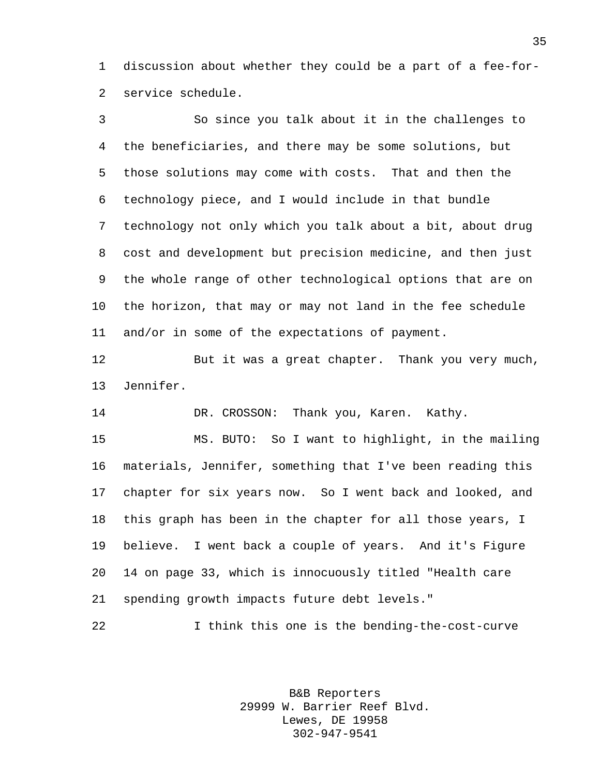discussion about whether they could be a part of a fee-for-service schedule.

 So since you talk about it in the challenges to the beneficiaries, and there may be some solutions, but those solutions may come with costs. That and then the technology piece, and I would include in that bundle technology not only which you talk about a bit, about drug cost and development but precision medicine, and then just the whole range of other technological options that are on the horizon, that may or may not land in the fee schedule and/or in some of the expectations of payment.

 But it was a great chapter. Thank you very much, Jennifer.

DR. CROSSON: Thank you, Karen. Kathy.

 MS. BUTO: So I want to highlight, in the mailing materials, Jennifer, something that I've been reading this chapter for six years now. So I went back and looked, and this graph has been in the chapter for all those years, I believe. I went back a couple of years. And it's Figure 14 on page 33, which is innocuously titled "Health care spending growth impacts future debt levels."

I think this one is the bending-the-cost-curve

B&B Reporters 29999 W. Barrier Reef Blvd. Lewes, DE 19958 302-947-9541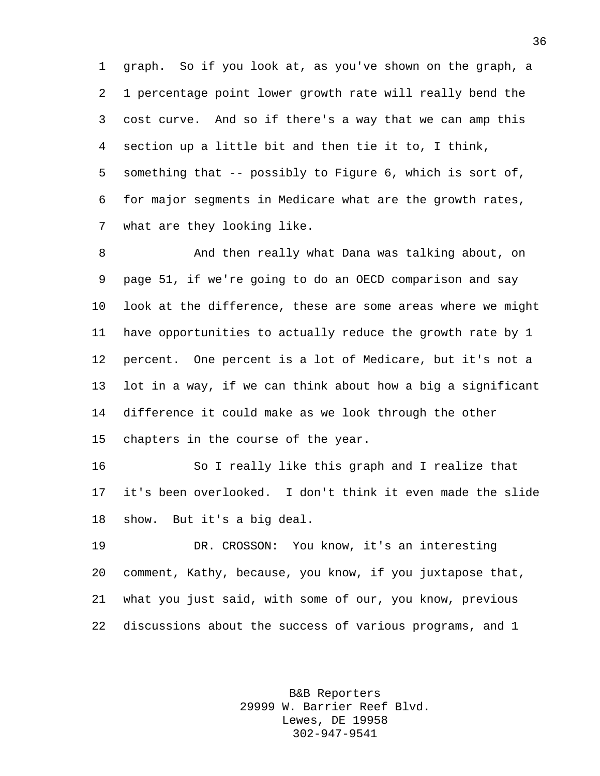graph. So if you look at, as you've shown on the graph, a 1 percentage point lower growth rate will really bend the cost curve. And so if there's a way that we can amp this section up a little bit and then tie it to, I think, something that -- possibly to Figure 6, which is sort of, for major segments in Medicare what are the growth rates, what are they looking like.

 And then really what Dana was talking about, on page 51, if we're going to do an OECD comparison and say look at the difference, these are some areas where we might have opportunities to actually reduce the growth rate by 1 percent. One percent is a lot of Medicare, but it's not a lot in a way, if we can think about how a big a significant difference it could make as we look through the other chapters in the course of the year.

 So I really like this graph and I realize that it's been overlooked. I don't think it even made the slide show. But it's a big deal.

 DR. CROSSON: You know, it's an interesting comment, Kathy, because, you know, if you juxtapose that, what you just said, with some of our, you know, previous discussions about the success of various programs, and 1

> B&B Reporters 29999 W. Barrier Reef Blvd. Lewes, DE 19958 302-947-9541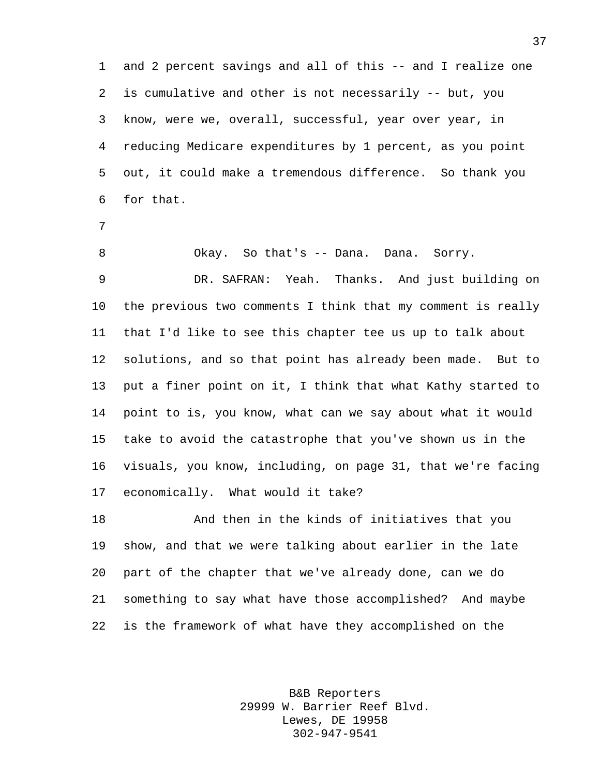and 2 percent savings and all of this -- and I realize one is cumulative and other is not necessarily -- but, you know, were we, overall, successful, year over year, in reducing Medicare expenditures by 1 percent, as you point out, it could make a tremendous difference. So thank you for that.

 Okay. So that's -- Dana. Dana. Sorry. DR. SAFRAN: Yeah. Thanks. And just building on the previous two comments I think that my comment is really that I'd like to see this chapter tee us up to talk about solutions, and so that point has already been made. But to put a finer point on it, I think that what Kathy started to point to is, you know, what can we say about what it would take to avoid the catastrophe that you've shown us in the visuals, you know, including, on page 31, that we're facing economically. What would it take?

 And then in the kinds of initiatives that you show, and that we were talking about earlier in the late part of the chapter that we've already done, can we do something to say what have those accomplished? And maybe is the framework of what have they accomplished on the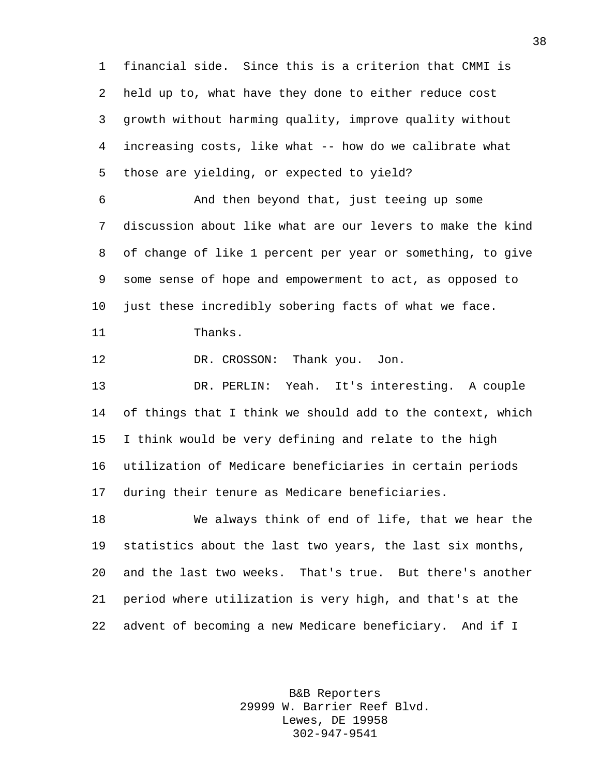financial side. Since this is a criterion that CMMI is held up to, what have they done to either reduce cost growth without harming quality, improve quality without increasing costs, like what -- how do we calibrate what those are yielding, or expected to yield?

 And then beyond that, just teeing up some discussion about like what are our levers to make the kind of change of like 1 percent per year or something, to give some sense of hope and empowerment to act, as opposed to just these incredibly sobering facts of what we face.

Thanks.

DR. CROSSON: Thank you. Jon.

 DR. PERLIN: Yeah. It's interesting. A couple 14 of things that I think we should add to the context, which I think would be very defining and relate to the high utilization of Medicare beneficiaries in certain periods during their tenure as Medicare beneficiaries.

 We always think of end of life, that we hear the statistics about the last two years, the last six months, and the last two weeks. That's true. But there's another period where utilization is very high, and that's at the advent of becoming a new Medicare beneficiary. And if I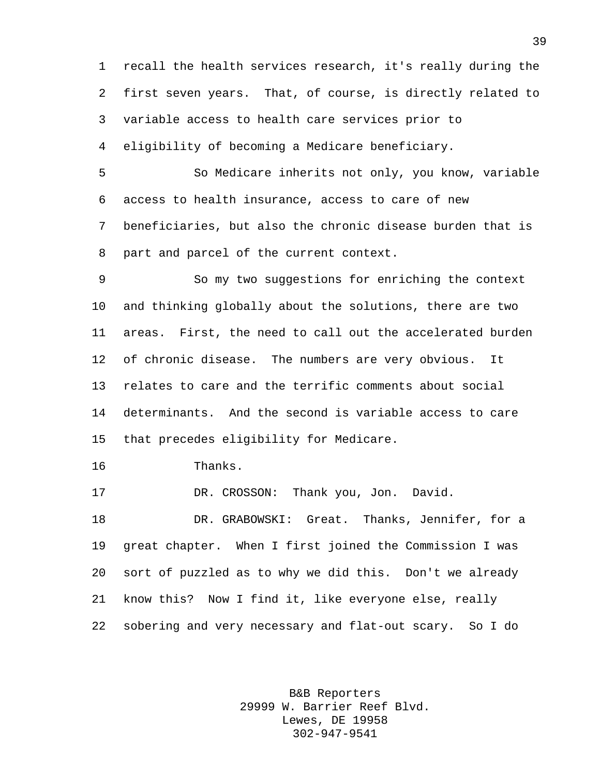recall the health services research, it's really during the first seven years. That, of course, is directly related to variable access to health care services prior to eligibility of becoming a Medicare beneficiary.

 So Medicare inherits not only, you know, variable access to health insurance, access to care of new beneficiaries, but also the chronic disease burden that is part and parcel of the current context.

 So my two suggestions for enriching the context and thinking globally about the solutions, there are two areas. First, the need to call out the accelerated burden of chronic disease. The numbers are very obvious. It relates to care and the terrific comments about social determinants. And the second is variable access to care that precedes eligibility for Medicare.

Thanks.

17 DR. CROSSON: Thank you, Jon. David.

 DR. GRABOWSKI: Great. Thanks, Jennifer, for a great chapter. When I first joined the Commission I was sort of puzzled as to why we did this. Don't we already know this? Now I find it, like everyone else, really sobering and very necessary and flat-out scary. So I do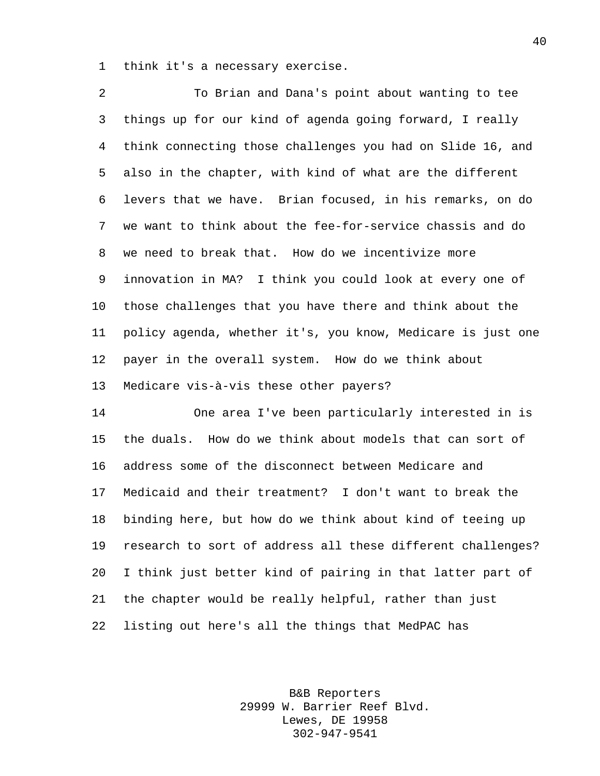think it's a necessary exercise.

 To Brian and Dana's point about wanting to tee things up for our kind of agenda going forward, I really think connecting those challenges you had on Slide 16, and also in the chapter, with kind of what are the different levers that we have. Brian focused, in his remarks, on do we want to think about the fee-for-service chassis and do we need to break that. How do we incentivize more innovation in MA? I think you could look at every one of those challenges that you have there and think about the policy agenda, whether it's, you know, Medicare is just one payer in the overall system. How do we think about Medicare vis-à-vis these other payers?

 One area I've been particularly interested in is the duals. How do we think about models that can sort of address some of the disconnect between Medicare and Medicaid and their treatment? I don't want to break the binding here, but how do we think about kind of teeing up research to sort of address all these different challenges? I think just better kind of pairing in that latter part of the chapter would be really helpful, rather than just listing out here's all the things that MedPAC has

> B&B Reporters 29999 W. Barrier Reef Blvd. Lewes, DE 19958 302-947-9541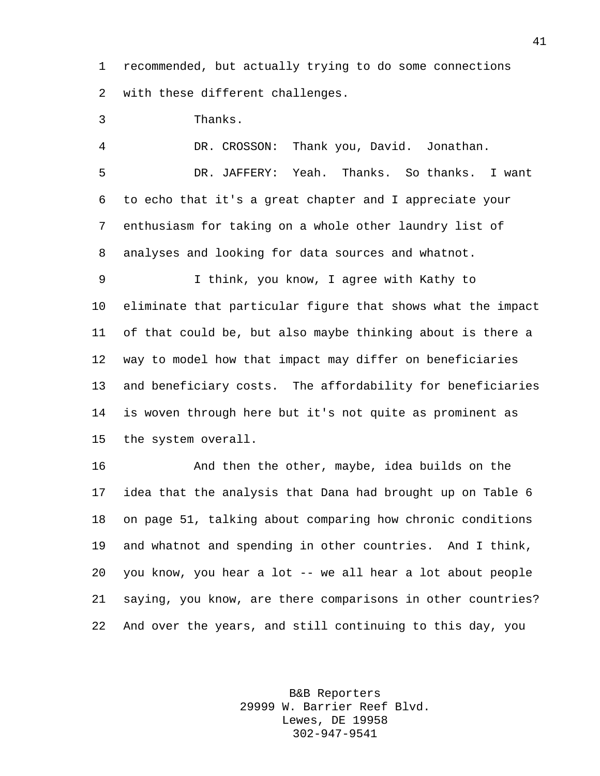recommended, but actually trying to do some connections with these different challenges.

Thanks.

 DR. CROSSON: Thank you, David. Jonathan. DR. JAFFERY: Yeah. Thanks. So thanks. I want to echo that it's a great chapter and I appreciate your enthusiasm for taking on a whole other laundry list of analyses and looking for data sources and whatnot.

 I think, you know, I agree with Kathy to eliminate that particular figure that shows what the impact of that could be, but also maybe thinking about is there a way to model how that impact may differ on beneficiaries and beneficiary costs. The affordability for beneficiaries is woven through here but it's not quite as prominent as the system overall.

 And then the other, maybe, idea builds on the idea that the analysis that Dana had brought up on Table 6 on page 51, talking about comparing how chronic conditions and whatnot and spending in other countries. And I think, you know, you hear a lot -- we all hear a lot about people saying, you know, are there comparisons in other countries? And over the years, and still continuing to this day, you

> B&B Reporters 29999 W. Barrier Reef Blvd. Lewes, DE 19958 302-947-9541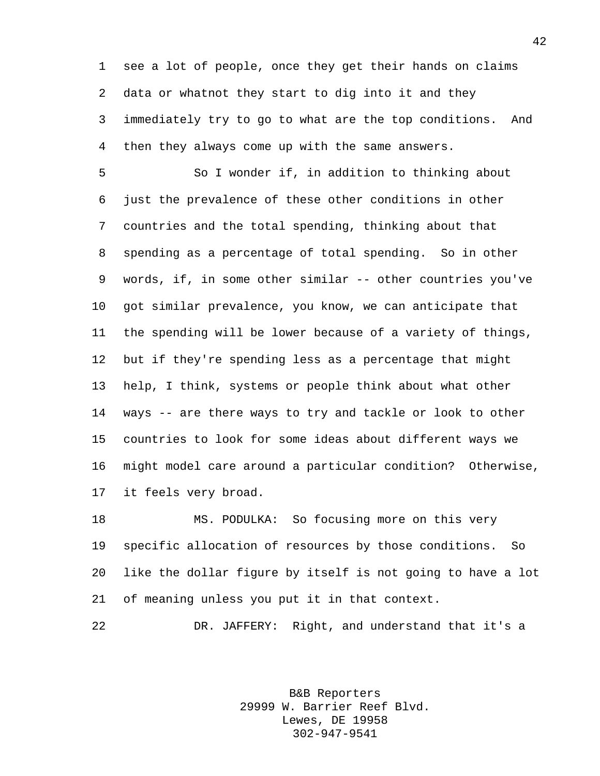see a lot of people, once they get their hands on claims data or whatnot they start to dig into it and they immediately try to go to what are the top conditions. And then they always come up with the same answers.

 So I wonder if, in addition to thinking about just the prevalence of these other conditions in other countries and the total spending, thinking about that spending as a percentage of total spending. So in other words, if, in some other similar -- other countries you've got similar prevalence, you know, we can anticipate that the spending will be lower because of a variety of things, but if they're spending less as a percentage that might help, I think, systems or people think about what other ways -- are there ways to try and tackle or look to other countries to look for some ideas about different ways we might model care around a particular condition? Otherwise, it feels very broad.

 MS. PODULKA: So focusing more on this very specific allocation of resources by those conditions. So like the dollar figure by itself is not going to have a lot of meaning unless you put it in that context.

DR. JAFFERY: Right, and understand that it's a

B&B Reporters 29999 W. Barrier Reef Blvd. Lewes, DE 19958 302-947-9541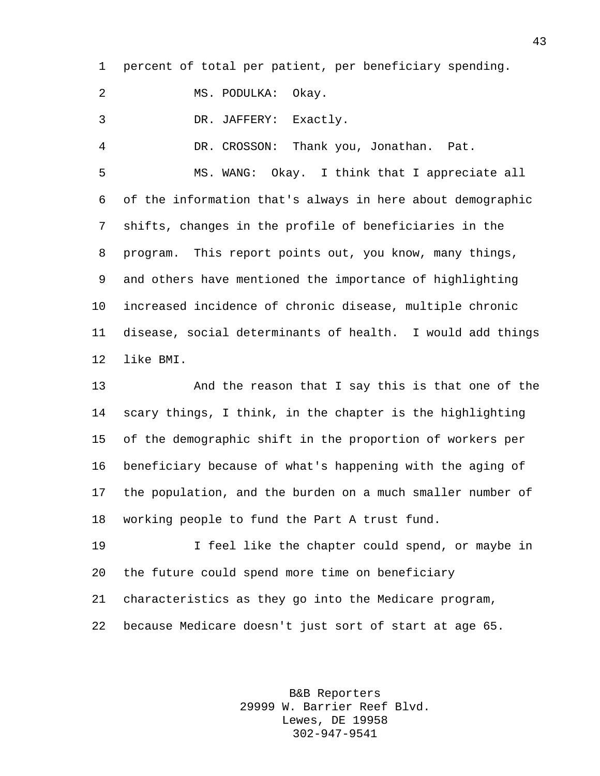percent of total per patient, per beneficiary spending.

MS. PODULKA: Okay.

DR. JAFFERY: Exactly.

DR. CROSSON: Thank you, Jonathan. Pat.

 MS. WANG: Okay. I think that I appreciate all of the information that's always in here about demographic shifts, changes in the profile of beneficiaries in the program. This report points out, you know, many things, and others have mentioned the importance of highlighting increased incidence of chronic disease, multiple chronic disease, social determinants of health. I would add things like BMI.

 And the reason that I say this is that one of the scary things, I think, in the chapter is the highlighting of the demographic shift in the proportion of workers per beneficiary because of what's happening with the aging of the population, and the burden on a much smaller number of working people to fund the Part A trust fund.

 I feel like the chapter could spend, or maybe in the future could spend more time on beneficiary characteristics as they go into the Medicare program, because Medicare doesn't just sort of start at age 65.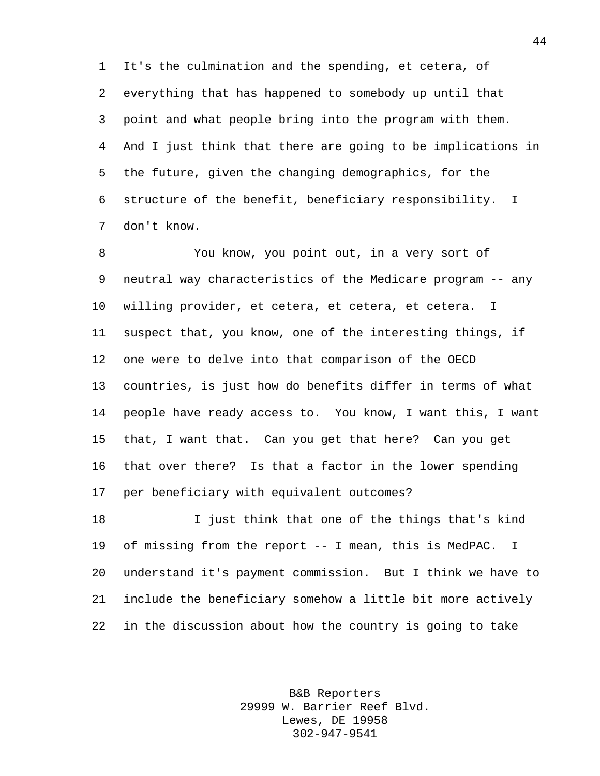It's the culmination and the spending, et cetera, of everything that has happened to somebody up until that point and what people bring into the program with them. And I just think that there are going to be implications in the future, given the changing demographics, for the structure of the benefit, beneficiary responsibility. I don't know.

 You know, you point out, in a very sort of neutral way characteristics of the Medicare program -- any willing provider, et cetera, et cetera, et cetera. I suspect that, you know, one of the interesting things, if one were to delve into that comparison of the OECD countries, is just how do benefits differ in terms of what people have ready access to. You know, I want this, I want that, I want that. Can you get that here? Can you get that over there? Is that a factor in the lower spending per beneficiary with equivalent outcomes?

 I just think that one of the things that's kind of missing from the report -- I mean, this is MedPAC. I understand it's payment commission. But I think we have to include the beneficiary somehow a little bit more actively in the discussion about how the country is going to take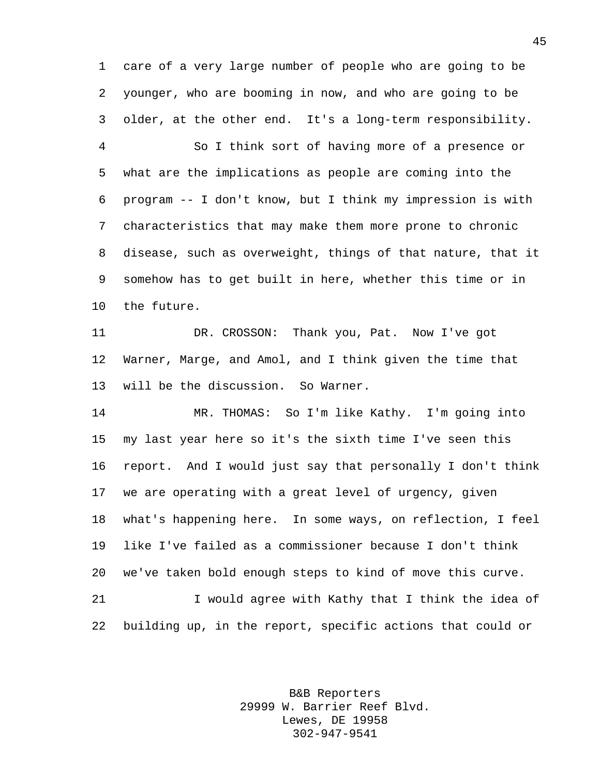care of a very large number of people who are going to be younger, who are booming in now, and who are going to be older, at the other end. It's a long-term responsibility.

 So I think sort of having more of a presence or what are the implications as people are coming into the program -- I don't know, but I think my impression is with characteristics that may make them more prone to chronic disease, such as overweight, things of that nature, that it somehow has to get built in here, whether this time or in the future.

 DR. CROSSON: Thank you, Pat. Now I've got Warner, Marge, and Amol, and I think given the time that will be the discussion. So Warner.

 MR. THOMAS: So I'm like Kathy. I'm going into my last year here so it's the sixth time I've seen this report. And I would just say that personally I don't think we are operating with a great level of urgency, given what's happening here. In some ways, on reflection, I feel like I've failed as a commissioner because I don't think we've taken bold enough steps to kind of move this curve. 21 I would agree with Kathy that I think the idea of

building up, in the report, specific actions that could or

B&B Reporters 29999 W. Barrier Reef Blvd. Lewes, DE 19958 302-947-9541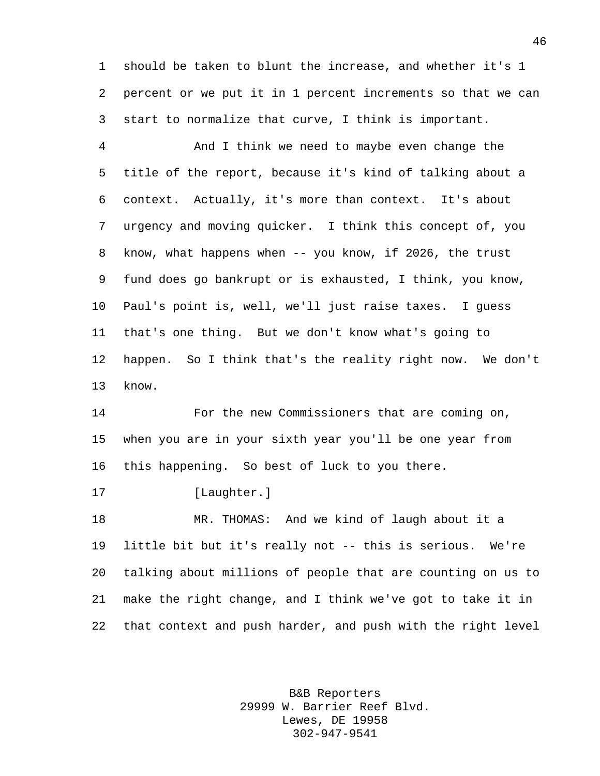should be taken to blunt the increase, and whether it's 1 percent or we put it in 1 percent increments so that we can start to normalize that curve, I think is important.

 And I think we need to maybe even change the title of the report, because it's kind of talking about a context. Actually, it's more than context. It's about urgency and moving quicker. I think this concept of, you know, what happens when -- you know, if 2026, the trust fund does go bankrupt or is exhausted, I think, you know, Paul's point is, well, we'll just raise taxes. I guess that's one thing. But we don't know what's going to happen. So I think that's the reality right now. We don't know.

 For the new Commissioners that are coming on, when you are in your sixth year you'll be one year from this happening. So best of luck to you there.

17 [Laughter.]

 MR. THOMAS: And we kind of laugh about it a little bit but it's really not -- this is serious. We're talking about millions of people that are counting on us to make the right change, and I think we've got to take it in that context and push harder, and push with the right level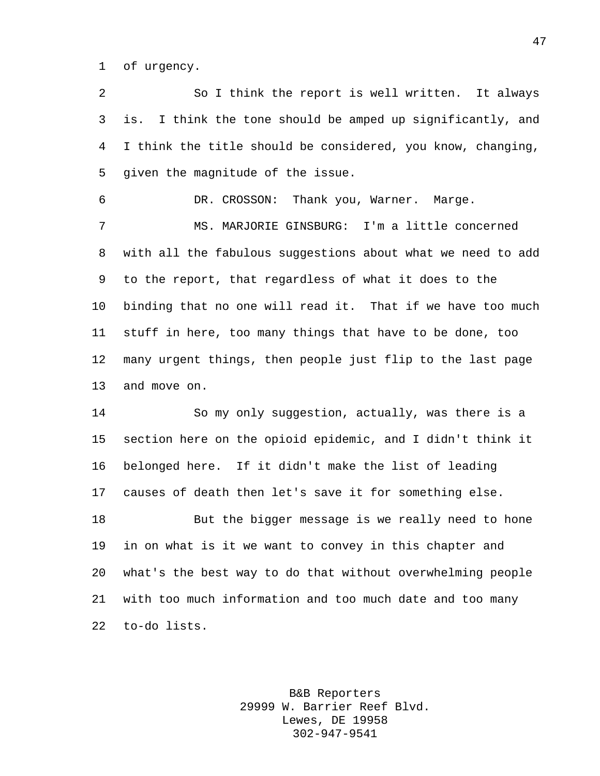of urgency.

 So I think the report is well written. It always is. I think the tone should be amped up significantly, and I think the title should be considered, you know, changing, given the magnitude of the issue.

DR. CROSSON: Thank you, Warner. Marge.

 MS. MARJORIE GINSBURG: I'm a little concerned with all the fabulous suggestions about what we need to add to the report, that regardless of what it does to the binding that no one will read it. That if we have too much stuff in here, too many things that have to be done, too many urgent things, then people just flip to the last page and move on.

 So my only suggestion, actually, was there is a section here on the opioid epidemic, and I didn't think it belonged here. If it didn't make the list of leading causes of death then let's save it for something else. But the bigger message is we really need to hone in on what is it we want to convey in this chapter and what's the best way to do that without overwhelming people with too much information and too much date and too many

to-do lists.

B&B Reporters 29999 W. Barrier Reef Blvd. Lewes, DE 19958 302-947-9541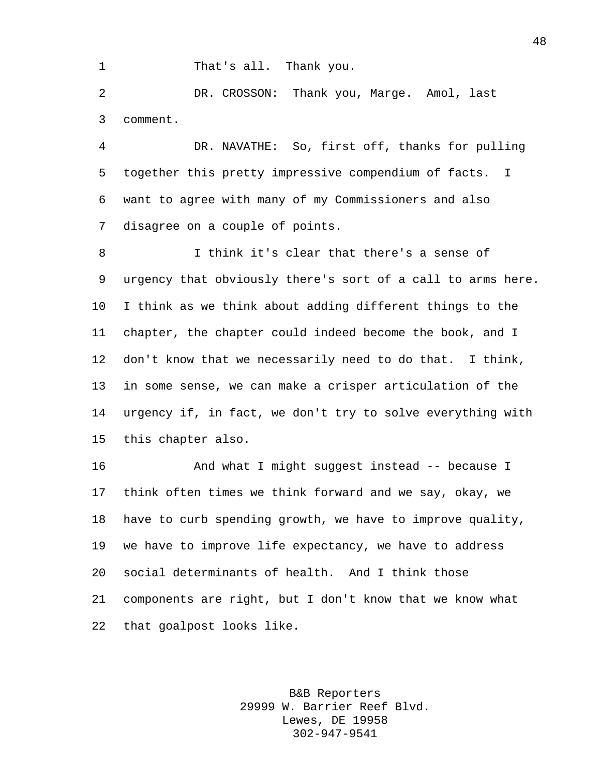1 That's all. Thank you.

 DR. CROSSON: Thank you, Marge. Amol, last comment.

 DR. NAVATHE: So, first off, thanks for pulling together this pretty impressive compendium of facts. I want to agree with many of my Commissioners and also disagree on a couple of points.

 I think it's clear that there's a sense of urgency that obviously there's sort of a call to arms here. I think as we think about adding different things to the chapter, the chapter could indeed become the book, and I don't know that we necessarily need to do that. I think, in some sense, we can make a crisper articulation of the urgency if, in fact, we don't try to solve everything with this chapter also.

 And what I might suggest instead -- because I think often times we think forward and we say, okay, we have to curb spending growth, we have to improve quality, we have to improve life expectancy, we have to address social determinants of health. And I think those components are right, but I don't know that we know what that goalpost looks like.

> B&B Reporters 29999 W. Barrier Reef Blvd. Lewes, DE 19958 302-947-9541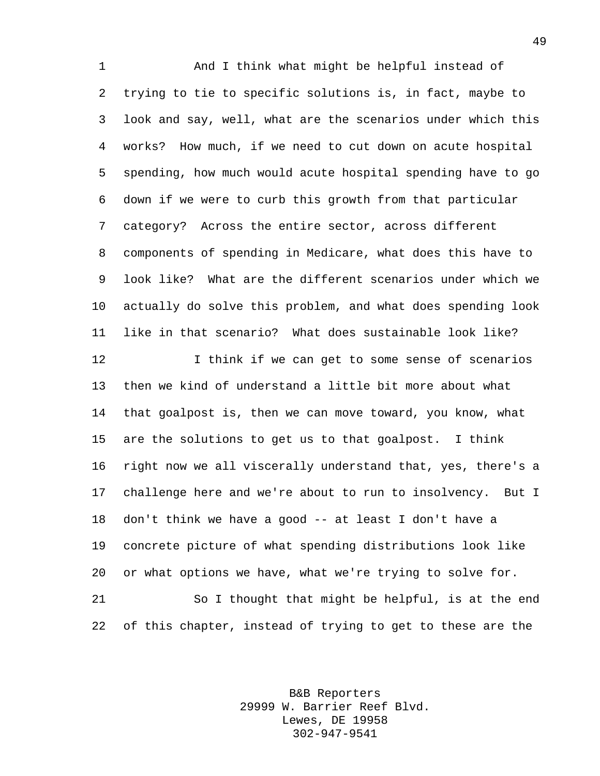And I think what might be helpful instead of trying to tie to specific solutions is, in fact, maybe to look and say, well, what are the scenarios under which this works? How much, if we need to cut down on acute hospital spending, how much would acute hospital spending have to go down if we were to curb this growth from that particular category? Across the entire sector, across different components of spending in Medicare, what does this have to look like? What are the different scenarios under which we actually do solve this problem, and what does spending look like in that scenario? What does sustainable look like? I think if we can get to some sense of scenarios then we kind of understand a little bit more about what that goalpost is, then we can move toward, you know, what are the solutions to get us to that goalpost. I think right now we all viscerally understand that, yes, there's a

 challenge here and we're about to run to insolvency. But I don't think we have a good -- at least I don't have a concrete picture of what spending distributions look like or what options we have, what we're trying to solve for.

 So I thought that might be helpful, is at the end of this chapter, instead of trying to get to these are the

> B&B Reporters 29999 W. Barrier Reef Blvd. Lewes, DE 19958 302-947-9541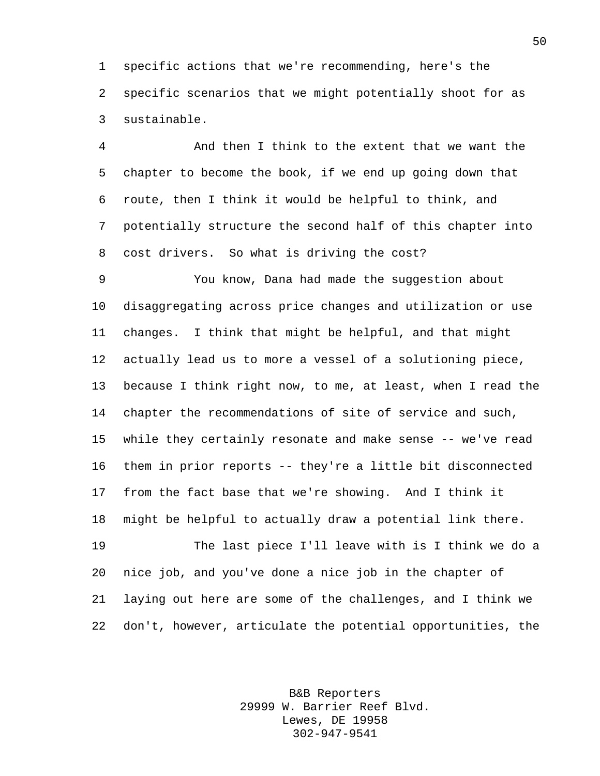specific actions that we're recommending, here's the specific scenarios that we might potentially shoot for as sustainable.

 And then I think to the extent that we want the chapter to become the book, if we end up going down that route, then I think it would be helpful to think, and potentially structure the second half of this chapter into cost drivers. So what is driving the cost?

 You know, Dana had made the suggestion about disaggregating across price changes and utilization or use changes. I think that might be helpful, and that might actually lead us to more a vessel of a solutioning piece, because I think right now, to me, at least, when I read the chapter the recommendations of site of service and such, while they certainly resonate and make sense -- we've read them in prior reports -- they're a little bit disconnected from the fact base that we're showing. And I think it might be helpful to actually draw a potential link there.

 The last piece I'll leave with is I think we do a nice job, and you've done a nice job in the chapter of laying out here are some of the challenges, and I think we don't, however, articulate the potential opportunities, the

> B&B Reporters 29999 W. Barrier Reef Blvd. Lewes, DE 19958 302-947-9541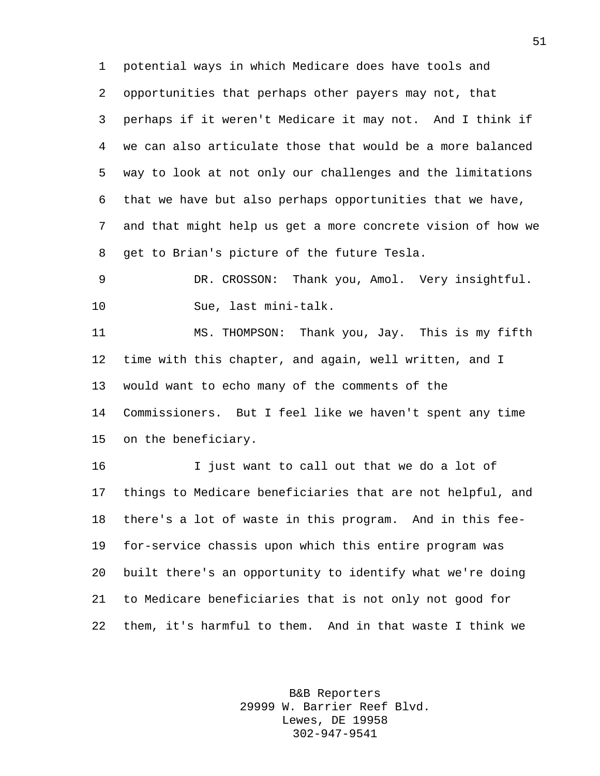potential ways in which Medicare does have tools and opportunities that perhaps other payers may not, that perhaps if it weren't Medicare it may not. And I think if we can also articulate those that would be a more balanced way to look at not only our challenges and the limitations that we have but also perhaps opportunities that we have, and that might help us get a more concrete vision of how we get to Brian's picture of the future Tesla.

 DR. CROSSON: Thank you, Amol. Very insightful. Sue, last mini-talk.

 MS. THOMPSON: Thank you, Jay. This is my fifth time with this chapter, and again, well written, and I would want to echo many of the comments of the Commissioners. But I feel like we haven't spent any time on the beneficiary.

 I just want to call out that we do a lot of things to Medicare beneficiaries that are not helpful, and there's a lot of waste in this program. And in this fee- for-service chassis upon which this entire program was built there's an opportunity to identify what we're doing to Medicare beneficiaries that is not only not good for them, it's harmful to them. And in that waste I think we

> B&B Reporters 29999 W. Barrier Reef Blvd. Lewes, DE 19958 302-947-9541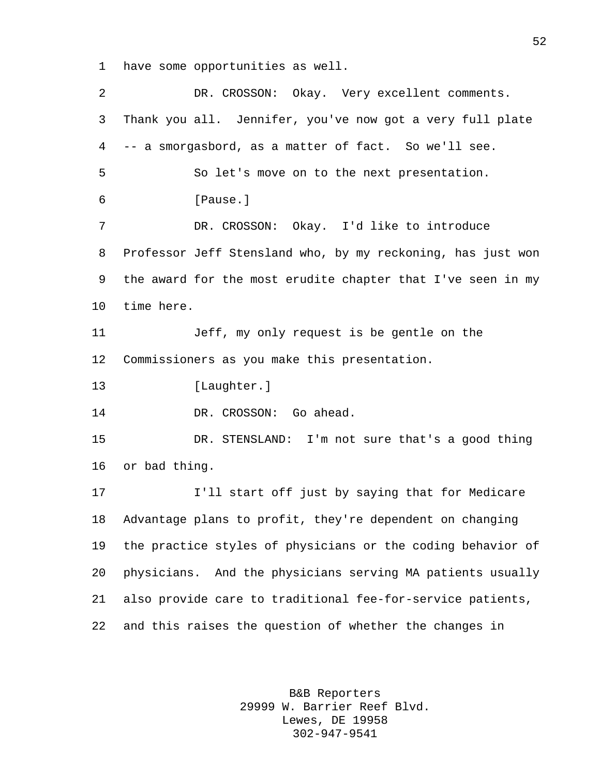have some opportunities as well.

| 2  | DR. CROSSON: Okay. Very excellent comments.                 |
|----|-------------------------------------------------------------|
| 3  | Thank you all. Jennifer, you've now got a very full plate   |
| 4  | -- a smorgasbord, as a matter of fact. So we'll see.        |
| 5  | So let's move on to the next presentation.                  |
| 6  | [Pause.]                                                    |
| 7  | DR. CROSSON: Okay. I'd like to introduce                    |
| 8  | Professor Jeff Stensland who, by my reckoning, has just won |
| 9  | the award for the most erudite chapter that I've seen in my |
| 10 | time here.                                                  |
| 11 | Jeff, my only request is be gentle on the                   |
| 12 | Commissioners as you make this presentation.                |
| 13 | [Laughter.]                                                 |
| 14 | DR. CROSSON: Go ahead.                                      |
| 15 | DR. STENSLAND: I'm not sure that's a good thing             |
| 16 | or bad thing.                                               |
| 17 | I'll start off just by saying that for Medicare             |
| 18 | Advantage plans to profit, they're dependent on changing    |
| 19 | the practice styles of physicians or the coding behavior of |
| 20 | physicians. And the physicians serving MA patients usually  |
| 21 | also provide care to traditional fee-for-service patients,  |
| 22 | and this raises the question of whether the changes in      |
|    |                                                             |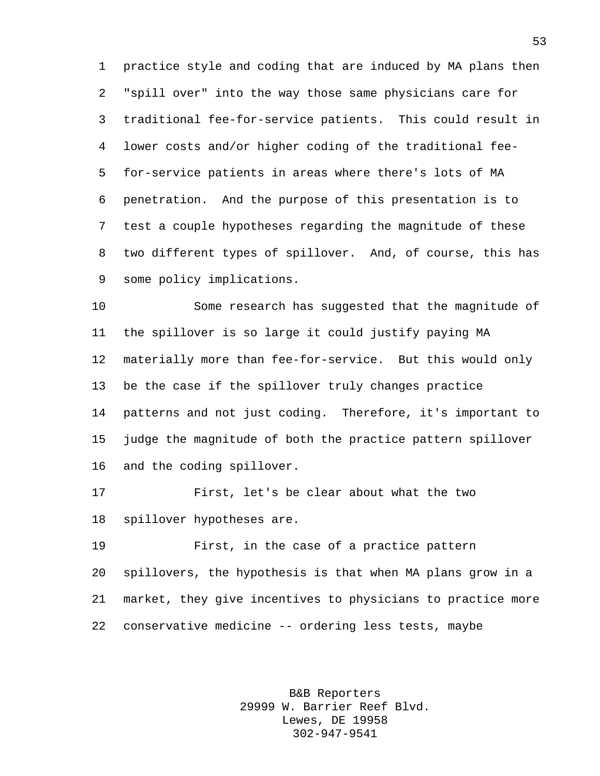practice style and coding that are induced by MA plans then "spill over" into the way those same physicians care for traditional fee-for-service patients. This could result in lower costs and/or higher coding of the traditional fee- for-service patients in areas where there's lots of MA penetration. And the purpose of this presentation is to test a couple hypotheses regarding the magnitude of these two different types of spillover. And, of course, this has some policy implications.

 Some research has suggested that the magnitude of the spillover is so large it could justify paying MA materially more than fee-for-service. But this would only be the case if the spillover truly changes practice patterns and not just coding. Therefore, it's important to judge the magnitude of both the practice pattern spillover and the coding spillover.

 First, let's be clear about what the two spillover hypotheses are.

 First, in the case of a practice pattern spillovers, the hypothesis is that when MA plans grow in a market, they give incentives to physicians to practice more conservative medicine -- ordering less tests, maybe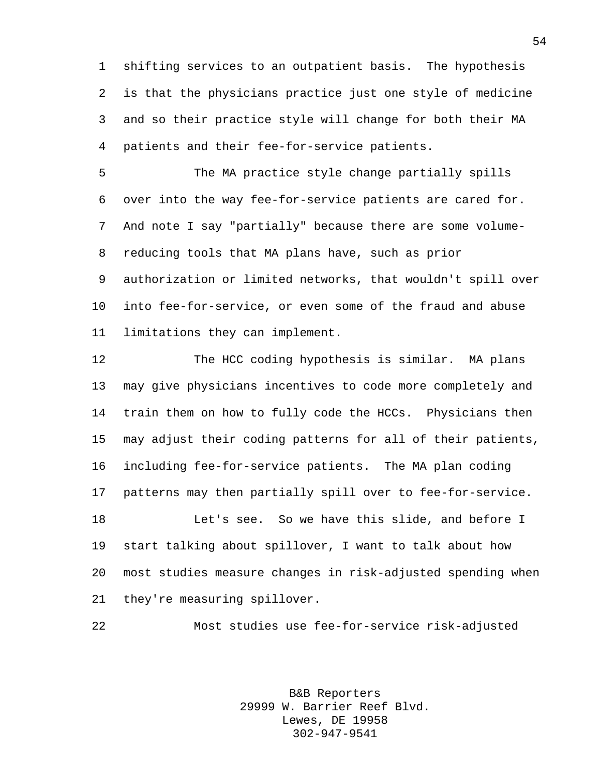shifting services to an outpatient basis. The hypothesis is that the physicians practice just one style of medicine and so their practice style will change for both their MA patients and their fee-for-service patients.

 The MA practice style change partially spills over into the way fee-for-service patients are cared for. And note I say "partially" because there are some volume- reducing tools that MA plans have, such as prior authorization or limited networks, that wouldn't spill over into fee-for-service, or even some of the fraud and abuse limitations they can implement.

 The HCC coding hypothesis is similar. MA plans may give physicians incentives to code more completely and train them on how to fully code the HCCs. Physicians then may adjust their coding patterns for all of their patients, including fee-for-service patients. The MA plan coding patterns may then partially spill over to fee-for-service. Let's see. So we have this slide, and before I start talking about spillover, I want to talk about how most studies measure changes in risk-adjusted spending when they're measuring spillover.

Most studies use fee-for-service risk-adjusted

B&B Reporters 29999 W. Barrier Reef Blvd. Lewes, DE 19958 302-947-9541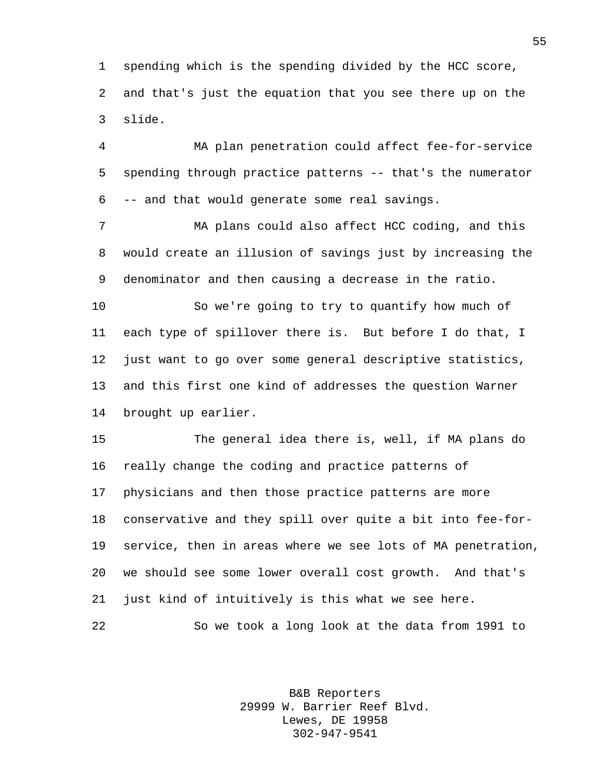spending which is the spending divided by the HCC score, and that's just the equation that you see there up on the slide.

 MA plan penetration could affect fee-for-service spending through practice patterns -- that's the numerator -- and that would generate some real savings.

 MA plans could also affect HCC coding, and this would create an illusion of savings just by increasing the denominator and then causing a decrease in the ratio.

 So we're going to try to quantify how much of each type of spillover there is. But before I do that, I just want to go over some general descriptive statistics, and this first one kind of addresses the question Warner brought up earlier.

 The general idea there is, well, if MA plans do really change the coding and practice patterns of physicians and then those practice patterns are more conservative and they spill over quite a bit into fee-for- service, then in areas where we see lots of MA penetration, we should see some lower overall cost growth. And that's just kind of intuitively is this what we see here. So we took a long look at the data from 1991 to

> B&B Reporters 29999 W. Barrier Reef Blvd. Lewes, DE 19958 302-947-9541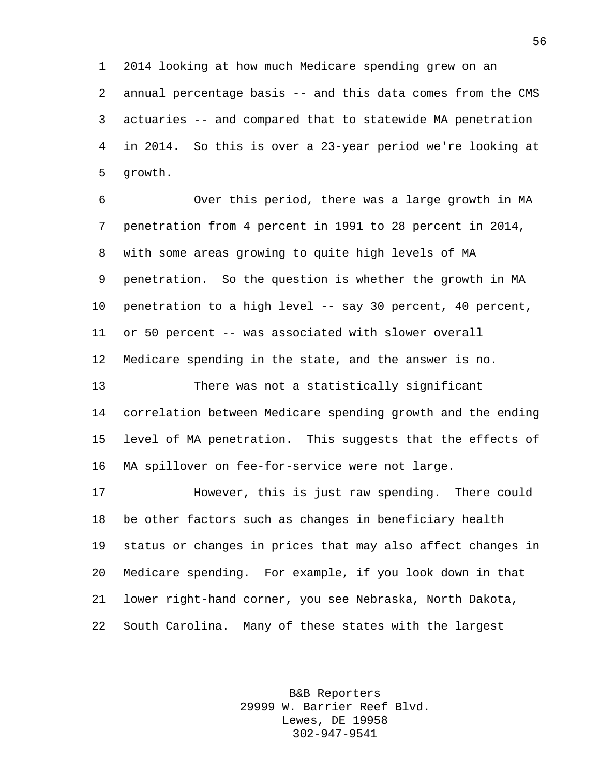2014 looking at how much Medicare spending grew on an annual percentage basis -- and this data comes from the CMS actuaries -- and compared that to statewide MA penetration in 2014. So this is over a 23-year period we're looking at growth.

 Over this period, there was a large growth in MA penetration from 4 percent in 1991 to 28 percent in 2014, with some areas growing to quite high levels of MA penetration. So the question is whether the growth in MA penetration to a high level -- say 30 percent, 40 percent, or 50 percent -- was associated with slower overall Medicare spending in the state, and the answer is no.

 There was not a statistically significant correlation between Medicare spending growth and the ending level of MA penetration. This suggests that the effects of MA spillover on fee-for-service were not large.

 However, this is just raw spending. There could be other factors such as changes in beneficiary health status or changes in prices that may also affect changes in Medicare spending. For example, if you look down in that lower right-hand corner, you see Nebraska, North Dakota, South Carolina. Many of these states with the largest

> B&B Reporters 29999 W. Barrier Reef Blvd. Lewes, DE 19958 302-947-9541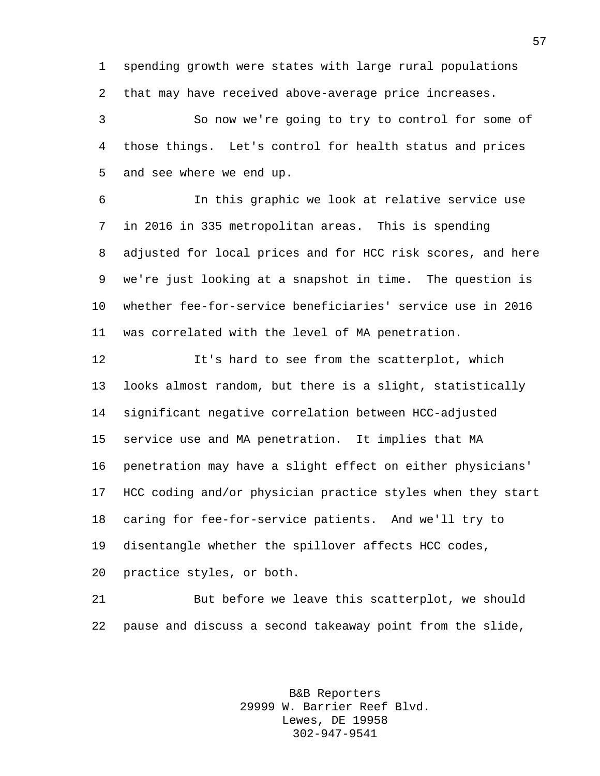spending growth were states with large rural populations that may have received above-average price increases.

 So now we're going to try to control for some of those things. Let's control for health status and prices and see where we end up.

 In this graphic we look at relative service use in 2016 in 335 metropolitan areas. This is spending adjusted for local prices and for HCC risk scores, and here we're just looking at a snapshot in time. The question is whether fee-for-service beneficiaries' service use in 2016 was correlated with the level of MA penetration.

 It's hard to see from the scatterplot, which looks almost random, but there is a slight, statistically significant negative correlation between HCC-adjusted service use and MA penetration. It implies that MA penetration may have a slight effect on either physicians' HCC coding and/or physician practice styles when they start caring for fee-for-service patients. And we'll try to disentangle whether the spillover affects HCC codes, practice styles, or both.

 But before we leave this scatterplot, we should pause and discuss a second takeaway point from the slide,

> B&B Reporters 29999 W. Barrier Reef Blvd. Lewes, DE 19958 302-947-9541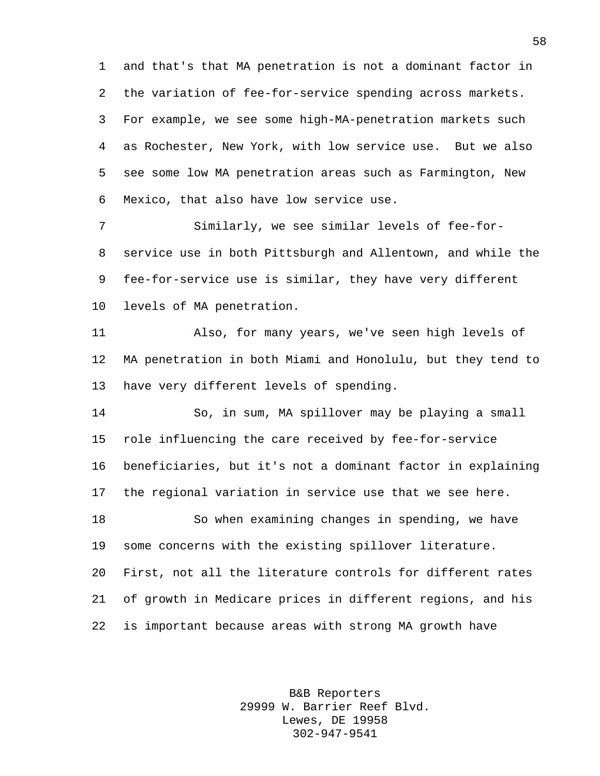and that's that MA penetration is not a dominant factor in the variation of fee-for-service spending across markets. For example, we see some high-MA-penetration markets such as Rochester, New York, with low service use. But we also see some low MA penetration areas such as Farmington, New Mexico, that also have low service use.

 Similarly, we see similar levels of fee-for- service use in both Pittsburgh and Allentown, and while the fee-for-service use is similar, they have very different levels of MA penetration.

 Also, for many years, we've seen high levels of MA penetration in both Miami and Honolulu, but they tend to have very different levels of spending.

 So, in sum, MA spillover may be playing a small role influencing the care received by fee-for-service beneficiaries, but it's not a dominant factor in explaining the regional variation in service use that we see here. So when examining changes in spending, we have some concerns with the existing spillover literature. First, not all the literature controls for different rates

 of growth in Medicare prices in different regions, and his is important because areas with strong MA growth have

> B&B Reporters 29999 W. Barrier Reef Blvd. Lewes, DE 19958 302-947-9541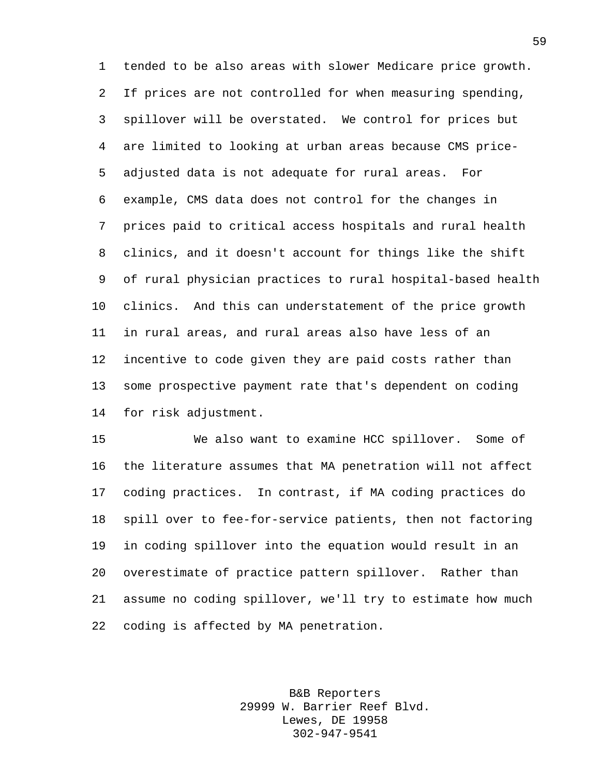tended to be also areas with slower Medicare price growth. If prices are not controlled for when measuring spending, spillover will be overstated. We control for prices but are limited to looking at urban areas because CMS price- adjusted data is not adequate for rural areas. For example, CMS data does not control for the changes in prices paid to critical access hospitals and rural health clinics, and it doesn't account for things like the shift of rural physician practices to rural hospital-based health clinics. And this can understatement of the price growth in rural areas, and rural areas also have less of an incentive to code given they are paid costs rather than some prospective payment rate that's dependent on coding for risk adjustment.

 We also want to examine HCC spillover. Some of the literature assumes that MA penetration will not affect coding practices. In contrast, if MA coding practices do spill over to fee-for-service patients, then not factoring in coding spillover into the equation would result in an overestimate of practice pattern spillover. Rather than assume no coding spillover, we'll try to estimate how much coding is affected by MA penetration.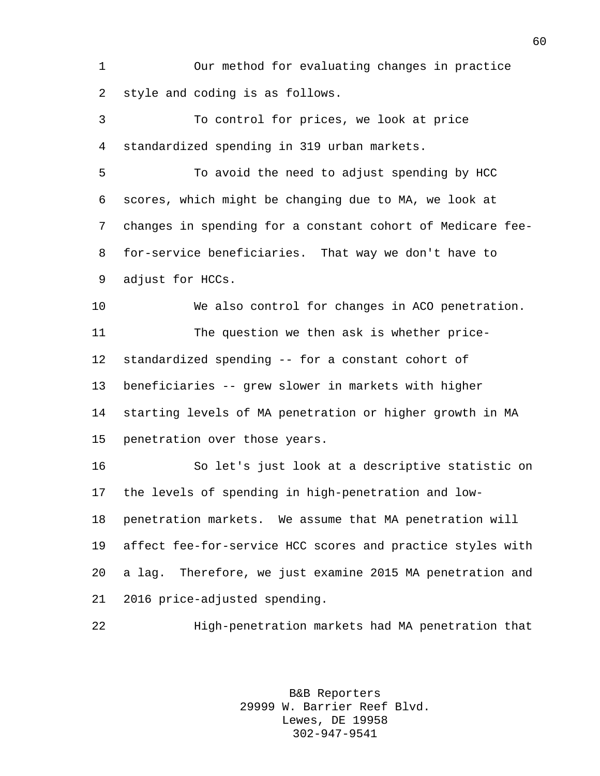Our method for evaluating changes in practice style and coding is as follows.

 To control for prices, we look at price standardized spending in 319 urban markets.

 To avoid the need to adjust spending by HCC scores, which might be changing due to MA, we look at changes in spending for a constant cohort of Medicare fee- for-service beneficiaries. That way we don't have to adjust for HCCs.

 We also control for changes in ACO penetration. The question we then ask is whether price- standardized spending -- for a constant cohort of beneficiaries -- grew slower in markets with higher starting levels of MA penetration or higher growth in MA penetration over those years.

 So let's just look at a descriptive statistic on the levels of spending in high-penetration and low- penetration markets. We assume that MA penetration will affect fee-for-service HCC scores and practice styles with a lag. Therefore, we just examine 2015 MA penetration and 2016 price-adjusted spending.

High-penetration markets had MA penetration that

B&B Reporters 29999 W. Barrier Reef Blvd. Lewes, DE 19958 302-947-9541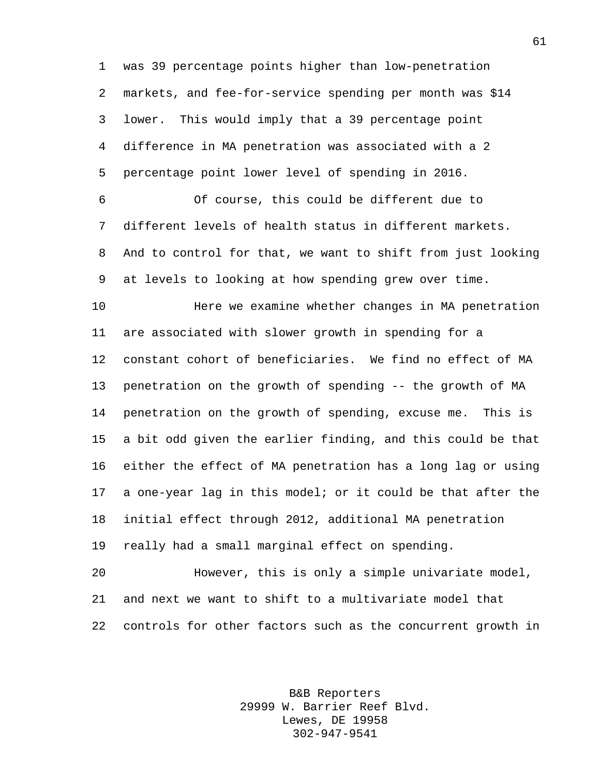was 39 percentage points higher than low-penetration markets, and fee-for-service spending per month was \$14 lower. This would imply that a 39 percentage point difference in MA penetration was associated with a 2 percentage point lower level of spending in 2016.

 Of course, this could be different due to different levels of health status in different markets. And to control for that, we want to shift from just looking at levels to looking at how spending grew over time.

 Here we examine whether changes in MA penetration are associated with slower growth in spending for a constant cohort of beneficiaries. We find no effect of MA penetration on the growth of spending -- the growth of MA penetration on the growth of spending, excuse me. This is a bit odd given the earlier finding, and this could be that either the effect of MA penetration has a long lag or using a one-year lag in this model; or it could be that after the initial effect through 2012, additional MA penetration really had a small marginal effect on spending.

 However, this is only a simple univariate model, and next we want to shift to a multivariate model that controls for other factors such as the concurrent growth in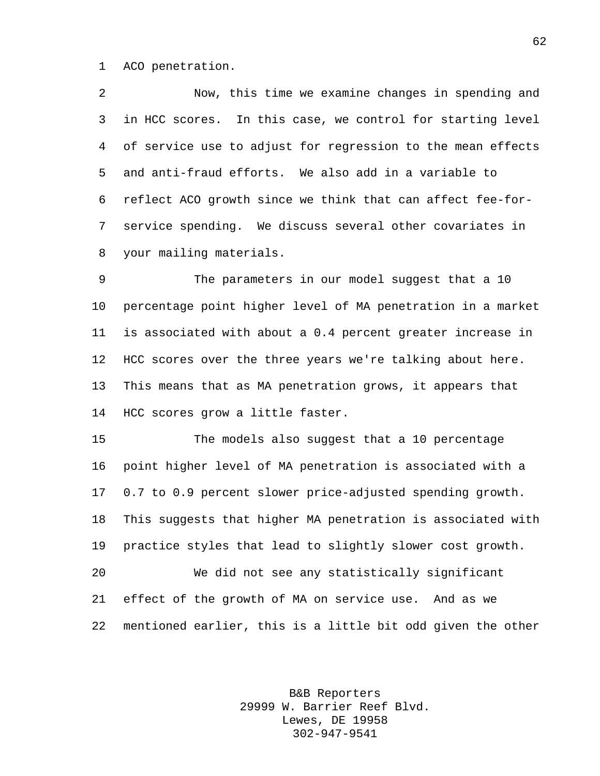ACO penetration.

 Now, this time we examine changes in spending and in HCC scores. In this case, we control for starting level of service use to adjust for regression to the mean effects and anti-fraud efforts. We also add in a variable to reflect ACO growth since we think that can affect fee-for- service spending. We discuss several other covariates in your mailing materials.

 The parameters in our model suggest that a 10 percentage point higher level of MA penetration in a market is associated with about a 0.4 percent greater increase in HCC scores over the three years we're talking about here. This means that as MA penetration grows, it appears that HCC scores grow a little faster.

 The models also suggest that a 10 percentage point higher level of MA penetration is associated with a 0.7 to 0.9 percent slower price-adjusted spending growth. This suggests that higher MA penetration is associated with practice styles that lead to slightly slower cost growth. We did not see any statistically significant effect of the growth of MA on service use. And as we

mentioned earlier, this is a little bit odd given the other

B&B Reporters 29999 W. Barrier Reef Blvd. Lewes, DE 19958 302-947-9541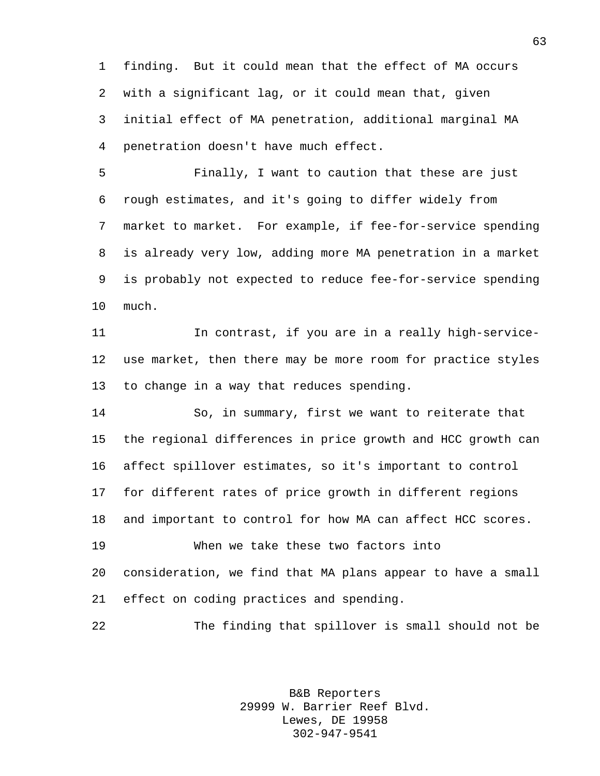finding. But it could mean that the effect of MA occurs with a significant lag, or it could mean that, given initial effect of MA penetration, additional marginal MA penetration doesn't have much effect.

 Finally, I want to caution that these are just rough estimates, and it's going to differ widely from market to market. For example, if fee-for-service spending is already very low, adding more MA penetration in a market is probably not expected to reduce fee-for-service spending much.

 In contrast, if you are in a really high-service- use market, then there may be more room for practice styles to change in a way that reduces spending.

 So, in summary, first we want to reiterate that the regional differences in price growth and HCC growth can affect spillover estimates, so it's important to control for different rates of price growth in different regions and important to control for how MA can affect HCC scores. When we take these two factors into consideration, we find that MA plans appear to have a small effect on coding practices and spending.

The finding that spillover is small should not be

B&B Reporters 29999 W. Barrier Reef Blvd. Lewes, DE 19958 302-947-9541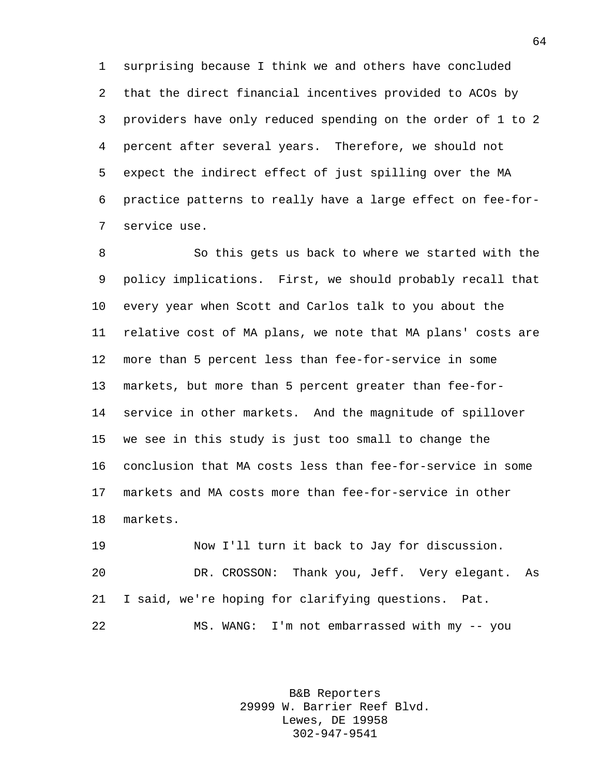surprising because I think we and others have concluded that the direct financial incentives provided to ACOs by providers have only reduced spending on the order of 1 to 2 percent after several years. Therefore, we should not expect the indirect effect of just spilling over the MA practice patterns to really have a large effect on fee-for-service use.

 So this gets us back to where we started with the policy implications. First, we should probably recall that every year when Scott and Carlos talk to you about the relative cost of MA plans, we note that MA plans' costs are more than 5 percent less than fee-for-service in some markets, but more than 5 percent greater than fee-for- service in other markets. And the magnitude of spillover we see in this study is just too small to change the conclusion that MA costs less than fee-for-service in some markets and MA costs more than fee-for-service in other markets.

 Now I'll turn it back to Jay for discussion. DR. CROSSON: Thank you, Jeff. Very elegant. As I said, we're hoping for clarifying questions. Pat. MS. WANG: I'm not embarrassed with my -- you

> B&B Reporters 29999 W. Barrier Reef Blvd. Lewes, DE 19958 302-947-9541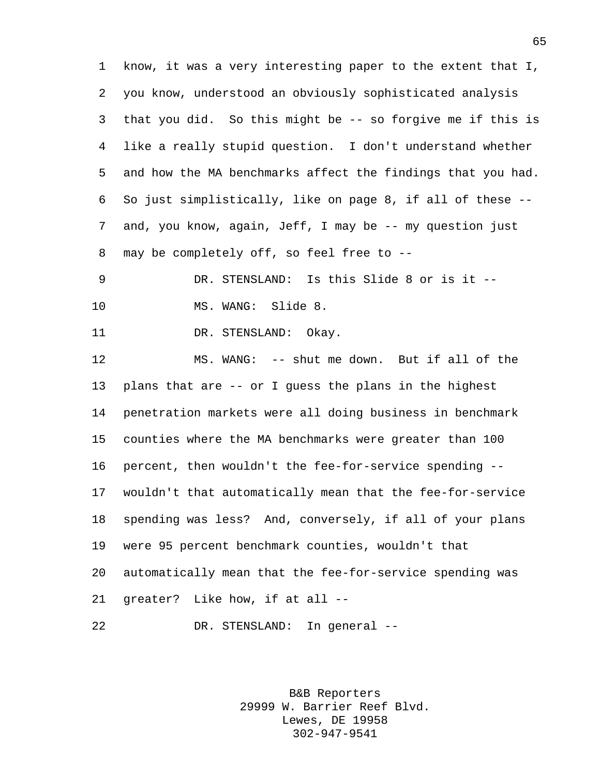know, it was a very interesting paper to the extent that I, you know, understood an obviously sophisticated analysis that you did. So this might be -- so forgive me if this is like a really stupid question. I don't understand whether and how the MA benchmarks affect the findings that you had. So just simplistically, like on page 8, if all of these -- and, you know, again, Jeff, I may be -- my question just may be completely off, so feel free to --

 DR. STENSLAND: Is this Slide 8 or is it -- 10 MS. WANG: Slide 8.

11 DR. STENSLAND: Okay.

 MS. WANG: -- shut me down. But if all of the plans that are -- or I guess the plans in the highest penetration markets were all doing business in benchmark counties where the MA benchmarks were greater than 100 percent, then wouldn't the fee-for-service spending -- wouldn't that automatically mean that the fee-for-service spending was less? And, conversely, if all of your plans were 95 percent benchmark counties, wouldn't that automatically mean that the fee-for-service spending was greater? Like how, if at all --

DR. STENSLAND: In general --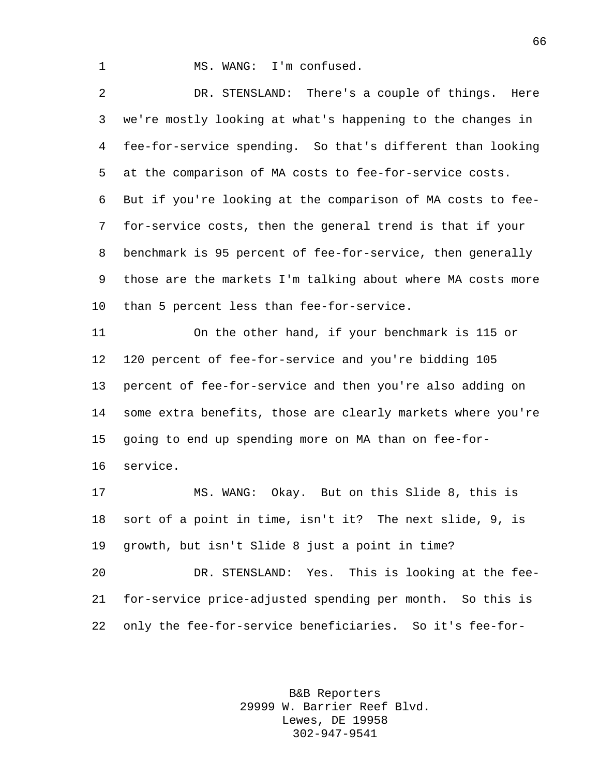1 MS. WANG: I'm confused.

 DR. STENSLAND: There's a couple of things. Here we're mostly looking at what's happening to the changes in fee-for-service spending. So that's different than looking at the comparison of MA costs to fee-for-service costs. But if you're looking at the comparison of MA costs to fee- for-service costs, then the general trend is that if your benchmark is 95 percent of fee-for-service, then generally those are the markets I'm talking about where MA costs more than 5 percent less than fee-for-service.

 On the other hand, if your benchmark is 115 or 120 percent of fee-for-service and you're bidding 105 percent of fee-for-service and then you're also adding on some extra benefits, those are clearly markets where you're going to end up spending more on MA than on fee-for-service.

 MS. WANG: Okay. But on this Slide 8, this is sort of a point in time, isn't it? The next slide, 9, is growth, but isn't Slide 8 just a point in time?

 DR. STENSLAND: Yes. This is looking at the fee- for-service price-adjusted spending per month. So this is only the fee-for-service beneficiaries. So it's fee-for-

> B&B Reporters 29999 W. Barrier Reef Blvd. Lewes, DE 19958 302-947-9541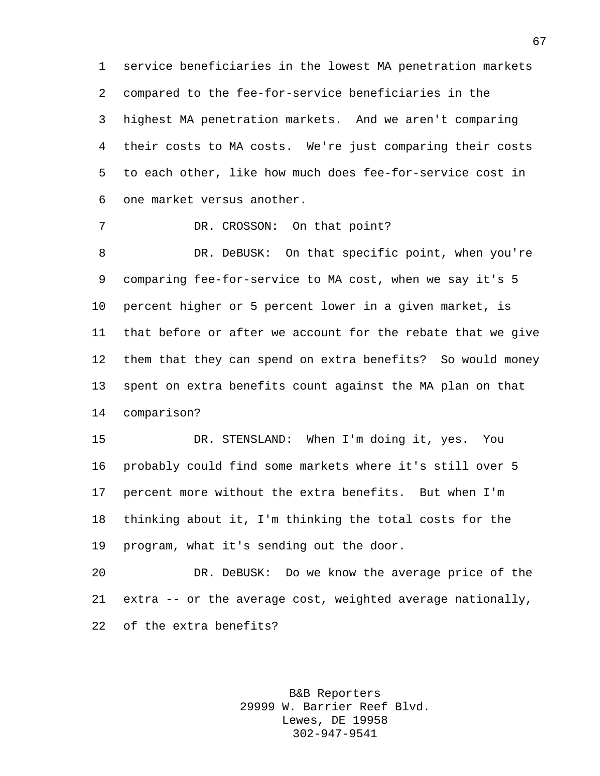service beneficiaries in the lowest MA penetration markets compared to the fee-for-service beneficiaries in the highest MA penetration markets. And we aren't comparing their costs to MA costs. We're just comparing their costs to each other, like how much does fee-for-service cost in one market versus another.

7 DR. CROSSON: On that point?

 DR. DeBUSK: On that specific point, when you're comparing fee-for-service to MA cost, when we say it's 5 percent higher or 5 percent lower in a given market, is that before or after we account for the rebate that we give them that they can spend on extra benefits? So would money spent on extra benefits count against the MA plan on that comparison?

 DR. STENSLAND: When I'm doing it, yes. You probably could find some markets where it's still over 5 percent more without the extra benefits. But when I'm thinking about it, I'm thinking the total costs for the program, what it's sending out the door.

 DR. DeBUSK: Do we know the average price of the extra -- or the average cost, weighted average nationally, of the extra benefits?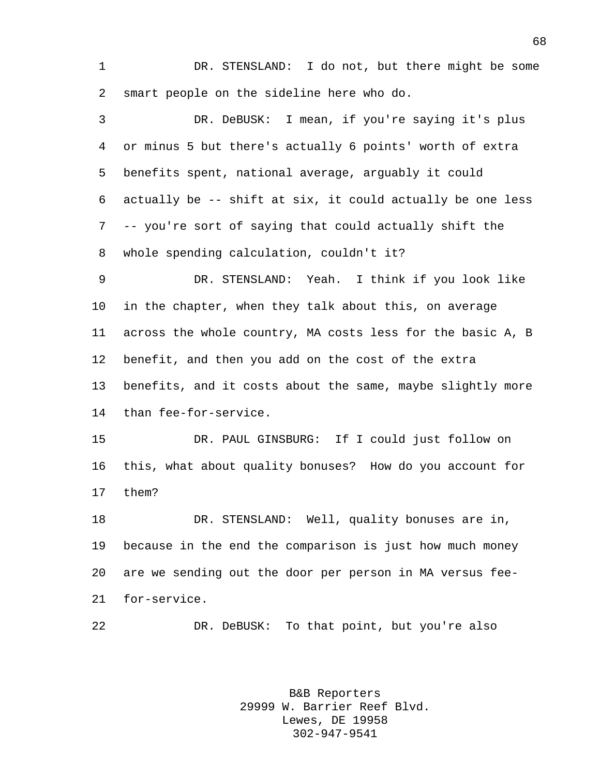1 DR. STENSLAND: I do not, but there might be some smart people on the sideline here who do.

 DR. DeBUSK: I mean, if you're saying it's plus or minus 5 but there's actually 6 points' worth of extra benefits spent, national average, arguably it could actually be -- shift at six, it could actually be one less -- you're sort of saying that could actually shift the whole spending calculation, couldn't it?

 DR. STENSLAND: Yeah. I think if you look like in the chapter, when they talk about this, on average across the whole country, MA costs less for the basic A, B benefit, and then you add on the cost of the extra benefits, and it costs about the same, maybe slightly more than fee-for-service.

 DR. PAUL GINSBURG: If I could just follow on this, what about quality bonuses? How do you account for them?

 DR. STENSLAND: Well, quality bonuses are in, because in the end the comparison is just how much money are we sending out the door per person in MA versus fee-for-service.

DR. DeBUSK: To that point, but you're also

B&B Reporters 29999 W. Barrier Reef Blvd. Lewes, DE 19958 302-947-9541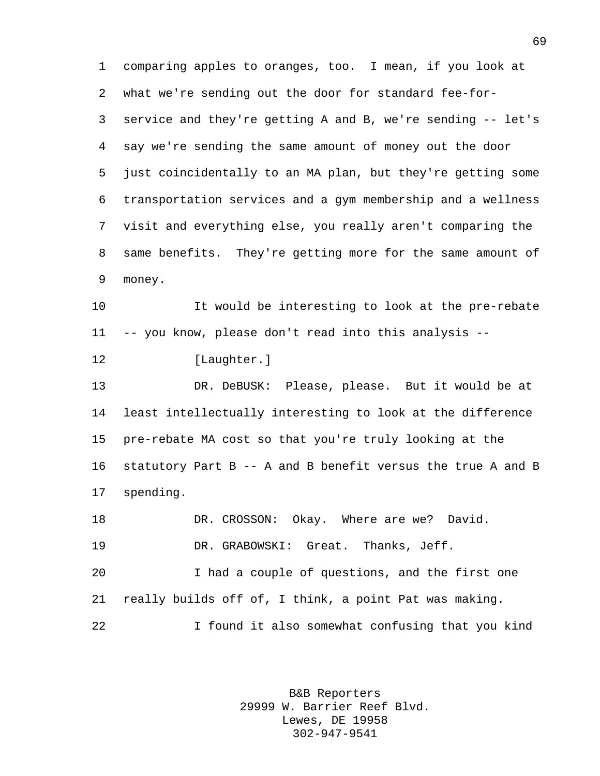comparing apples to oranges, too. I mean, if you look at what we're sending out the door for standard fee-for- service and they're getting A and B, we're sending -- let's say we're sending the same amount of money out the door just coincidentally to an MA plan, but they're getting some transportation services and a gym membership and a wellness visit and everything else, you really aren't comparing the same benefits. They're getting more for the same amount of money. It would be interesting to look at the pre-rebate -- you know, please don't read into this analysis -- [Laughter.] DR. DeBUSK: Please, please. But it would be at

 least intellectually interesting to look at the difference pre-rebate MA cost so that you're truly looking at the statutory Part B -- A and B benefit versus the true A and B spending.

18 DR. CROSSON: Okay. Where are we? David. DR. GRABOWSKI: Great. Thanks, Jeff. I had a couple of questions, and the first one really builds off of, I think, a point Pat was making. I found it also somewhat confusing that you kind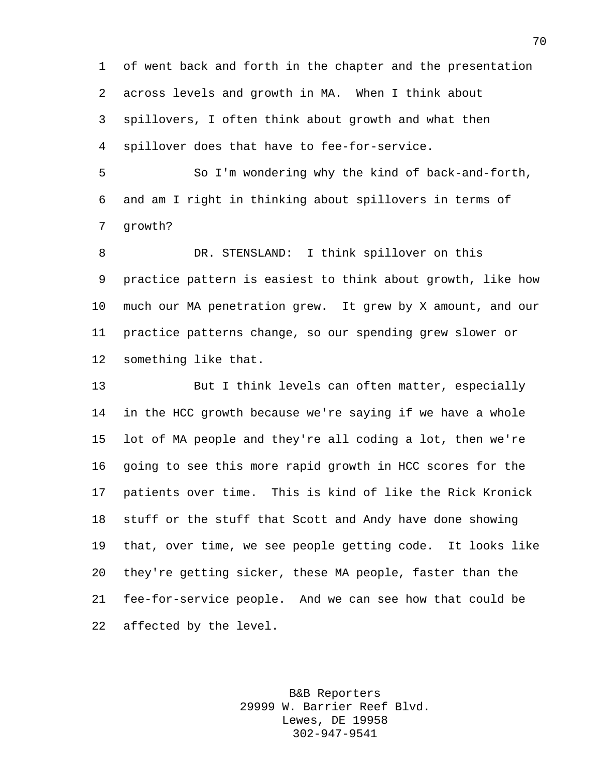of went back and forth in the chapter and the presentation across levels and growth in MA. When I think about spillovers, I often think about growth and what then spillover does that have to fee-for-service.

 So I'm wondering why the kind of back-and-forth, and am I right in thinking about spillovers in terms of growth?

 DR. STENSLAND: I think spillover on this practice pattern is easiest to think about growth, like how much our MA penetration grew. It grew by X amount, and our practice patterns change, so our spending grew slower or something like that.

 But I think levels can often matter, especially in the HCC growth because we're saying if we have a whole lot of MA people and they're all coding a lot, then we're going to see this more rapid growth in HCC scores for the patients over time. This is kind of like the Rick Kronick stuff or the stuff that Scott and Andy have done showing that, over time, we see people getting code. It looks like they're getting sicker, these MA people, faster than the fee-for-service people. And we can see how that could be affected by the level.

> B&B Reporters 29999 W. Barrier Reef Blvd. Lewes, DE 19958 302-947-9541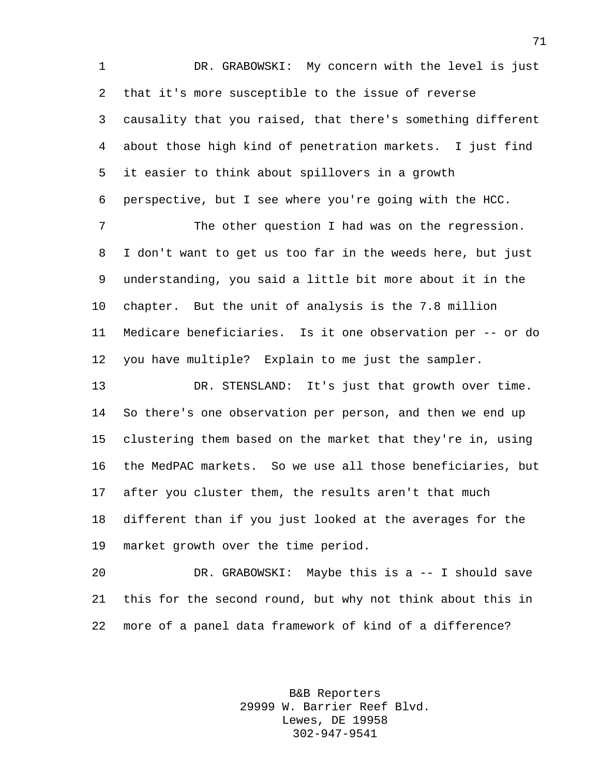DR. GRABOWSKI: My concern with the level is just that it's more susceptible to the issue of reverse causality that you raised, that there's something different about those high kind of penetration markets. I just find it easier to think about spillovers in a growth perspective, but I see where you're going with the HCC.

 The other question I had was on the regression. I don't want to get us too far in the weeds here, but just understanding, you said a little bit more about it in the chapter. But the unit of analysis is the 7.8 million Medicare beneficiaries. Is it one observation per -- or do you have multiple? Explain to me just the sampler.

 DR. STENSLAND: It's just that growth over time. So there's one observation per person, and then we end up clustering them based on the market that they're in, using the MedPAC markets. So we use all those beneficiaries, but after you cluster them, the results aren't that much different than if you just looked at the averages for the market growth over the time period.

 DR. GRABOWSKI: Maybe this is a -- I should save this for the second round, but why not think about this in more of a panel data framework of kind of a difference?

> B&B Reporters 29999 W. Barrier Reef Blvd. Lewes, DE 19958 302-947-9541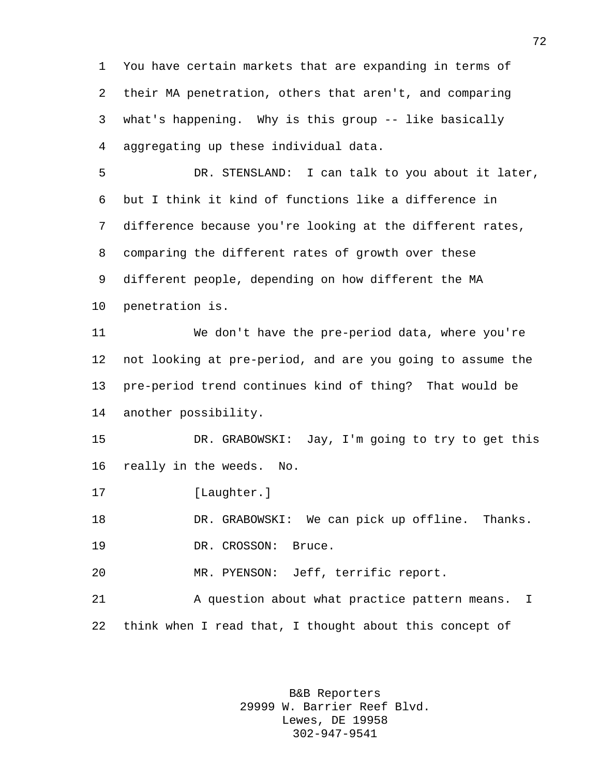You have certain markets that are expanding in terms of their MA penetration, others that aren't, and comparing what's happening. Why is this group -- like basically aggregating up these individual data.

 DR. STENSLAND: I can talk to you about it later, but I think it kind of functions like a difference in difference because you're looking at the different rates, comparing the different rates of growth over these different people, depending on how different the MA penetration is.

 We don't have the pre-period data, where you're not looking at pre-period, and are you going to assume the pre-period trend continues kind of thing? That would be another possibility.

 DR. GRABOWSKI: Jay, I'm going to try to get this really in the weeds. No.

17 [Laughter.]

18 DR. GRABOWSKI: We can pick up offline. Thanks.

19 DR. CROSSON: Bruce.

MR. PYENSON: Jeff, terrific report.

 A question about what practice pattern means. I think when I read that, I thought about this concept of

> B&B Reporters 29999 W. Barrier Reef Blvd. Lewes, DE 19958 302-947-9541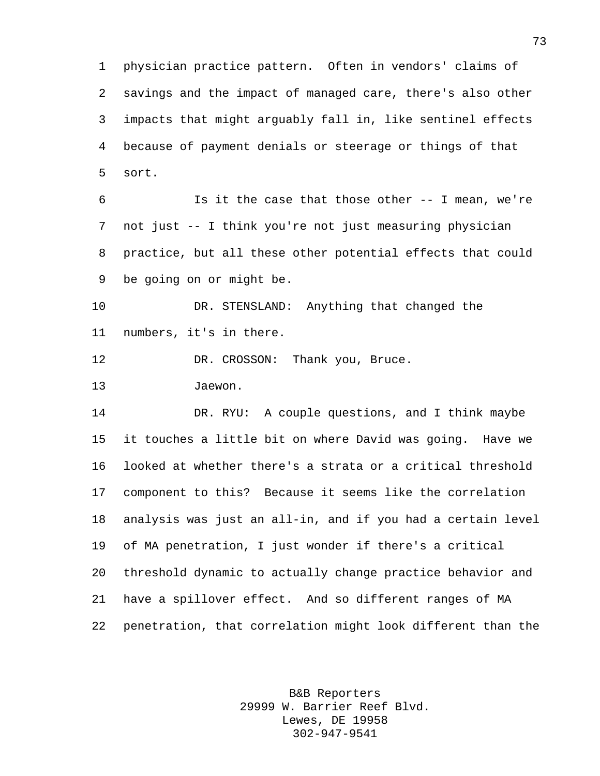physician practice pattern. Often in vendors' claims of savings and the impact of managed care, there's also other impacts that might arguably fall in, like sentinel effects because of payment denials or steerage or things of that sort.

 Is it the case that those other -- I mean, we're not just -- I think you're not just measuring physician practice, but all these other potential effects that could be going on or might be.

 DR. STENSLAND: Anything that changed the numbers, it's in there.

12 DR. CROSSON: Thank you, Bruce.

Jaewon.

 DR. RYU: A couple questions, and I think maybe it touches a little bit on where David was going. Have we looked at whether there's a strata or a critical threshold component to this? Because it seems like the correlation analysis was just an all-in, and if you had a certain level of MA penetration, I just wonder if there's a critical threshold dynamic to actually change practice behavior and have a spillover effect. And so different ranges of MA penetration, that correlation might look different than the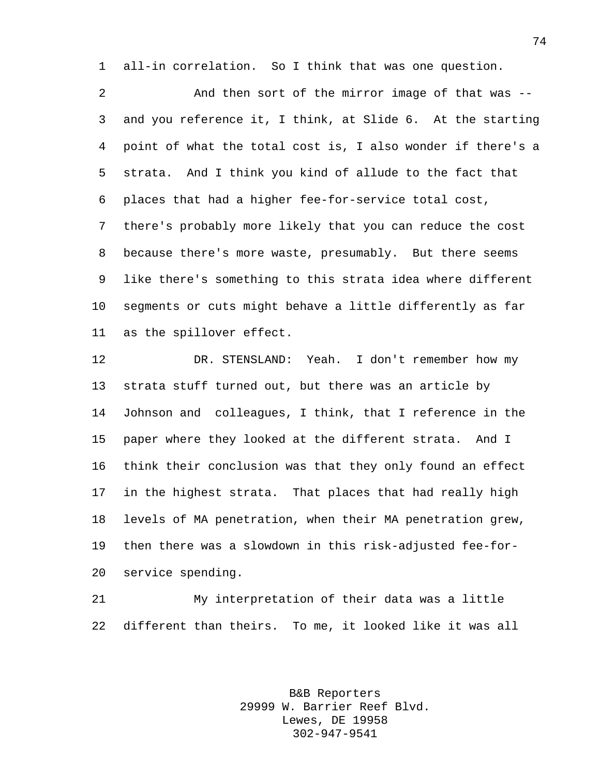all-in correlation. So I think that was one question.

 And then sort of the mirror image of that was -- and you reference it, I think, at Slide 6. At the starting point of what the total cost is, I also wonder if there's a strata. And I think you kind of allude to the fact that places that had a higher fee-for-service total cost, there's probably more likely that you can reduce the cost because there's more waste, presumably. But there seems like there's something to this strata idea where different segments or cuts might behave a little differently as far as the spillover effect.

 DR. STENSLAND: Yeah. I don't remember how my strata stuff turned out, but there was an article by Johnson and colleagues, I think, that I reference in the paper where they looked at the different strata. And I think their conclusion was that they only found an effect in the highest strata. That places that had really high levels of MA penetration, when their MA penetration grew, then there was a slowdown in this risk-adjusted fee-for-service spending.

 My interpretation of their data was a little different than theirs. To me, it looked like it was all

> B&B Reporters 29999 W. Barrier Reef Blvd. Lewes, DE 19958 302-947-9541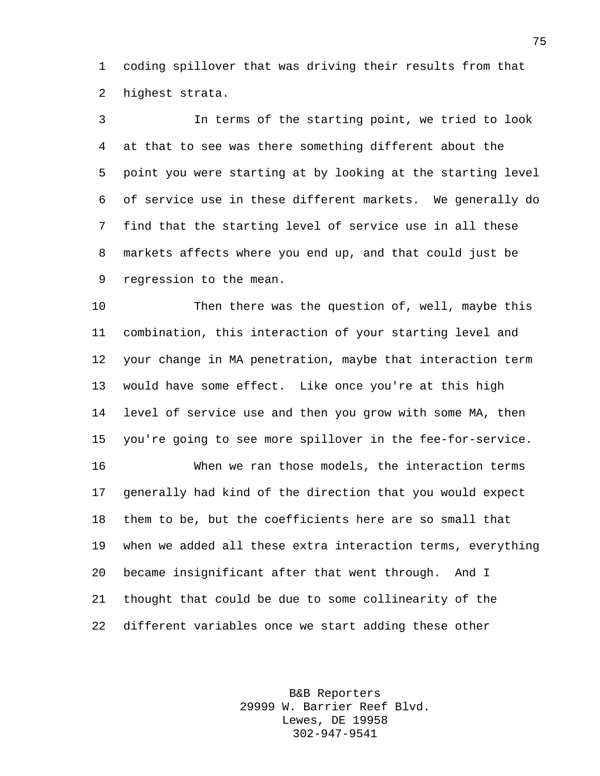coding spillover that was driving their results from that highest strata.

 In terms of the starting point, we tried to look at that to see was there something different about the point you were starting at by looking at the starting level of service use in these different markets. We generally do find that the starting level of service use in all these markets affects where you end up, and that could just be regression to the mean.

 Then there was the question of, well, maybe this combination, this interaction of your starting level and your change in MA penetration, maybe that interaction term would have some effect. Like once you're at this high level of service use and then you grow with some MA, then you're going to see more spillover in the fee-for-service.

 When we ran those models, the interaction terms generally had kind of the direction that you would expect them to be, but the coefficients here are so small that when we added all these extra interaction terms, everything became insignificant after that went through. And I thought that could be due to some collinearity of the different variables once we start adding these other

> B&B Reporters 29999 W. Barrier Reef Blvd. Lewes, DE 19958 302-947-9541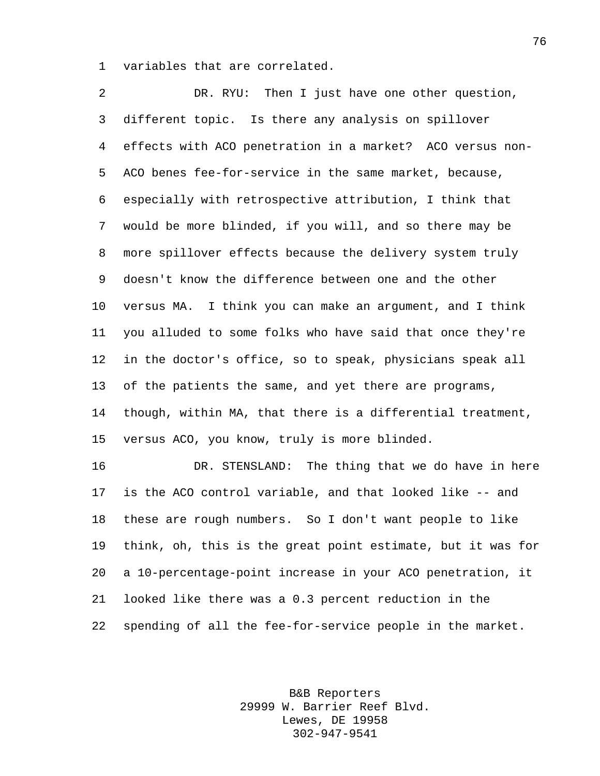variables that are correlated.

 DR. RYU: Then I just have one other question, different topic. Is there any analysis on spillover effects with ACO penetration in a market? ACO versus non- ACO benes fee-for-service in the same market, because, especially with retrospective attribution, I think that would be more blinded, if you will, and so there may be more spillover effects because the delivery system truly doesn't know the difference between one and the other versus MA. I think you can make an argument, and I think you alluded to some folks who have said that once they're in the doctor's office, so to speak, physicians speak all of the patients the same, and yet there are programs, though, within MA, that there is a differential treatment, versus ACO, you know, truly is more blinded. DR. STENSLAND: The thing that we do have in here

 is the ACO control variable, and that looked like -- and these are rough numbers. So I don't want people to like think, oh, this is the great point estimate, but it was for a 10-percentage-point increase in your ACO penetration, it looked like there was a 0.3 percent reduction in the spending of all the fee-for-service people in the market.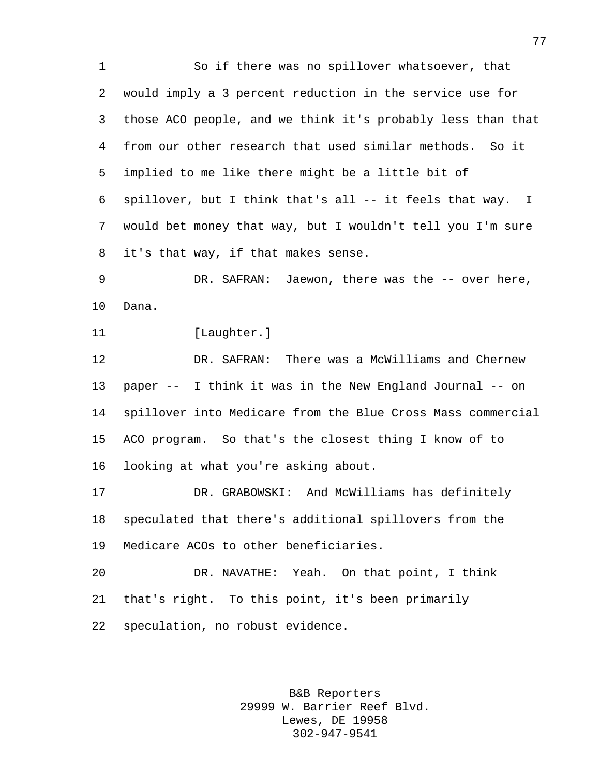So if there was no spillover whatsoever, that would imply a 3 percent reduction in the service use for those ACO people, and we think it's probably less than that from our other research that used similar methods. So it implied to me like there might be a little bit of spillover, but I think that's all -- it feels that way. I would bet money that way, but I wouldn't tell you I'm sure it's that way, if that makes sense. DR. SAFRAN: Jaewon, there was the -- over here, Dana. 11 [Laughter.] DR. SAFRAN: There was a McWilliams and Chernew paper -- I think it was in the New England Journal -- on spillover into Medicare from the Blue Cross Mass commercial ACO program. So that's the closest thing I know of to looking at what you're asking about. DR. GRABOWSKI: And McWilliams has definitely speculated that there's additional spillovers from the Medicare ACOs to other beneficiaries. DR. NAVATHE: Yeah. On that point, I think that's right. To this point, it's been primarily speculation, no robust evidence.

> B&B Reporters 29999 W. Barrier Reef Blvd. Lewes, DE 19958 302-947-9541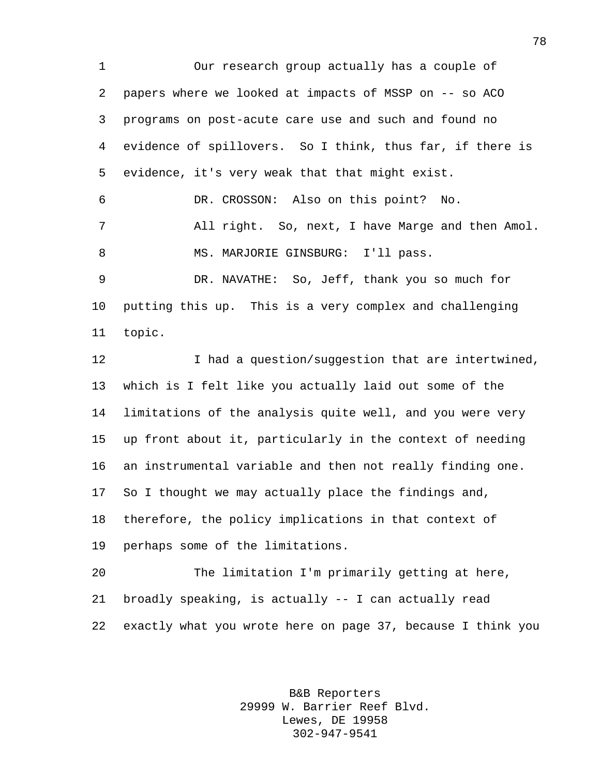Our research group actually has a couple of papers where we looked at impacts of MSSP on -- so ACO programs on post-acute care use and such and found no evidence of spillovers. So I think, thus far, if there is evidence, it's very weak that that might exist. DR. CROSSON: Also on this point? No. All right. So, next, I have Marge and then Amol. MS. MARJORIE GINSBURG: I'll pass. DR. NAVATHE: So, Jeff, thank you so much for putting this up. This is a very complex and challenging topic. I had a question/suggestion that are intertwined, which is I felt like you actually laid out some of the limitations of the analysis quite well, and you were very up front about it, particularly in the context of needing an instrumental variable and then not really finding one. So I thought we may actually place the findings and, therefore, the policy implications in that context of perhaps some of the limitations. The limitation I'm primarily getting at here, broadly speaking, is actually -- I can actually read

exactly what you wrote here on page 37, because I think you

B&B Reporters 29999 W. Barrier Reef Blvd. Lewes, DE 19958 302-947-9541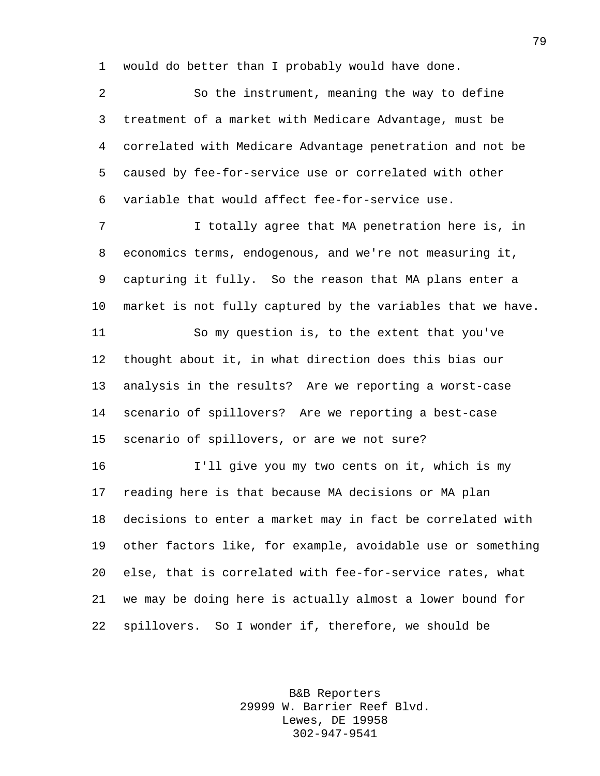would do better than I probably would have done.

 So the instrument, meaning the way to define treatment of a market with Medicare Advantage, must be correlated with Medicare Advantage penetration and not be caused by fee-for-service use or correlated with other variable that would affect fee-for-service use. 7 I totally agree that MA penetration here is, in economics terms, endogenous, and we're not measuring it, capturing it fully. So the reason that MA plans enter a market is not fully captured by the variables that we have. So my question is, to the extent that you've thought about it, in what direction does this bias our analysis in the results? Are we reporting a worst-case scenario of spillovers? Are we reporting a best-case scenario of spillovers, or are we not sure? I'll give you my two cents on it, which is my reading here is that because MA decisions or MA plan decisions to enter a market may in fact be correlated with other factors like, for example, avoidable use or something else, that is correlated with fee-for-service rates, what we may be doing here is actually almost a lower bound for spillovers. So I wonder if, therefore, we should be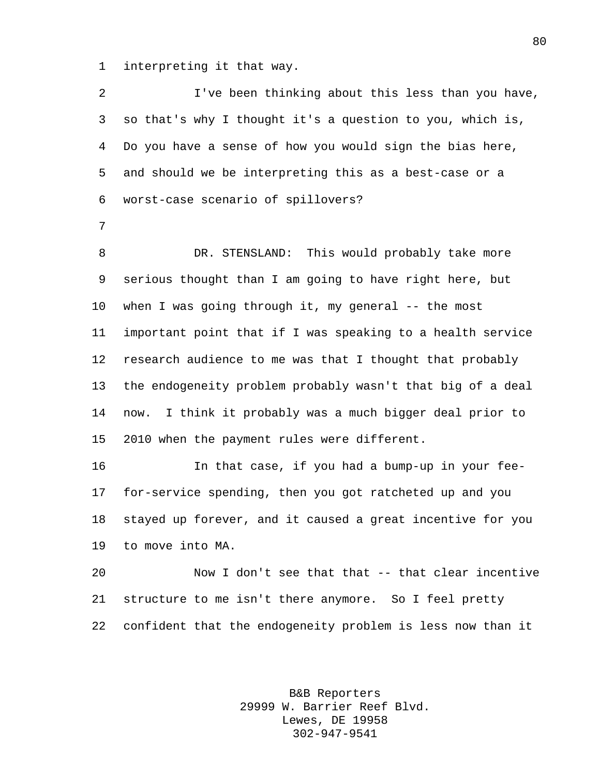interpreting it that way.

 I've been thinking about this less than you have, so that's why I thought it's a question to you, which is, Do you have a sense of how you would sign the bias here, and should we be interpreting this as a best-case or a worst-case scenario of spillovers? DR. STENSLAND: This would probably take more serious thought than I am going to have right here, but when I was going through it, my general -- the most important point that if I was speaking to a health service research audience to me was that I thought that probably the endogeneity problem probably wasn't that big of a deal now. I think it probably was a much bigger deal prior to 2010 when the payment rules were different. In that case, if you had a bump-up in your fee- for-service spending, then you got ratcheted up and you stayed up forever, and it caused a great incentive for you to move into MA. Now I don't see that that -- that clear incentive structure to me isn't there anymore. So I feel pretty confident that the endogeneity problem is less now than it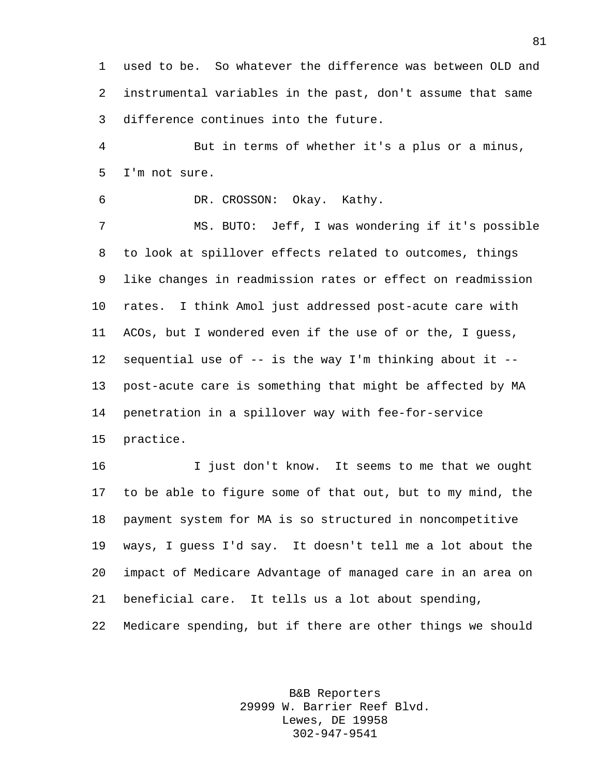used to be. So whatever the difference was between OLD and instrumental variables in the past, don't assume that same difference continues into the future.

 But in terms of whether it's a plus or a minus, I'm not sure.

DR. CROSSON: Okay. Kathy.

 MS. BUTO: Jeff, I was wondering if it's possible to look at spillover effects related to outcomes, things like changes in readmission rates or effect on readmission rates. I think Amol just addressed post-acute care with ACOs, but I wondered even if the use of or the, I guess, sequential use of -- is the way I'm thinking about it -- post-acute care is something that might be affected by MA penetration in a spillover way with fee-for-service practice.

 I just don't know. It seems to me that we ought to be able to figure some of that out, but to my mind, the payment system for MA is so structured in noncompetitive ways, I guess I'd say. It doesn't tell me a lot about the impact of Medicare Advantage of managed care in an area on beneficial care. It tells us a lot about spending, Medicare spending, but if there are other things we should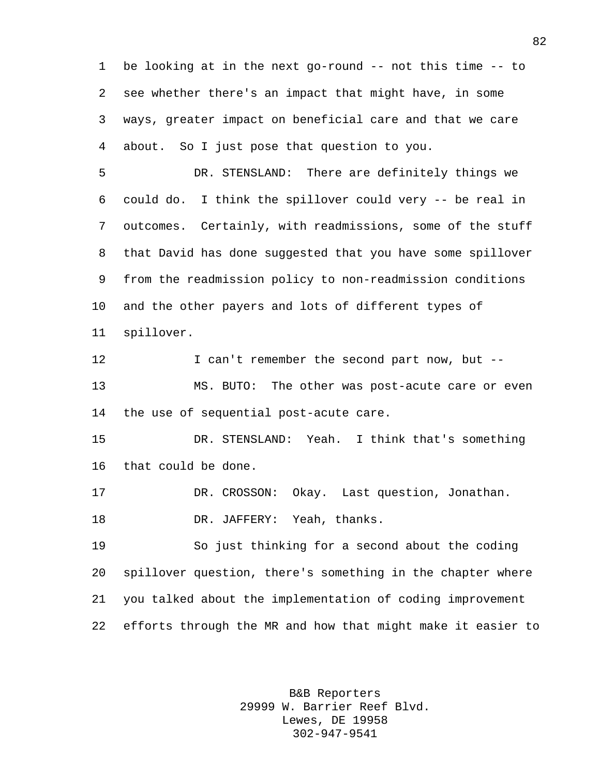be looking at in the next go-round -- not this time -- to see whether there's an impact that might have, in some ways, greater impact on beneficial care and that we care about. So I just pose that question to you.

 DR. STENSLAND: There are definitely things we could do. I think the spillover could very -- be real in outcomes. Certainly, with readmissions, some of the stuff that David has done suggested that you have some spillover from the readmission policy to non-readmission conditions and the other payers and lots of different types of spillover.

12 I can't remember the second part now, but -- MS. BUTO: The other was post-acute care or even the use of sequential post-acute care.

 DR. STENSLAND: Yeah. I think that's something that could be done.

DR. CROSSON: Okay. Last question, Jonathan.

DR. JAFFERY: Yeah, thanks.

 So just thinking for a second about the coding spillover question, there's something in the chapter where you talked about the implementation of coding improvement efforts through the MR and how that might make it easier to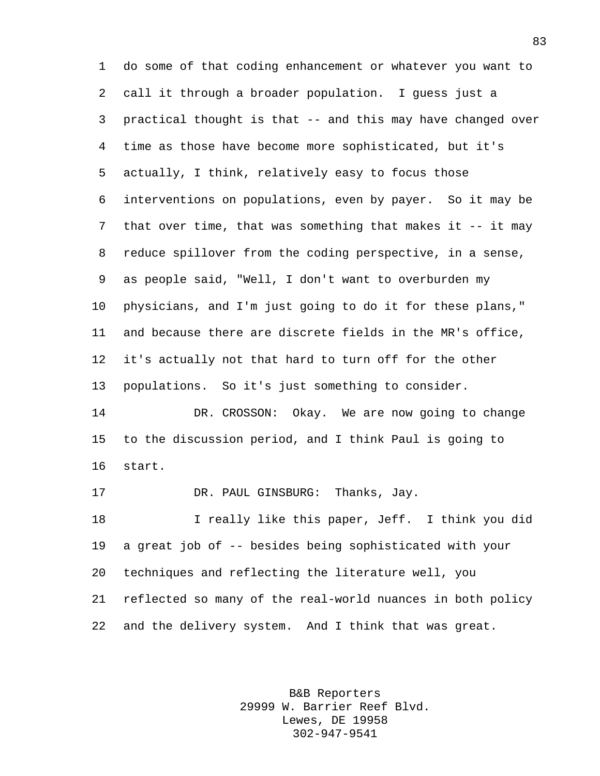do some of that coding enhancement or whatever you want to call it through a broader population. I guess just a practical thought is that -- and this may have changed over time as those have become more sophisticated, but it's actually, I think, relatively easy to focus those interventions on populations, even by payer. So it may be that over time, that was something that makes it -- it may reduce spillover from the coding perspective, in a sense, as people said, "Well, I don't want to overburden my physicians, and I'm just going to do it for these plans," and because there are discrete fields in the MR's office, it's actually not that hard to turn off for the other populations. So it's just something to consider. DR. CROSSON: Okay. We are now going to change to the discussion period, and I think Paul is going to start. DR. PAUL GINSBURG: Thanks, Jay. I really like this paper, Jeff. I think you did a great job of -- besides being sophisticated with your techniques and reflecting the literature well, you reflected so many of the real-world nuances in both policy

and the delivery system. And I think that was great.

B&B Reporters 29999 W. Barrier Reef Blvd. Lewes, DE 19958 302-947-9541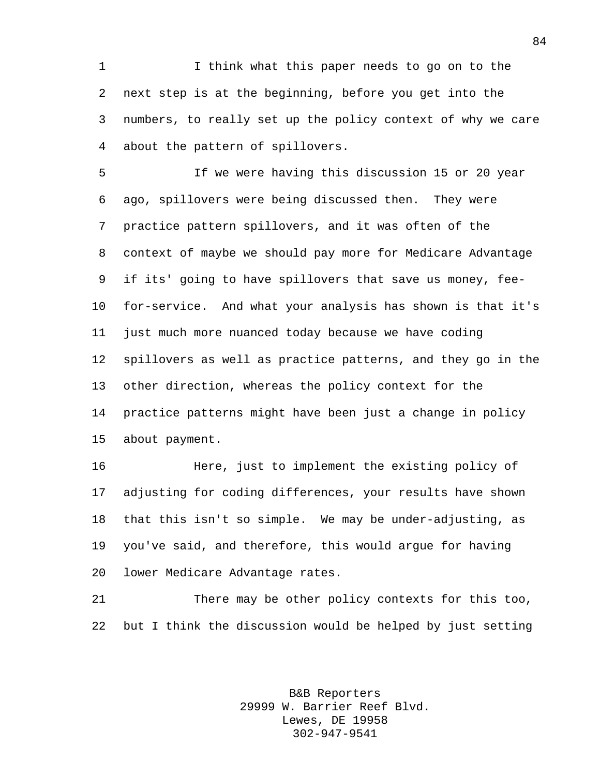I think what this paper needs to go on to the next step is at the beginning, before you get into the numbers, to really set up the policy context of why we care about the pattern of spillovers.

 If we were having this discussion 15 or 20 year ago, spillovers were being discussed then. They were practice pattern spillovers, and it was often of the context of maybe we should pay more for Medicare Advantage if its' going to have spillovers that save us money, fee- for-service. And what your analysis has shown is that it's just much more nuanced today because we have coding spillovers as well as practice patterns, and they go in the other direction, whereas the policy context for the practice patterns might have been just a change in policy about payment.

 Here, just to implement the existing policy of adjusting for coding differences, your results have shown that this isn't so simple. We may be under-adjusting, as you've said, and therefore, this would argue for having lower Medicare Advantage rates.

 There may be other policy contexts for this too, but I think the discussion would be helped by just setting

> B&B Reporters 29999 W. Barrier Reef Blvd. Lewes, DE 19958 302-947-9541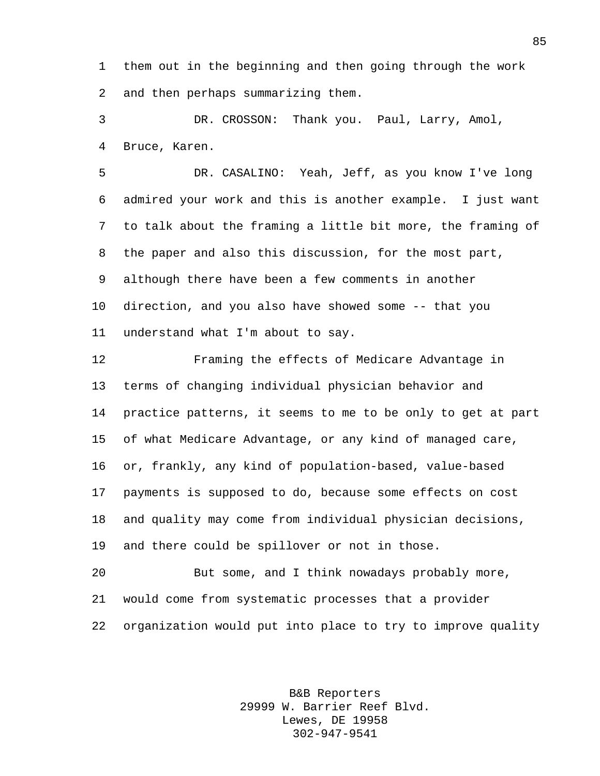them out in the beginning and then going through the work and then perhaps summarizing them.

 DR. CROSSON: Thank you. Paul, Larry, Amol, Bruce, Karen.

 DR. CASALINO: Yeah, Jeff, as you know I've long admired your work and this is another example. I just want to talk about the framing a little bit more, the framing of the paper and also this discussion, for the most part, although there have been a few comments in another direction, and you also have showed some -- that you understand what I'm about to say.

 Framing the effects of Medicare Advantage in terms of changing individual physician behavior and practice patterns, it seems to me to be only to get at part of what Medicare Advantage, or any kind of managed care, or, frankly, any kind of population-based, value-based payments is supposed to do, because some effects on cost and quality may come from individual physician decisions, and there could be spillover or not in those.

 But some, and I think nowadays probably more, would come from systematic processes that a provider organization would put into place to try to improve quality

> B&B Reporters 29999 W. Barrier Reef Blvd. Lewes, DE 19958 302-947-9541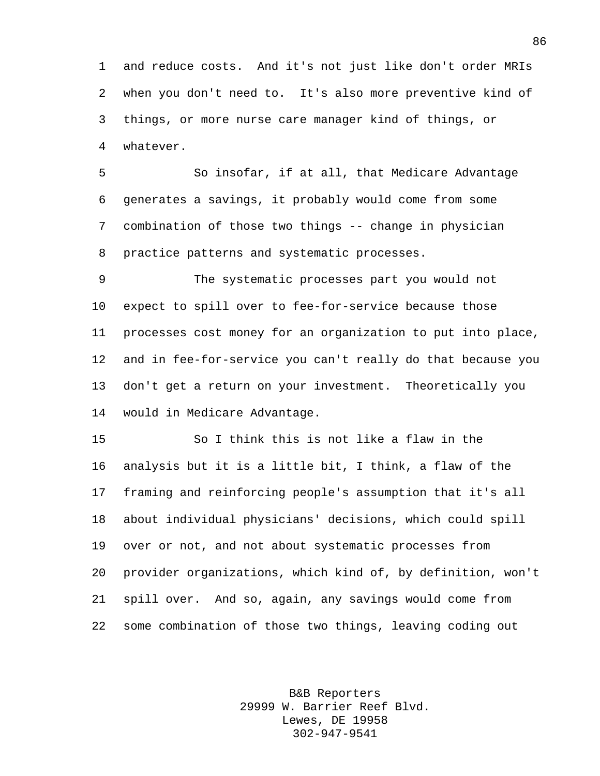and reduce costs. And it's not just like don't order MRIs when you don't need to. It's also more preventive kind of things, or more nurse care manager kind of things, or whatever.

 So insofar, if at all, that Medicare Advantage generates a savings, it probably would come from some combination of those two things -- change in physician practice patterns and systematic processes.

 The systematic processes part you would not expect to spill over to fee-for-service because those processes cost money for an organization to put into place, and in fee-for-service you can't really do that because you don't get a return on your investment. Theoretically you would in Medicare Advantage.

 So I think this is not like a flaw in the analysis but it is a little bit, I think, a flaw of the framing and reinforcing people's assumption that it's all about individual physicians' decisions, which could spill over or not, and not about systematic processes from provider organizations, which kind of, by definition, won't spill over. And so, again, any savings would come from some combination of those two things, leaving coding out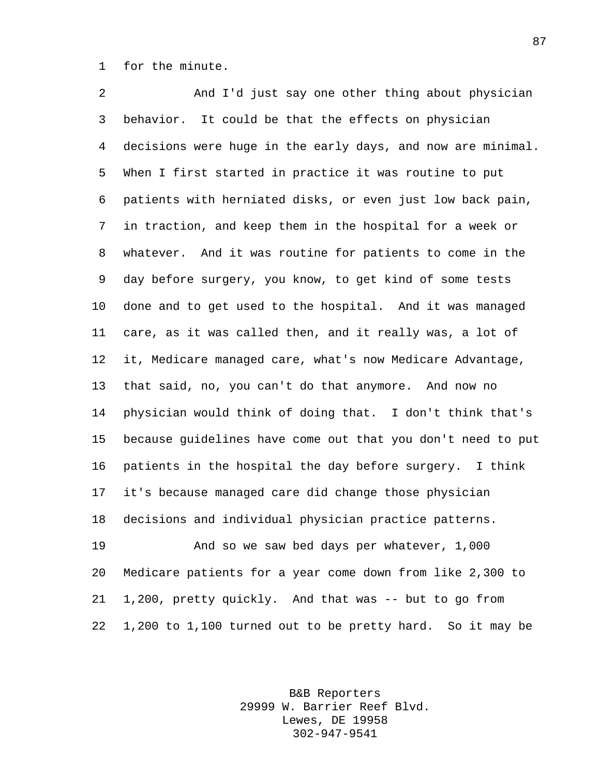for the minute.

 And I'd just say one other thing about physician behavior. It could be that the effects on physician decisions were huge in the early days, and now are minimal. When I first started in practice it was routine to put patients with herniated disks, or even just low back pain, in traction, and keep them in the hospital for a week or whatever. And it was routine for patients to come in the day before surgery, you know, to get kind of some tests done and to get used to the hospital. And it was managed care, as it was called then, and it really was, a lot of it, Medicare managed care, what's now Medicare Advantage, that said, no, you can't do that anymore. And now no physician would think of doing that. I don't think that's because guidelines have come out that you don't need to put patients in the hospital the day before surgery. I think it's because managed care did change those physician decisions and individual physician practice patterns. And so we saw bed days per whatever, 1,000 Medicare patients for a year come down from like 2,300 to 1,200, pretty quickly. And that was -- but to go from

> B&B Reporters 29999 W. Barrier Reef Blvd. Lewes, DE 19958 302-947-9541

1,200 to 1,100 turned out to be pretty hard. So it may be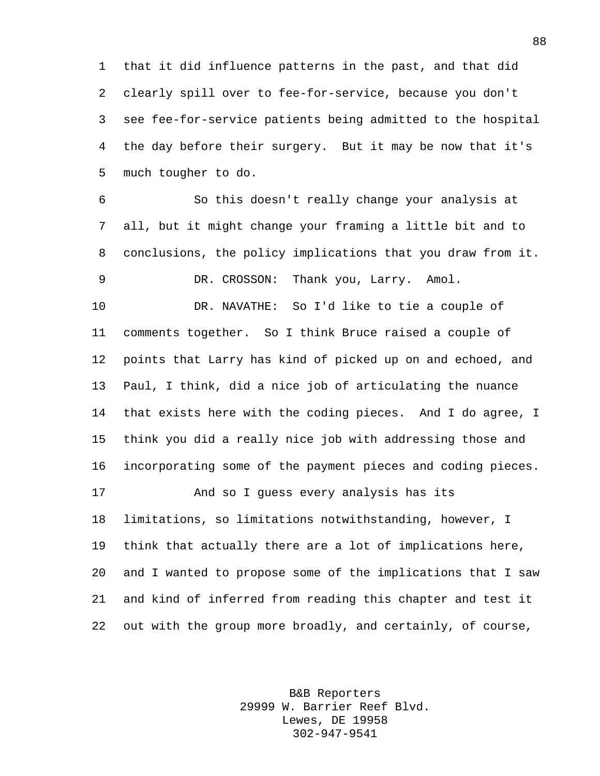that it did influence patterns in the past, and that did clearly spill over to fee-for-service, because you don't see fee-for-service patients being admitted to the hospital the day before their surgery. But it may be now that it's much tougher to do.

 So this doesn't really change your analysis at all, but it might change your framing a little bit and to conclusions, the policy implications that you draw from it. DR. CROSSON: Thank you, Larry. Amol.

 DR. NAVATHE: So I'd like to tie a couple of comments together. So I think Bruce raised a couple of points that Larry has kind of picked up on and echoed, and Paul, I think, did a nice job of articulating the nuance that exists here with the coding pieces. And I do agree, I think you did a really nice job with addressing those and incorporating some of the payment pieces and coding pieces.

 And so I guess every analysis has its limitations, so limitations notwithstanding, however, I think that actually there are a lot of implications here, and I wanted to propose some of the implications that I saw and kind of inferred from reading this chapter and test it out with the group more broadly, and certainly, of course,

> B&B Reporters 29999 W. Barrier Reef Blvd. Lewes, DE 19958 302-947-9541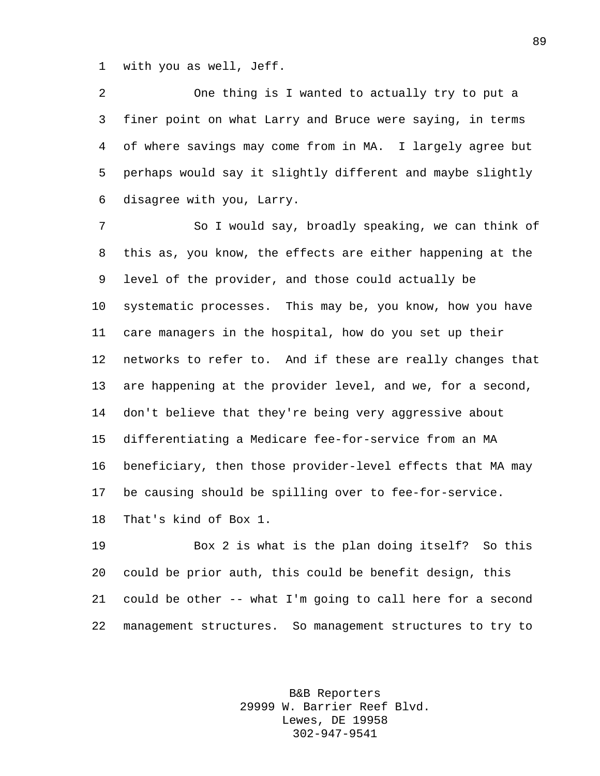with you as well, Jeff.

 One thing is I wanted to actually try to put a finer point on what Larry and Bruce were saying, in terms of where savings may come from in MA. I largely agree but perhaps would say it slightly different and maybe slightly disagree with you, Larry.

 So I would say, broadly speaking, we can think of this as, you know, the effects are either happening at the level of the provider, and those could actually be systematic processes. This may be, you know, how you have care managers in the hospital, how do you set up their networks to refer to. And if these are really changes that are happening at the provider level, and we, for a second, don't believe that they're being very aggressive about differentiating a Medicare fee-for-service from an MA beneficiary, then those provider-level effects that MA may be causing should be spilling over to fee-for-service. That's kind of Box 1.

 Box 2 is what is the plan doing itself? So this could be prior auth, this could be benefit design, this could be other -- what I'm going to call here for a second management structures. So management structures to try to

> B&B Reporters 29999 W. Barrier Reef Blvd. Lewes, DE 19958 302-947-9541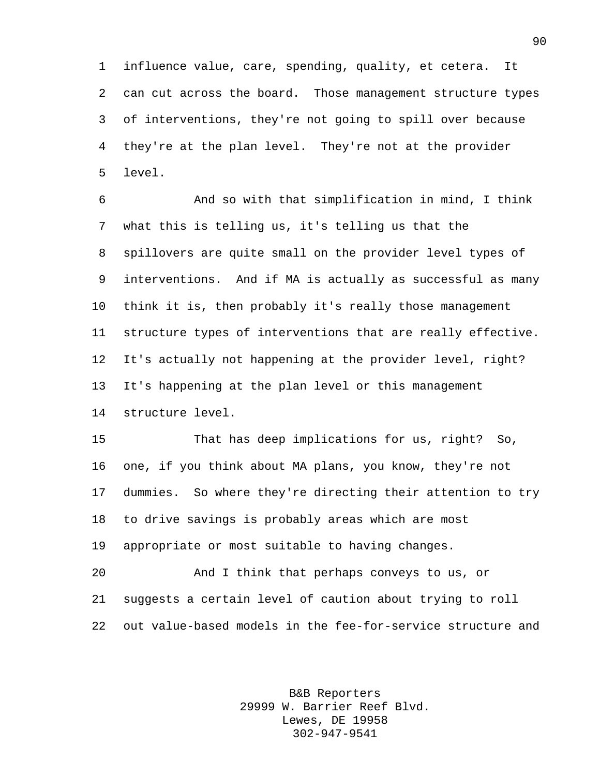influence value, care, spending, quality, et cetera. It can cut across the board. Those management structure types of interventions, they're not going to spill over because they're at the plan level. They're not at the provider level.

 And so with that simplification in mind, I think what this is telling us, it's telling us that the spillovers are quite small on the provider level types of interventions. And if MA is actually as successful as many think it is, then probably it's really those management structure types of interventions that are really effective. It's actually not happening at the provider level, right? It's happening at the plan level or this management structure level.

 That has deep implications for us, right? So, one, if you think about MA plans, you know, they're not dummies. So where they're directing their attention to try to drive savings is probably areas which are most appropriate or most suitable to having changes.

 And I think that perhaps conveys to us, or suggests a certain level of caution about trying to roll out value-based models in the fee-for-service structure and

> B&B Reporters 29999 W. Barrier Reef Blvd. Lewes, DE 19958 302-947-9541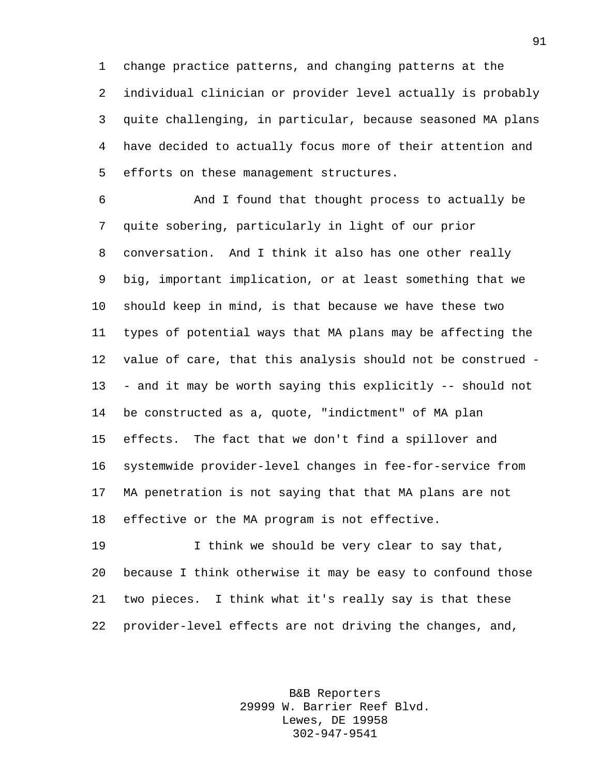change practice patterns, and changing patterns at the individual clinician or provider level actually is probably quite challenging, in particular, because seasoned MA plans have decided to actually focus more of their attention and efforts on these management structures.

 And I found that thought process to actually be quite sobering, particularly in light of our prior conversation. And I think it also has one other really big, important implication, or at least something that we should keep in mind, is that because we have these two types of potential ways that MA plans may be affecting the value of care, that this analysis should not be construed - - and it may be worth saying this explicitly -- should not be constructed as a, quote, "indictment" of MA plan effects. The fact that we don't find a spillover and systemwide provider-level changes in fee-for-service from MA penetration is not saying that that MA plans are not effective or the MA program is not effective.

 I think we should be very clear to say that, because I think otherwise it may be easy to confound those two pieces. I think what it's really say is that these provider-level effects are not driving the changes, and,

> B&B Reporters 29999 W. Barrier Reef Blvd. Lewes, DE 19958 302-947-9541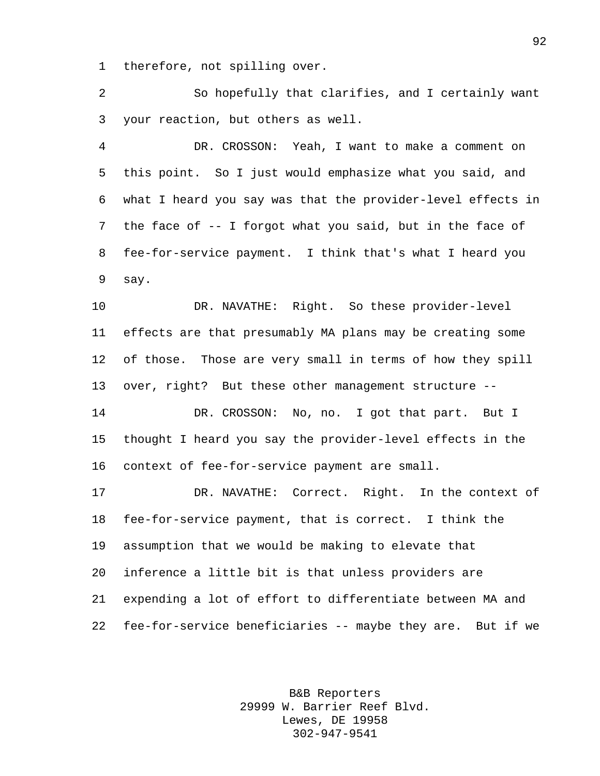therefore, not spilling over.

 So hopefully that clarifies, and I certainly want your reaction, but others as well.

 DR. CROSSON: Yeah, I want to make a comment on this point. So I just would emphasize what you said, and what I heard you say was that the provider-level effects in the face of -- I forgot what you said, but in the face of fee-for-service payment. I think that's what I heard you say.

 DR. NAVATHE: Right. So these provider-level effects are that presumably MA plans may be creating some of those. Those are very small in terms of how they spill over, right? But these other management structure --

 DR. CROSSON: No, no. I got that part. But I thought I heard you say the provider-level effects in the context of fee-for-service payment are small.

 DR. NAVATHE: Correct. Right. In the context of fee-for-service payment, that is correct. I think the assumption that we would be making to elevate that inference a little bit is that unless providers are expending a lot of effort to differentiate between MA and fee-for-service beneficiaries -- maybe they are. But if we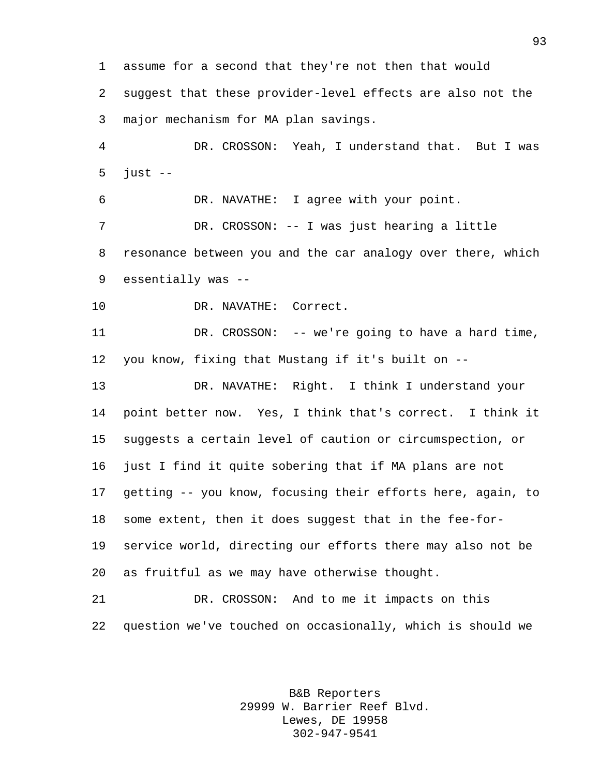assume for a second that they're not then that would suggest that these provider-level effects are also not the major mechanism for MA plan savings. DR. CROSSON: Yeah, I understand that. But I was just -- DR. NAVATHE: I agree with your point. DR. CROSSON: -- I was just hearing a little resonance between you and the car analogy over there, which essentially was -- DR. NAVATHE: Correct. DR. CROSSON: -- we're going to have a hard time, you know, fixing that Mustang if it's built on -- DR. NAVATHE: Right. I think I understand your point better now. Yes, I think that's correct. I think it suggests a certain level of caution or circumspection, or just I find it quite sobering that if MA plans are not getting -- you know, focusing their efforts here, again, to some extent, then it does suggest that in the fee-for- service world, directing our efforts there may also not be as fruitful as we may have otherwise thought. DR. CROSSON: And to me it impacts on this question we've touched on occasionally, which is should we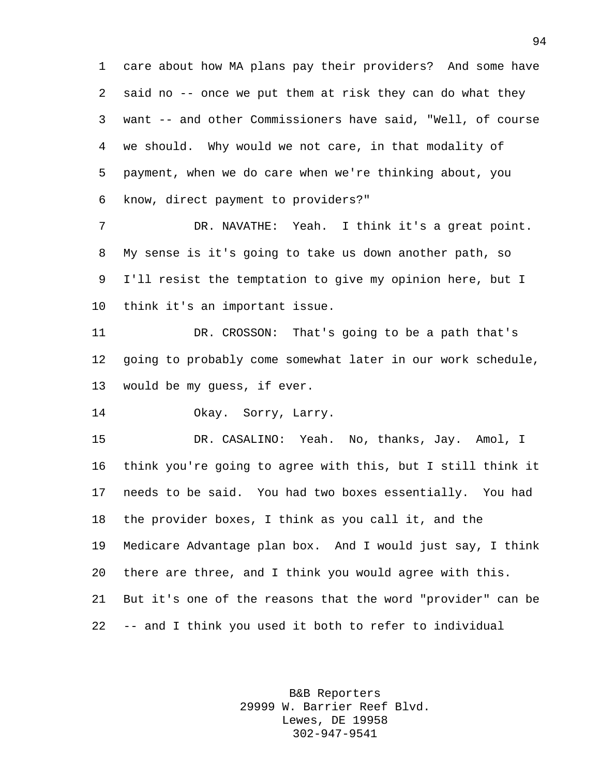care about how MA plans pay their providers? And some have said no -- once we put them at risk they can do what they want -- and other Commissioners have said, "Well, of course we should. Why would we not care, in that modality of payment, when we do care when we're thinking about, you know, direct payment to providers?"

 DR. NAVATHE: Yeah. I think it's a great point. My sense is it's going to take us down another path, so I'll resist the temptation to give my opinion here, but I think it's an important issue.

 DR. CROSSON: That's going to be a path that's going to probably come somewhat later in our work schedule, would be my guess, if ever.

Okay. Sorry, Larry.

 DR. CASALINO: Yeah. No, thanks, Jay. Amol, I think you're going to agree with this, but I still think it needs to be said. You had two boxes essentially. You had the provider boxes, I think as you call it, and the Medicare Advantage plan box. And I would just say, I think there are three, and I think you would agree with this. But it's one of the reasons that the word "provider" can be -- and I think you used it both to refer to individual

> B&B Reporters 29999 W. Barrier Reef Blvd. Lewes, DE 19958 302-947-9541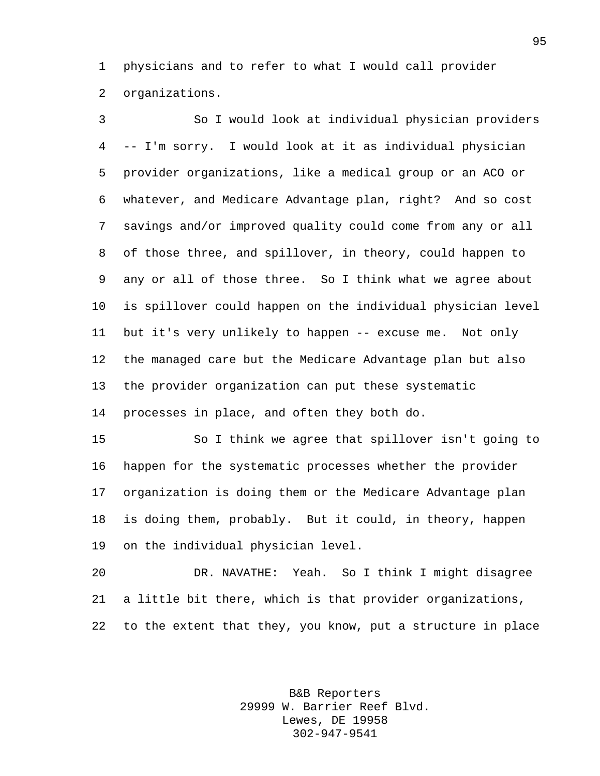physicians and to refer to what I would call provider organizations.

 So I would look at individual physician providers -- I'm sorry. I would look at it as individual physician provider organizations, like a medical group or an ACO or whatever, and Medicare Advantage plan, right? And so cost savings and/or improved quality could come from any or all of those three, and spillover, in theory, could happen to any or all of those three. So I think what we agree about is spillover could happen on the individual physician level but it's very unlikely to happen -- excuse me. Not only the managed care but the Medicare Advantage plan but also the provider organization can put these systematic processes in place, and often they both do.

 So I think we agree that spillover isn't going to happen for the systematic processes whether the provider organization is doing them or the Medicare Advantage plan is doing them, probably. But it could, in theory, happen on the individual physician level.

 DR. NAVATHE: Yeah. So I think I might disagree a little bit there, which is that provider organizations, to the extent that they, you know, put a structure in place

> B&B Reporters 29999 W. Barrier Reef Blvd. Lewes, DE 19958 302-947-9541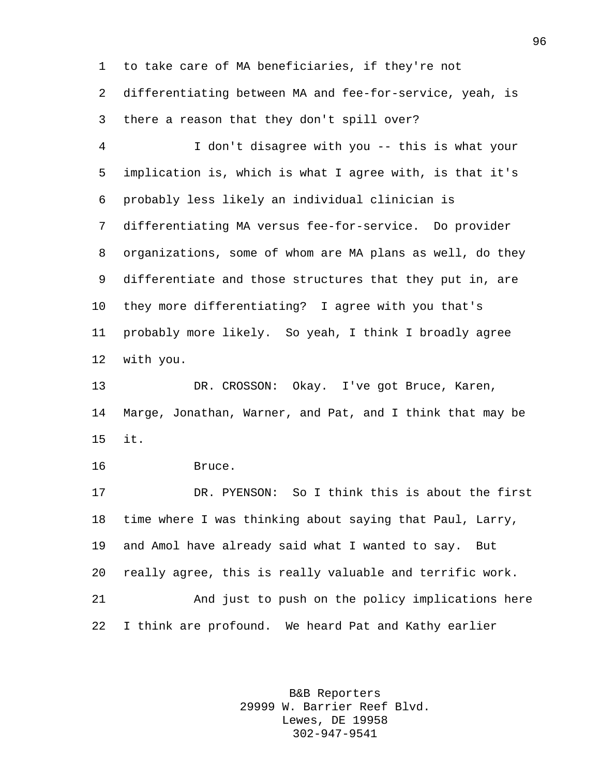to take care of MA beneficiaries, if they're not differentiating between MA and fee-for-service, yeah, is there a reason that they don't spill over?

 I don't disagree with you -- this is what your implication is, which is what I agree with, is that it's probably less likely an individual clinician is differentiating MA versus fee-for-service. Do provider organizations, some of whom are MA plans as well, do they differentiate and those structures that they put in, are they more differentiating? I agree with you that's probably more likely. So yeah, I think I broadly agree with you.

 DR. CROSSON: Okay. I've got Bruce, Karen, Marge, Jonathan, Warner, and Pat, and I think that may be it.

Bruce.

 DR. PYENSON: So I think this is about the first time where I was thinking about saying that Paul, Larry, and Amol have already said what I wanted to say. But really agree, this is really valuable and terrific work. And just to push on the policy implications here I think are profound. We heard Pat and Kathy earlier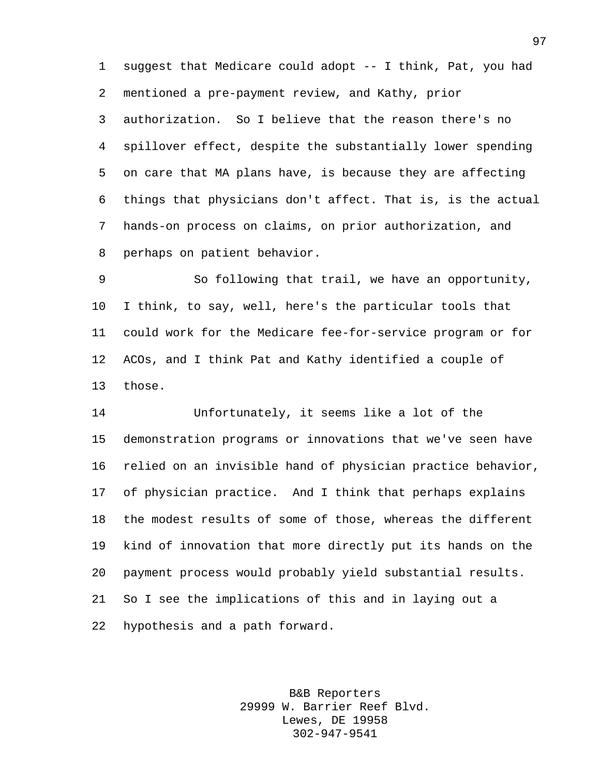suggest that Medicare could adopt -- I think, Pat, you had mentioned a pre-payment review, and Kathy, prior authorization. So I believe that the reason there's no spillover effect, despite the substantially lower spending on care that MA plans have, is because they are affecting things that physicians don't affect. That is, is the actual hands-on process on claims, on prior authorization, and perhaps on patient behavior.

 So following that trail, we have an opportunity, I think, to say, well, here's the particular tools that could work for the Medicare fee-for-service program or for ACOs, and I think Pat and Kathy identified a couple of those.

 Unfortunately, it seems like a lot of the demonstration programs or innovations that we've seen have relied on an invisible hand of physician practice behavior, of physician practice. And I think that perhaps explains the modest results of some of those, whereas the different kind of innovation that more directly put its hands on the payment process would probably yield substantial results. So I see the implications of this and in laying out a hypothesis and a path forward.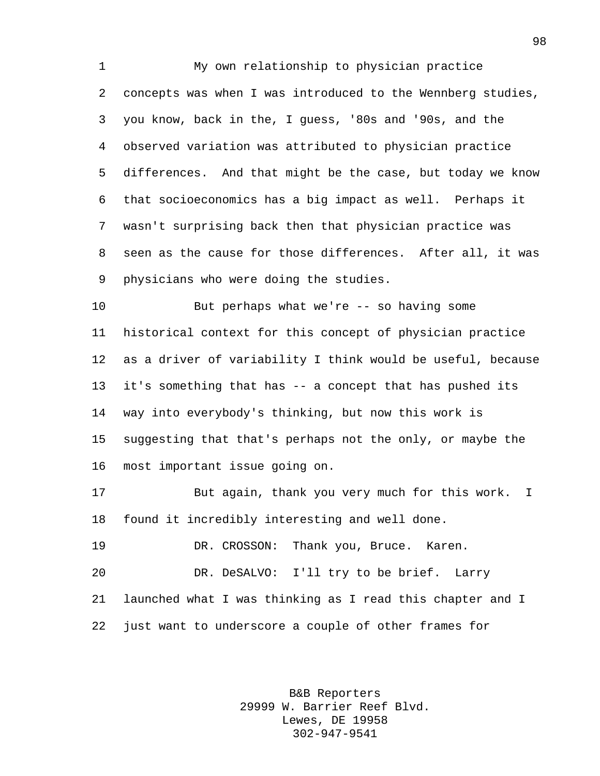My own relationship to physician practice concepts was when I was introduced to the Wennberg studies, you know, back in the, I guess, '80s and '90s, and the observed variation was attributed to physician practice differences. And that might be the case, but today we know that socioeconomics has a big impact as well. Perhaps it wasn't surprising back then that physician practice was seen as the cause for those differences. After all, it was physicians who were doing the studies.

 But perhaps what we're -- so having some historical context for this concept of physician practice as a driver of variability I think would be useful, because it's something that has -- a concept that has pushed its way into everybody's thinking, but now this work is suggesting that that's perhaps not the only, or maybe the most important issue going on.

 But again, thank you very much for this work. I found it incredibly interesting and well done.

 DR. CROSSON: Thank you, Bruce. Karen. DR. DeSALVO: I'll try to be brief. Larry launched what I was thinking as I read this chapter and I just want to underscore a couple of other frames for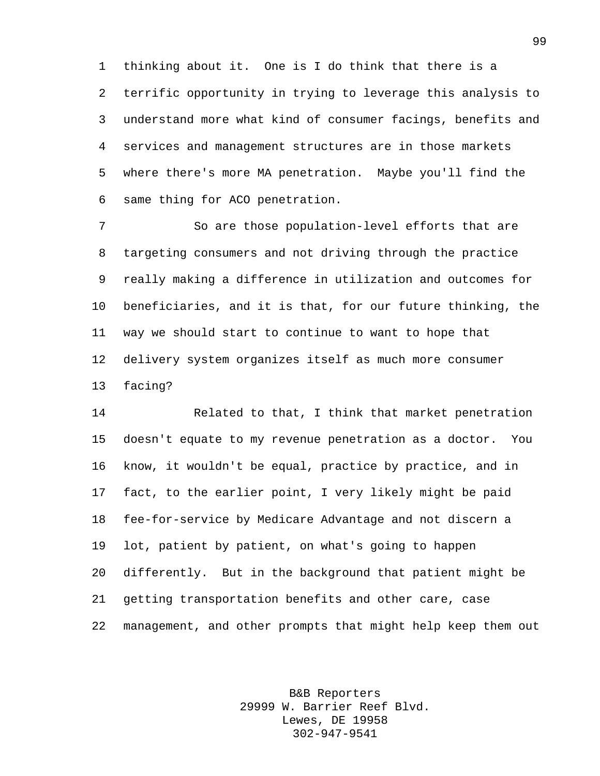thinking about it. One is I do think that there is a terrific opportunity in trying to leverage this analysis to understand more what kind of consumer facings, benefits and services and management structures are in those markets where there's more MA penetration. Maybe you'll find the same thing for ACO penetration.

 So are those population-level efforts that are targeting consumers and not driving through the practice really making a difference in utilization and outcomes for beneficiaries, and it is that, for our future thinking, the way we should start to continue to want to hope that delivery system organizes itself as much more consumer facing?

 Related to that, I think that market penetration doesn't equate to my revenue penetration as a doctor. You know, it wouldn't be equal, practice by practice, and in fact, to the earlier point, I very likely might be paid fee-for-service by Medicare Advantage and not discern a lot, patient by patient, on what's going to happen differently. But in the background that patient might be getting transportation benefits and other care, case management, and other prompts that might help keep them out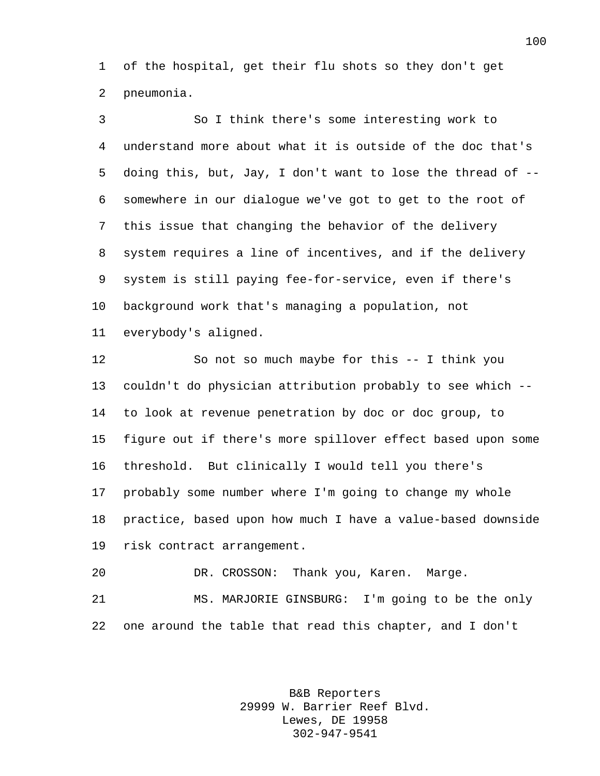of the hospital, get their flu shots so they don't get pneumonia.

 So I think there's some interesting work to understand more about what it is outside of the doc that's doing this, but, Jay, I don't want to lose the thread of -- somewhere in our dialogue we've got to get to the root of this issue that changing the behavior of the delivery system requires a line of incentives, and if the delivery system is still paying fee-for-service, even if there's background work that's managing a population, not everybody's aligned.

 So not so much maybe for this -- I think you couldn't do physician attribution probably to see which -- to look at revenue penetration by doc or doc group, to figure out if there's more spillover effect based upon some threshold. But clinically I would tell you there's probably some number where I'm going to change my whole practice, based upon how much I have a value-based downside risk contract arrangement.

DR. CROSSON: Thank you, Karen. Marge.

 MS. MARJORIE GINSBURG: I'm going to be the only one around the table that read this chapter, and I don't

> B&B Reporters 29999 W. Barrier Reef Blvd. Lewes, DE 19958 302-947-9541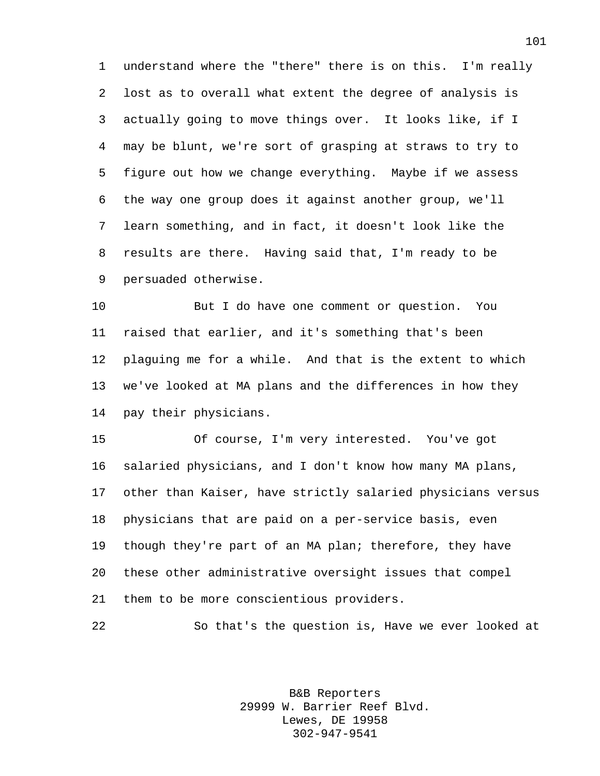understand where the "there" there is on this. I'm really lost as to overall what extent the degree of analysis is actually going to move things over. It looks like, if I may be blunt, we're sort of grasping at straws to try to figure out how we change everything. Maybe if we assess the way one group does it against another group, we'll learn something, and in fact, it doesn't look like the results are there. Having said that, I'm ready to be persuaded otherwise.

 But I do have one comment or question. You raised that earlier, and it's something that's been plaguing me for a while. And that is the extent to which we've looked at MA plans and the differences in how they pay their physicians.

 Of course, I'm very interested. You've got salaried physicians, and I don't know how many MA plans, other than Kaiser, have strictly salaried physicians versus physicians that are paid on a per-service basis, even though they're part of an MA plan; therefore, they have these other administrative oversight issues that compel them to be more conscientious providers.

So that's the question is, Have we ever looked at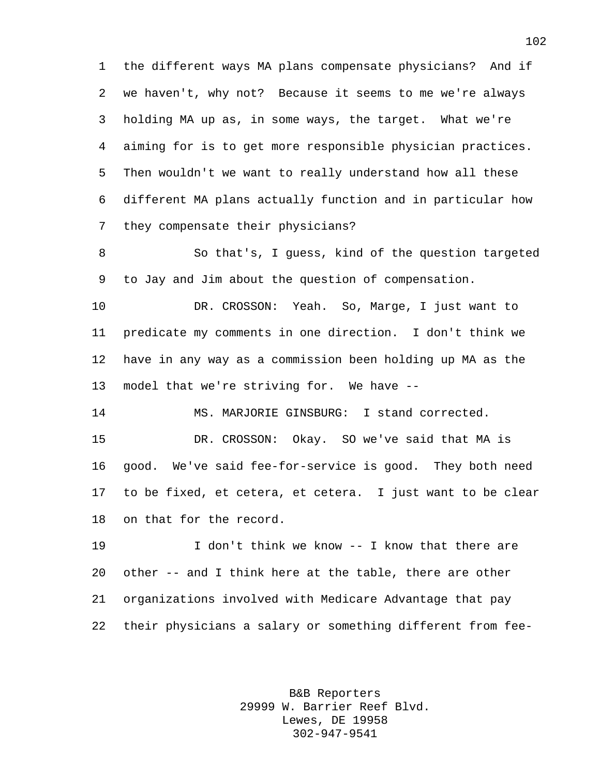the different ways MA plans compensate physicians? And if we haven't, why not? Because it seems to me we're always holding MA up as, in some ways, the target. What we're aiming for is to get more responsible physician practices. Then wouldn't we want to really understand how all these different MA plans actually function and in particular how they compensate their physicians?

 So that's, I guess, kind of the question targeted to Jay and Jim about the question of compensation.

 DR. CROSSON: Yeah. So, Marge, I just want to predicate my comments in one direction. I don't think we have in any way as a commission been holding up MA as the model that we're striving for. We have --

MS. MARJORIE GINSBURG: I stand corrected.

 DR. CROSSON: Okay. SO we've said that MA is good. We've said fee-for-service is good. They both need to be fixed, et cetera, et cetera. I just want to be clear on that for the record.

 I don't think we know -- I know that there are other -- and I think here at the table, there are other organizations involved with Medicare Advantage that pay their physicians a salary or something different from fee-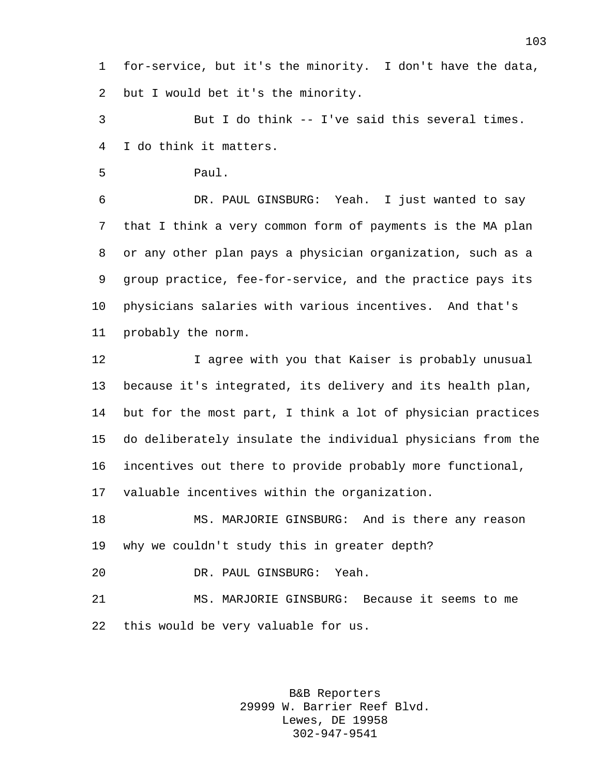for-service, but it's the minority. I don't have the data, but I would bet it's the minority.

 But I do think -- I've said this several times. I do think it matters.

Paul.

 DR. PAUL GINSBURG: Yeah. I just wanted to say that I think a very common form of payments is the MA plan or any other plan pays a physician organization, such as a group practice, fee-for-service, and the practice pays its physicians salaries with various incentives. And that's probably the norm.

 I agree with you that Kaiser is probably unusual because it's integrated, its delivery and its health plan, but for the most part, I think a lot of physician practices do deliberately insulate the individual physicians from the incentives out there to provide probably more functional, valuable incentives within the organization.

 MS. MARJORIE GINSBURG: And is there any reason why we couldn't study this in greater depth?

DR. PAUL GINSBURG: Yeah.

 MS. MARJORIE GINSBURG: Because it seems to me this would be very valuable for us.

> B&B Reporters 29999 W. Barrier Reef Blvd. Lewes, DE 19958 302-947-9541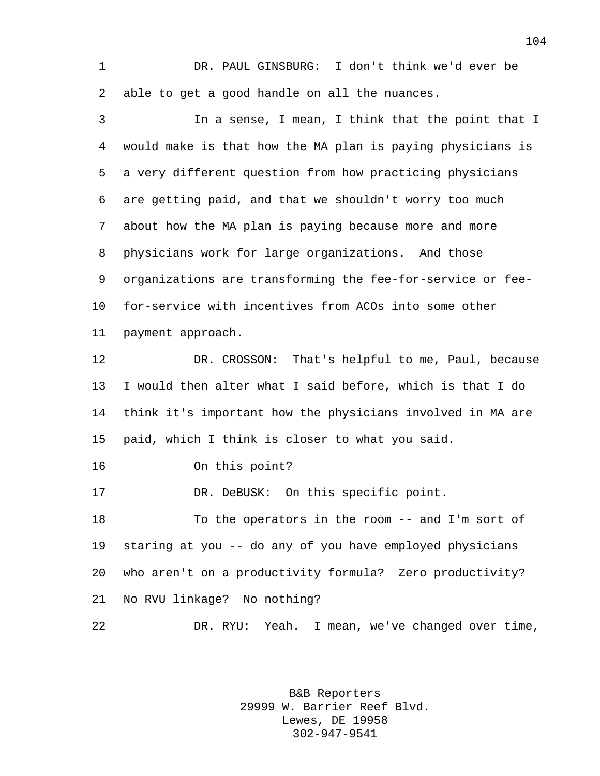DR. PAUL GINSBURG: I don't think we'd ever be able to get a good handle on all the nuances.

 In a sense, I mean, I think that the point that I would make is that how the MA plan is paying physicians is a very different question from how practicing physicians are getting paid, and that we shouldn't worry too much about how the MA plan is paying because more and more physicians work for large organizations. And those organizations are transforming the fee-for-service or fee- for-service with incentives from ACOs into some other payment approach.

 DR. CROSSON: That's helpful to me, Paul, because I would then alter what I said before, which is that I do think it's important how the physicians involved in MA are paid, which I think is closer to what you said.

On this point?

17 DR. DeBUSK: On this specific point.

 To the operators in the room -- and I'm sort of staring at you -- do any of you have employed physicians who aren't on a productivity formula? Zero productivity? No RVU linkage? No nothing?

DR. RYU: Yeah. I mean, we've changed over time,

B&B Reporters 29999 W. Barrier Reef Blvd. Lewes, DE 19958 302-947-9541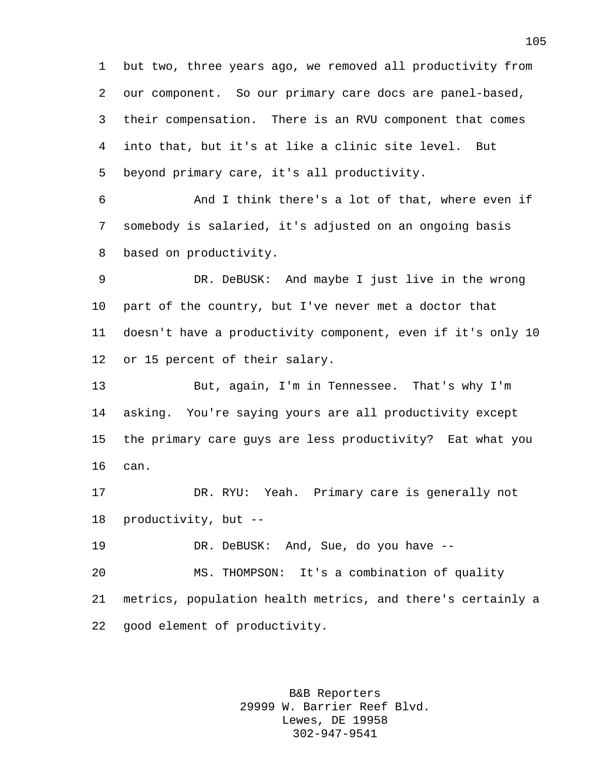but two, three years ago, we removed all productivity from our component. So our primary care docs are panel-based, their compensation. There is an RVU component that comes into that, but it's at like a clinic site level. But beyond primary care, it's all productivity.

 And I think there's a lot of that, where even if somebody is salaried, it's adjusted on an ongoing basis based on productivity.

 DR. DeBUSK: And maybe I just live in the wrong part of the country, but I've never met a doctor that doesn't have a productivity component, even if it's only 10 or 15 percent of their salary.

 But, again, I'm in Tennessee. That's why I'm asking. You're saying yours are all productivity except the primary care guys are less productivity? Eat what you can.

 DR. RYU: Yeah. Primary care is generally not productivity, but --

DR. DeBUSK: And, Sue, do you have --

 MS. THOMPSON: It's a combination of quality metrics, population health metrics, and there's certainly a good element of productivity.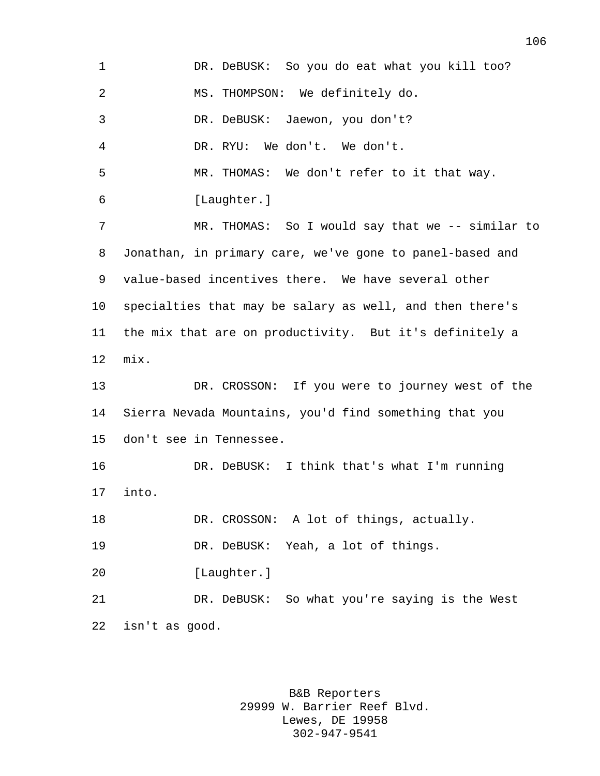| $\mathbf 1$ | DR. DeBUSK: So you do eat what you kill too?             |
|-------------|----------------------------------------------------------|
| 2           | MS. THOMPSON: We definitely do.                          |
| 3           | DR. DeBUSK: Jaewon, you don't?                           |
| 4           | DR. RYU: We don't. We don't.                             |
| 5           | MR. THOMAS: We don't refer to it that way.               |
| 6           | [Laughter.]                                              |
| 7           | MR. THOMAS: So I would say that we -- similar to         |
| 8           | Jonathan, in primary care, we've gone to panel-based and |
| 9           | value-based incentives there. We have several other      |
| 10          | specialties that may be salary as well, and then there's |
| 11          | the mix that are on productivity. But it's definitely a  |
| 12          | mix.                                                     |
| 13          | DR. CROSSON: If you were to journey west of the          |
| 14          | Sierra Nevada Mountains, you'd find something that you   |
| 15          | don't see in Tennessee.                                  |
| 16          | DR. DeBUSK: I think that's what I'm running              |
| 17          | into.                                                    |
| 18          | DR. CROSSON: A lot of things, actually.                  |
| 19          | DR. DeBUSK: Yeah, a lot of things.                       |
| 20          | [Laughter.]                                              |
| 21          | DR. DeBUSK: So what you're saying is the West            |
| 22          | isn't as good.                                           |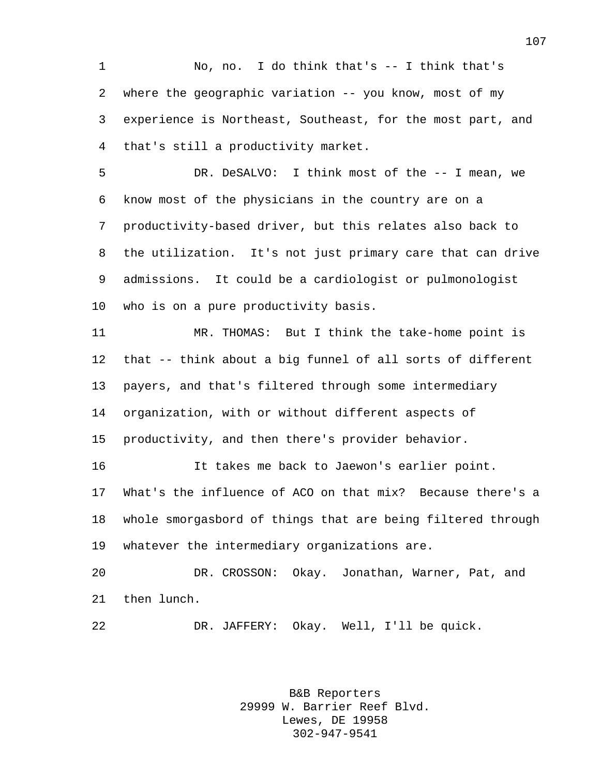No, no. I do think that's -- I think that's where the geographic variation -- you know, most of my experience is Northeast, Southeast, for the most part, and that's still a productivity market.

 DR. DeSALVO: I think most of the -- I mean, we know most of the physicians in the country are on a productivity-based driver, but this relates also back to the utilization. It's not just primary care that can drive admissions. It could be a cardiologist or pulmonologist who is on a pure productivity basis.

 MR. THOMAS: But I think the take-home point is that -- think about a big funnel of all sorts of different payers, and that's filtered through some intermediary organization, with or without different aspects of productivity, and then there's provider behavior.

 It takes me back to Jaewon's earlier point. What's the influence of ACO on that mix? Because there's a whole smorgasbord of things that are being filtered through whatever the intermediary organizations are.

 DR. CROSSON: Okay. Jonathan, Warner, Pat, and then lunch.

DR. JAFFERY: Okay. Well, I'll be quick.

B&B Reporters 29999 W. Barrier Reef Blvd. Lewes, DE 19958 302-947-9541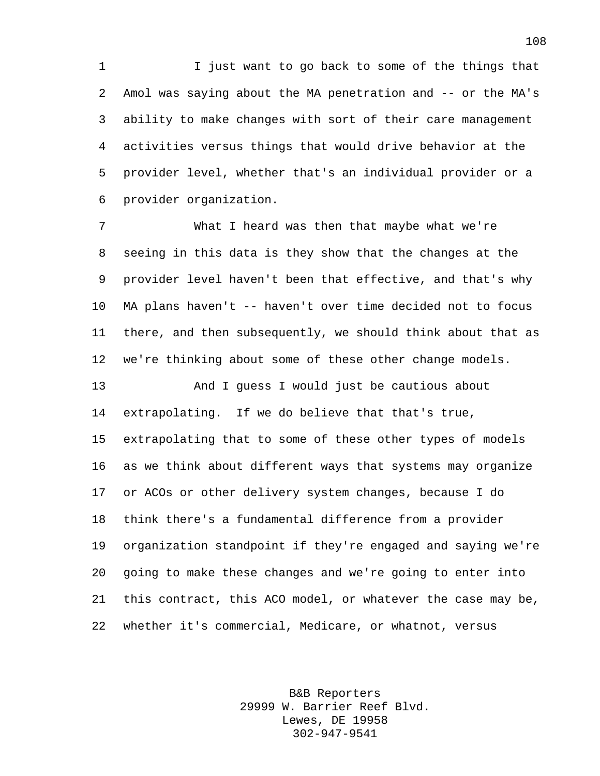I just want to go back to some of the things that Amol was saying about the MA penetration and -- or the MA's ability to make changes with sort of their care management activities versus things that would drive behavior at the provider level, whether that's an individual provider or a provider organization.

 What I heard was then that maybe what we're seeing in this data is they show that the changes at the provider level haven't been that effective, and that's why MA plans haven't -- haven't over time decided not to focus there, and then subsequently, we should think about that as we're thinking about some of these other change models.

 And I guess I would just be cautious about extrapolating. If we do believe that that's true, extrapolating that to some of these other types of models as we think about different ways that systems may organize or ACOs or other delivery system changes, because I do think there's a fundamental difference from a provider organization standpoint if they're engaged and saying we're going to make these changes and we're going to enter into this contract, this ACO model, or whatever the case may be, whether it's commercial, Medicare, or whatnot, versus

> B&B Reporters 29999 W. Barrier Reef Blvd. Lewes, DE 19958 302-947-9541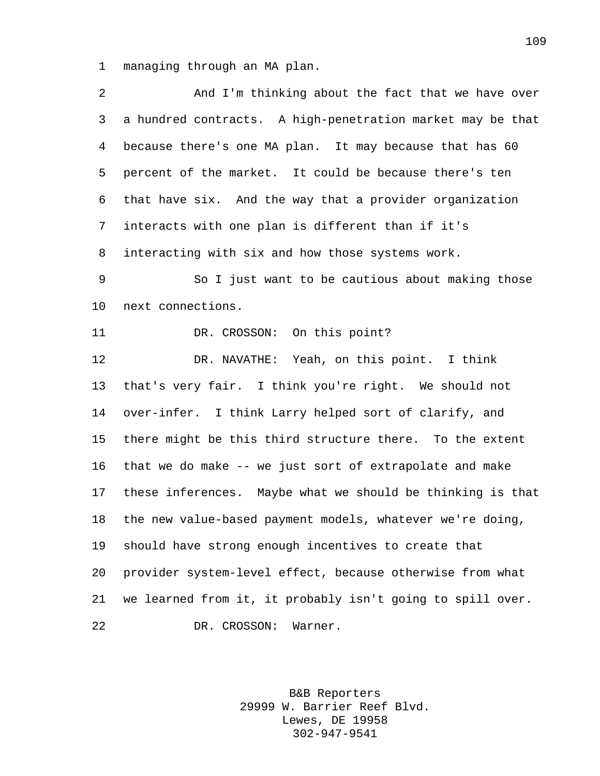managing through an MA plan.

| 2            | And I'm thinking about the fact that we have over          |
|--------------|------------------------------------------------------------|
| $\mathsf{3}$ | a hundred contracts. A high-penetration market may be that |
| 4            | because there's one MA plan. It may because that has 60    |
| 5            | percent of the market. It could be because there's ten     |
| 6            | that have six. And the way that a provider organization    |
| 7            | interacts with one plan is different than if it's          |
| 8            | interacting with six and how those systems work.           |
| $\mathsf 9$  | So I just want to be cautious about making those           |
| $10 \,$      | next connections.                                          |
| 11           | DR. CROSSON: On this point?                                |
| 12           | DR. NAVATHE: Yeah, on this point. I think                  |
| 13           | that's very fair. I think you're right. We should not      |
| 14           | over-infer. I think Larry helped sort of clarify, and      |
| 15           | there might be this third structure there. To the extent   |
| 16           | that we do make -- we just sort of extrapolate and make    |
| 17           | these inferences. Maybe what we should be thinking is that |
| 18           | the new value-based payment models, whatever we're doing,  |
| 19           | should have strong enough incentives to create that        |
| 20           | provider system-level effect, because otherwise from what  |
| 21           | we learned from it, it probably isn't going to spill over. |
| 22           | DR. CROSSON:<br>Warner.                                    |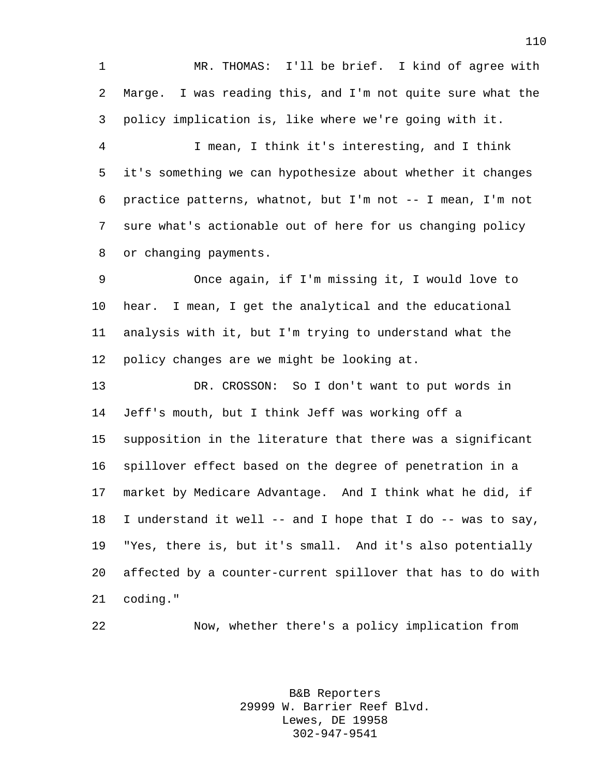MR. THOMAS: I'll be brief. I kind of agree with Marge. I was reading this, and I'm not quite sure what the policy implication is, like where we're going with it.

 I mean, I think it's interesting, and I think it's something we can hypothesize about whether it changes practice patterns, whatnot, but I'm not -- I mean, I'm not sure what's actionable out of here for us changing policy or changing payments.

 Once again, if I'm missing it, I would love to hear. I mean, I get the analytical and the educational analysis with it, but I'm trying to understand what the policy changes are we might be looking at.

 DR. CROSSON: So I don't want to put words in Jeff's mouth, but I think Jeff was working off a supposition in the literature that there was a significant spillover effect based on the degree of penetration in a market by Medicare Advantage. And I think what he did, if I understand it well -- and I hope that I do -- was to say, "Yes, there is, but it's small. And it's also potentially affected by a counter-current spillover that has to do with coding."

Now, whether there's a policy implication from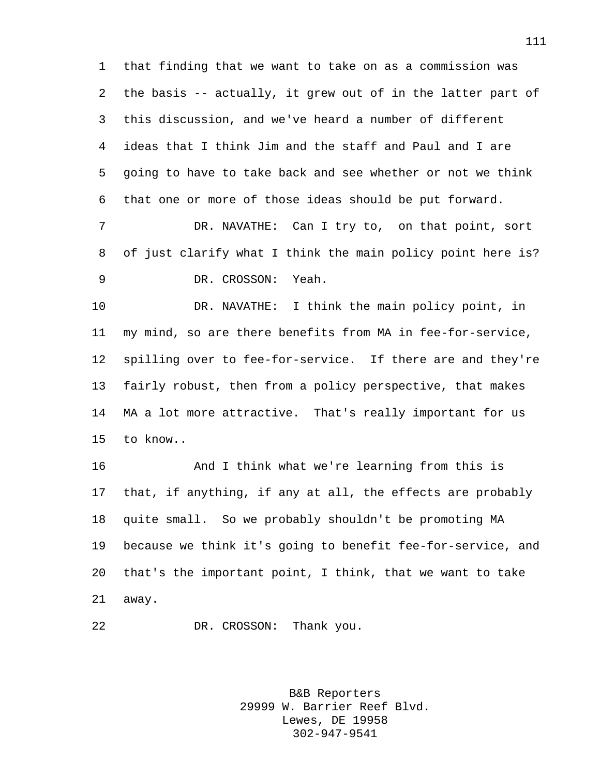that finding that we want to take on as a commission was the basis -- actually, it grew out of in the latter part of this discussion, and we've heard a number of different ideas that I think Jim and the staff and Paul and I are going to have to take back and see whether or not we think that one or more of those ideas should be put forward.

 DR. NAVATHE: Can I try to, on that point, sort of just clarify what I think the main policy point here is? DR. CROSSON: Yeah.

 DR. NAVATHE: I think the main policy point, in my mind, so are there benefits from MA in fee-for-service, spilling over to fee-for-service. If there are and they're fairly robust, then from a policy perspective, that makes MA a lot more attractive. That's really important for us to know..

 And I think what we're learning from this is that, if anything, if any at all, the effects are probably quite small. So we probably shouldn't be promoting MA because we think it's going to benefit fee-for-service, and that's the important point, I think, that we want to take away.

DR. CROSSON: Thank you.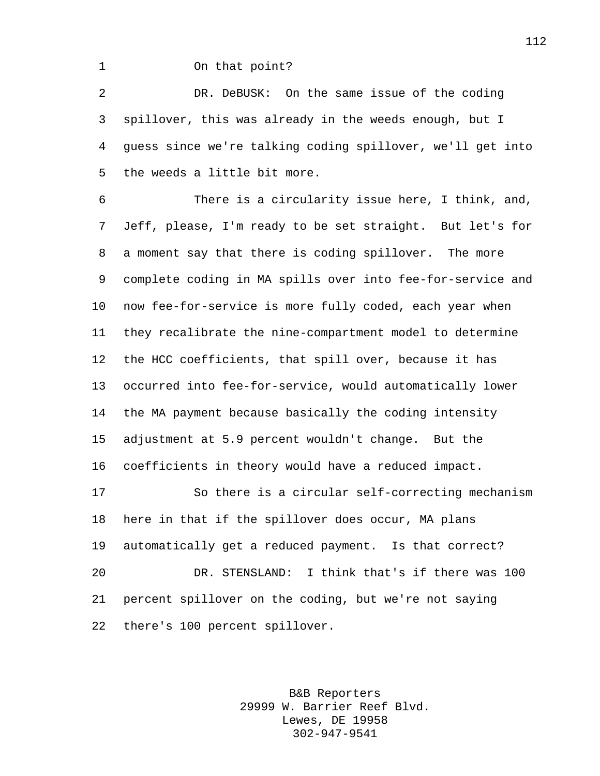## On that point?

 DR. DeBUSK: On the same issue of the coding spillover, this was already in the weeds enough, but I guess since we're talking coding spillover, we'll get into the weeds a little bit more.

 There is a circularity issue here, I think, and, Jeff, please, I'm ready to be set straight. But let's for a moment say that there is coding spillover. The more complete coding in MA spills over into fee-for-service and now fee-for-service is more fully coded, each year when they recalibrate the nine-compartment model to determine the HCC coefficients, that spill over, because it has occurred into fee-for-service, would automatically lower the MA payment because basically the coding intensity adjustment at 5.9 percent wouldn't change. But the coefficients in theory would have a reduced impact. So there is a circular self-correcting mechanism here in that if the spillover does occur, MA plans automatically get a reduced payment. Is that correct?

 DR. STENSLAND: I think that's if there was 100 percent spillover on the coding, but we're not saying there's 100 percent spillover.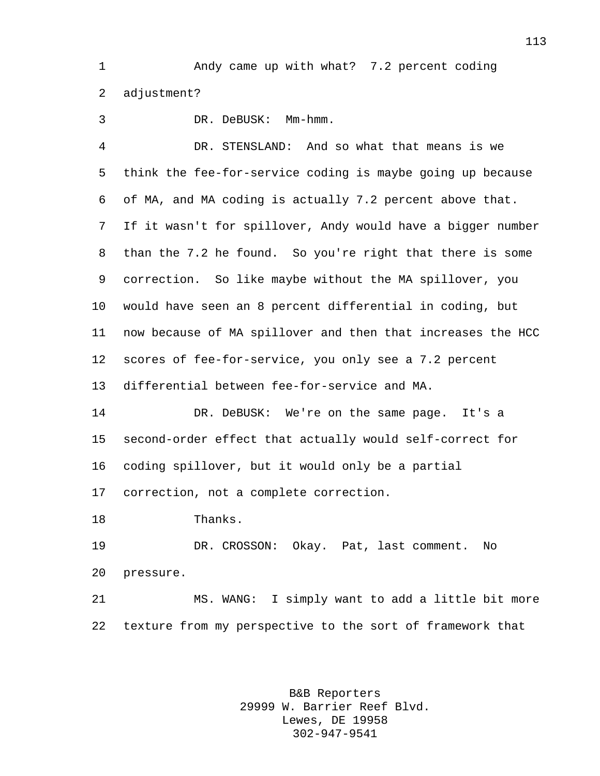Andy came up with what? 7.2 percent coding adjustment?

 DR. DeBUSK: Mm-hmm. DR. STENSLAND: And so what that means is we think the fee-for-service coding is maybe going up because of MA, and MA coding is actually 7.2 percent above that. If it wasn't for spillover, Andy would have a bigger number than the 7.2 he found. So you're right that there is some correction. So like maybe without the MA spillover, you would have seen an 8 percent differential in coding, but now because of MA spillover and then that increases the HCC scores of fee-for-service, you only see a 7.2 percent differential between fee-for-service and MA. DR. DeBUSK: We're on the same page. It's a second-order effect that actually would self-correct for coding spillover, but it would only be a partial correction, not a complete correction. Thanks. DR. CROSSON: Okay. Pat, last comment. No pressure.

 MS. WANG: I simply want to add a little bit more texture from my perspective to the sort of framework that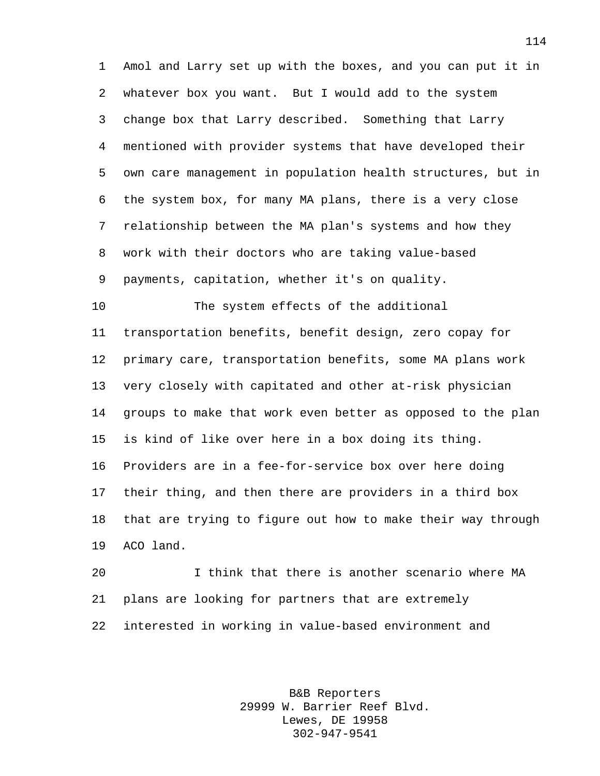Amol and Larry set up with the boxes, and you can put it in whatever box you want. But I would add to the system change box that Larry described. Something that Larry mentioned with provider systems that have developed their own care management in population health structures, but in the system box, for many MA plans, there is a very close relationship between the MA plan's systems and how they work with their doctors who are taking value-based payments, capitation, whether it's on quality.

 The system effects of the additional transportation benefits, benefit design, zero copay for primary care, transportation benefits, some MA plans work very closely with capitated and other at-risk physician groups to make that work even better as opposed to the plan is kind of like over here in a box doing its thing. Providers are in a fee-for-service box over here doing their thing, and then there are providers in a third box that are trying to figure out how to make their way through ACO land.

 I think that there is another scenario where MA plans are looking for partners that are extremely interested in working in value-based environment and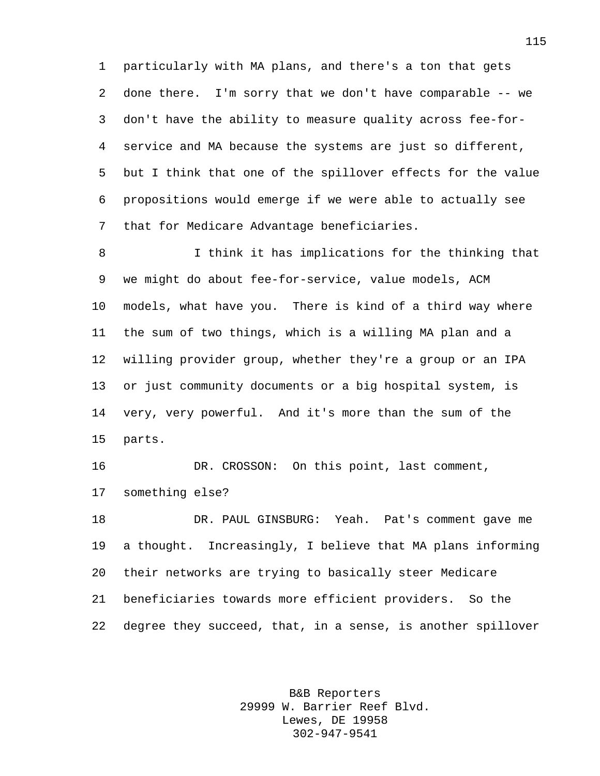particularly with MA plans, and there's a ton that gets done there. I'm sorry that we don't have comparable -- we don't have the ability to measure quality across fee-for- service and MA because the systems are just so different, but I think that one of the spillover effects for the value propositions would emerge if we were able to actually see that for Medicare Advantage beneficiaries.

 I think it has implications for the thinking that we might do about fee-for-service, value models, ACM models, what have you. There is kind of a third way where the sum of two things, which is a willing MA plan and a willing provider group, whether they're a group or an IPA or just community documents or a big hospital system, is very, very powerful. And it's more than the sum of the parts.

 DR. CROSSON: On this point, last comment, something else?

 DR. PAUL GINSBURG: Yeah. Pat's comment gave me a thought. Increasingly, I believe that MA plans informing their networks are trying to basically steer Medicare beneficiaries towards more efficient providers. So the degree they succeed, that, in a sense, is another spillover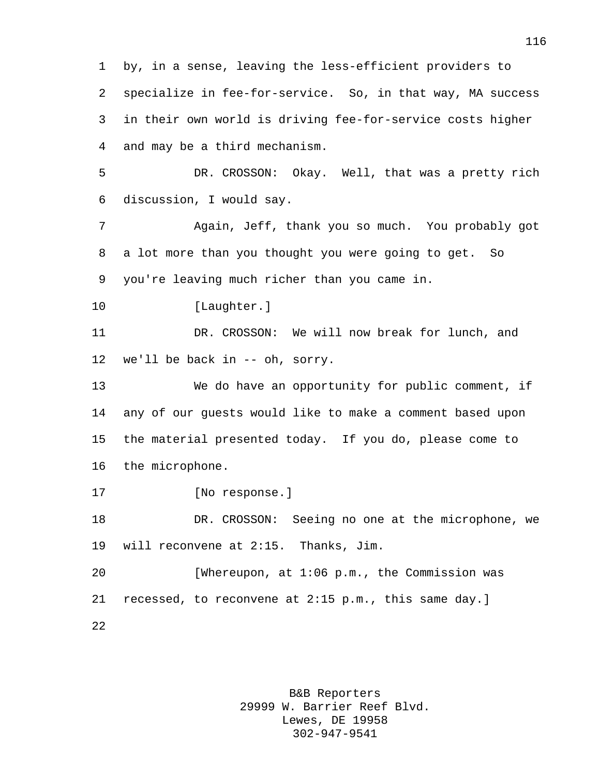by, in a sense, leaving the less-efficient providers to specialize in fee-for-service. So, in that way, MA success in their own world is driving fee-for-service costs higher and may be a third mechanism. DR. CROSSON: Okay. Well, that was a pretty rich discussion, I would say. Again, Jeff, thank you so much. You probably got a lot more than you thought you were going to get. So you're leaving much richer than you came in. 10 [Laughter.] DR. CROSSON: We will now break for lunch, and we'll be back in -- oh, sorry. We do have an opportunity for public comment, if any of our guests would like to make a comment based upon the material presented today. If you do, please come to the microphone. [No response.] DR. CROSSON: Seeing no one at the microphone, we will reconvene at 2:15. Thanks, Jim. [Whereupon, at 1:06 p.m., the Commission was recessed, to reconvene at 2:15 p.m., this same day.]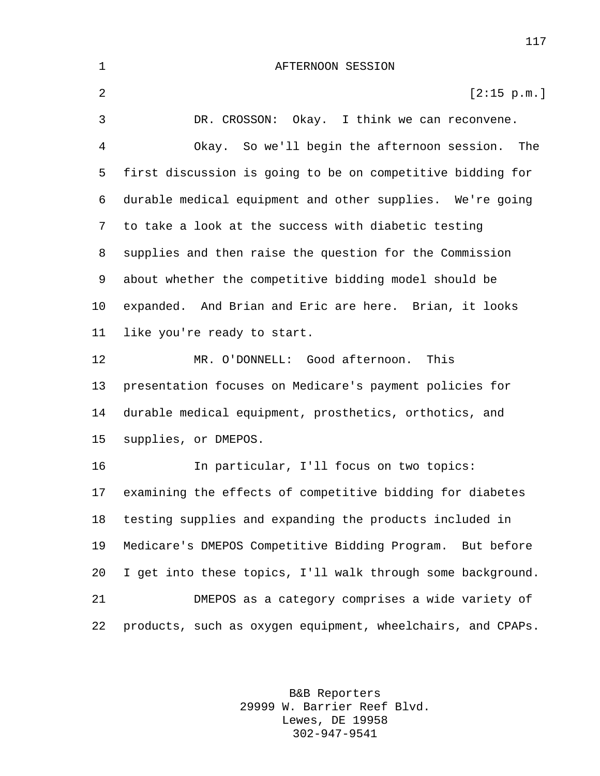AFTERNOON SESSION 2 [2:15 p.m.] DR. CROSSON: Okay. I think we can reconvene. Okay. So we'll begin the afternoon session. The first discussion is going to be on competitive bidding for durable medical equipment and other supplies. We're going to take a look at the success with diabetic testing supplies and then raise the question for the Commission about whether the competitive bidding model should be expanded. And Brian and Eric are here. Brian, it looks like you're ready to start. MR. O'DONNELL: Good afternoon. This presentation focuses on Medicare's payment policies for durable medical equipment, prosthetics, orthotics, and supplies, or DMEPOS. In particular, I'll focus on two topics: examining the effects of competitive bidding for diabetes testing supplies and expanding the products included in Medicare's DMEPOS Competitive Bidding Program. But before I get into these topics, I'll walk through some background. DMEPOS as a category comprises a wide variety of products, such as oxygen equipment, wheelchairs, and CPAPs.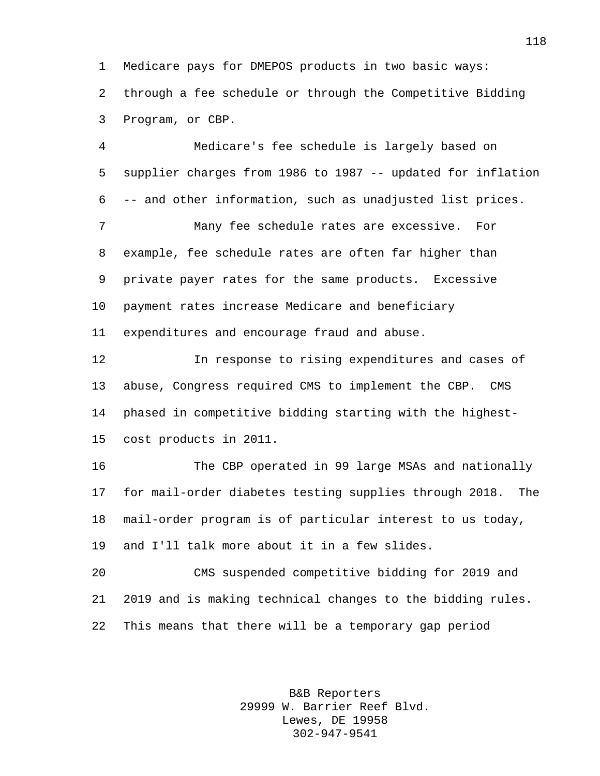Medicare pays for DMEPOS products in two basic ways: through a fee schedule or through the Competitive Bidding Program, or CBP.

 Medicare's fee schedule is largely based on supplier charges from 1986 to 1987 -- updated for inflation -- and other information, such as unadjusted list prices. Many fee schedule rates are excessive. For example, fee schedule rates are often far higher than private payer rates for the same products. Excessive payment rates increase Medicare and beneficiary expenditures and encourage fraud and abuse. In response to rising expenditures and cases of abuse, Congress required CMS to implement the CBP. CMS phased in competitive bidding starting with the highest- cost products in 2011. The CBP operated in 99 large MSAs and nationally for mail-order diabetes testing supplies through 2018. The mail-order program is of particular interest to us today, and I'll talk more about it in a few slides. CMS suspended competitive bidding for 2019 and 2019 and is making technical changes to the bidding rules.

This means that there will be a temporary gap period

B&B Reporters 29999 W. Barrier Reef Blvd. Lewes, DE 19958 302-947-9541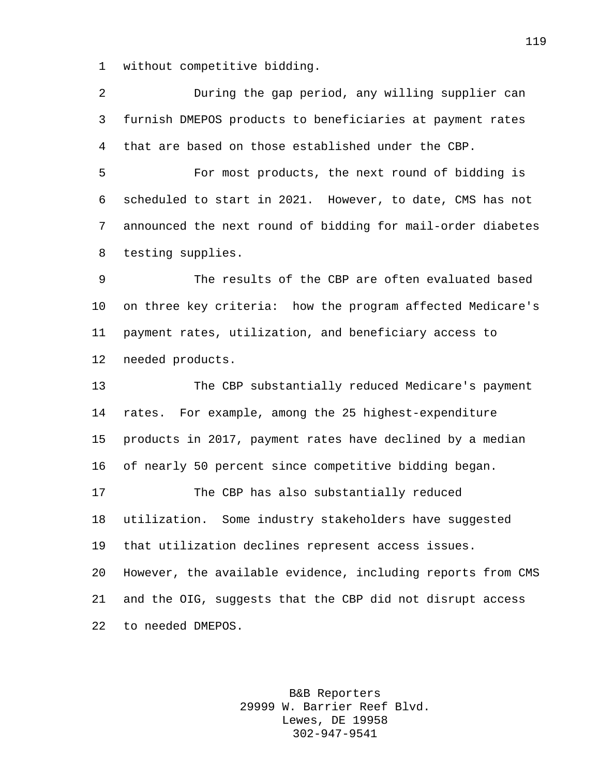without competitive bidding.

 During the gap period, any willing supplier can furnish DMEPOS products to beneficiaries at payment rates that are based on those established under the CBP.

 For most products, the next round of bidding is scheduled to start in 2021. However, to date, CMS has not announced the next round of bidding for mail-order diabetes testing supplies.

 The results of the CBP are often evaluated based on three key criteria: how the program affected Medicare's payment rates, utilization, and beneficiary access to needed products.

 The CBP substantially reduced Medicare's payment rates. For example, among the 25 highest-expenditure products in 2017, payment rates have declined by a median of nearly 50 percent since competitive bidding began. The CBP has also substantially reduced utilization. Some industry stakeholders have suggested that utilization declines represent access issues. However, the available evidence, including reports from CMS and the OIG, suggests that the CBP did not disrupt access to needed DMEPOS.

> B&B Reporters 29999 W. Barrier Reef Blvd. Lewes, DE 19958 302-947-9541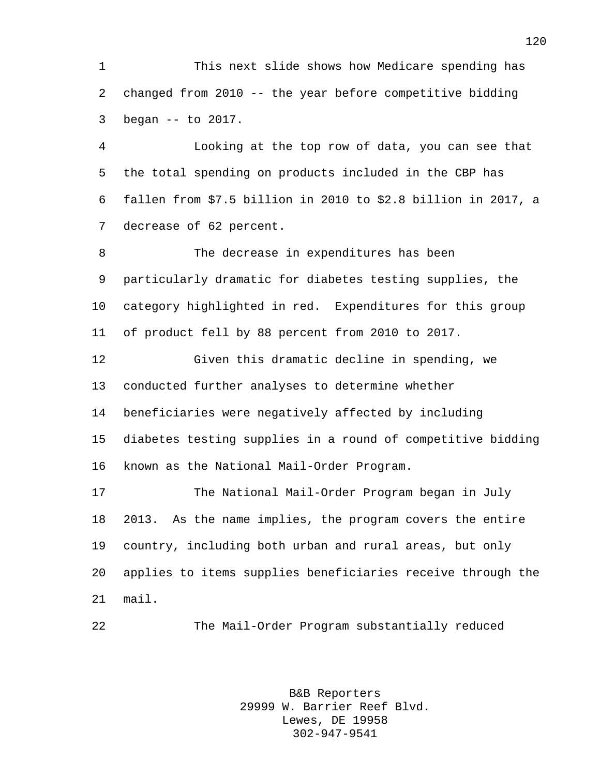This next slide shows how Medicare spending has changed from 2010 -- the year before competitive bidding began -- to 2017.

 Looking at the top row of data, you can see that the total spending on products included in the CBP has fallen from \$7.5 billion in 2010 to \$2.8 billion in 2017, a decrease of 62 percent.

 The decrease in expenditures has been particularly dramatic for diabetes testing supplies, the category highlighted in red. Expenditures for this group of product fell by 88 percent from 2010 to 2017.

 Given this dramatic decline in spending, we conducted further analyses to determine whether beneficiaries were negatively affected by including diabetes testing supplies in a round of competitive bidding known as the National Mail-Order Program.

 The National Mail-Order Program began in July 2013. As the name implies, the program covers the entire country, including both urban and rural areas, but only applies to items supplies beneficiaries receive through the mail.

The Mail-Order Program substantially reduced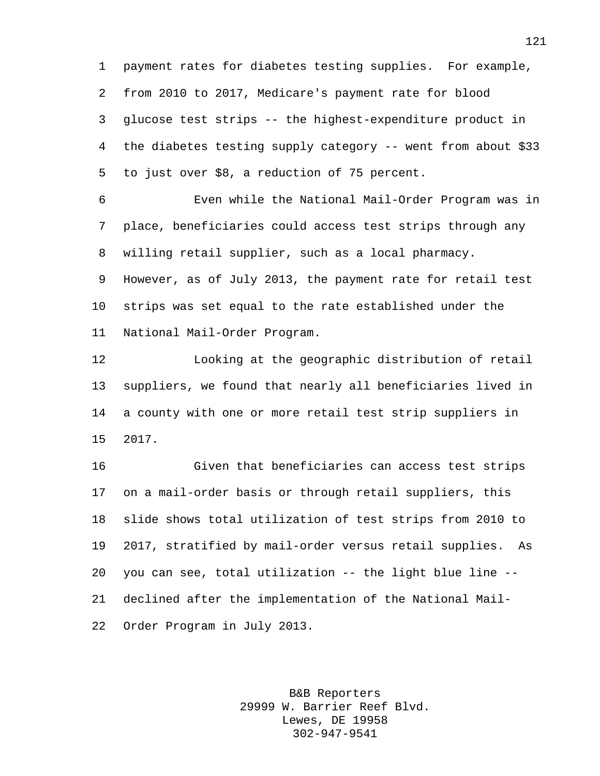payment rates for diabetes testing supplies. For example, from 2010 to 2017, Medicare's payment rate for blood glucose test strips -- the highest-expenditure product in the diabetes testing supply category -- went from about \$33 to just over \$8, a reduction of 75 percent.

 Even while the National Mail-Order Program was in place, beneficiaries could access test strips through any willing retail supplier, such as a local pharmacy. However, as of July 2013, the payment rate for retail test strips was set equal to the rate established under the National Mail-Order Program.

 Looking at the geographic distribution of retail suppliers, we found that nearly all beneficiaries lived in a county with one or more retail test strip suppliers in 2017.

 Given that beneficiaries can access test strips on a mail-order basis or through retail suppliers, this slide shows total utilization of test strips from 2010 to 2017, stratified by mail-order versus retail supplies. As you can see, total utilization -- the light blue line -- declined after the implementation of the National Mail-Order Program in July 2013.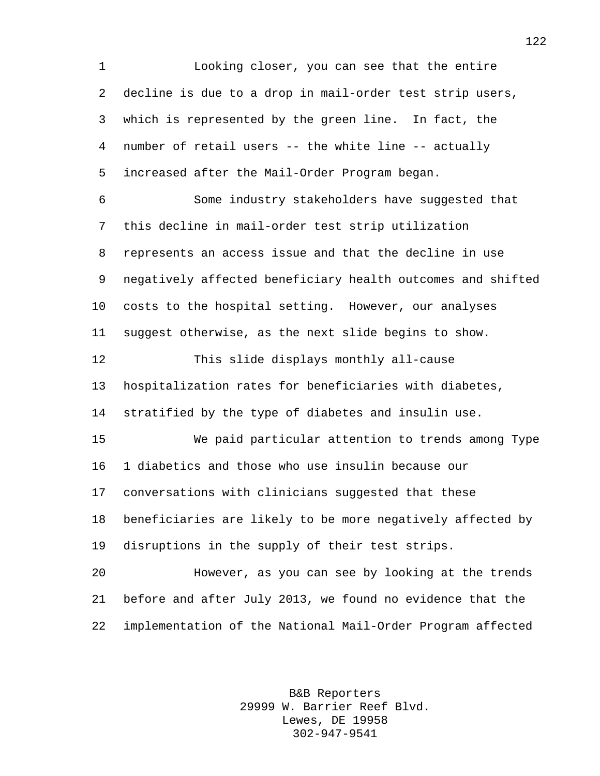Looking closer, you can see that the entire decline is due to a drop in mail-order test strip users, which is represented by the green line. In fact, the number of retail users -- the white line -- actually increased after the Mail-Order Program began. Some industry stakeholders have suggested that this decline in mail-order test strip utilization represents an access issue and that the decline in use negatively affected beneficiary health outcomes and shifted costs to the hospital setting. However, our analyses suggest otherwise, as the next slide begins to show. This slide displays monthly all-cause hospitalization rates for beneficiaries with diabetes, stratified by the type of diabetes and insulin use. We paid particular attention to trends among Type 1 diabetics and those who use insulin because our conversations with clinicians suggested that these beneficiaries are likely to be more negatively affected by disruptions in the supply of their test strips. However, as you can see by looking at the trends before and after July 2013, we found no evidence that the implementation of the National Mail-Order Program affected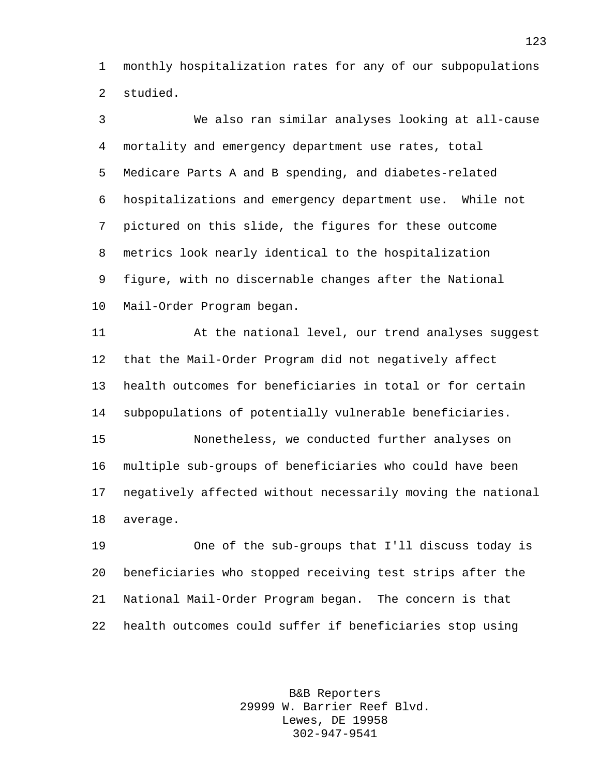monthly hospitalization rates for any of our subpopulations studied.

 We also ran similar analyses looking at all-cause mortality and emergency department use rates, total Medicare Parts A and B spending, and diabetes-related hospitalizations and emergency department use. While not pictured on this slide, the figures for these outcome metrics look nearly identical to the hospitalization figure, with no discernable changes after the National Mail-Order Program began. At the national level, our trend analyses suggest

 that the Mail-Order Program did not negatively affect health outcomes for beneficiaries in total or for certain subpopulations of potentially vulnerable beneficiaries. Nonetheless, we conducted further analyses on

 multiple sub-groups of beneficiaries who could have been negatively affected without necessarily moving the national average.

 One of the sub-groups that I'll discuss today is beneficiaries who stopped receiving test strips after the National Mail-Order Program began. The concern is that health outcomes could suffer if beneficiaries stop using

> B&B Reporters 29999 W. Barrier Reef Blvd. Lewes, DE 19958 302-947-9541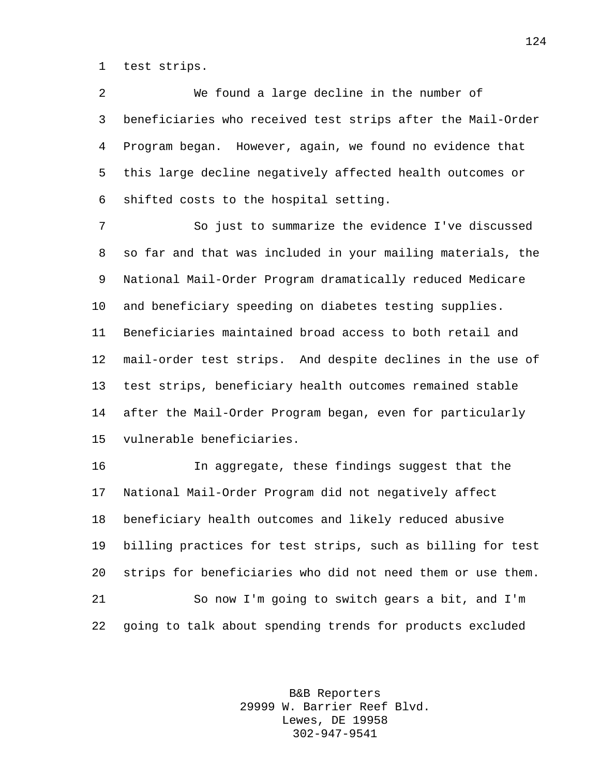test strips.

 We found a large decline in the number of beneficiaries who received test strips after the Mail-Order Program began. However, again, we found no evidence that this large decline negatively affected health outcomes or shifted costs to the hospital setting.

 So just to summarize the evidence I've discussed so far and that was included in your mailing materials, the National Mail-Order Program dramatically reduced Medicare and beneficiary speeding on diabetes testing supplies. Beneficiaries maintained broad access to both retail and mail-order test strips. And despite declines in the use of test strips, beneficiary health outcomes remained stable after the Mail-Order Program began, even for particularly vulnerable beneficiaries.

 In aggregate, these findings suggest that the National Mail-Order Program did not negatively affect beneficiary health outcomes and likely reduced abusive billing practices for test strips, such as billing for test strips for beneficiaries who did not need them or use them. So now I'm going to switch gears a bit, and I'm going to talk about spending trends for products excluded

> B&B Reporters 29999 W. Barrier Reef Blvd. Lewes, DE 19958 302-947-9541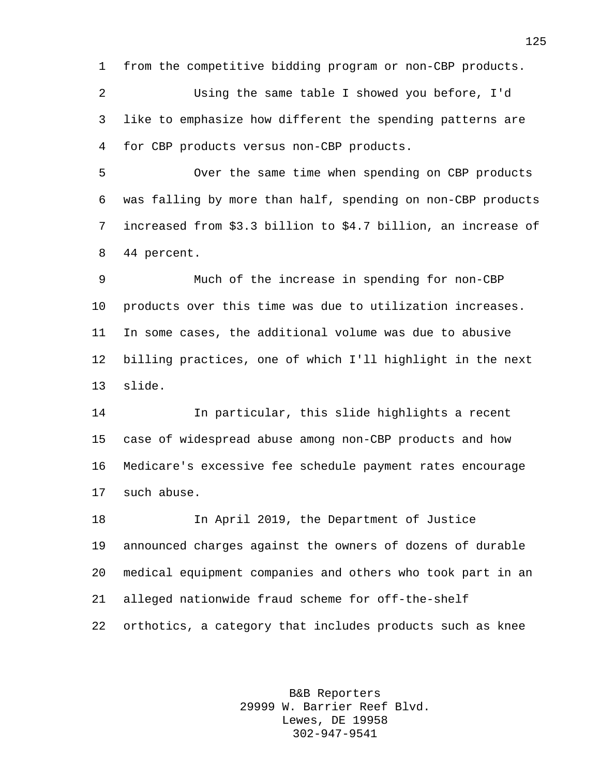from the competitive bidding program or non-CBP products.

 Using the same table I showed you before, I'd like to emphasize how different the spending patterns are for CBP products versus non-CBP products.

 Over the same time when spending on CBP products was falling by more than half, spending on non-CBP products increased from \$3.3 billion to \$4.7 billion, an increase of 44 percent.

 Much of the increase in spending for non-CBP products over this time was due to utilization increases. In some cases, the additional volume was due to abusive billing practices, one of which I'll highlight in the next slide.

 In particular, this slide highlights a recent case of widespread abuse among non-CBP products and how Medicare's excessive fee schedule payment rates encourage such abuse.

 In April 2019, the Department of Justice announced charges against the owners of dozens of durable medical equipment companies and others who took part in an alleged nationwide fraud scheme for off-the-shelf orthotics, a category that includes products such as knee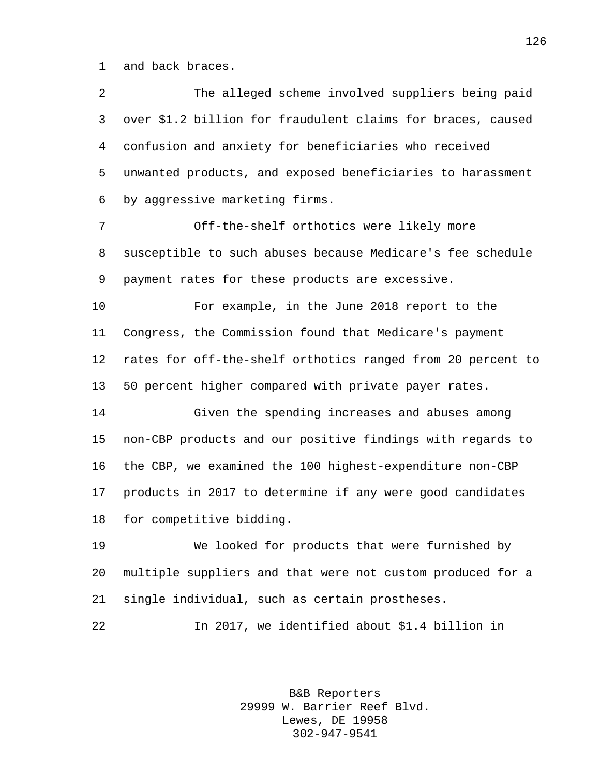and back braces.

| 2  | The alleged scheme involved suppliers being paid            |
|----|-------------------------------------------------------------|
| 3  | over \$1.2 billion for fraudulent claims for braces, caused |
| 4  | confusion and anxiety for beneficiaries who received        |
| 5  | unwanted products, and exposed beneficiaries to harassment  |
| 6  | by aggressive marketing firms.                              |
| 7  | Off-the-shelf orthotics were likely more                    |
| 8  | susceptible to such abuses because Medicare's fee schedule  |
| 9  | payment rates for these products are excessive.             |
| 10 | For example, in the June 2018 report to the                 |
| 11 | Congress, the Commission found that Medicare's payment      |
| 12 | rates for off-the-shelf orthotics ranged from 20 percent to |
| 13 | 50 percent higher compared with private payer rates.        |
| 14 | Given the spending increases and abuses among               |
| 15 | non-CBP products and our positive findings with regards to  |
| 16 | the CBP, we examined the 100 highest-expenditure non-CBP    |
| 17 | products in 2017 to determine if any were good candidates   |
| 18 | for competitive bidding.                                    |
| 19 | We looked for products that were furnished by               |
| 20 | multiple suppliers and that were not custom produced for a  |
| 21 | single individual, such as certain prostheses.              |
| 22 | In 2017, we identified about \$1.4 billion in               |
|    |                                                             |

B&B Reporters 29999 W. Barrier Reef Blvd. Lewes, DE 19958 302-947-9541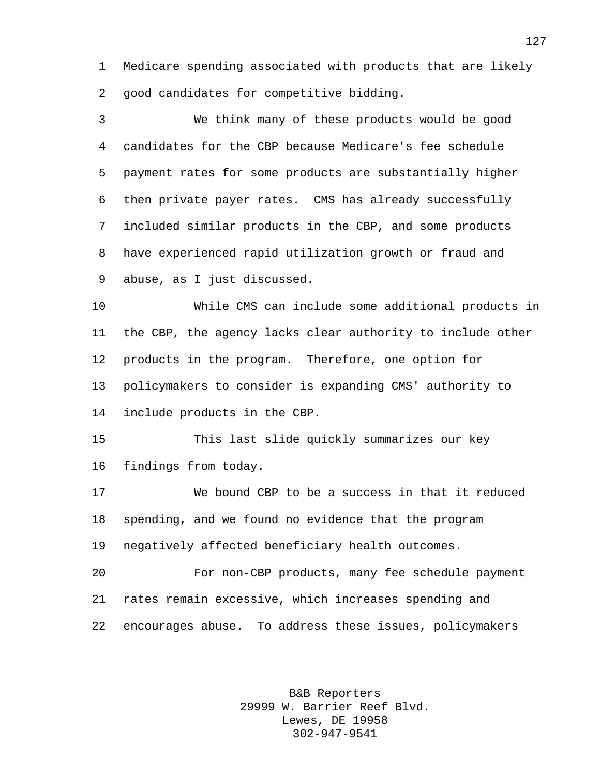Medicare spending associated with products that are likely good candidates for competitive bidding.

 We think many of these products would be good candidates for the CBP because Medicare's fee schedule payment rates for some products are substantially higher then private payer rates. CMS has already successfully included similar products in the CBP, and some products have experienced rapid utilization growth or fraud and abuse, as I just discussed.

 While CMS can include some additional products in the CBP, the agency lacks clear authority to include other products in the program. Therefore, one option for policymakers to consider is expanding CMS' authority to include products in the CBP.

 This last slide quickly summarizes our key findings from today.

 We bound CBP to be a success in that it reduced spending, and we found no evidence that the program negatively affected beneficiary health outcomes.

 For non-CBP products, many fee schedule payment rates remain excessive, which increases spending and encourages abuse. To address these issues, policymakers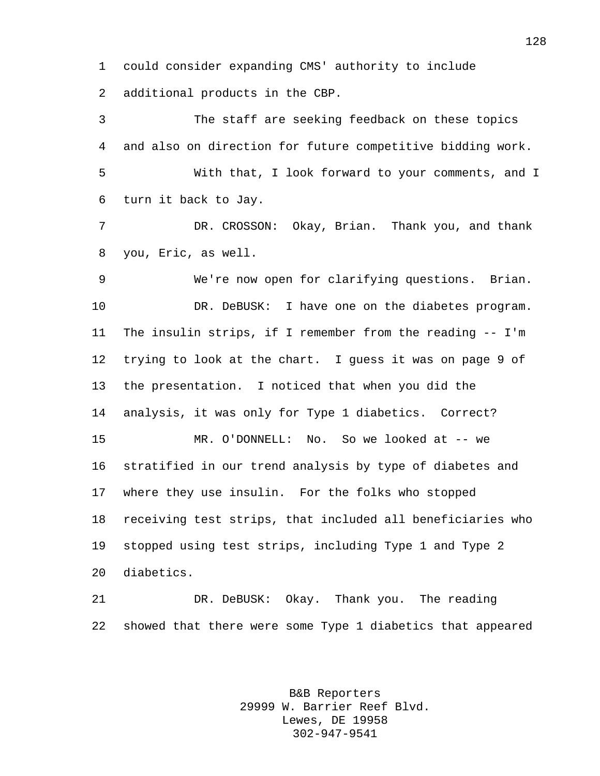could consider expanding CMS' authority to include additional products in the CBP.

 The staff are seeking feedback on these topics and also on direction for future competitive bidding work. With that, I look forward to your comments, and I turn it back to Jay. DR. CROSSON: Okay, Brian. Thank you, and thank you, Eric, as well. We're now open for clarifying questions. Brian. 10 DR. DeBUSK: I have one on the diabetes program. The insulin strips, if I remember from the reading -- I'm trying to look at the chart. I guess it was on page 9 of the presentation. I noticed that when you did the analysis, it was only for Type 1 diabetics. Correct? MR. O'DONNELL: No. So we looked at -- we stratified in our trend analysis by type of diabetes and where they use insulin. For the folks who stopped receiving test strips, that included all beneficiaries who stopped using test strips, including Type 1 and Type 2 diabetics.

 DR. DeBUSK: Okay. Thank you. The reading showed that there were some Type 1 diabetics that appeared

> B&B Reporters 29999 W. Barrier Reef Blvd. Lewes, DE 19958 302-947-9541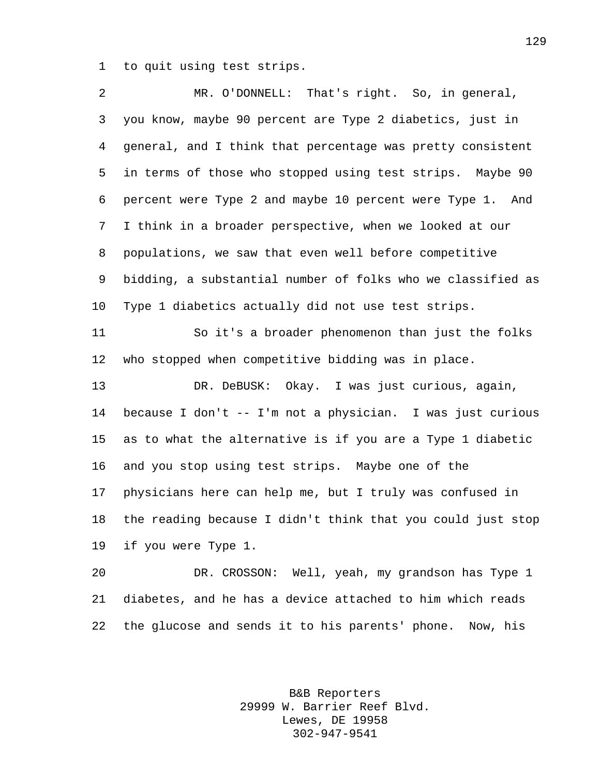to quit using test strips.

 MR. O'DONNELL: That's right. So, in general, you know, maybe 90 percent are Type 2 diabetics, just in general, and I think that percentage was pretty consistent in terms of those who stopped using test strips. Maybe 90 percent were Type 2 and maybe 10 percent were Type 1. And I think in a broader perspective, when we looked at our populations, we saw that even well before competitive bidding, a substantial number of folks who we classified as Type 1 diabetics actually did not use test strips. So it's a broader phenomenon than just the folks who stopped when competitive bidding was in place. DR. DeBUSK: Okay. I was just curious, again, because I don't -- I'm not a physician. I was just curious as to what the alternative is if you are a Type 1 diabetic and you stop using test strips. Maybe one of the physicians here can help me, but I truly was confused in the reading because I didn't think that you could just stop if you were Type 1. DR. CROSSON: Well, yeah, my grandson has Type 1 diabetes, and he has a device attached to him which reads

the glucose and sends it to his parents' phone. Now, his

B&B Reporters 29999 W. Barrier Reef Blvd. Lewes, DE 19958 302-947-9541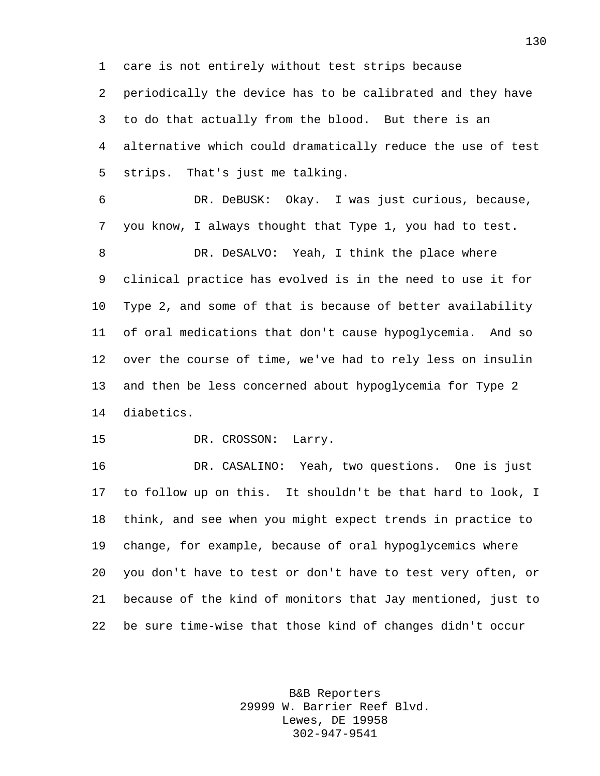care is not entirely without test strips because periodically the device has to be calibrated and they have to do that actually from the blood. But there is an alternative which could dramatically reduce the use of test strips. That's just me talking.

 DR. DeBUSK: Okay. I was just curious, because, you know, I always thought that Type 1, you had to test. 8 DR. DeSALVO: Yeah, I think the place where clinical practice has evolved is in the need to use it for Type 2, and some of that is because of better availability of oral medications that don't cause hypoglycemia. And so over the course of time, we've had to rely less on insulin and then be less concerned about hypoglycemia for Type 2 diabetics.

DR. CROSSON: Larry.

 DR. CASALINO: Yeah, two questions. One is just to follow up on this. It shouldn't be that hard to look, I think, and see when you might expect trends in practice to change, for example, because of oral hypoglycemics where you don't have to test or don't have to test very often, or because of the kind of monitors that Jay mentioned, just to be sure time-wise that those kind of changes didn't occur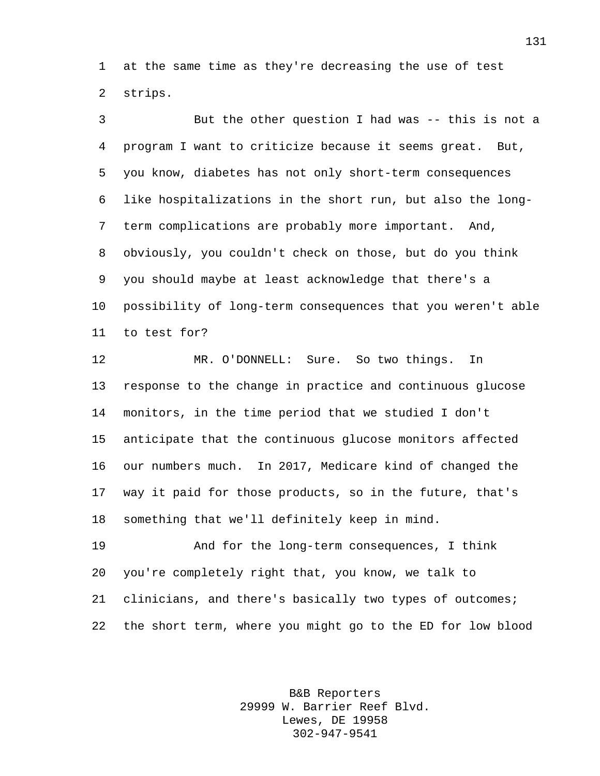at the same time as they're decreasing the use of test strips.

 But the other question I had was -- this is not a program I want to criticize because it seems great. But, you know, diabetes has not only short-term consequences like hospitalizations in the short run, but also the long- term complications are probably more important. And, obviously, you couldn't check on those, but do you think you should maybe at least acknowledge that there's a possibility of long-term consequences that you weren't able to test for?

 MR. O'DONNELL: Sure. So two things. In response to the change in practice and continuous glucose monitors, in the time period that we studied I don't anticipate that the continuous glucose monitors affected our numbers much. In 2017, Medicare kind of changed the way it paid for those products, so in the future, that's something that we'll definitely keep in mind.

 And for the long-term consequences, I think you're completely right that, you know, we talk to clinicians, and there's basically two types of outcomes; the short term, where you might go to the ED for low blood

> B&B Reporters 29999 W. Barrier Reef Blvd. Lewes, DE 19958 302-947-9541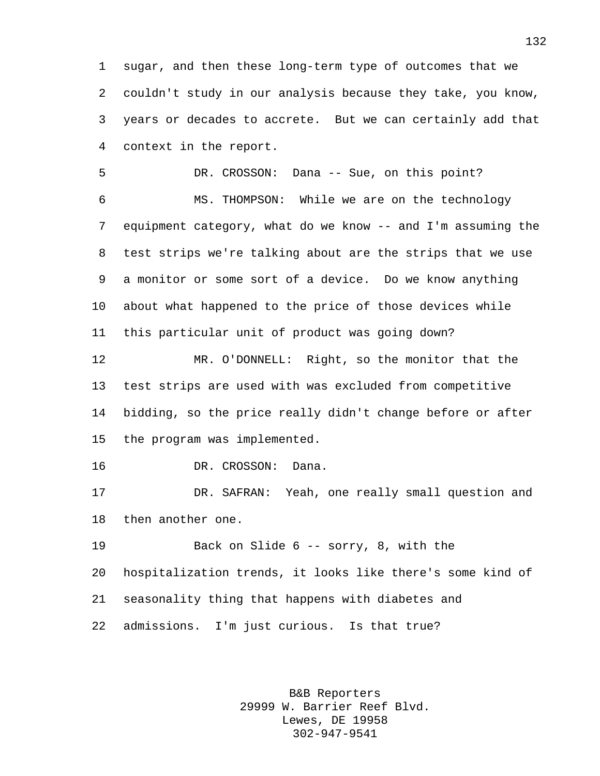sugar, and then these long-term type of outcomes that we couldn't study in our analysis because they take, you know, years or decades to accrete. But we can certainly add that context in the report.

 DR. CROSSON: Dana -- Sue, on this point? MS. THOMPSON: While we are on the technology equipment category, what do we know -- and I'm assuming the test strips we're talking about are the strips that we use a monitor or some sort of a device. Do we know anything about what happened to the price of those devices while this particular unit of product was going down?

 MR. O'DONNELL: Right, so the monitor that the test strips are used with was excluded from competitive bidding, so the price really didn't change before or after the program was implemented.

DR. CROSSON: Dana.

 DR. SAFRAN: Yeah, one really small question and then another one.

 Back on Slide 6 -- sorry, 8, with the hospitalization trends, it looks like there's some kind of seasonality thing that happens with diabetes and admissions. I'm just curious. Is that true?

> B&B Reporters 29999 W. Barrier Reef Blvd. Lewes, DE 19958 302-947-9541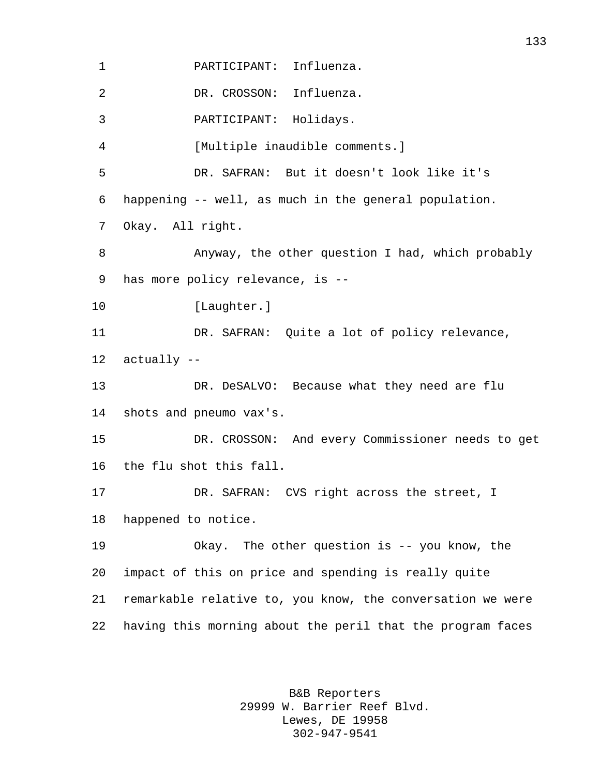PARTICIPANT: Influenza. DR. CROSSON: Influenza. PARTICIPANT: Holidays. [Multiple inaudible comments.] DR. SAFRAN: But it doesn't look like it's happening -- well, as much in the general population. Okay. All right. Anyway, the other question I had, which probably has more policy relevance, is -- 10 [Laughter.] DR. SAFRAN: Quite a lot of policy relevance, actually -- DR. DeSALVO: Because what they need are flu shots and pneumo vax's. DR. CROSSON: And every Commissioner needs to get the flu shot this fall. DR. SAFRAN: CVS right across the street, I happened to notice. Okay. The other question is -- you know, the impact of this on price and spending is really quite remarkable relative to, you know, the conversation we were having this morning about the peril that the program faces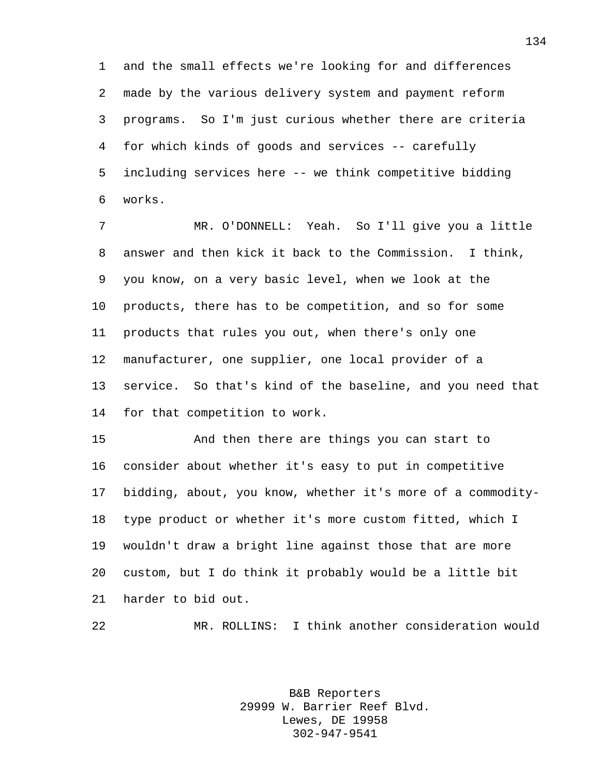and the small effects we're looking for and differences made by the various delivery system and payment reform programs. So I'm just curious whether there are criteria for which kinds of goods and services -- carefully including services here -- we think competitive bidding works.

 MR. O'DONNELL: Yeah. So I'll give you a little answer and then kick it back to the Commission. I think, you know, on a very basic level, when we look at the products, there has to be competition, and so for some products that rules you out, when there's only one manufacturer, one supplier, one local provider of a service. So that's kind of the baseline, and you need that for that competition to work.

 And then there are things you can start to consider about whether it's easy to put in competitive bidding, about, you know, whether it's more of a commodity- type product or whether it's more custom fitted, which I wouldn't draw a bright line against those that are more custom, but I do think it probably would be a little bit harder to bid out.

MR. ROLLINS: I think another consideration would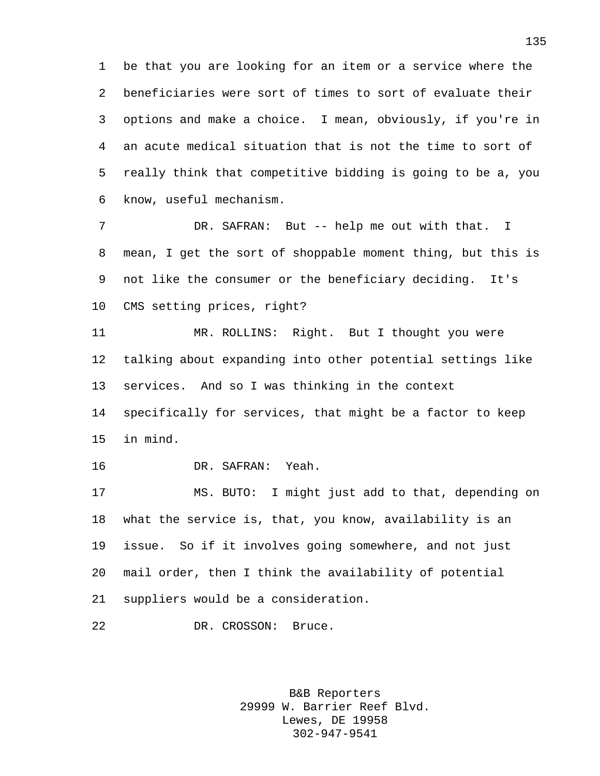be that you are looking for an item or a service where the beneficiaries were sort of times to sort of evaluate their options and make a choice. I mean, obviously, if you're in an acute medical situation that is not the time to sort of really think that competitive bidding is going to be a, you know, useful mechanism.

7 DR. SAFRAN: But -- help me out with that. I mean, I get the sort of shoppable moment thing, but this is not like the consumer or the beneficiary deciding. It's CMS setting prices, right?

 MR. ROLLINS: Right. But I thought you were talking about expanding into other potential settings like services. And so I was thinking in the context

 specifically for services, that might be a factor to keep in mind.

DR. SAFRAN: Yeah.

 MS. BUTO: I might just add to that, depending on what the service is, that, you know, availability is an issue. So if it involves going somewhere, and not just mail order, then I think the availability of potential suppliers would be a consideration.

DR. CROSSON: Bruce.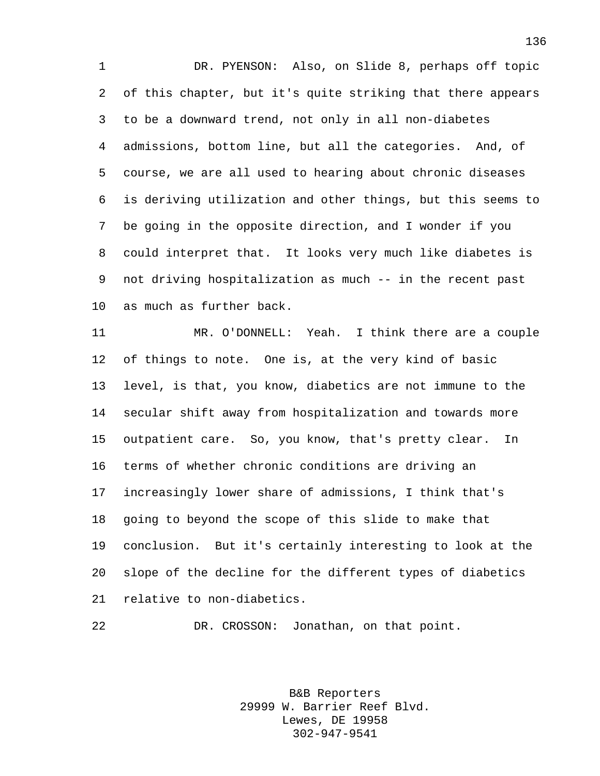DR. PYENSON: Also, on Slide 8, perhaps off topic of this chapter, but it's quite striking that there appears to be a downward trend, not only in all non-diabetes admissions, bottom line, but all the categories. And, of course, we are all used to hearing about chronic diseases is deriving utilization and other things, but this seems to be going in the opposite direction, and I wonder if you could interpret that. It looks very much like diabetes is not driving hospitalization as much -- in the recent past as much as further back.

 MR. O'DONNELL: Yeah. I think there are a couple of things to note. One is, at the very kind of basic level, is that, you know, diabetics are not immune to the secular shift away from hospitalization and towards more outpatient care. So, you know, that's pretty clear. In terms of whether chronic conditions are driving an increasingly lower share of admissions, I think that's going to beyond the scope of this slide to make that conclusion. But it's certainly interesting to look at the slope of the decline for the different types of diabetics relative to non-diabetics.

DR. CROSSON: Jonathan, on that point.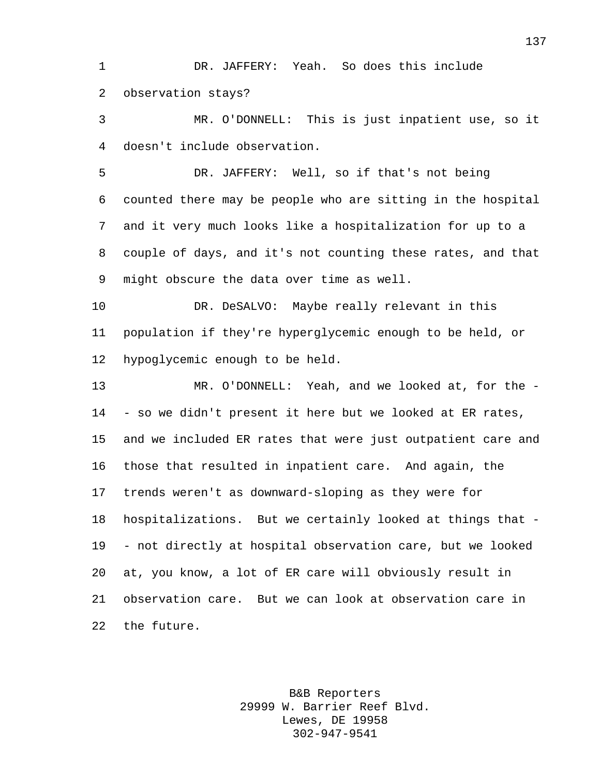DR. JAFFERY: Yeah. So does this include observation stays?

 MR. O'DONNELL: This is just inpatient use, so it doesn't include observation.

 DR. JAFFERY: Well, so if that's not being counted there may be people who are sitting in the hospital and it very much looks like a hospitalization for up to a couple of days, and it's not counting these rates, and that might obscure the data over time as well.

 DR. DeSALVO: Maybe really relevant in this population if they're hyperglycemic enough to be held, or hypoglycemic enough to be held.

 MR. O'DONNELL: Yeah, and we looked at, for the - - so we didn't present it here but we looked at ER rates, and we included ER rates that were just outpatient care and those that resulted in inpatient care. And again, the trends weren't as downward-sloping as they were for hospitalizations. But we certainly looked at things that - - not directly at hospital observation care, but we looked at, you know, a lot of ER care will obviously result in observation care. But we can look at observation care in the future.

> B&B Reporters 29999 W. Barrier Reef Blvd. Lewes, DE 19958 302-947-9541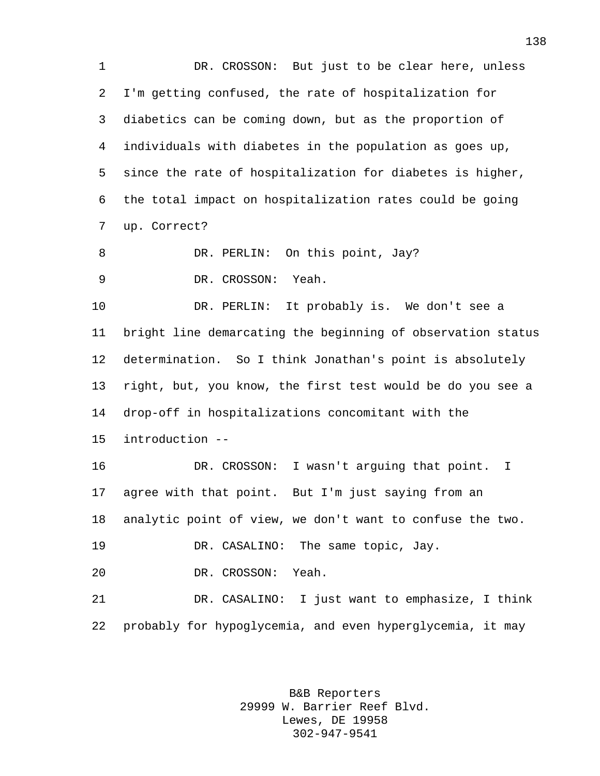DR. CROSSON: But just to be clear here, unless I'm getting confused, the rate of hospitalization for diabetics can be coming down, but as the proportion of individuals with diabetes in the population as goes up, since the rate of hospitalization for diabetes is higher, the total impact on hospitalization rates could be going up. Correct? 8 DR. PERLIN: On this point, Jay? DR. CROSSON: Yeah. DR. PERLIN: It probably is. We don't see a bright line demarcating the beginning of observation status determination. So I think Jonathan's point is absolutely right, but, you know, the first test would be do you see a drop-off in hospitalizations concomitant with the introduction -- DR. CROSSON: I wasn't arguing that point. I agree with that point. But I'm just saying from an analytic point of view, we don't want to confuse the two. DR. CASALINO: The same topic, Jay. DR. CROSSON: Yeah. DR. CASALINO: I just want to emphasize, I think probably for hypoglycemia, and even hyperglycemia, it may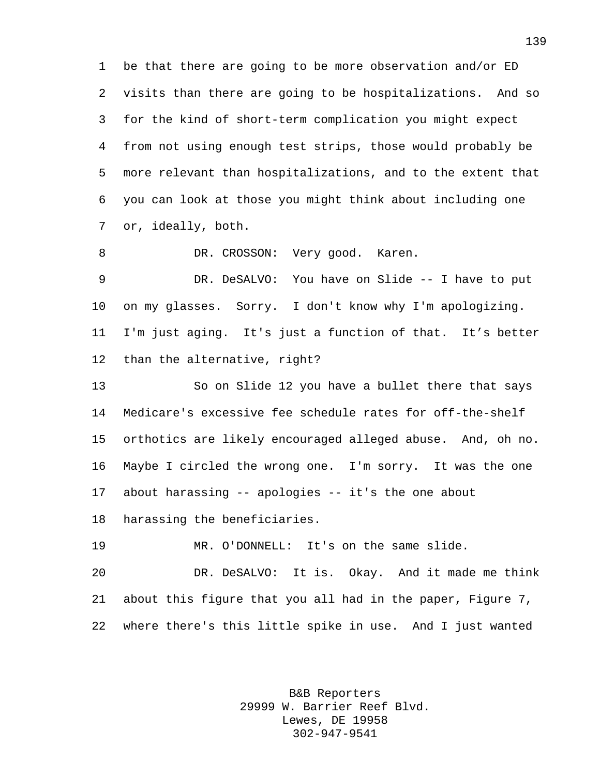be that there are going to be more observation and/or ED visits than there are going to be hospitalizations. And so for the kind of short-term complication you might expect from not using enough test strips, those would probably be more relevant than hospitalizations, and to the extent that you can look at those you might think about including one or, ideally, both.

8 DR. CROSSON: Very good. Karen.

 DR. DeSALVO: You have on Slide -- I have to put on my glasses. Sorry. I don't know why I'm apologizing. I'm just aging. It's just a function of that. It's better than the alternative, right?

 So on Slide 12 you have a bullet there that says Medicare's excessive fee schedule rates for off-the-shelf orthotics are likely encouraged alleged abuse. And, oh no. Maybe I circled the wrong one. I'm sorry. It was the one about harassing -- apologies -- it's the one about harassing the beneficiaries.

MR. O'DONNELL: It's on the same slide.

 DR. DeSALVO: It is. Okay. And it made me think about this figure that you all had in the paper, Figure 7, where there's this little spike in use. And I just wanted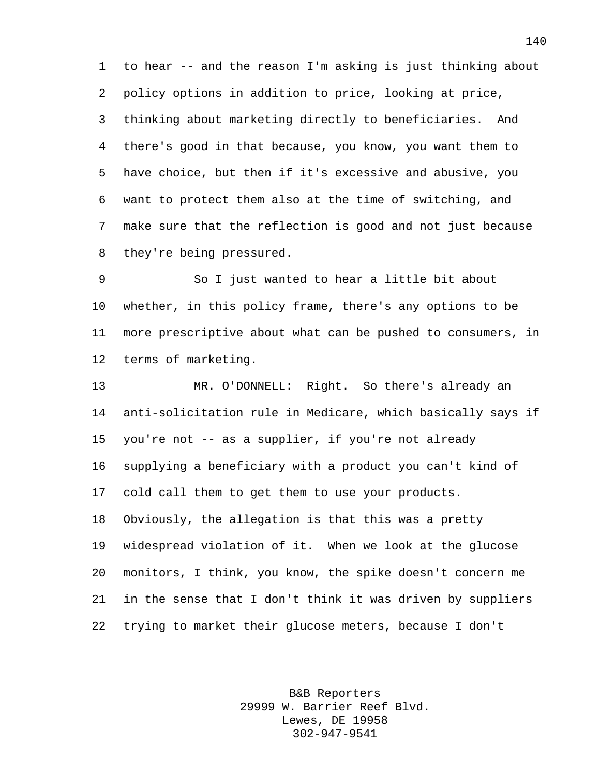to hear -- and the reason I'm asking is just thinking about policy options in addition to price, looking at price, thinking about marketing directly to beneficiaries. And there's good in that because, you know, you want them to have choice, but then if it's excessive and abusive, you want to protect them also at the time of switching, and make sure that the reflection is good and not just because they're being pressured.

 So I just wanted to hear a little bit about whether, in this policy frame, there's any options to be more prescriptive about what can be pushed to consumers, in terms of marketing.

 MR. O'DONNELL: Right. So there's already an anti-solicitation rule in Medicare, which basically says if you're not -- as a supplier, if you're not already supplying a beneficiary with a product you can't kind of cold call them to get them to use your products. Obviously, the allegation is that this was a pretty widespread violation of it. When we look at the glucose monitors, I think, you know, the spike doesn't concern me in the sense that I don't think it was driven by suppliers trying to market their glucose meters, because I don't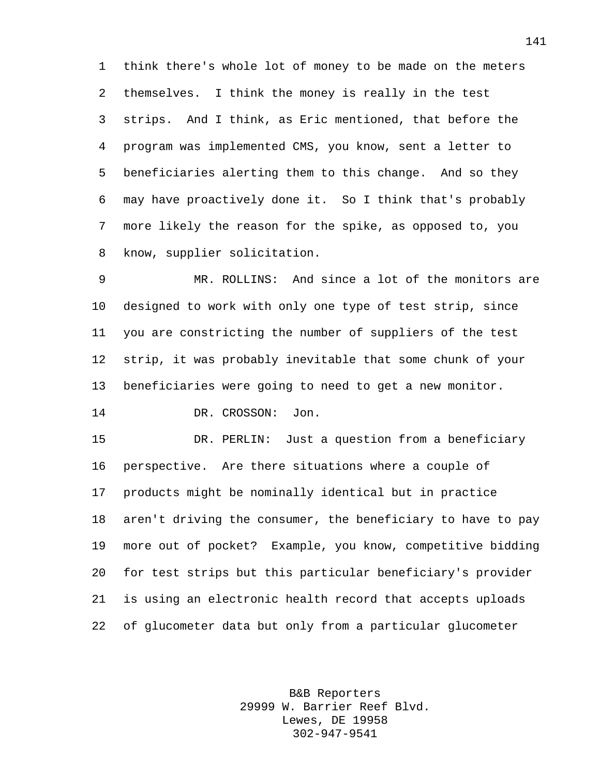think there's whole lot of money to be made on the meters themselves. I think the money is really in the test strips. And I think, as Eric mentioned, that before the program was implemented CMS, you know, sent a letter to beneficiaries alerting them to this change. And so they may have proactively done it. So I think that's probably more likely the reason for the spike, as opposed to, you know, supplier solicitation.

 MR. ROLLINS: And since a lot of the monitors are designed to work with only one type of test strip, since you are constricting the number of suppliers of the test strip, it was probably inevitable that some chunk of your beneficiaries were going to need to get a new monitor.

DR. CROSSON: Jon.

 DR. PERLIN: Just a question from a beneficiary perspective. Are there situations where a couple of products might be nominally identical but in practice aren't driving the consumer, the beneficiary to have to pay more out of pocket? Example, you know, competitive bidding for test strips but this particular beneficiary's provider is using an electronic health record that accepts uploads of glucometer data but only from a particular glucometer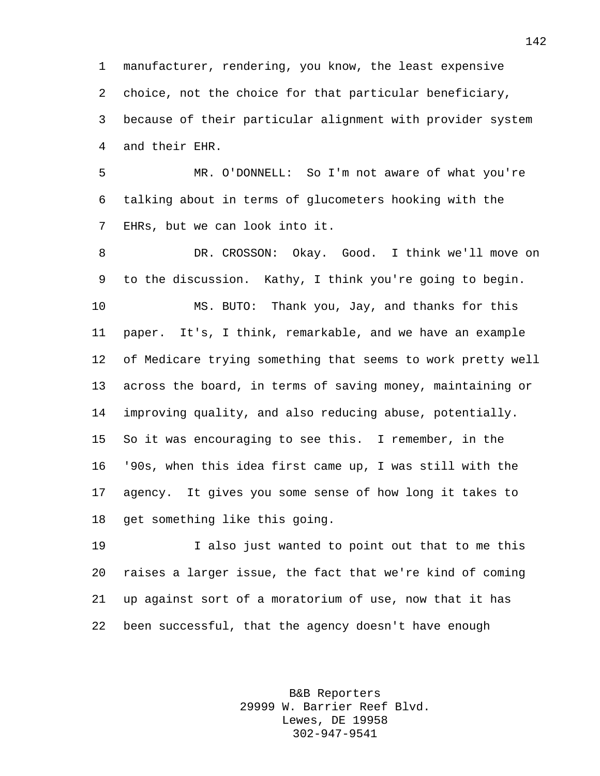manufacturer, rendering, you know, the least expensive choice, not the choice for that particular beneficiary, because of their particular alignment with provider system and their EHR.

 MR. O'DONNELL: So I'm not aware of what you're talking about in terms of glucometers hooking with the EHRs, but we can look into it.

 DR. CROSSON: Okay. Good. I think we'll move on to the discussion. Kathy, I think you're going to begin. MS. BUTO: Thank you, Jay, and thanks for this paper. It's, I think, remarkable, and we have an example of Medicare trying something that seems to work pretty well across the board, in terms of saving money, maintaining or improving quality, and also reducing abuse, potentially. So it was encouraging to see this. I remember, in the '90s, when this idea first came up, I was still with the agency. It gives you some sense of how long it takes to get something like this going.

 I also just wanted to point out that to me this raises a larger issue, the fact that we're kind of coming up against sort of a moratorium of use, now that it has been successful, that the agency doesn't have enough

> B&B Reporters 29999 W. Barrier Reef Blvd. Lewes, DE 19958 302-947-9541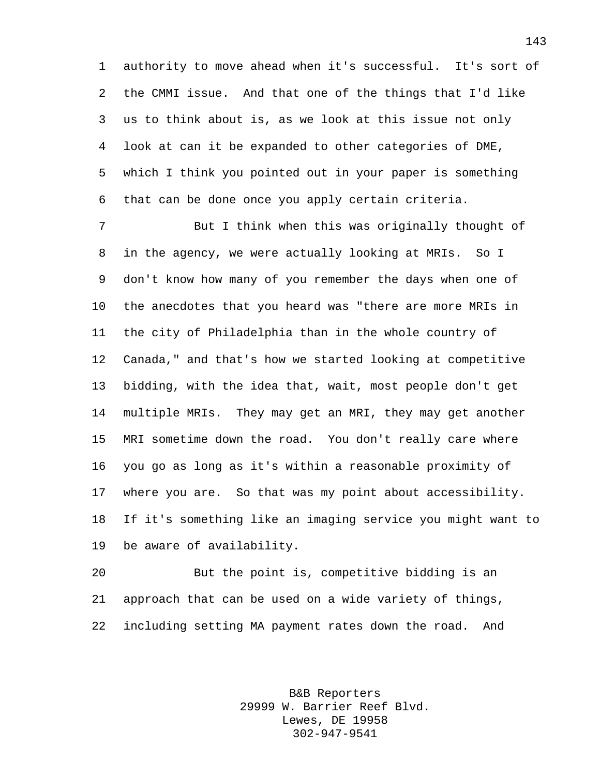authority to move ahead when it's successful. It's sort of the CMMI issue. And that one of the things that I'd like us to think about is, as we look at this issue not only look at can it be expanded to other categories of DME, which I think you pointed out in your paper is something that can be done once you apply certain criteria.

 But I think when this was originally thought of in the agency, we were actually looking at MRIs. So I don't know how many of you remember the days when one of the anecdotes that you heard was "there are more MRIs in the city of Philadelphia than in the whole country of Canada," and that's how we started looking at competitive bidding, with the idea that, wait, most people don't get multiple MRIs. They may get an MRI, they may get another MRI sometime down the road. You don't really care where you go as long as it's within a reasonable proximity of where you are. So that was my point about accessibility. If it's something like an imaging service you might want to be aware of availability.

 But the point is, competitive bidding is an approach that can be used on a wide variety of things, including setting MA payment rates down the road. And

> B&B Reporters 29999 W. Barrier Reef Blvd. Lewes, DE 19958 302-947-9541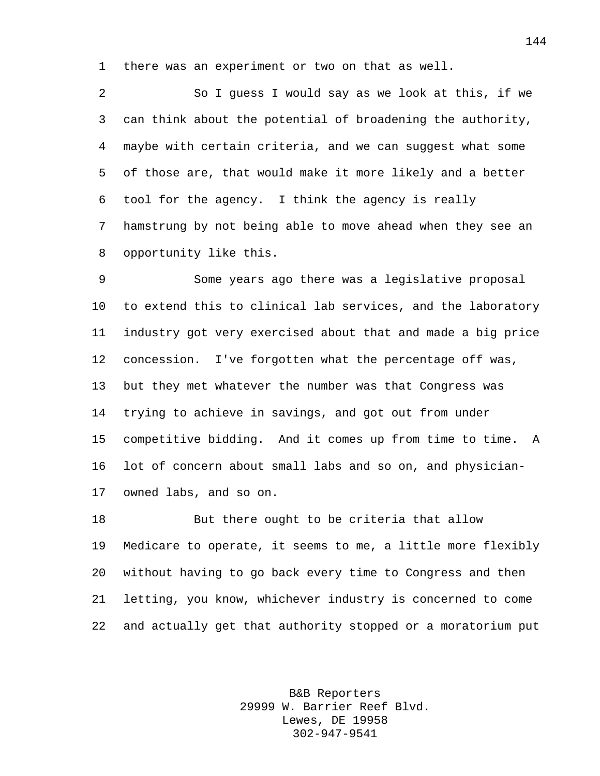there was an experiment or two on that as well.

 So I guess I would say as we look at this, if we can think about the potential of broadening the authority, maybe with certain criteria, and we can suggest what some of those are, that would make it more likely and a better tool for the agency. I think the agency is really hamstrung by not being able to move ahead when they see an opportunity like this.

 Some years ago there was a legislative proposal to extend this to clinical lab services, and the laboratory industry got very exercised about that and made a big price concession. I've forgotten what the percentage off was, but they met whatever the number was that Congress was trying to achieve in savings, and got out from under competitive bidding. And it comes up from time to time. A lot of concern about small labs and so on, and physician-owned labs, and so on.

18 But there ought to be criteria that allow Medicare to operate, it seems to me, a little more flexibly without having to go back every time to Congress and then letting, you know, whichever industry is concerned to come and actually get that authority stopped or a moratorium put

> B&B Reporters 29999 W. Barrier Reef Blvd. Lewes, DE 19958 302-947-9541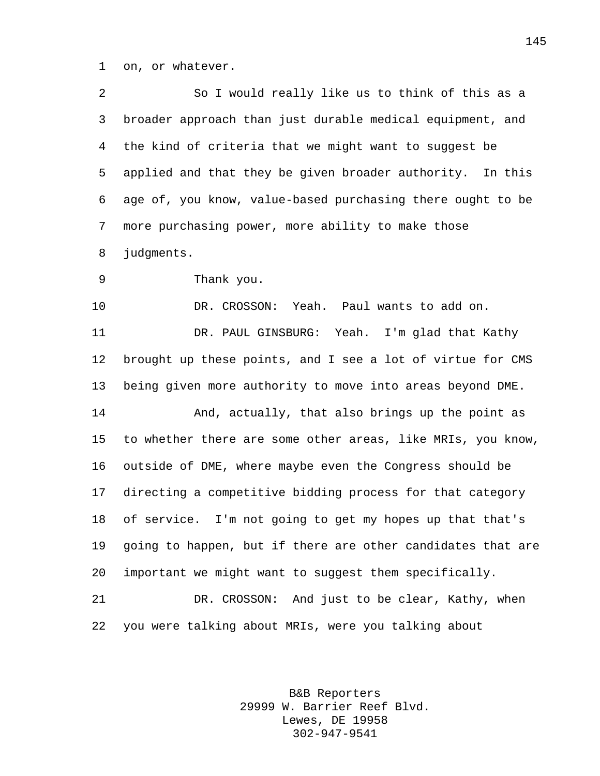on, or whatever.

| 2  | So I would really like us to think of this as a             |
|----|-------------------------------------------------------------|
| 3  | broader approach than just durable medical equipment, and   |
| 4  | the kind of criteria that we might want to suggest be       |
| 5  | applied and that they be given broader authority. In this   |
| 6  | age of, you know, value-based purchasing there ought to be  |
| 7  | more purchasing power, more ability to make those           |
| 8  | judgments.                                                  |
| 9  | Thank you.                                                  |
| 10 | DR. CROSSON: Yeah. Paul wants to add on.                    |
| 11 | DR. PAUL GINSBURG: Yeah. I'm glad that Kathy                |
| 12 | brought up these points, and I see a lot of virtue for CMS  |
| 13 | being given more authority to move into areas beyond DME.   |
| 14 | And, actually, that also brings up the point as             |
| 15 | to whether there are some other areas, like MRIs, you know, |
| 16 | outside of DME, where maybe even the Congress should be     |
| 17 | directing a competitive bidding process for that category   |
| 18 | I'm not going to get my hopes up that that's<br>of service. |
| 19 | going to happen, but if there are other candidates that are |
| 20 | important we might want to suggest them specifically.       |
| 21 | DR. CROSSON: And just to be clear, Kathy, when              |
| 22 | you were talking about MRIs, were you talking about         |

B&B Reporters 29999 W. Barrier Reef Blvd. Lewes, DE 19958 302-947-9541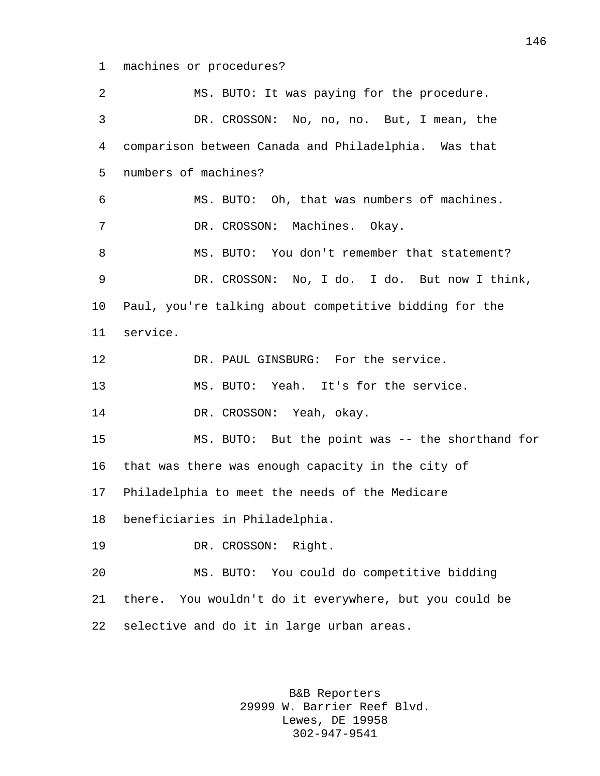machines or procedures?

 MS. BUTO: It was paying for the procedure. DR. CROSSON: No, no, no. But, I mean, the comparison between Canada and Philadelphia. Was that numbers of machines? MS. BUTO: Oh, that was numbers of machines. DR. CROSSON: Machines. Okay. 8 MS. BUTO: You don't remember that statement? DR. CROSSON: No, I do. I do. But now I think, Paul, you're talking about competitive bidding for the service. 12 DR. PAUL GINSBURG: For the service. MS. BUTO: Yeah. It's for the service. 14 DR. CROSSON: Yeah, okay. MS. BUTO: But the point was -- the shorthand for that was there was enough capacity in the city of Philadelphia to meet the needs of the Medicare beneficiaries in Philadelphia. DR. CROSSON: Right. MS. BUTO: You could do competitive bidding there. You wouldn't do it everywhere, but you could be selective and do it in large urban areas.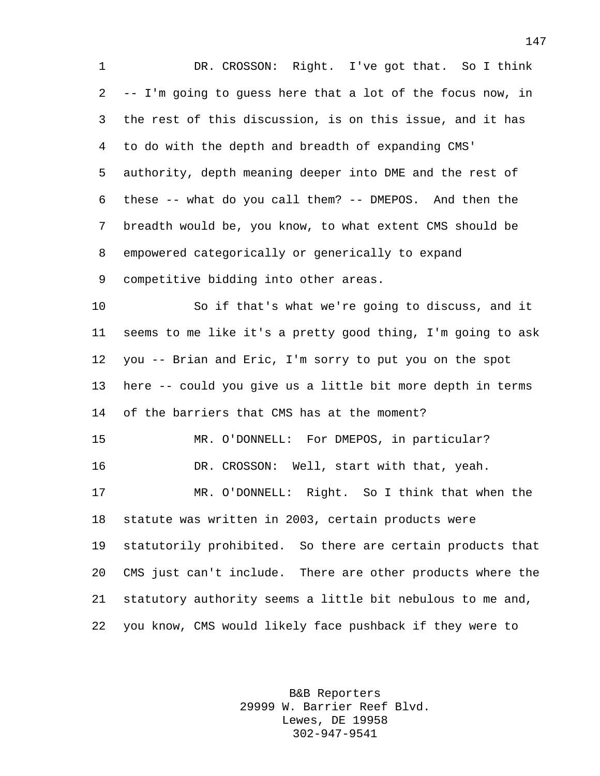DR. CROSSON: Right. I've got that. So I think -- I'm going to guess here that a lot of the focus now, in the rest of this discussion, is on this issue, and it has to do with the depth and breadth of expanding CMS' authority, depth meaning deeper into DME and the rest of these -- what do you call them? -- DMEPOS. And then the breadth would be, you know, to what extent CMS should be empowered categorically or generically to expand competitive bidding into other areas. So if that's what we're going to discuss, and it seems to me like it's a pretty good thing, I'm going to ask you -- Brian and Eric, I'm sorry to put you on the spot here -- could you give us a little bit more depth in terms of the barriers that CMS has at the moment?

 MR. O'DONNELL: For DMEPOS, in particular? DR. CROSSON: Well, start with that, yeah.

 MR. O'DONNELL: Right. So I think that when the statute was written in 2003, certain products were statutorily prohibited. So there are certain products that CMS just can't include. There are other products where the statutory authority seems a little bit nebulous to me and, you know, CMS would likely face pushback if they were to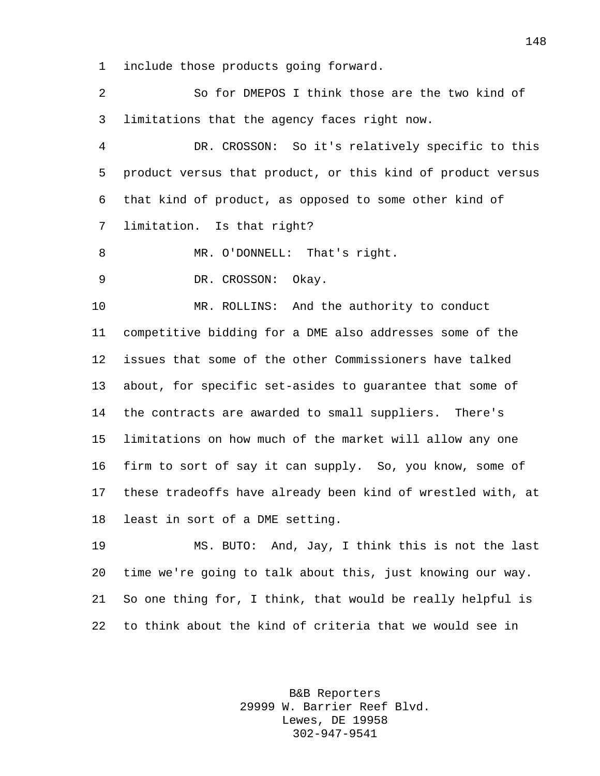include those products going forward.

 So for DMEPOS I think those are the two kind of limitations that the agency faces right now.

 DR. CROSSON: So it's relatively specific to this product versus that product, or this kind of product versus that kind of product, as opposed to some other kind of limitation. Is that right?

MR. O'DONNELL: That's right.

DR. CROSSON: Okay.

 MR. ROLLINS: And the authority to conduct competitive bidding for a DME also addresses some of the issues that some of the other Commissioners have talked about, for specific set-asides to guarantee that some of the contracts are awarded to small suppliers. There's limitations on how much of the market will allow any one firm to sort of say it can supply. So, you know, some of these tradeoffs have already been kind of wrestled with, at least in sort of a DME setting.

 MS. BUTO: And, Jay, I think this is not the last time we're going to talk about this, just knowing our way. So one thing for, I think, that would be really helpful is to think about the kind of criteria that we would see in

> B&B Reporters 29999 W. Barrier Reef Blvd. Lewes, DE 19958 302-947-9541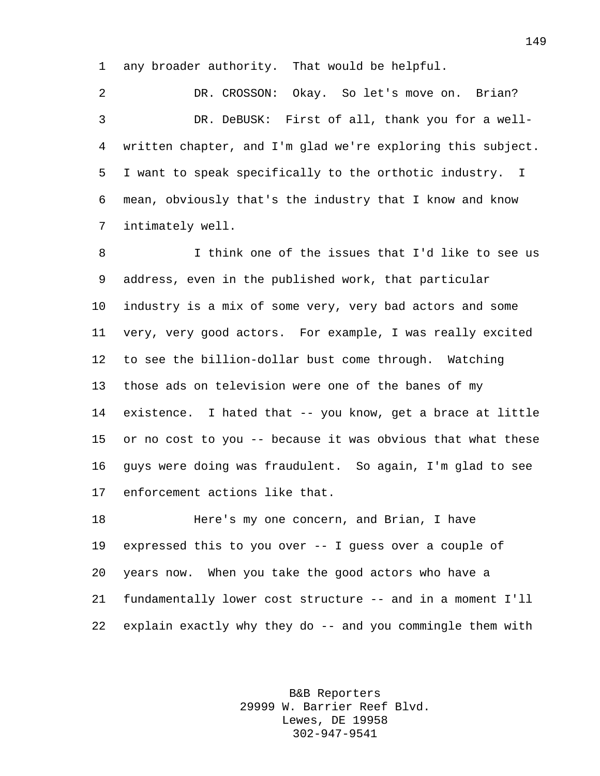any broader authority. That would be helpful.

 DR. CROSSON: Okay. So let's move on. Brian? DR. DeBUSK: First of all, thank you for a well- written chapter, and I'm glad we're exploring this subject. I want to speak specifically to the orthotic industry. I mean, obviously that's the industry that I know and know intimately well.

 I think one of the issues that I'd like to see us address, even in the published work, that particular industry is a mix of some very, very bad actors and some very, very good actors. For example, I was really excited to see the billion-dollar bust come through. Watching those ads on television were one of the banes of my existence. I hated that -- you know, get a brace at little or no cost to you -- because it was obvious that what these guys were doing was fraudulent. So again, I'm glad to see enforcement actions like that.

 Here's my one concern, and Brian, I have expressed this to you over -- I guess over a couple of years now. When you take the good actors who have a fundamentally lower cost structure -- and in a moment I'll explain exactly why they do -- and you commingle them with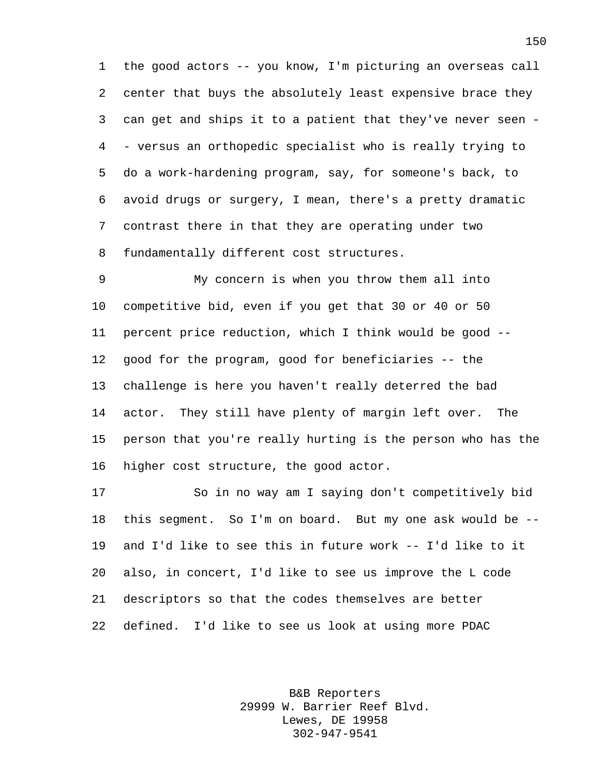the good actors -- you know, I'm picturing an overseas call center that buys the absolutely least expensive brace they can get and ships it to a patient that they've never seen - - versus an orthopedic specialist who is really trying to do a work-hardening program, say, for someone's back, to avoid drugs or surgery, I mean, there's a pretty dramatic contrast there in that they are operating under two fundamentally different cost structures.

 My concern is when you throw them all into competitive bid, even if you get that 30 or 40 or 50 percent price reduction, which I think would be good -- good for the program, good for beneficiaries -- the challenge is here you haven't really deterred the bad actor. They still have plenty of margin left over. The person that you're really hurting is the person who has the higher cost structure, the good actor.

 So in no way am I saying don't competitively bid this segment. So I'm on board. But my one ask would be -- and I'd like to see this in future work -- I'd like to it also, in concert, I'd like to see us improve the L code descriptors so that the codes themselves are better defined. I'd like to see us look at using more PDAC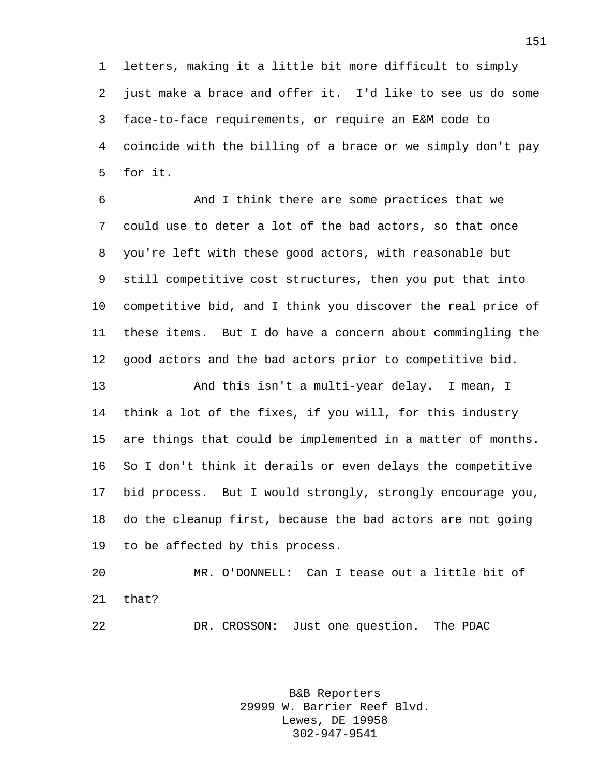letters, making it a little bit more difficult to simply just make a brace and offer it. I'd like to see us do some face-to-face requirements, or require an E&M code to coincide with the billing of a brace or we simply don't pay for it.

 And I think there are some practices that we could use to deter a lot of the bad actors, so that once you're left with these good actors, with reasonable but still competitive cost structures, then you put that into competitive bid, and I think you discover the real price of these items. But I do have a concern about commingling the good actors and the bad actors prior to competitive bid.

 And this isn't a multi-year delay. I mean, I think a lot of the fixes, if you will, for this industry are things that could be implemented in a matter of months. So I don't think it derails or even delays the competitive bid process. But I would strongly, strongly encourage you, do the cleanup first, because the bad actors are not going to be affected by this process.

 MR. O'DONNELL: Can I tease out a little bit of that?

DR. CROSSON: Just one question. The PDAC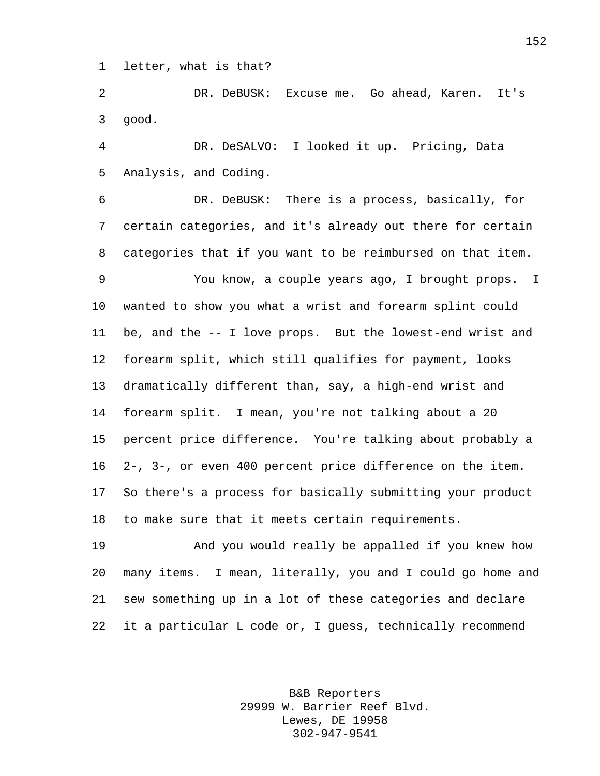letter, what is that?

 DR. DeBUSK: Excuse me. Go ahead, Karen. It's good.

 DR. DeSALVO: I looked it up. Pricing, Data Analysis, and Coding.

 DR. DeBUSK: There is a process, basically, for certain categories, and it's already out there for certain categories that if you want to be reimbursed on that item.

 You know, a couple years ago, I brought props. I wanted to show you what a wrist and forearm splint could be, and the -- I love props. But the lowest-end wrist and forearm split, which still qualifies for payment, looks dramatically different than, say, a high-end wrist and forearm split. I mean, you're not talking about a 20 percent price difference. You're talking about probably a 2-, 3-, or even 400 percent price difference on the item. So there's a process for basically submitting your product to make sure that it meets certain requirements.

 And you would really be appalled if you knew how many items. I mean, literally, you and I could go home and sew something up in a lot of these categories and declare it a particular L code or, I guess, technically recommend

> B&B Reporters 29999 W. Barrier Reef Blvd. Lewes, DE 19958 302-947-9541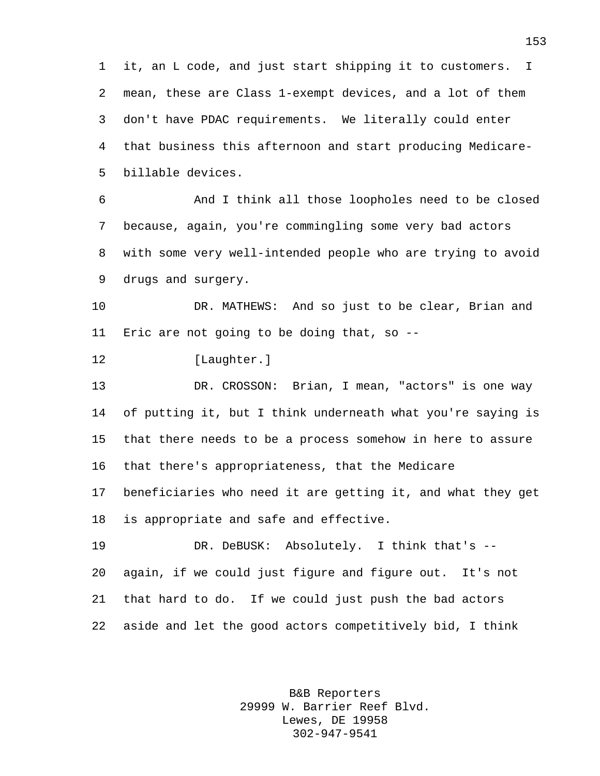it, an L code, and just start shipping it to customers. I mean, these are Class 1-exempt devices, and a lot of them don't have PDAC requirements. We literally could enter that business this afternoon and start producing Medicare-billable devices.

 And I think all those loopholes need to be closed because, again, you're commingling some very bad actors with some very well-intended people who are trying to avoid drugs and surgery.

 DR. MATHEWS: And so just to be clear, Brian and Eric are not going to be doing that, so --

12 [Laughter.]

 DR. CROSSON: Brian, I mean, "actors" is one way of putting it, but I think underneath what you're saying is that there needs to be a process somehow in here to assure that there's appropriateness, that the Medicare beneficiaries who need it are getting it, and what they get

is appropriate and safe and effective.

 DR. DeBUSK: Absolutely. I think that's -- again, if we could just figure and figure out. It's not that hard to do. If we could just push the bad actors aside and let the good actors competitively bid, I think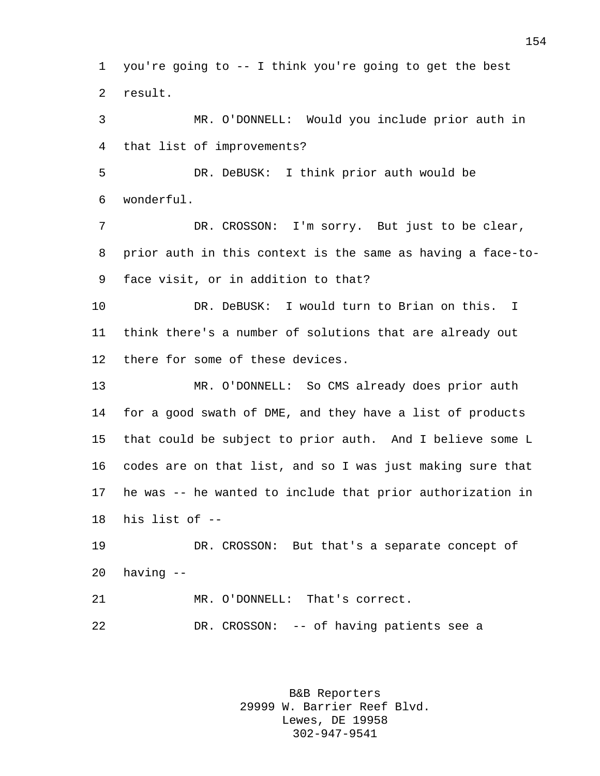you're going to -- I think you're going to get the best result.

 MR. O'DONNELL: Would you include prior auth in that list of improvements?

 DR. DeBUSK: I think prior auth would be wonderful.

 DR. CROSSON: I'm sorry. But just to be clear, prior auth in this context is the same as having a face-to-face visit, or in addition to that?

 DR. DeBUSK: I would turn to Brian on this. I think there's a number of solutions that are already out there for some of these devices.

 MR. O'DONNELL: So CMS already does prior auth for a good swath of DME, and they have a list of products that could be subject to prior auth. And I believe some L codes are on that list, and so I was just making sure that he was -- he wanted to include that prior authorization in his list of --

 DR. CROSSON: But that's a separate concept of having --

 MR. O'DONNELL: That's correct. DR. CROSSON: -- of having patients see a

> B&B Reporters 29999 W. Barrier Reef Blvd. Lewes, DE 19958 302-947-9541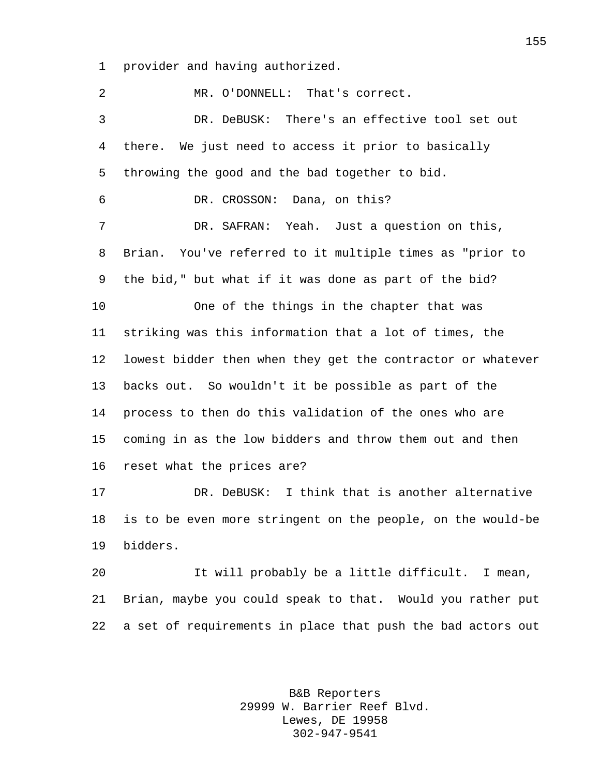provider and having authorized.

 MR. O'DONNELL: That's correct. DR. DeBUSK: There's an effective tool set out there. We just need to access it prior to basically throwing the good and the bad together to bid. DR. CROSSON: Dana, on this? DR. SAFRAN: Yeah. Just a question on this, Brian. You've referred to it multiple times as "prior to the bid," but what if it was done as part of the bid? One of the things in the chapter that was striking was this information that a lot of times, the lowest bidder then when they get the contractor or whatever backs out. So wouldn't it be possible as part of the process to then do this validation of the ones who are coming in as the low bidders and throw them out and then reset what the prices are? DR. DeBUSK: I think that is another alternative is to be even more stringent on the people, on the would-be bidders. It will probably be a little difficult. I mean, Brian, maybe you could speak to that. Would you rather put a set of requirements in place that push the bad actors out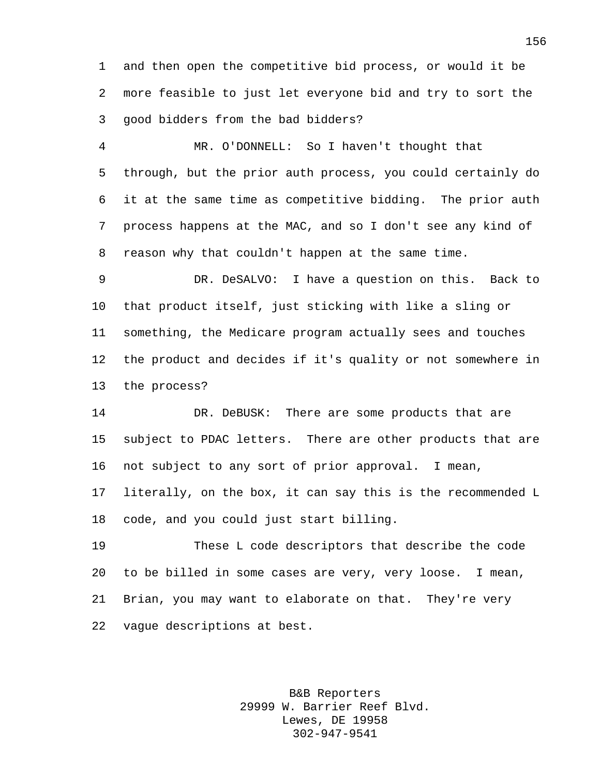and then open the competitive bid process, or would it be more feasible to just let everyone bid and try to sort the good bidders from the bad bidders?

 MR. O'DONNELL: So I haven't thought that through, but the prior auth process, you could certainly do it at the same time as competitive bidding. The prior auth process happens at the MAC, and so I don't see any kind of reason why that couldn't happen at the same time.

 DR. DeSALVO: I have a question on this. Back to that product itself, just sticking with like a sling or something, the Medicare program actually sees and touches the product and decides if it's quality or not somewhere in the process?

 DR. DeBUSK: There are some products that are subject to PDAC letters. There are other products that are not subject to any sort of prior approval. I mean,

 literally, on the box, it can say this is the recommended L code, and you could just start billing.

 These L code descriptors that describe the code to be billed in some cases are very, very loose. I mean, Brian, you may want to elaborate on that. They're very vague descriptions at best.

> B&B Reporters 29999 W. Barrier Reef Blvd. Lewes, DE 19958 302-947-9541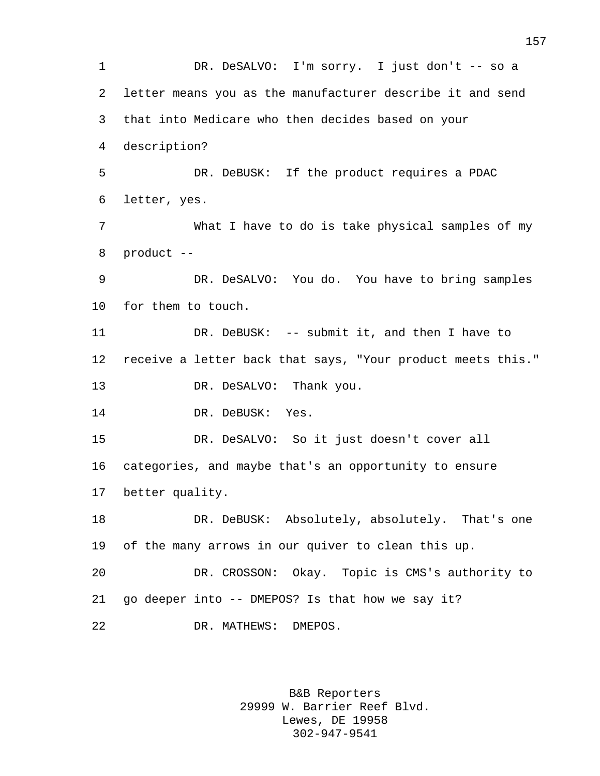1 DR. DeSALVO: I'm sorry. I just don't -- so a letter means you as the manufacturer describe it and send that into Medicare who then decides based on your description? DR. DeBUSK: If the product requires a PDAC letter, yes. What I have to do is take physical samples of my product -- DR. DeSALVO: You do. You have to bring samples for them to touch. 11 DR. DeBUSK: -- submit it, and then I have to receive a letter back that says, "Your product meets this." 13 DR. DeSALVO: Thank you. 14 DR. DeBUSK: Yes. DR. DeSALVO: So it just doesn't cover all categories, and maybe that's an opportunity to ensure better quality. DR. DeBUSK: Absolutely, absolutely. That's one of the many arrows in our quiver to clean this up. DR. CROSSON: Okay. Topic is CMS's authority to go deeper into -- DMEPOS? Is that how we say it? DR. MATHEWS: DMEPOS.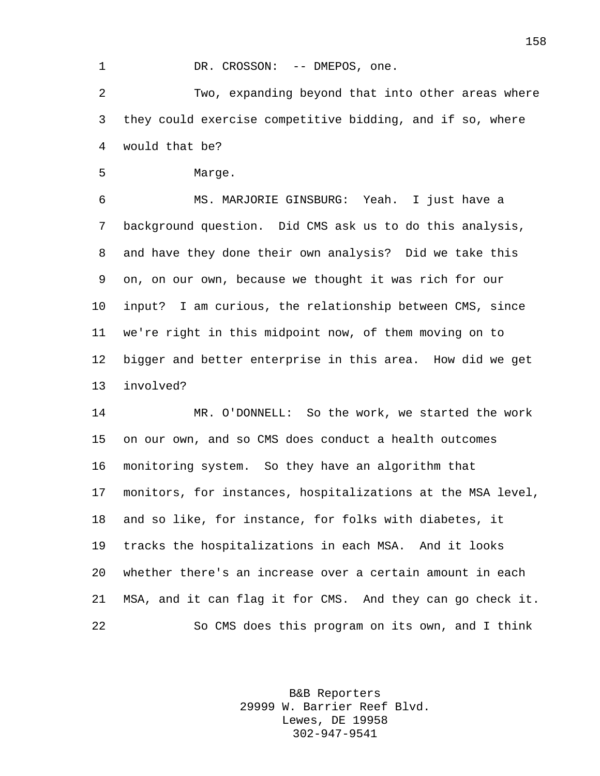## 1 DR. CROSSON: -- DMEPOS, one.

 Two, expanding beyond that into other areas where they could exercise competitive bidding, and if so, where would that be?

Marge.

 MS. MARJORIE GINSBURG: Yeah. I just have a background question. Did CMS ask us to do this analysis, and have they done their own analysis? Did we take this on, on our own, because we thought it was rich for our input? I am curious, the relationship between CMS, since we're right in this midpoint now, of them moving on to bigger and better enterprise in this area. How did we get involved?

 MR. O'DONNELL: So the work, we started the work on our own, and so CMS does conduct a health outcomes monitoring system. So they have an algorithm that monitors, for instances, hospitalizations at the MSA level, and so like, for instance, for folks with diabetes, it tracks the hospitalizations in each MSA. And it looks whether there's an increase over a certain amount in each MSA, and it can flag it for CMS. And they can go check it. So CMS does this program on its own, and I think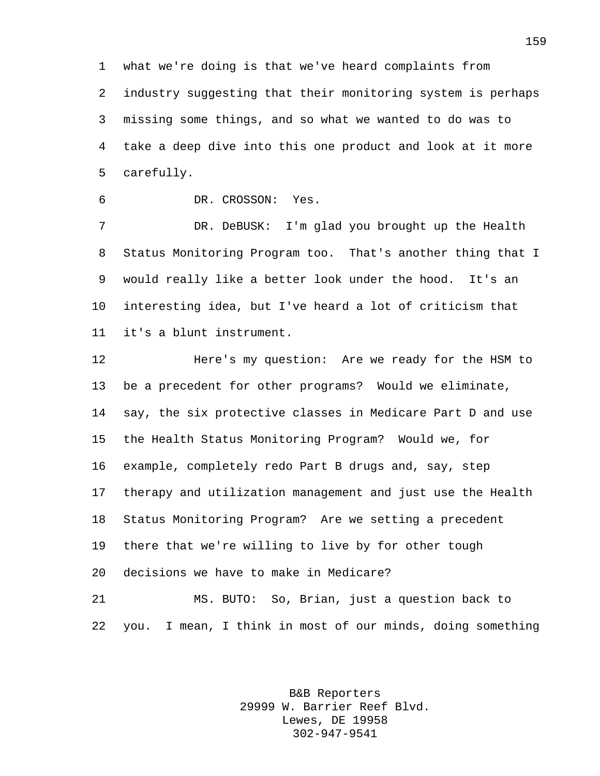what we're doing is that we've heard complaints from industry suggesting that their monitoring system is perhaps missing some things, and so what we wanted to do was to take a deep dive into this one product and look at it more carefully.

DR. CROSSON: Yes.

 DR. DeBUSK: I'm glad you brought up the Health Status Monitoring Program too. That's another thing that I would really like a better look under the hood. It's an interesting idea, but I've heard a lot of criticism that it's a blunt instrument.

 Here's my question: Are we ready for the HSM to be a precedent for other programs? Would we eliminate, say, the six protective classes in Medicare Part D and use the Health Status Monitoring Program? Would we, for example, completely redo Part B drugs and, say, step therapy and utilization management and just use the Health Status Monitoring Program? Are we setting a precedent there that we're willing to live by for other tough decisions we have to make in Medicare?

 MS. BUTO: So, Brian, just a question back to you. I mean, I think in most of our minds, doing something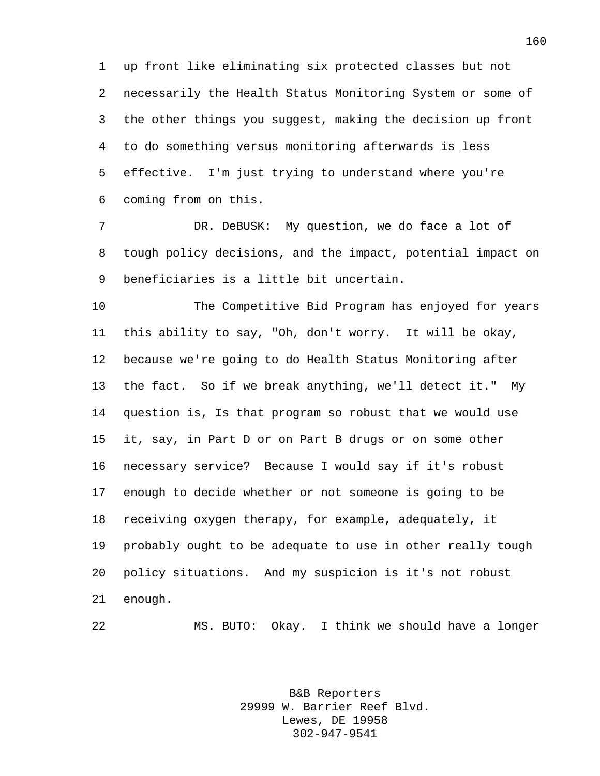up front like eliminating six protected classes but not necessarily the Health Status Monitoring System or some of the other things you suggest, making the decision up front to do something versus monitoring afterwards is less effective. I'm just trying to understand where you're coming from on this.

 DR. DeBUSK: My question, we do face a lot of tough policy decisions, and the impact, potential impact on beneficiaries is a little bit uncertain.

 The Competitive Bid Program has enjoyed for years this ability to say, "Oh, don't worry. It will be okay, because we're going to do Health Status Monitoring after the fact. So if we break anything, we'll detect it." My question is, Is that program so robust that we would use it, say, in Part D or on Part B drugs or on some other necessary service? Because I would say if it's robust enough to decide whether or not someone is going to be receiving oxygen therapy, for example, adequately, it probably ought to be adequate to use in other really tough policy situations. And my suspicion is it's not robust enough.

MS. BUTO: Okay. I think we should have a longer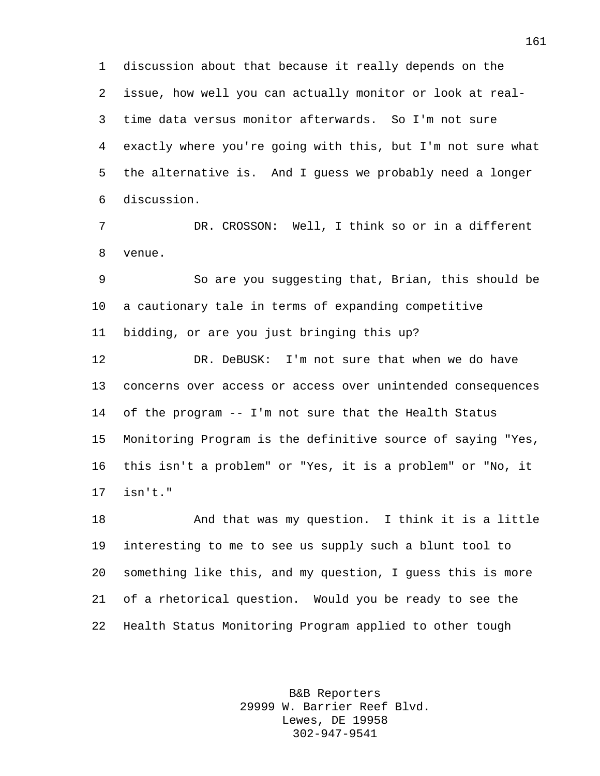discussion about that because it really depends on the issue, how well you can actually monitor or look at real- time data versus monitor afterwards. So I'm not sure exactly where you're going with this, but I'm not sure what the alternative is. And I guess we probably need a longer discussion.

 DR. CROSSON: Well, I think so or in a different venue.

 So are you suggesting that, Brian, this should be a cautionary tale in terms of expanding competitive bidding, or are you just bringing this up?

 DR. DeBUSK: I'm not sure that when we do have concerns over access or access over unintended consequences of the program -- I'm not sure that the Health Status Monitoring Program is the definitive source of saying "Yes, this isn't a problem" or "Yes, it is a problem" or "No, it isn't."

 And that was my question. I think it is a little interesting to me to see us supply such a blunt tool to something like this, and my question, I guess this is more of a rhetorical question. Would you be ready to see the Health Status Monitoring Program applied to other tough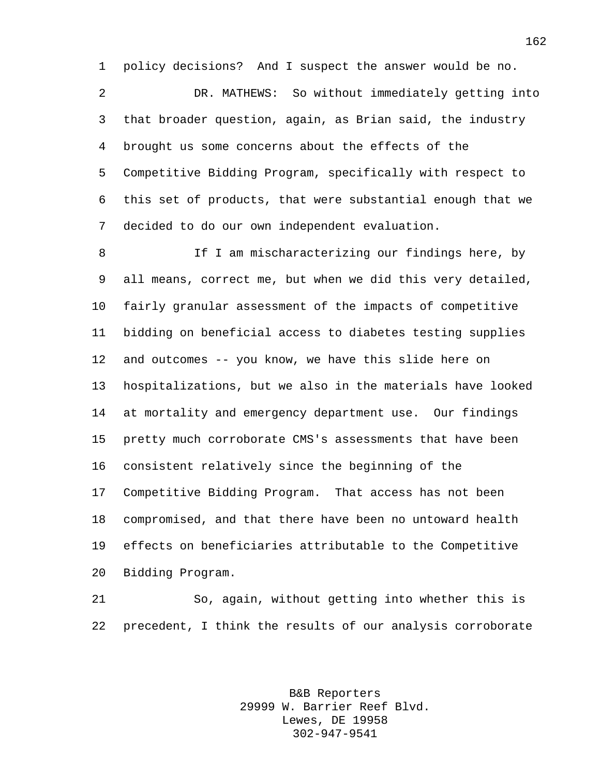policy decisions? And I suspect the answer would be no.

 DR. MATHEWS: So without immediately getting into that broader question, again, as Brian said, the industry brought us some concerns about the effects of the Competitive Bidding Program, specifically with respect to this set of products, that were substantial enough that we decided to do our own independent evaluation.

8 If I am mischaracterizing our findings here, by all means, correct me, but when we did this very detailed, fairly granular assessment of the impacts of competitive bidding on beneficial access to diabetes testing supplies and outcomes -- you know, we have this slide here on hospitalizations, but we also in the materials have looked at mortality and emergency department use. Our findings pretty much corroborate CMS's assessments that have been consistent relatively since the beginning of the Competitive Bidding Program. That access has not been compromised, and that there have been no untoward health effects on beneficiaries attributable to the Competitive Bidding Program.

 So, again, without getting into whether this is precedent, I think the results of our analysis corroborate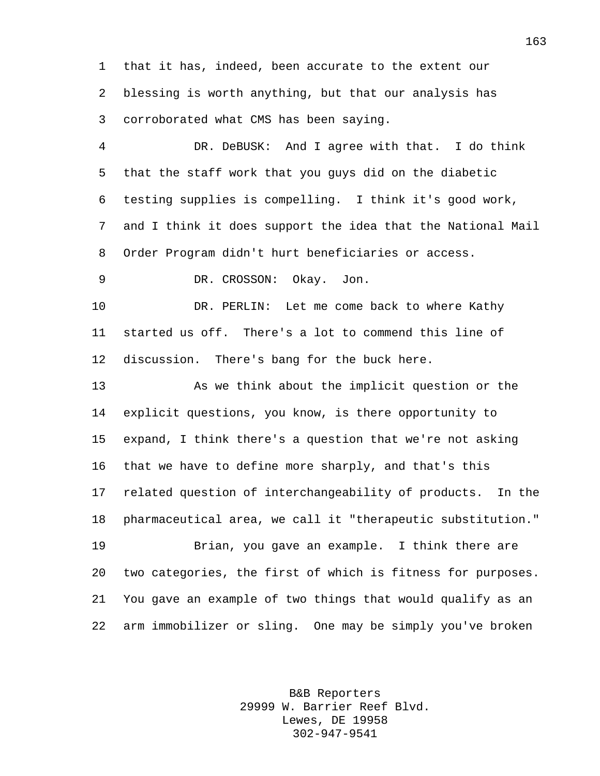that it has, indeed, been accurate to the extent our blessing is worth anything, but that our analysis has corroborated what CMS has been saying.

 DR. DeBUSK: And I agree with that. I do think that the staff work that you guys did on the diabetic testing supplies is compelling. I think it's good work, and I think it does support the idea that the National Mail Order Program didn't hurt beneficiaries or access.

DR. CROSSON: Okay. Jon.

10 DR. PERLIN: Let me come back to where Kathy started us off. There's a lot to commend this line of discussion. There's bang for the buck here.

 As we think about the implicit question or the explicit questions, you know, is there opportunity to expand, I think there's a question that we're not asking that we have to define more sharply, and that's this related question of interchangeability of products. In the pharmaceutical area, we call it "therapeutic substitution."

 Brian, you gave an example. I think there are two categories, the first of which is fitness for purposes. You gave an example of two things that would qualify as an arm immobilizer or sling. One may be simply you've broken

> B&B Reporters 29999 W. Barrier Reef Blvd. Lewes, DE 19958 302-947-9541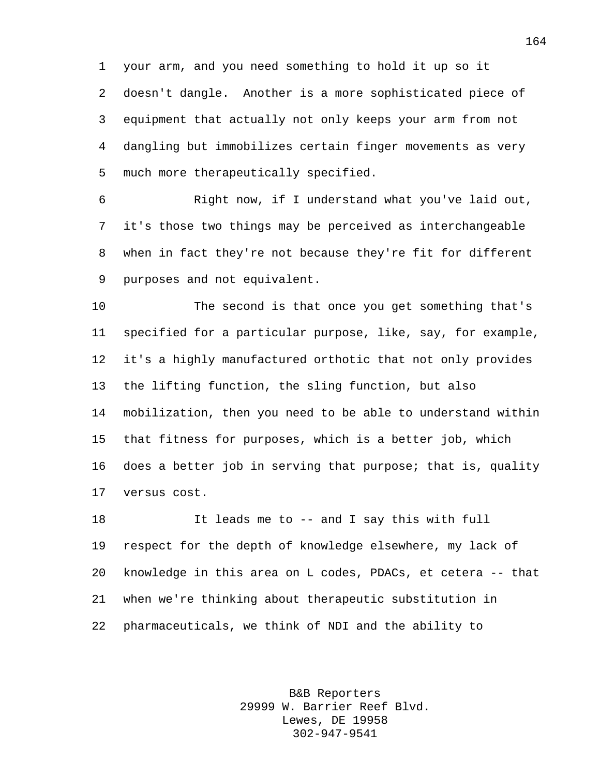your arm, and you need something to hold it up so it doesn't dangle. Another is a more sophisticated piece of equipment that actually not only keeps your arm from not dangling but immobilizes certain finger movements as very much more therapeutically specified.

 Right now, if I understand what you've laid out, it's those two things may be perceived as interchangeable when in fact they're not because they're fit for different purposes and not equivalent.

 The second is that once you get something that's specified for a particular purpose, like, say, for example, it's a highly manufactured orthotic that not only provides the lifting function, the sling function, but also mobilization, then you need to be able to understand within that fitness for purposes, which is a better job, which does a better job in serving that purpose; that is, quality versus cost.

 It leads me to -- and I say this with full respect for the depth of knowledge elsewhere, my lack of knowledge in this area on L codes, PDACs, et cetera -- that when we're thinking about therapeutic substitution in pharmaceuticals, we think of NDI and the ability to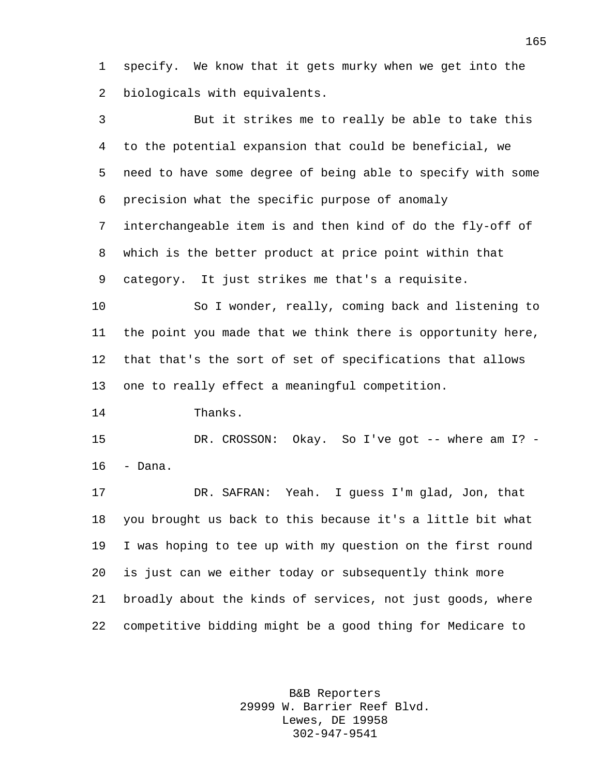specify. We know that it gets murky when we get into the biologicals with equivalents.

 But it strikes me to really be able to take this to the potential expansion that could be beneficial, we need to have some degree of being able to specify with some precision what the specific purpose of anomaly interchangeable item is and then kind of do the fly-off of which is the better product at price point within that category. It just strikes me that's a requisite. So I wonder, really, coming back and listening to

 the point you made that we think there is opportunity here, that that's the sort of set of specifications that allows one to really effect a meaningful competition.

Thanks.

15 DR. CROSSON: Okay. So I've got -- where am I? -- Dana.

 DR. SAFRAN: Yeah. I guess I'm glad, Jon, that you brought us back to this because it's a little bit what I was hoping to tee up with my question on the first round is just can we either today or subsequently think more broadly about the kinds of services, not just goods, where competitive bidding might be a good thing for Medicare to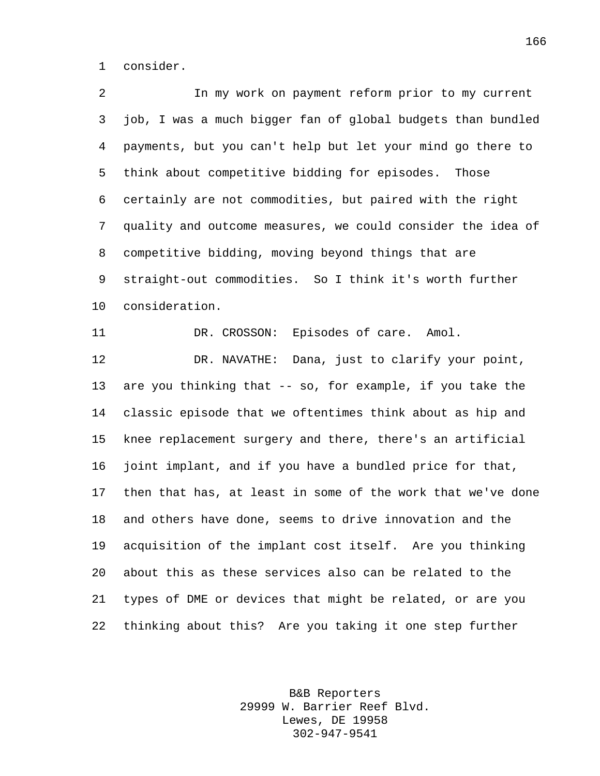consider.

 In my work on payment reform prior to my current job, I was a much bigger fan of global budgets than bundled payments, but you can't help but let your mind go there to think about competitive bidding for episodes. Those certainly are not commodities, but paired with the right quality and outcome measures, we could consider the idea of competitive bidding, moving beyond things that are straight-out commodities. So I think it's worth further consideration. DR. CROSSON: Episodes of care. Amol. DR. NAVATHE: Dana, just to clarify your point, are you thinking that -- so, for example, if you take the classic episode that we oftentimes think about as hip and knee replacement surgery and there, there's an artificial joint implant, and if you have a bundled price for that, then that has, at least in some of the work that we've done and others have done, seems to drive innovation and the acquisition of the implant cost itself. Are you thinking about this as these services also can be related to the types of DME or devices that might be related, or are you thinking about this? Are you taking it one step further

> B&B Reporters 29999 W. Barrier Reef Blvd. Lewes, DE 19958 302-947-9541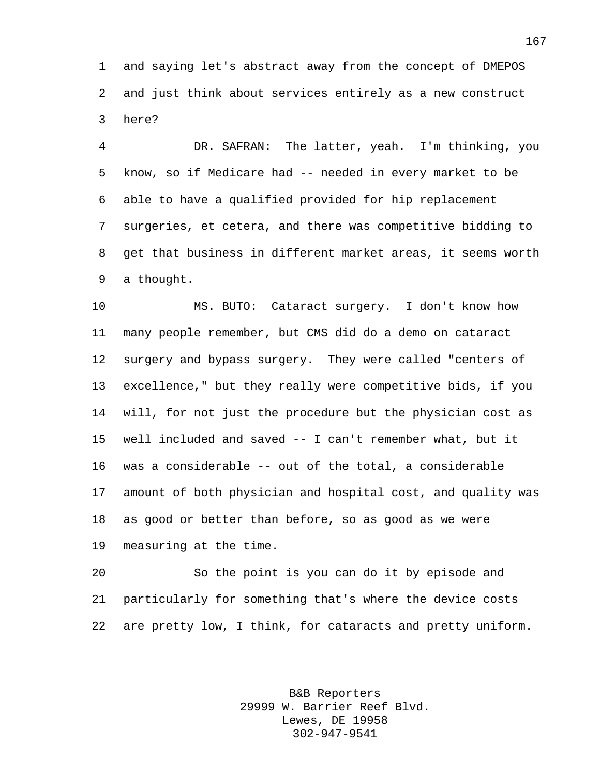and saying let's abstract away from the concept of DMEPOS and just think about services entirely as a new construct here?

 DR. SAFRAN: The latter, yeah. I'm thinking, you know, so if Medicare had -- needed in every market to be able to have a qualified provided for hip replacement surgeries, et cetera, and there was competitive bidding to get that business in different market areas, it seems worth a thought.

 MS. BUTO: Cataract surgery. I don't know how many people remember, but CMS did do a demo on cataract surgery and bypass surgery. They were called "centers of excellence," but they really were competitive bids, if you will, for not just the procedure but the physician cost as well included and saved -- I can't remember what, but it was a considerable -- out of the total, a considerable amount of both physician and hospital cost, and quality was as good or better than before, so as good as we were measuring at the time.

 So the point is you can do it by episode and particularly for something that's where the device costs are pretty low, I think, for cataracts and pretty uniform.

> B&B Reporters 29999 W. Barrier Reef Blvd. Lewes, DE 19958 302-947-9541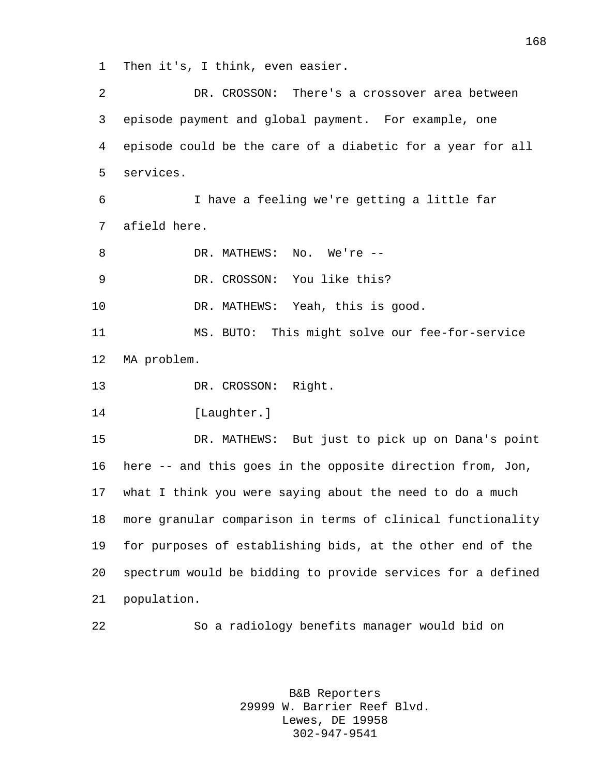Then it's, I think, even easier.

 DR. CROSSON: There's a crossover area between episode payment and global payment. For example, one episode could be the care of a diabetic for a year for all services. I have a feeling we're getting a little far afield here. 8 DR. MATHEWS: No. We're -- DR. CROSSON: You like this? DR. MATHEWS: Yeah, this is good. MS. BUTO: This might solve our fee-for-service MA problem. DR. CROSSON: Right. [Laughter.] DR. MATHEWS: But just to pick up on Dana's point here -- and this goes in the opposite direction from, Jon, what I think you were saying about the need to do a much more granular comparison in terms of clinical functionality for purposes of establishing bids, at the other end of the spectrum would be bidding to provide services for a defined population. So a radiology benefits manager would bid on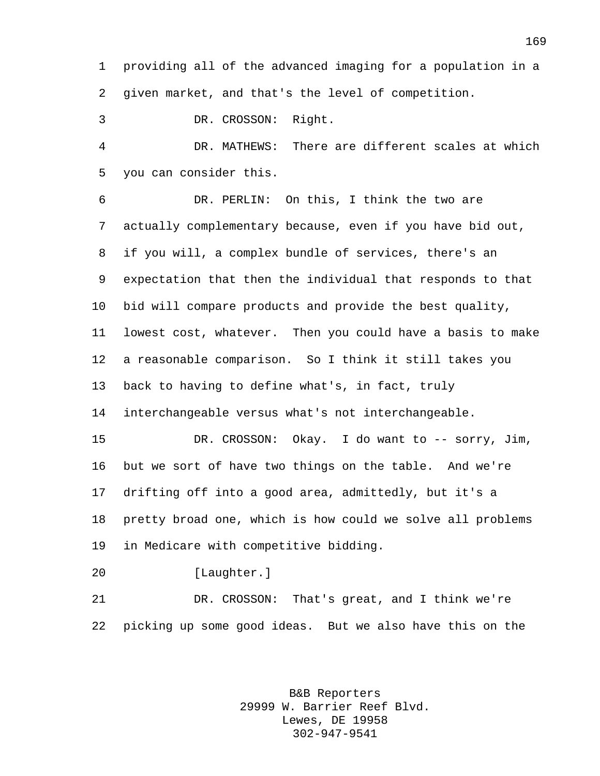providing all of the advanced imaging for a population in a given market, and that's the level of competition.

DR. CROSSON: Right.

 DR. MATHEWS: There are different scales at which you can consider this.

 DR. PERLIN: On this, I think the two are actually complementary because, even if you have bid out, if you will, a complex bundle of services, there's an expectation that then the individual that responds to that bid will compare products and provide the best quality, lowest cost, whatever. Then you could have a basis to make a reasonable comparison. So I think it still takes you back to having to define what's, in fact, truly interchangeable versus what's not interchangeable. DR. CROSSON: Okay. I do want to -- sorry, Jim, but we sort of have two things on the table. And we're drifting off into a good area, admittedly, but it's a pretty broad one, which is how could we solve all problems in Medicare with competitive bidding.

[Laughter.]

 DR. CROSSON: That's great, and I think we're picking up some good ideas. But we also have this on the

> B&B Reporters 29999 W. Barrier Reef Blvd. Lewes, DE 19958 302-947-9541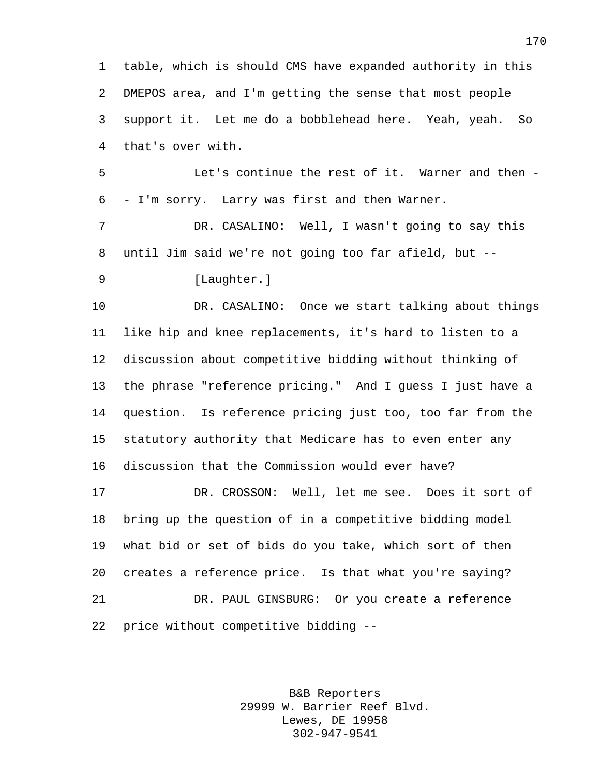table, which is should CMS have expanded authority in this DMEPOS area, and I'm getting the sense that most people support it. Let me do a bobblehead here. Yeah, yeah. So that's over with.

 Let's continue the rest of it. Warner and then - - I'm sorry. Larry was first and then Warner.

 DR. CASALINO: Well, I wasn't going to say this until Jim said we're not going too far afield, but --

9 [Laughter.]

 DR. CASALINO: Once we start talking about things like hip and knee replacements, it's hard to listen to a discussion about competitive bidding without thinking of the phrase "reference pricing." And I guess I just have a question. Is reference pricing just too, too far from the statutory authority that Medicare has to even enter any discussion that the Commission would ever have?

 DR. CROSSON: Well, let me see. Does it sort of bring up the question of in a competitive bidding model what bid or set of bids do you take, which sort of then creates a reference price. Is that what you're saying? DR. PAUL GINSBURG: Or you create a reference price without competitive bidding --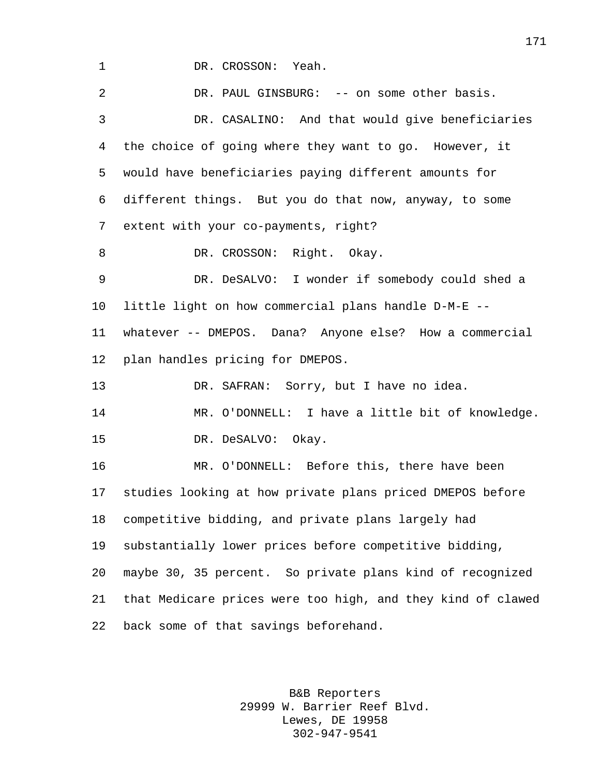DR. CROSSON: Yeah. DR. PAUL GINSBURG: -- on some other basis. DR. CASALINO: And that would give beneficiaries the choice of going where they want to go. However, it would have beneficiaries paying different amounts for different things. But you do that now, anyway, to some extent with your co-payments, right? 8 DR. CROSSON: Right. Okay. DR. DeSALVO: I wonder if somebody could shed a little light on how commercial plans handle D-M-E -- whatever -- DMEPOS. Dana? Anyone else? How a commercial plan handles pricing for DMEPOS. DR. SAFRAN: Sorry, but I have no idea. MR. O'DONNELL: I have a little bit of knowledge. DR. DeSALVO: Okay. MR. O'DONNELL: Before this, there have been studies looking at how private plans priced DMEPOS before competitive bidding, and private plans largely had substantially lower prices before competitive bidding, maybe 30, 35 percent. So private plans kind of recognized that Medicare prices were too high, and they kind of clawed back some of that savings beforehand.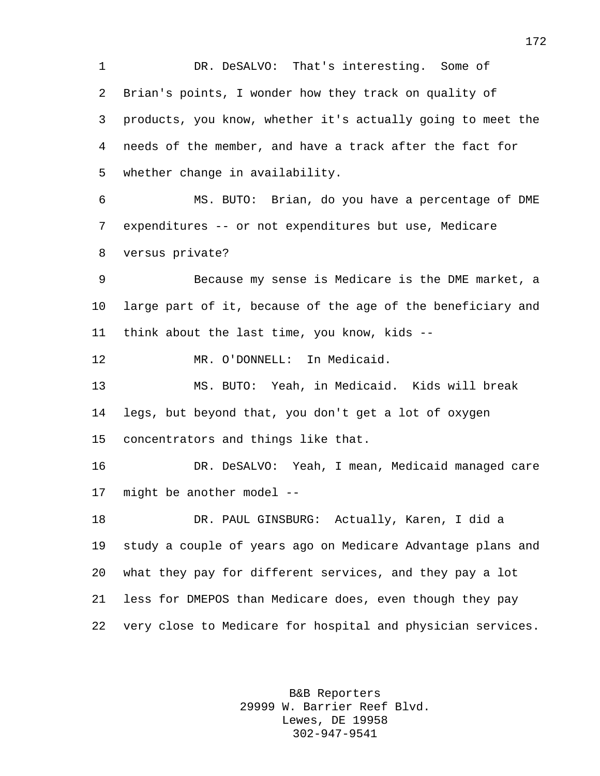DR. DeSALVO: That's interesting. Some of Brian's points, I wonder how they track on quality of products, you know, whether it's actually going to meet the needs of the member, and have a track after the fact for whether change in availability. MS. BUTO: Brian, do you have a percentage of DME expenditures -- or not expenditures but use, Medicare

versus private?

 Because my sense is Medicare is the DME market, a large part of it, because of the age of the beneficiary and think about the last time, you know, kids --

MR. O'DONNELL: In Medicaid.

 MS. BUTO: Yeah, in Medicaid. Kids will break legs, but beyond that, you don't get a lot of oxygen concentrators and things like that.

 DR. DeSALVO: Yeah, I mean, Medicaid managed care might be another model --

 DR. PAUL GINSBURG: Actually, Karen, I did a study a couple of years ago on Medicare Advantage plans and what they pay for different services, and they pay a lot less for DMEPOS than Medicare does, even though they pay very close to Medicare for hospital and physician services.

> B&B Reporters 29999 W. Barrier Reef Blvd. Lewes, DE 19958 302-947-9541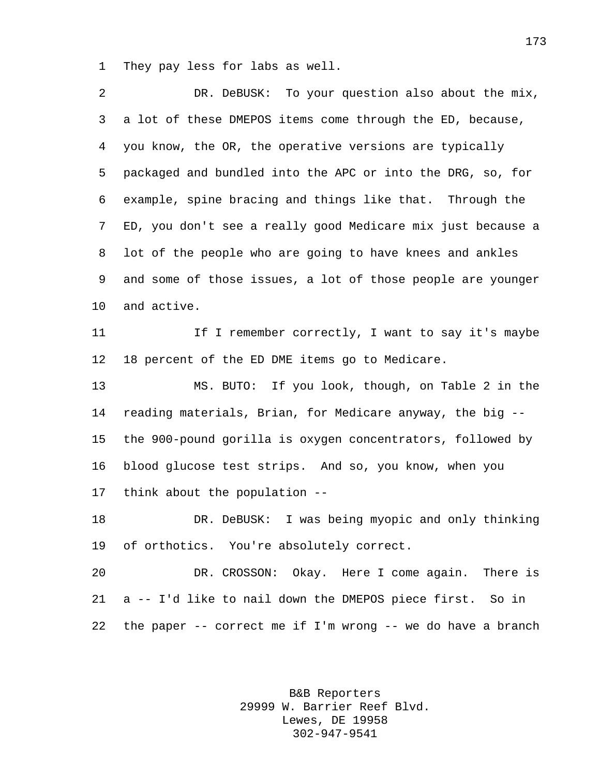They pay less for labs as well.

 DR. DeBUSK: To your question also about the mix, a lot of these DMEPOS items come through the ED, because, you know, the OR, the operative versions are typically packaged and bundled into the APC or into the DRG, so, for example, spine bracing and things like that. Through the ED, you don't see a really good Medicare mix just because a lot of the people who are going to have knees and ankles and some of those issues, a lot of those people are younger and active. 11 11 If I remember correctly, I want to say it's maybe 18 percent of the ED DME items go to Medicare. MS. BUTO: If you look, though, on Table 2 in the reading materials, Brian, for Medicare anyway, the big -- the 900-pound gorilla is oxygen concentrators, followed by blood glucose test strips. And so, you know, when you think about the population -- DR. DeBUSK: I was being myopic and only thinking of orthotics. You're absolutely correct. DR. CROSSON: Okay. Here I come again. There is a -- I'd like to nail down the DMEPOS piece first. So in

the paper -- correct me if I'm wrong -- we do have a branch

B&B Reporters 29999 W. Barrier Reef Blvd. Lewes, DE 19958 302-947-9541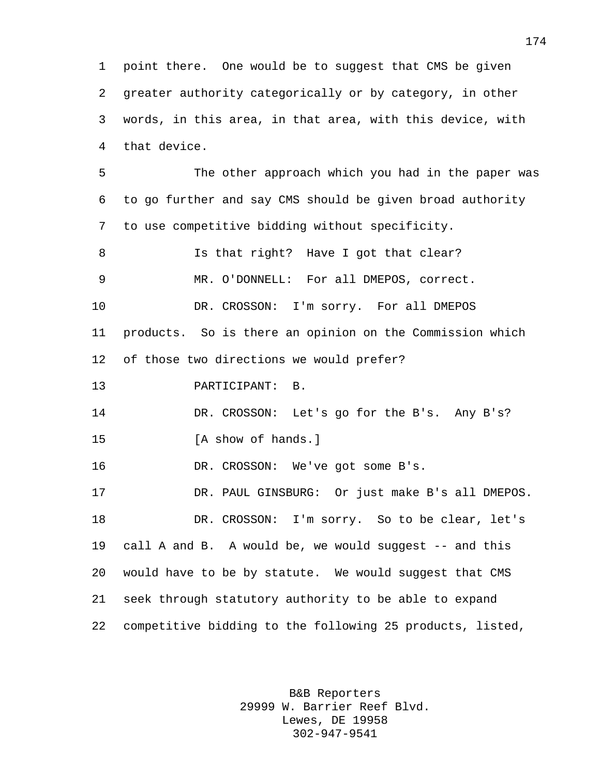point there. One would be to suggest that CMS be given greater authority categorically or by category, in other words, in this area, in that area, with this device, with that device.

 The other approach which you had in the paper was to go further and say CMS should be given broad authority to use competitive bidding without specificity.

8 Is that right? Have I got that clear? MR. O'DONNELL: For all DMEPOS, correct. DR. CROSSON: I'm sorry. For all DMEPOS products. So is there an opinion on the Commission which of those two directions we would prefer?

PARTICIPANT: B.

 DR. CROSSON: Let's go for the B's. Any B's? 15 [A show of hands.]

DR. CROSSON: We've got some B's.

 DR. PAUL GINSBURG: Or just make B's all DMEPOS. DR. CROSSON: I'm sorry. So to be clear, let's call A and B. A would be, we would suggest -- and this would have to be by statute. We would suggest that CMS seek through statutory authority to be able to expand competitive bidding to the following 25 products, listed,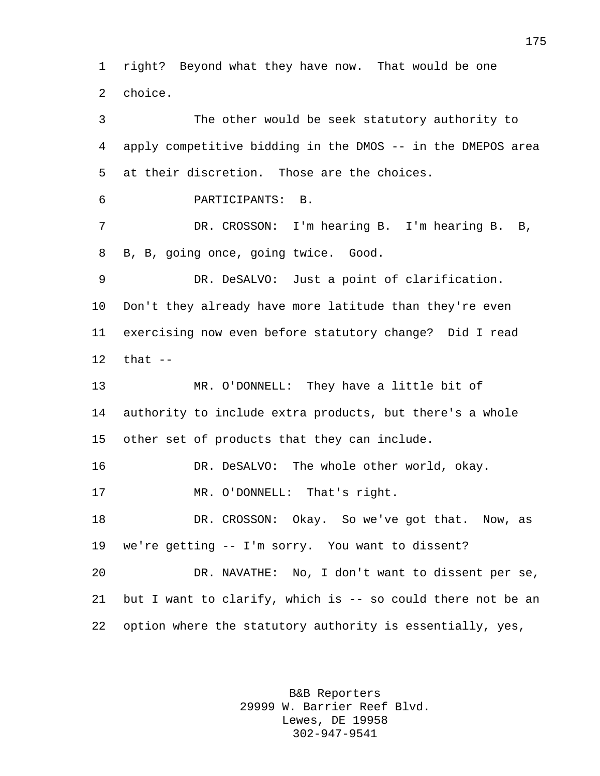right? Beyond what they have now. That would be one choice.

 The other would be seek statutory authority to apply competitive bidding in the DMOS -- in the DMEPOS area at their discretion. Those are the choices. PARTICIPANTS: B. DR. CROSSON: I'm hearing B. I'm hearing B. B, B, B, going once, going twice. Good. DR. DeSALVO: Just a point of clarification. Don't they already have more latitude than they're even exercising now even before statutory change? Did I read that -- MR. O'DONNELL: They have a little bit of authority to include extra products, but there's a whole other set of products that they can include. DR. DeSALVO: The whole other world, okay. MR. O'DONNELL: That's right. DR. CROSSON: Okay. So we've got that. Now, as we're getting -- I'm sorry. You want to dissent? DR. NAVATHE: No, I don't want to dissent per se, but I want to clarify, which is -- so could there not be an option where the statutory authority is essentially, yes,

> B&B Reporters 29999 W. Barrier Reef Blvd. Lewes, DE 19958 302-947-9541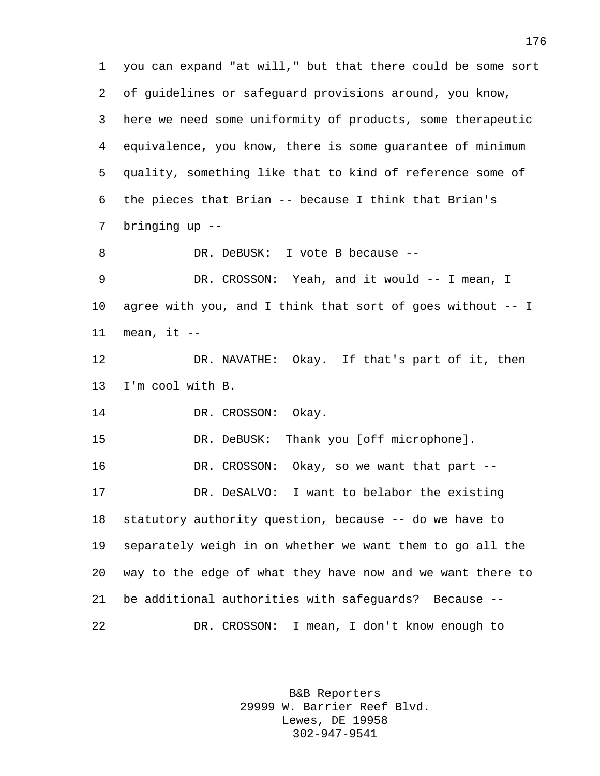you can expand "at will," but that there could be some sort of guidelines or safeguard provisions around, you know, here we need some uniformity of products, some therapeutic equivalence, you know, there is some guarantee of minimum quality, something like that to kind of reference some of the pieces that Brian -- because I think that Brian's bringing up -- 8 DR. DeBUSK: I vote B because --9 DR. CROSSON: Yeah, and it would -- I mean, I agree with you, and I think that sort of goes without -- I mean, it  $-$  DR. NAVATHE: Okay. If that's part of it, then I'm cool with B. 14 DR. CROSSON: Okay. DR. DeBUSK: Thank you [off microphone]. DR. CROSSON: Okay, so we want that part -- DR. DeSALVO: I want to belabor the existing statutory authority question, because -- do we have to separately weigh in on whether we want them to go all the way to the edge of what they have now and we want there to be additional authorities with safeguards? Because -- DR. CROSSON: I mean, I don't know enough to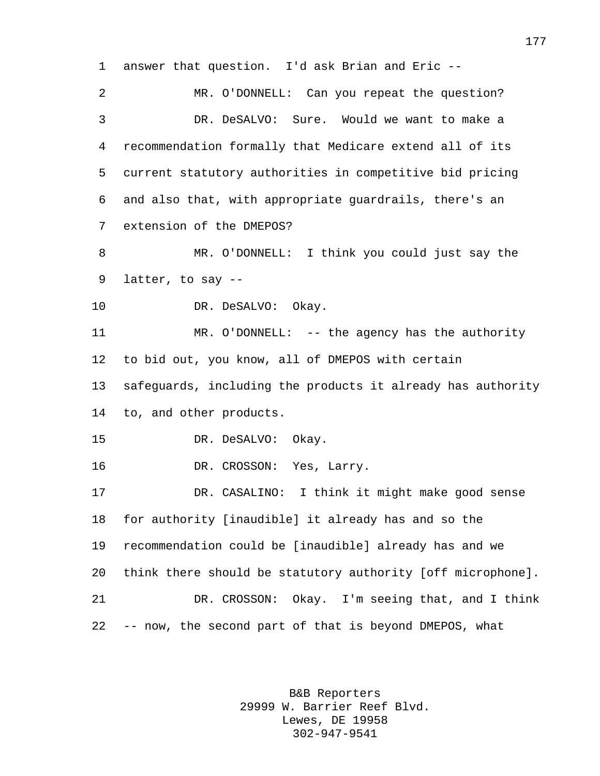answer that question. I'd ask Brian and Eric -- MR. O'DONNELL: Can you repeat the question? DR. DeSALVO: Sure. Would we want to make a recommendation formally that Medicare extend all of its current statutory authorities in competitive bid pricing and also that, with appropriate guardrails, there's an extension of the DMEPOS? MR. O'DONNELL: I think you could just say the latter, to say -- 10 DR. DeSALVO: Okay. MR. O'DONNELL: -- the agency has the authority to bid out, you know, all of DMEPOS with certain safeguards, including the products it already has authority to, and other products. DR. DeSALVO: Okay. DR. CROSSON: Yes, Larry. DR. CASALINO: I think it might make good sense for authority [inaudible] it already has and so the recommendation could be [inaudible] already has and we think there should be statutory authority [off microphone]. DR. CROSSON: Okay. I'm seeing that, and I think -- now, the second part of that is beyond DMEPOS, what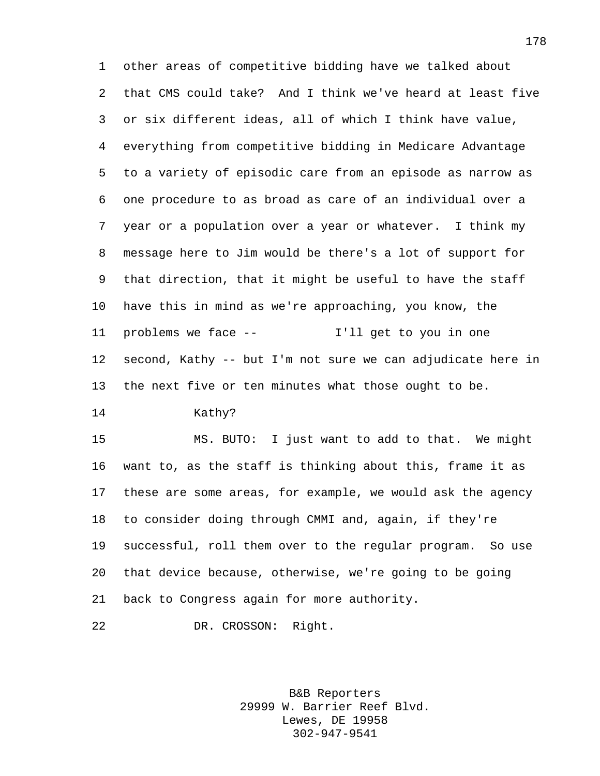other areas of competitive bidding have we talked about that CMS could take? And I think we've heard at least five or six different ideas, all of which I think have value, everything from competitive bidding in Medicare Advantage to a variety of episodic care from an episode as narrow as one procedure to as broad as care of an individual over a year or a population over a year or whatever. I think my message here to Jim would be there's a lot of support for that direction, that it might be useful to have the staff have this in mind as we're approaching, you know, the problems we face -- I'll get to you in one second, Kathy -- but I'm not sure we can adjudicate here in the next five or ten minutes what those ought to be.

Kathy?

 MS. BUTO: I just want to add to that. We might want to, as the staff is thinking about this, frame it as these are some areas, for example, we would ask the agency to consider doing through CMMI and, again, if they're successful, roll them over to the regular program. So use that device because, otherwise, we're going to be going back to Congress again for more authority.

DR. CROSSON: Right.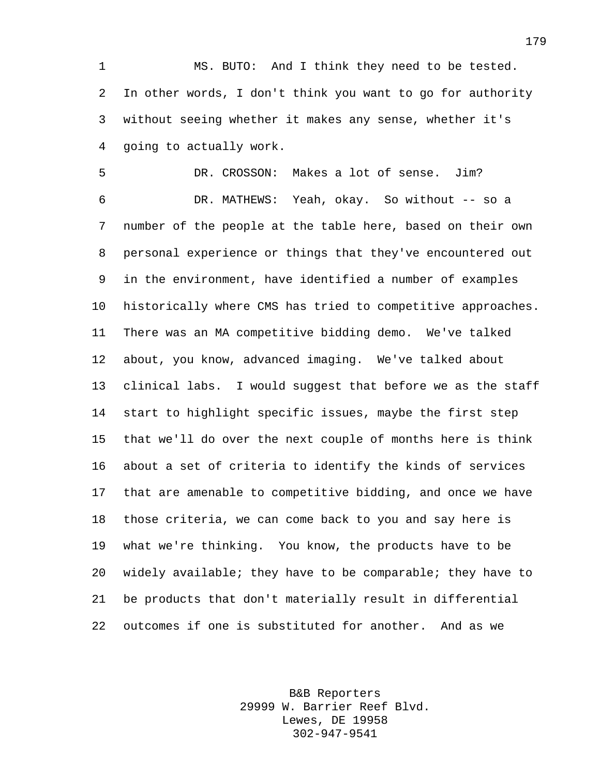MS. BUTO: And I think they need to be tested. In other words, I don't think you want to go for authority without seeing whether it makes any sense, whether it's going to actually work.

 DR. CROSSON: Makes a lot of sense. Jim? DR. MATHEWS: Yeah, okay. So without -- so a number of the people at the table here, based on their own personal experience or things that they've encountered out in the environment, have identified a number of examples historically where CMS has tried to competitive approaches. There was an MA competitive bidding demo. We've talked about, you know, advanced imaging. We've talked about clinical labs. I would suggest that before we as the staff start to highlight specific issues, maybe the first step that we'll do over the next couple of months here is think about a set of criteria to identify the kinds of services that are amenable to competitive bidding, and once we have those criteria, we can come back to you and say here is what we're thinking. You know, the products have to be widely available; they have to be comparable; they have to be products that don't materially result in differential outcomes if one is substituted for another. And as we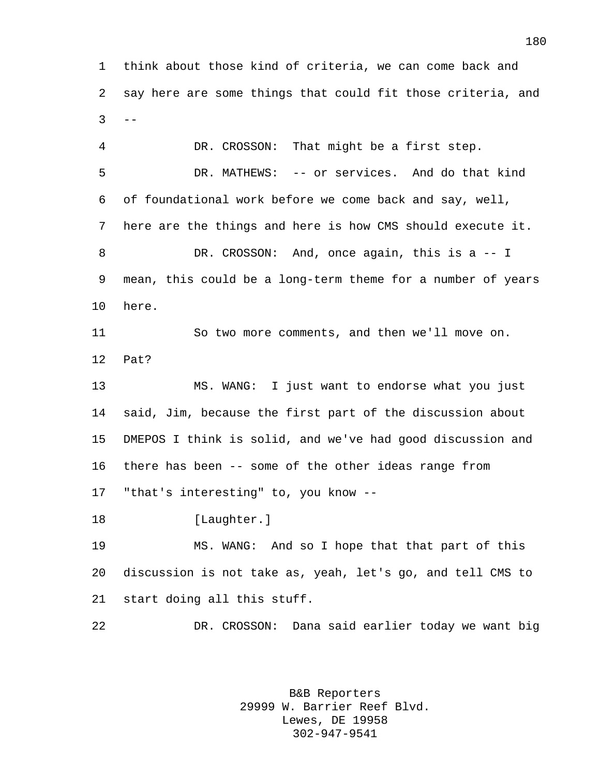think about those kind of criteria, we can come back and say here are some things that could fit those criteria, and  $3 - -$ 

 DR. CROSSON: That might be a first step. DR. MATHEWS: -- or services. And do that kind of foundational work before we come back and say, well, here are the things and here is how CMS should execute it. DR. CROSSON: And, once again, this is a -- I mean, this could be a long-term theme for a number of years here. So two more comments, and then we'll move on. Pat? MS. WANG: I just want to endorse what you just said, Jim, because the first part of the discussion about DMEPOS I think is solid, and we've had good discussion and there has been -- some of the other ideas range from "that's interesting" to, you know -- 18 [Laughter.] MS. WANG: And so I hope that that part of this discussion is not take as, yeah, let's go, and tell CMS to start doing all this stuff.

> B&B Reporters 29999 W. Barrier Reef Blvd. Lewes, DE 19958 302-947-9541

DR. CROSSON: Dana said earlier today we want big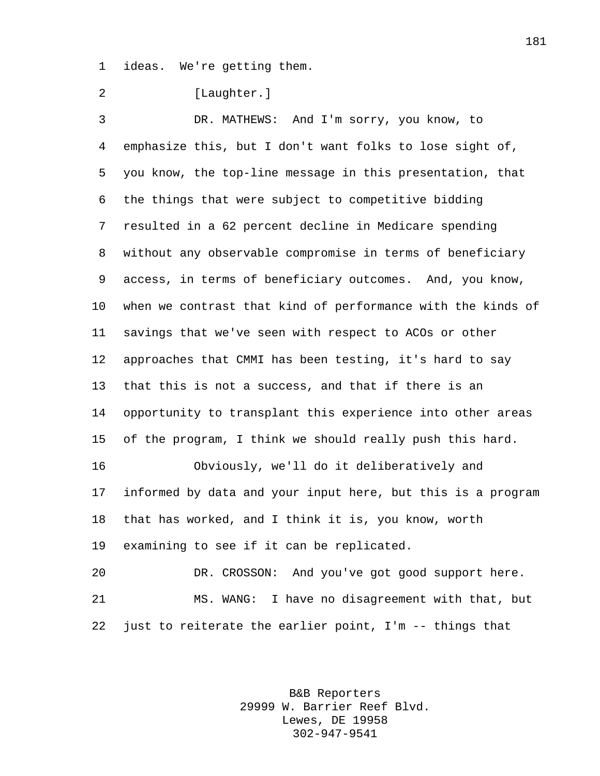ideas. We're getting them.

2 [Laughter.]

 DR. MATHEWS: And I'm sorry, you know, to emphasize this, but I don't want folks to lose sight of, you know, the top-line message in this presentation, that the things that were subject to competitive bidding resulted in a 62 percent decline in Medicare spending without any observable compromise in terms of beneficiary access, in terms of beneficiary outcomes. And, you know, when we contrast that kind of performance with the kinds of savings that we've seen with respect to ACOs or other approaches that CMMI has been testing, it's hard to say that this is not a success, and that if there is an opportunity to transplant this experience into other areas of the program, I think we should really push this hard. Obviously, we'll do it deliberatively and informed by data and your input here, but this is a program that has worked, and I think it is, you know, worth examining to see if it can be replicated. DR. CROSSON: And you've got good support here. MS. WANG: I have no disagreement with that, but

just to reiterate the earlier point, I'm -- things that

B&B Reporters 29999 W. Barrier Reef Blvd. Lewes, DE 19958 302-947-9541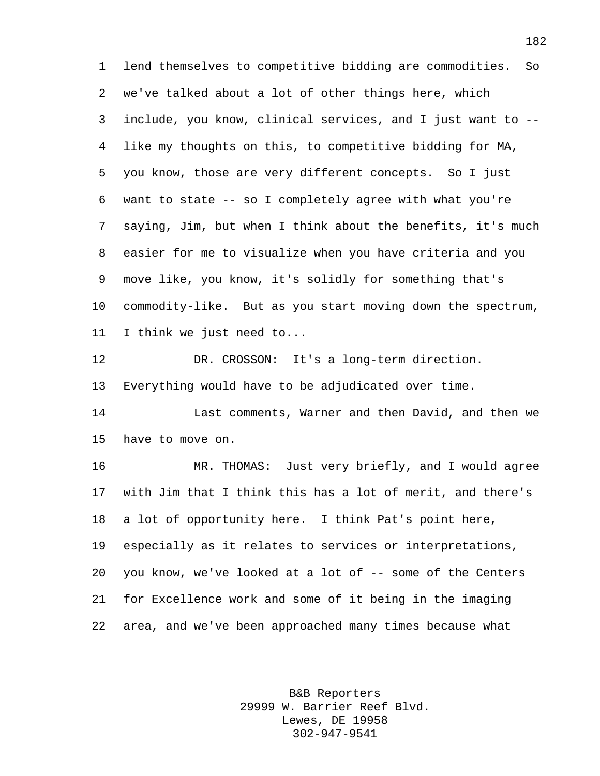lend themselves to competitive bidding are commodities. So we've talked about a lot of other things here, which include, you know, clinical services, and I just want to -- like my thoughts on this, to competitive bidding for MA, you know, those are very different concepts. So I just want to state -- so I completely agree with what you're saying, Jim, but when I think about the benefits, it's much easier for me to visualize when you have criteria and you move like, you know, it's solidly for something that's commodity-like. But as you start moving down the spectrum, I think we just need to...

12 DR. CROSSON: It's a long-term direction. Everything would have to be adjudicated over time.

 Last comments, Warner and then David, and then we have to move on.

 MR. THOMAS: Just very briefly, and I would agree with Jim that I think this has a lot of merit, and there's a lot of opportunity here. I think Pat's point here, especially as it relates to services or interpretations, you know, we've looked at a lot of -- some of the Centers for Excellence work and some of it being in the imaging area, and we've been approached many times because what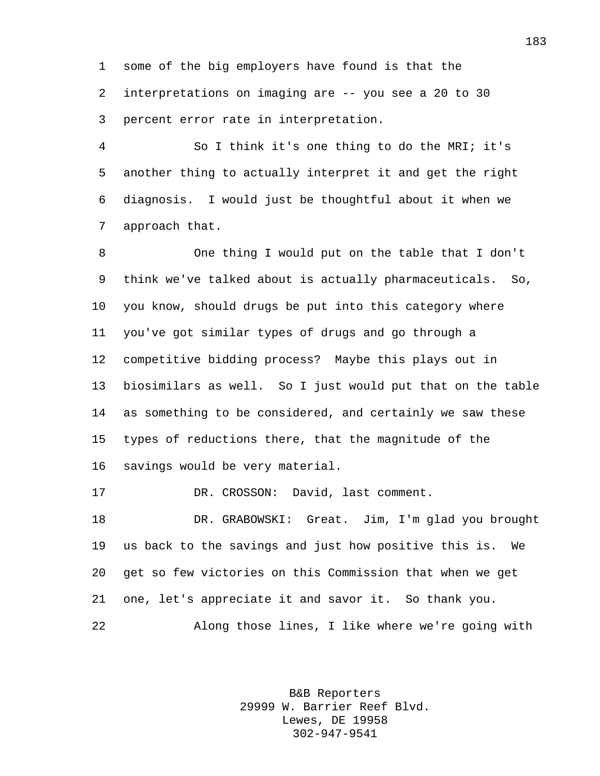some of the big employers have found is that the interpretations on imaging are -- you see a 20 to 30 percent error rate in interpretation.

 So I think it's one thing to do the MRI; it's another thing to actually interpret it and get the right diagnosis. I would just be thoughtful about it when we approach that.

 One thing I would put on the table that I don't think we've talked about is actually pharmaceuticals. So, you know, should drugs be put into this category where you've got similar types of drugs and go through a competitive bidding process? Maybe this plays out in biosimilars as well. So I just would put that on the table as something to be considered, and certainly we saw these types of reductions there, that the magnitude of the savings would be very material.

17 DR. CROSSON: David, last comment.

 DR. GRABOWSKI: Great. Jim, I'm glad you brought us back to the savings and just how positive this is. We get so few victories on this Commission that when we get one, let's appreciate it and savor it. So thank you. Along those lines, I like where we're going with

> B&B Reporters 29999 W. Barrier Reef Blvd. Lewes, DE 19958 302-947-9541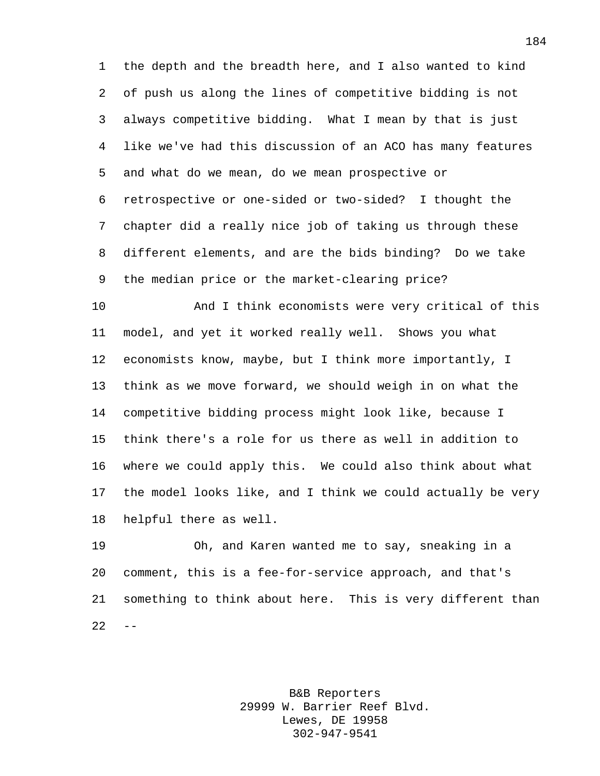the depth and the breadth here, and I also wanted to kind of push us along the lines of competitive bidding is not always competitive bidding. What I mean by that is just like we've had this discussion of an ACO has many features and what do we mean, do we mean prospective or retrospective or one-sided or two-sided? I thought the chapter did a really nice job of taking us through these different elements, and are the bids binding? Do we take the median price or the market-clearing price?

 And I think economists were very critical of this model, and yet it worked really well. Shows you what economists know, maybe, but I think more importantly, I think as we move forward, we should weigh in on what the competitive bidding process might look like, because I think there's a role for us there as well in addition to where we could apply this. We could also think about what the model looks like, and I think we could actually be very helpful there as well.

 Oh, and Karen wanted me to say, sneaking in a comment, this is a fee-for-service approach, and that's something to think about here. This is very different than  $22 - -$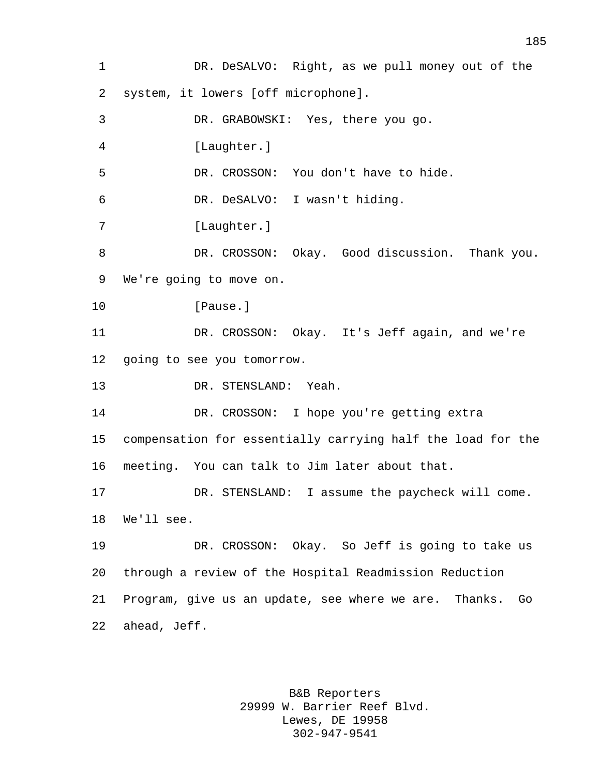DR. DeSALVO: Right, as we pull money out of the system, it lowers [off microphone]. DR. GRABOWSKI: Yes, there you go. [Laughter.] DR. CROSSON: You don't have to hide. DR. DeSALVO: I wasn't hiding. 7 [Laughter.] DR. CROSSON: Okay. Good discussion. Thank you. We're going to move on. 10 [Pause.] DR. CROSSON: Okay. It's Jeff again, and we're going to see you tomorrow. DR. STENSLAND: Yeah. DR. CROSSON: I hope you're getting extra compensation for essentially carrying half the load for the meeting. You can talk to Jim later about that. DR. STENSLAND: I assume the paycheck will come. We'll see. DR. CROSSON: Okay. So Jeff is going to take us through a review of the Hospital Readmission Reduction Program, give us an update, see where we are. Thanks. Go ahead, Jeff.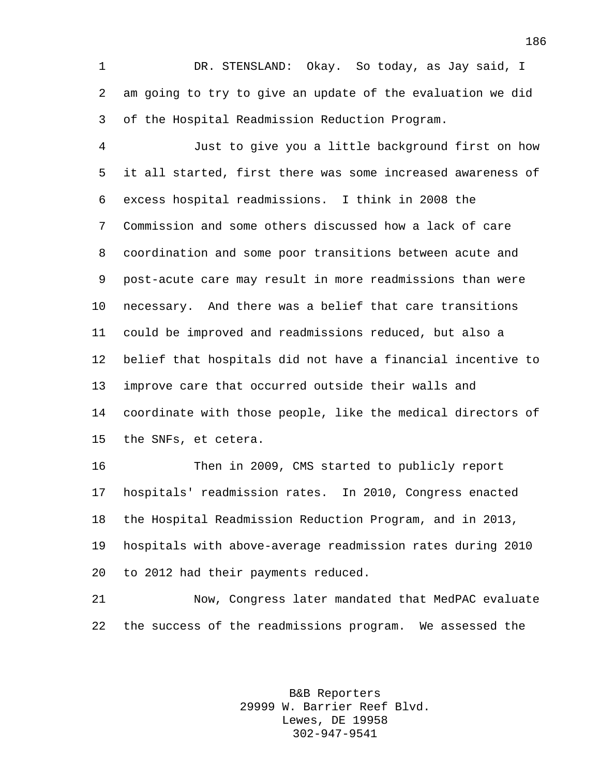DR. STENSLAND: Okay. So today, as Jay said, I am going to try to give an update of the evaluation we did of the Hospital Readmission Reduction Program.

 Just to give you a little background first on how it all started, first there was some increased awareness of excess hospital readmissions. I think in 2008 the Commission and some others discussed how a lack of care coordination and some poor transitions between acute and post-acute care may result in more readmissions than were necessary. And there was a belief that care transitions could be improved and readmissions reduced, but also a belief that hospitals did not have a financial incentive to improve care that occurred outside their walls and coordinate with those people, like the medical directors of the SNFs, et cetera.

 Then in 2009, CMS started to publicly report hospitals' readmission rates. In 2010, Congress enacted the Hospital Readmission Reduction Program, and in 2013, hospitals with above-average readmission rates during 2010 to 2012 had their payments reduced.

 Now, Congress later mandated that MedPAC evaluate the success of the readmissions program. We assessed the

> B&B Reporters 29999 W. Barrier Reef Blvd. Lewes, DE 19958 302-947-9541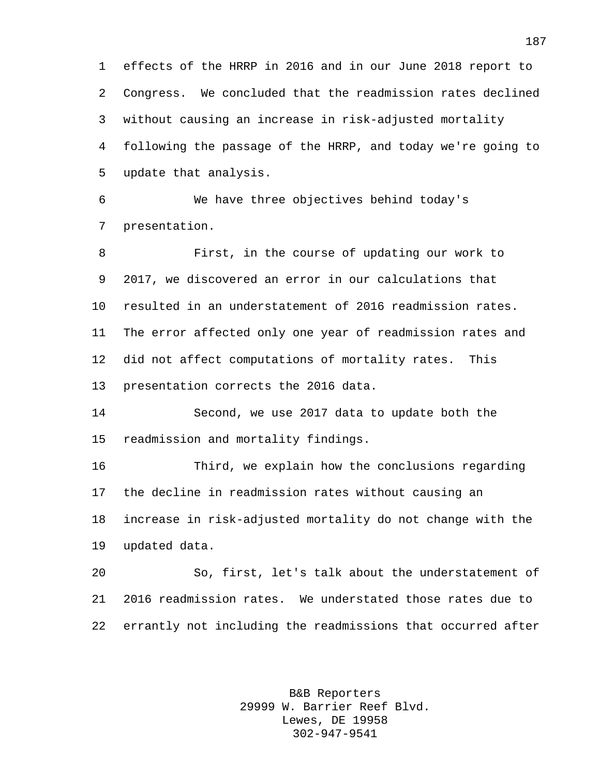effects of the HRRP in 2016 and in our June 2018 report to Congress. We concluded that the readmission rates declined without causing an increase in risk-adjusted mortality following the passage of the HRRP, and today we're going to update that analysis.

 We have three objectives behind today's presentation.

 First, in the course of updating our work to 2017, we discovered an error in our calculations that resulted in an understatement of 2016 readmission rates. The error affected only one year of readmission rates and did not affect computations of mortality rates. This presentation corrects the 2016 data.

 Second, we use 2017 data to update both the readmission and mortality findings.

 Third, we explain how the conclusions regarding the decline in readmission rates without causing an increase in risk-adjusted mortality do not change with the updated data.

 So, first, let's talk about the understatement of 2016 readmission rates. We understated those rates due to errantly not including the readmissions that occurred after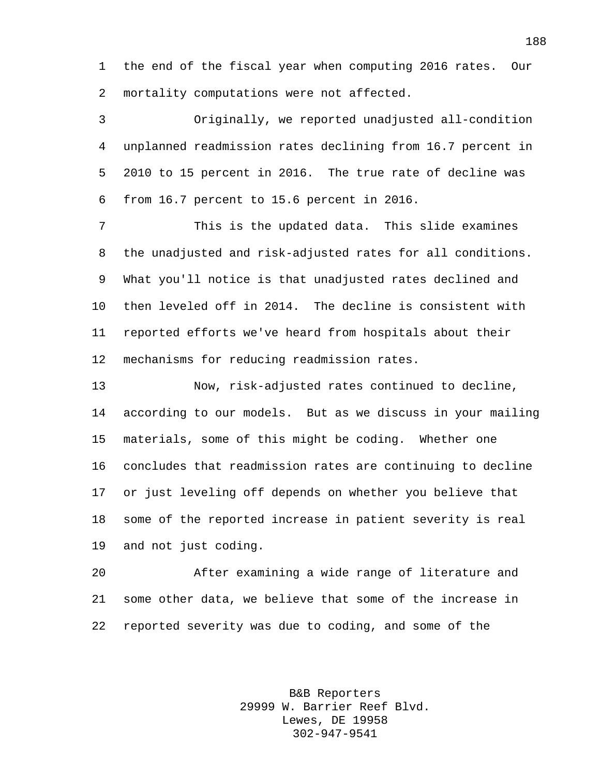the end of the fiscal year when computing 2016 rates. Our mortality computations were not affected.

 Originally, we reported unadjusted all-condition unplanned readmission rates declining from 16.7 percent in 2010 to 15 percent in 2016. The true rate of decline was from 16.7 percent to 15.6 percent in 2016.

 This is the updated data. This slide examines the unadjusted and risk-adjusted rates for all conditions. What you'll notice is that unadjusted rates declined and then leveled off in 2014. The decline is consistent with reported efforts we've heard from hospitals about their mechanisms for reducing readmission rates.

 Now, risk-adjusted rates continued to decline, according to our models. But as we discuss in your mailing materials, some of this might be coding. Whether one concludes that readmission rates are continuing to decline or just leveling off depends on whether you believe that some of the reported increase in patient severity is real and not just coding.

 After examining a wide range of literature and some other data, we believe that some of the increase in reported severity was due to coding, and some of the

> B&B Reporters 29999 W. Barrier Reef Blvd. Lewes, DE 19958 302-947-9541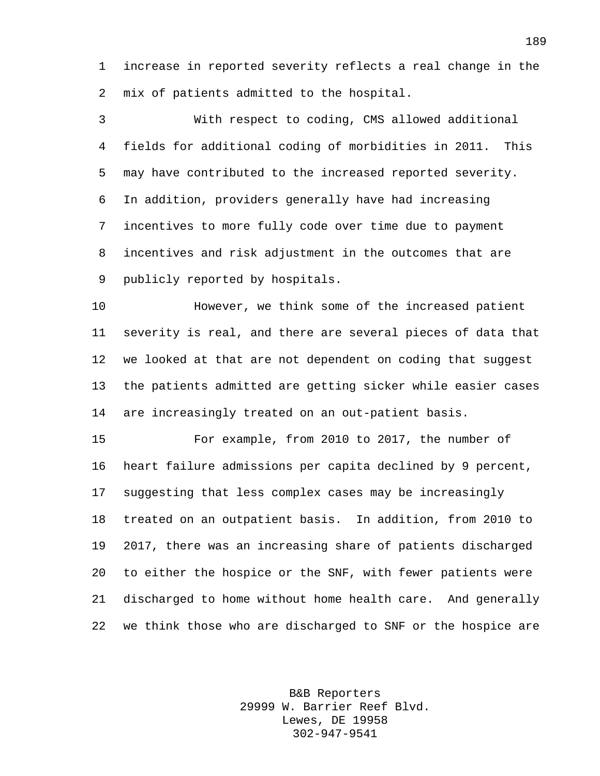increase in reported severity reflects a real change in the mix of patients admitted to the hospital.

 With respect to coding, CMS allowed additional fields for additional coding of morbidities in 2011. This may have contributed to the increased reported severity. In addition, providers generally have had increasing incentives to more fully code over time due to payment incentives and risk adjustment in the outcomes that are publicly reported by hospitals.

 However, we think some of the increased patient severity is real, and there are several pieces of data that we looked at that are not dependent on coding that suggest the patients admitted are getting sicker while easier cases are increasingly treated on an out-patient basis.

 For example, from 2010 to 2017, the number of heart failure admissions per capita declined by 9 percent, suggesting that less complex cases may be increasingly treated on an outpatient basis. In addition, from 2010 to 2017, there was an increasing share of patients discharged to either the hospice or the SNF, with fewer patients were discharged to home without home health care. And generally we think those who are discharged to SNF or the hospice are

> B&B Reporters 29999 W. Barrier Reef Blvd. Lewes, DE 19958 302-947-9541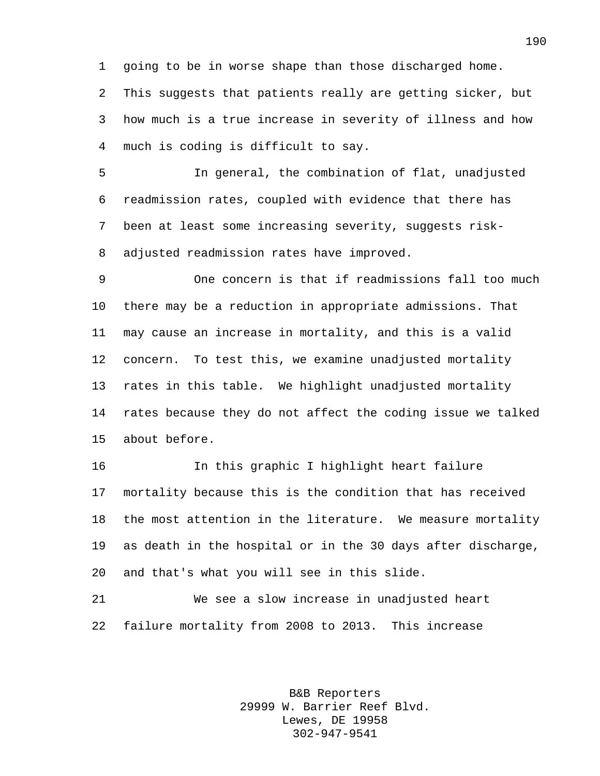going to be in worse shape than those discharged home. This suggests that patients really are getting sicker, but how much is a true increase in severity of illness and how much is coding is difficult to say.

 In general, the combination of flat, unadjusted readmission rates, coupled with evidence that there has been at least some increasing severity, suggests risk-adjusted readmission rates have improved.

 One concern is that if readmissions fall too much there may be a reduction in appropriate admissions. That may cause an increase in mortality, and this is a valid concern. To test this, we examine unadjusted mortality rates in this table. We highlight unadjusted mortality rates because they do not affect the coding issue we talked about before.

 In this graphic I highlight heart failure mortality because this is the condition that has received the most attention in the literature. We measure mortality as death in the hospital or in the 30 days after discharge, and that's what you will see in this slide.

 We see a slow increase in unadjusted heart failure mortality from 2008 to 2013. This increase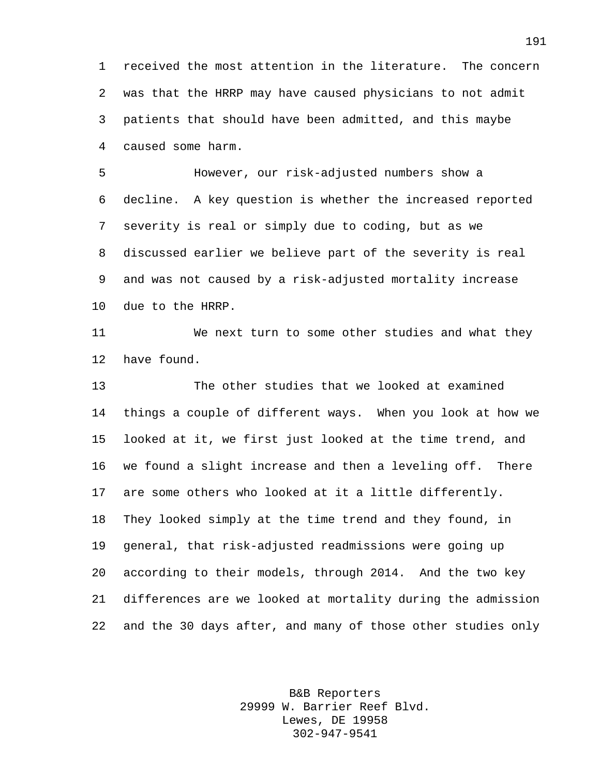received the most attention in the literature. The concern was that the HRRP may have caused physicians to not admit patients that should have been admitted, and this maybe caused some harm.

 However, our risk-adjusted numbers show a decline. A key question is whether the increased reported severity is real or simply due to coding, but as we discussed earlier we believe part of the severity is real and was not caused by a risk-adjusted mortality increase due to the HRRP.

 We next turn to some other studies and what they have found.

 The other studies that we looked at examined things a couple of different ways. When you look at how we looked at it, we first just looked at the time trend, and we found a slight increase and then a leveling off. There are some others who looked at it a little differently. They looked simply at the time trend and they found, in general, that risk-adjusted readmissions were going up according to their models, through 2014. And the two key differences are we looked at mortality during the admission and the 30 days after, and many of those other studies only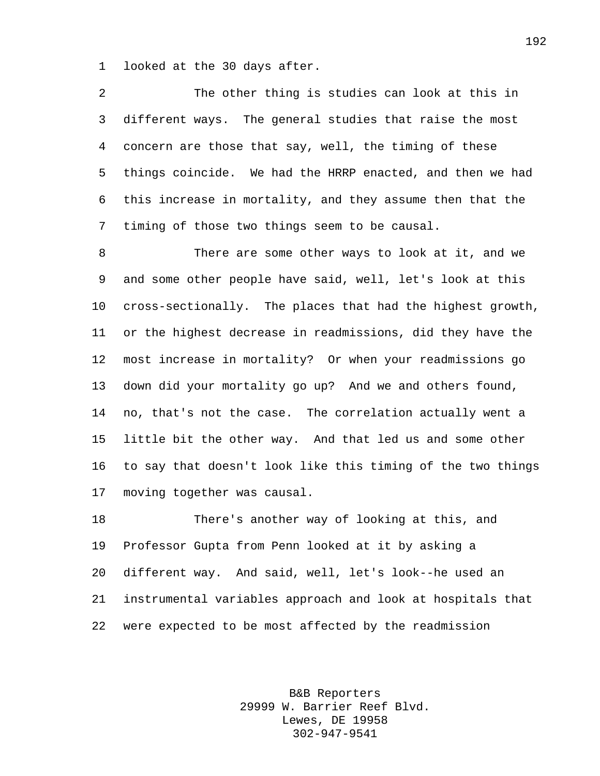looked at the 30 days after.

 The other thing is studies can look at this in different ways. The general studies that raise the most concern are those that say, well, the timing of these things coincide. We had the HRRP enacted, and then we had this increase in mortality, and they assume then that the timing of those two things seem to be causal.

 There are some other ways to look at it, and we and some other people have said, well, let's look at this cross-sectionally. The places that had the highest growth, or the highest decrease in readmissions, did they have the most increase in mortality? Or when your readmissions go down did your mortality go up? And we and others found, no, that's not the case. The correlation actually went a little bit the other way. And that led us and some other to say that doesn't look like this timing of the two things moving together was causal.

 There's another way of looking at this, and Professor Gupta from Penn looked at it by asking a different way. And said, well, let's look--he used an instrumental variables approach and look at hospitals that were expected to be most affected by the readmission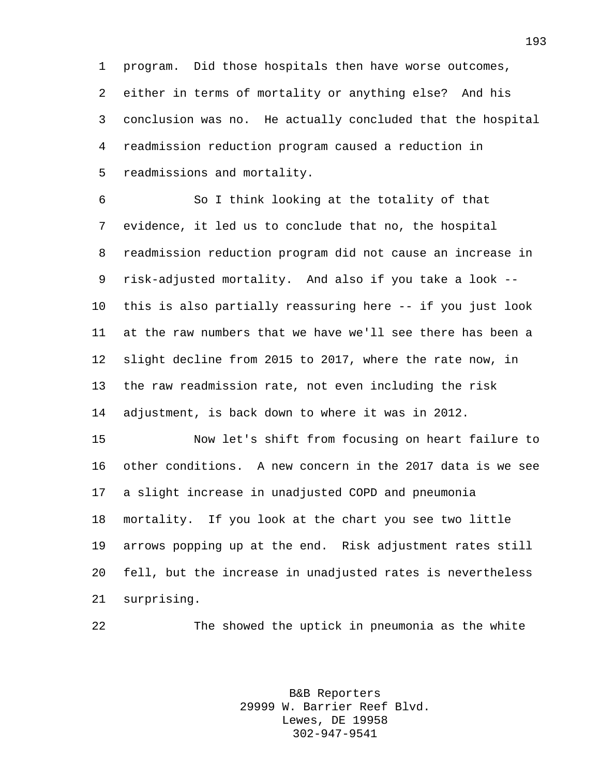program. Did those hospitals then have worse outcomes, either in terms of mortality or anything else? And his conclusion was no. He actually concluded that the hospital readmission reduction program caused a reduction in readmissions and mortality.

 So I think looking at the totality of that evidence, it led us to conclude that no, the hospital readmission reduction program did not cause an increase in risk-adjusted mortality. And also if you take a look -- this is also partially reassuring here -- if you just look at the raw numbers that we have we'll see there has been a slight decline from 2015 to 2017, where the rate now, in the raw readmission rate, not even including the risk adjustment, is back down to where it was in 2012.

 Now let's shift from focusing on heart failure to other conditions. A new concern in the 2017 data is we see a slight increase in unadjusted COPD and pneumonia mortality. If you look at the chart you see two little arrows popping up at the end. Risk adjustment rates still fell, but the increase in unadjusted rates is nevertheless surprising.

The showed the uptick in pneumonia as the white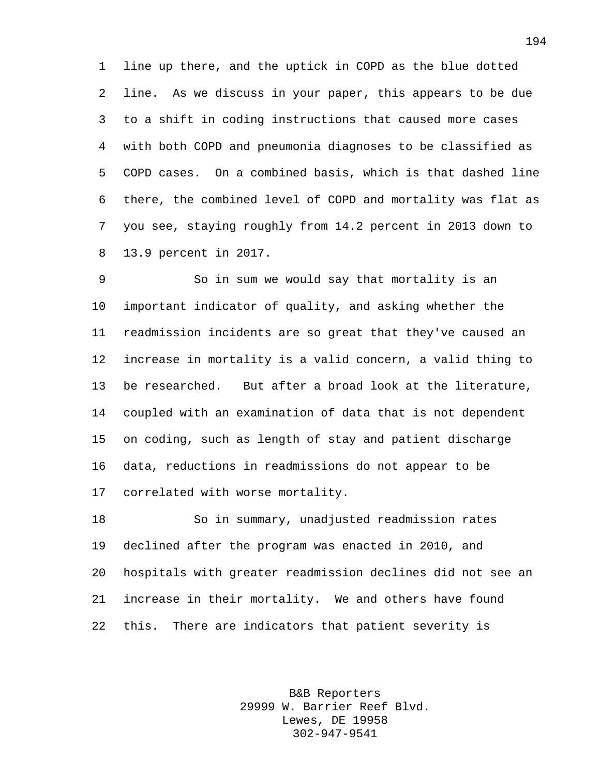line up there, and the uptick in COPD as the blue dotted line. As we discuss in your paper, this appears to be due to a shift in coding instructions that caused more cases with both COPD and pneumonia diagnoses to be classified as COPD cases. On a combined basis, which is that dashed line there, the combined level of COPD and mortality was flat as you see, staying roughly from 14.2 percent in 2013 down to 13.9 percent in 2017.

 So in sum we would say that mortality is an important indicator of quality, and asking whether the readmission incidents are so great that they've caused an increase in mortality is a valid concern, a valid thing to be researched. But after a broad look at the literature, coupled with an examination of data that is not dependent on coding, such as length of stay and patient discharge data, reductions in readmissions do not appear to be correlated with worse mortality.

 So in summary, unadjusted readmission rates declined after the program was enacted in 2010, and hospitals with greater readmission declines did not see an increase in their mortality. We and others have found this. There are indicators that patient severity is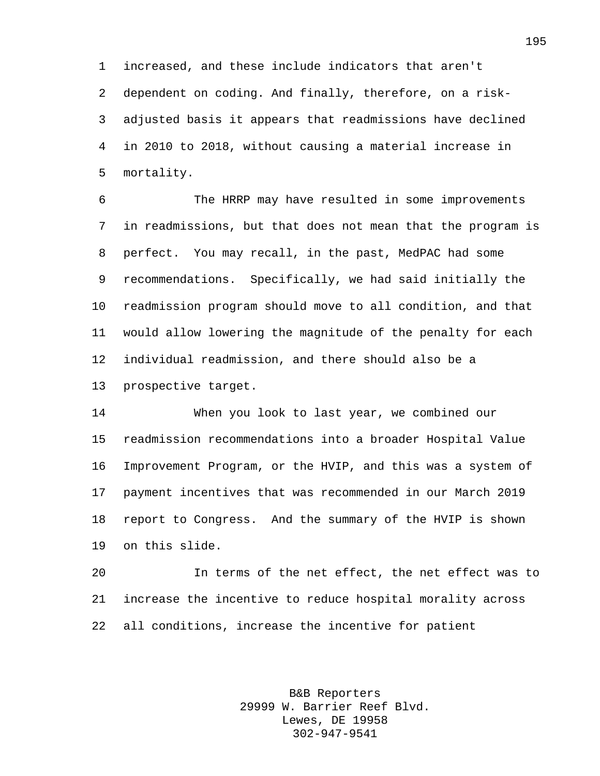increased, and these include indicators that aren't dependent on coding. And finally, therefore, on a risk- adjusted basis it appears that readmissions have declined in 2010 to 2018, without causing a material increase in mortality.

 The HRRP may have resulted in some improvements in readmissions, but that does not mean that the program is perfect. You may recall, in the past, MedPAC had some recommendations. Specifically, we had said initially the readmission program should move to all condition, and that would allow lowering the magnitude of the penalty for each individual readmission, and there should also be a prospective target.

 When you look to last year, we combined our readmission recommendations into a broader Hospital Value Improvement Program, or the HVIP, and this was a system of payment incentives that was recommended in our March 2019 report to Congress. And the summary of the HVIP is shown on this slide.

 In terms of the net effect, the net effect was to increase the incentive to reduce hospital morality across all conditions, increase the incentive for patient

> B&B Reporters 29999 W. Barrier Reef Blvd. Lewes, DE 19958 302-947-9541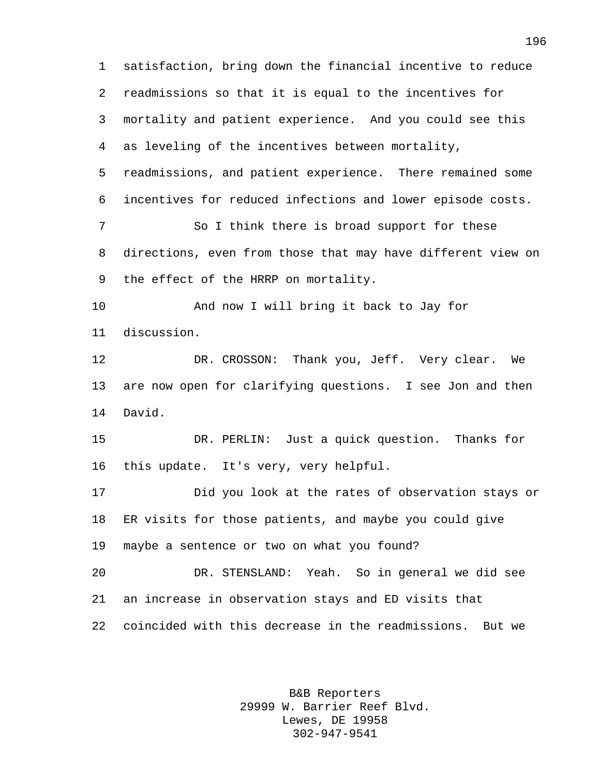satisfaction, bring down the financial incentive to reduce readmissions so that it is equal to the incentives for mortality and patient experience. And you could see this as leveling of the incentives between mortality, readmissions, and patient experience. There remained some incentives for reduced infections and lower episode costs. So I think there is broad support for these directions, even from those that may have different view on the effect of the HRRP on mortality. And now I will bring it back to Jay for discussion. DR. CROSSON: Thank you, Jeff. Very clear. We are now open for clarifying questions. I see Jon and then David. DR. PERLIN: Just a quick question. Thanks for this update. It's very, very helpful. Did you look at the rates of observation stays or ER visits for those patients, and maybe you could give maybe a sentence or two on what you found? DR. STENSLAND: Yeah. So in general we did see an increase in observation stays and ED visits that coincided with this decrease in the readmissions. But we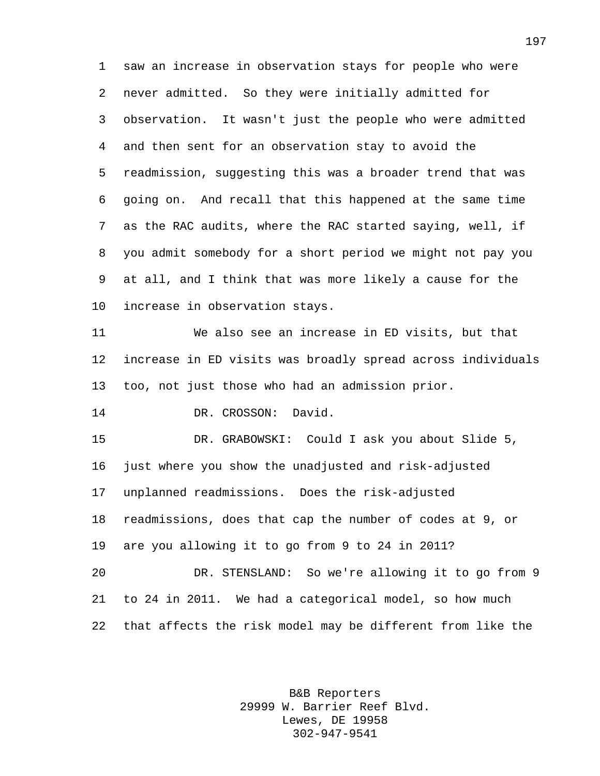saw an increase in observation stays for people who were never admitted. So they were initially admitted for observation. It wasn't just the people who were admitted and then sent for an observation stay to avoid the readmission, suggesting this was a broader trend that was going on. And recall that this happened at the same time as the RAC audits, where the RAC started saying, well, if you admit somebody for a short period we might not pay you at all, and I think that was more likely a cause for the increase in observation stays.

 We also see an increase in ED visits, but that increase in ED visits was broadly spread across individuals too, not just those who had an admission prior.

DR. CROSSON: David.

 DR. GRABOWSKI: Could I ask you about Slide 5, just where you show the unadjusted and risk-adjusted unplanned readmissions. Does the risk-adjusted readmissions, does that cap the number of codes at 9, or are you allowing it to go from 9 to 24 in 2011? DR. STENSLAND: So we're allowing it to go from 9 to 24 in 2011. We had a categorical model, so how much

that affects the risk model may be different from like the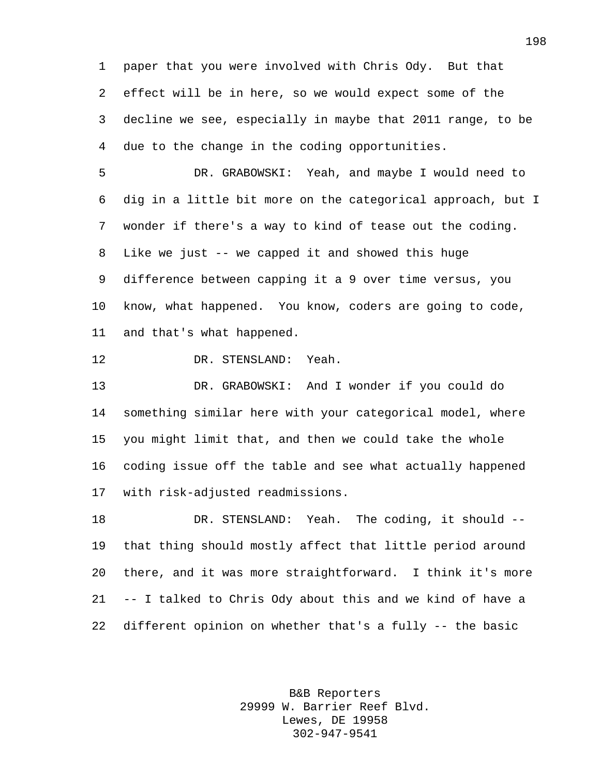paper that you were involved with Chris Ody. But that effect will be in here, so we would expect some of the decline we see, especially in maybe that 2011 range, to be due to the change in the coding opportunities.

 DR. GRABOWSKI: Yeah, and maybe I would need to dig in a little bit more on the categorical approach, but I wonder if there's a way to kind of tease out the coding. Like we just -- we capped it and showed this huge difference between capping it a 9 over time versus, you know, what happened. You know, coders are going to code, and that's what happened.

DR. STENSLAND: Yeah.

 DR. GRABOWSKI: And I wonder if you could do something similar here with your categorical model, where you might limit that, and then we could take the whole coding issue off the table and see what actually happened with risk-adjusted readmissions.

 DR. STENSLAND: Yeah. The coding, it should -- that thing should mostly affect that little period around there, and it was more straightforward. I think it's more -- I talked to Chris Ody about this and we kind of have a different opinion on whether that's a fully -- the basic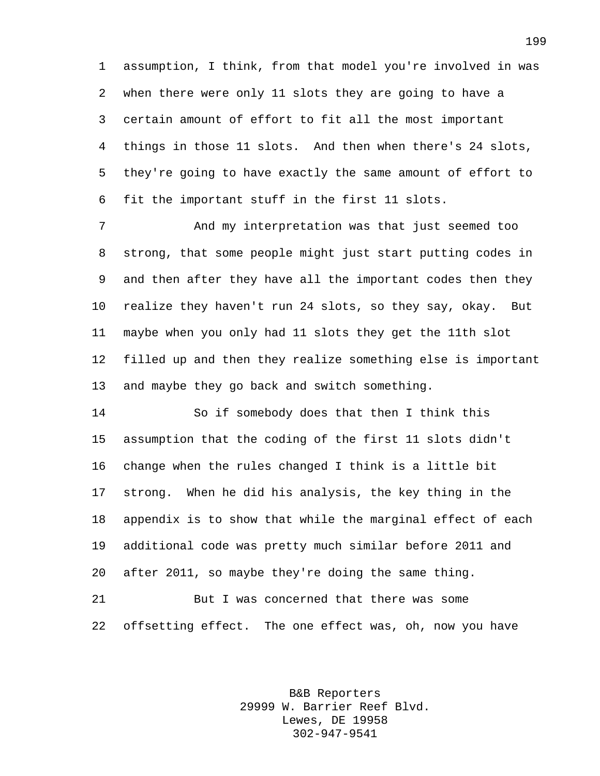assumption, I think, from that model you're involved in was when there were only 11 slots they are going to have a certain amount of effort to fit all the most important things in those 11 slots. And then when there's 24 slots, they're going to have exactly the same amount of effort to fit the important stuff in the first 11 slots.

 And my interpretation was that just seemed too strong, that some people might just start putting codes in and then after they have all the important codes then they realize they haven't run 24 slots, so they say, okay. But maybe when you only had 11 slots they get the 11th slot filled up and then they realize something else is important and maybe they go back and switch something.

 So if somebody does that then I think this assumption that the coding of the first 11 slots didn't change when the rules changed I think is a little bit strong. When he did his analysis, the key thing in the appendix is to show that while the marginal effect of each additional code was pretty much similar before 2011 and after 2011, so maybe they're doing the same thing.

 But I was concerned that there was some offsetting effect. The one effect was, oh, now you have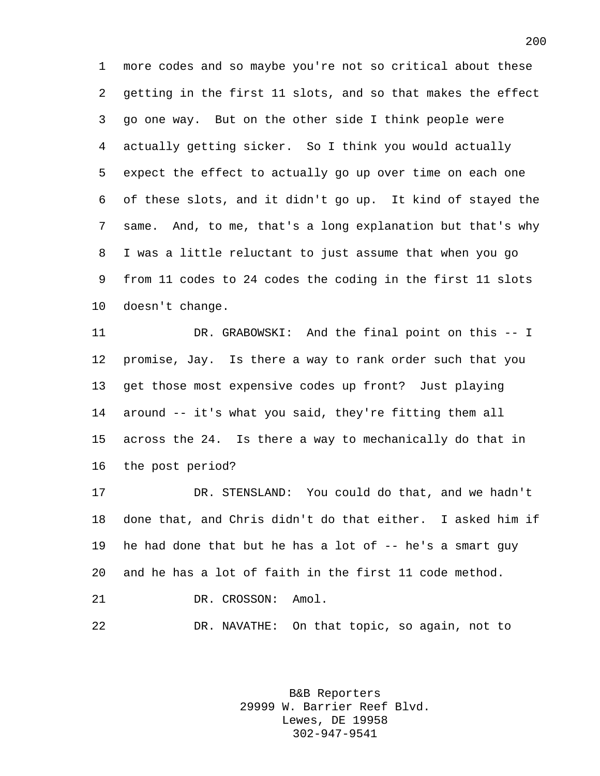more codes and so maybe you're not so critical about these getting in the first 11 slots, and so that makes the effect go one way. But on the other side I think people were actually getting sicker. So I think you would actually expect the effect to actually go up over time on each one of these slots, and it didn't go up. It kind of stayed the same. And, to me, that's a long explanation but that's why I was a little reluctant to just assume that when you go from 11 codes to 24 codes the coding in the first 11 slots doesn't change.

 DR. GRABOWSKI: And the final point on this -- I promise, Jay. Is there a way to rank order such that you get those most expensive codes up front? Just playing around -- it's what you said, they're fitting them all across the 24. Is there a way to mechanically do that in the post period?

 DR. STENSLAND: You could do that, and we hadn't done that, and Chris didn't do that either. I asked him if he had done that but he has a lot of -- he's a smart guy and he has a lot of faith in the first 11 code method. 21 DR. CROSSON: Amol. DR. NAVATHE: On that topic, so again, not to

> B&B Reporters 29999 W. Barrier Reef Blvd. Lewes, DE 19958 302-947-9541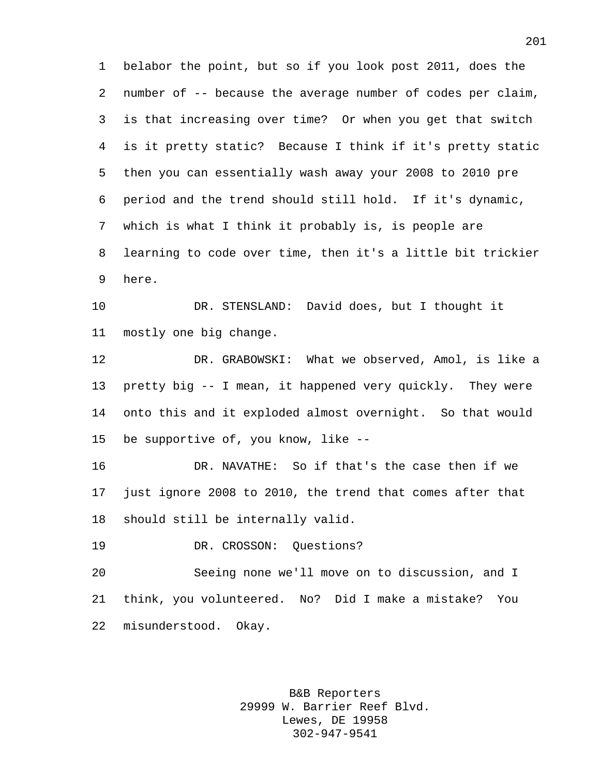belabor the point, but so if you look post 2011, does the number of -- because the average number of codes per claim, is that increasing over time? Or when you get that switch is it pretty static? Because I think if it's pretty static then you can essentially wash away your 2008 to 2010 pre period and the trend should still hold. If it's dynamic, which is what I think it probably is, is people are learning to code over time, then it's a little bit trickier here.

 DR. STENSLAND: David does, but I thought it mostly one big change.

 DR. GRABOWSKI: What we observed, Amol, is like a pretty big -- I mean, it happened very quickly. They were onto this and it exploded almost overnight. So that would be supportive of, you know, like --

 DR. NAVATHE: So if that's the case then if we just ignore 2008 to 2010, the trend that comes after that should still be internally valid.

DR. CROSSON: Questions?

 Seeing none we'll move on to discussion, and I think, you volunteered. No? Did I make a mistake? You misunderstood. Okay.

> B&B Reporters 29999 W. Barrier Reef Blvd. Lewes, DE 19958 302-947-9541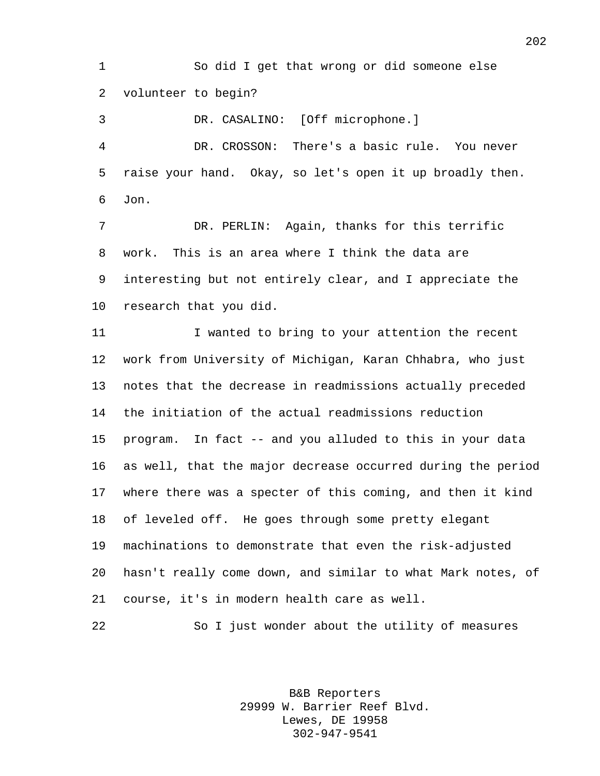So did I get that wrong or did someone else volunteer to begin?

 DR. CASALINO: [Off microphone.] DR. CROSSON: There's a basic rule. You never raise your hand. Okay, so let's open it up broadly then. Jon.

 DR. PERLIN: Again, thanks for this terrific work. This is an area where I think the data are interesting but not entirely clear, and I appreciate the research that you did.

 I wanted to bring to your attention the recent work from University of Michigan, Karan Chhabra, who just notes that the decrease in readmissions actually preceded the initiation of the actual readmissions reduction program. In fact -- and you alluded to this in your data as well, that the major decrease occurred during the period where there was a specter of this coming, and then it kind of leveled off. He goes through some pretty elegant machinations to demonstrate that even the risk-adjusted hasn't really come down, and similar to what Mark notes, of course, it's in modern health care as well.

So I just wonder about the utility of measures

B&B Reporters 29999 W. Barrier Reef Blvd. Lewes, DE 19958 302-947-9541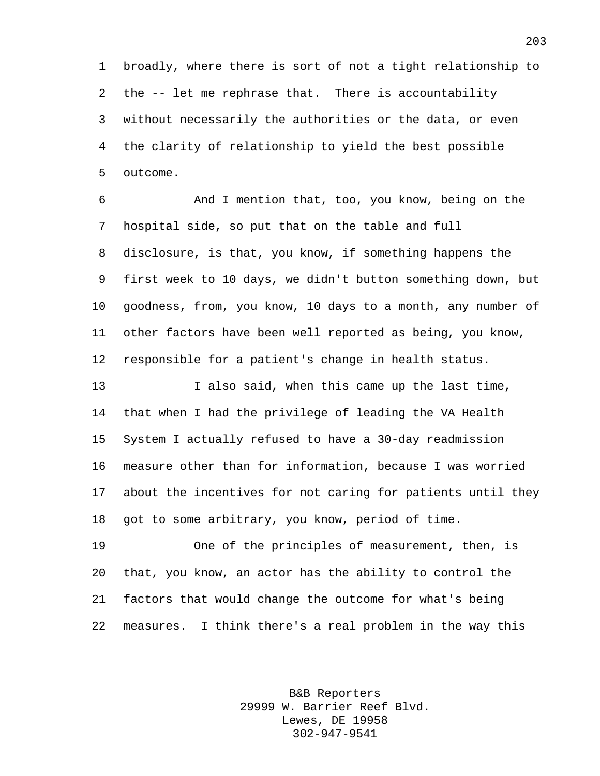broadly, where there is sort of not a tight relationship to the -- let me rephrase that. There is accountability without necessarily the authorities or the data, or even the clarity of relationship to yield the best possible outcome.

 And I mention that, too, you know, being on the hospital side, so put that on the table and full disclosure, is that, you know, if something happens the first week to 10 days, we didn't button something down, but goodness, from, you know, 10 days to a month, any number of other factors have been well reported as being, you know, responsible for a patient's change in health status.

 I also said, when this came up the last time, that when I had the privilege of leading the VA Health System I actually refused to have a 30-day readmission measure other than for information, because I was worried about the incentives for not caring for patients until they got to some arbitrary, you know, period of time.

 One of the principles of measurement, then, is that, you know, an actor has the ability to control the factors that would change the outcome for what's being measures. I think there's a real problem in the way this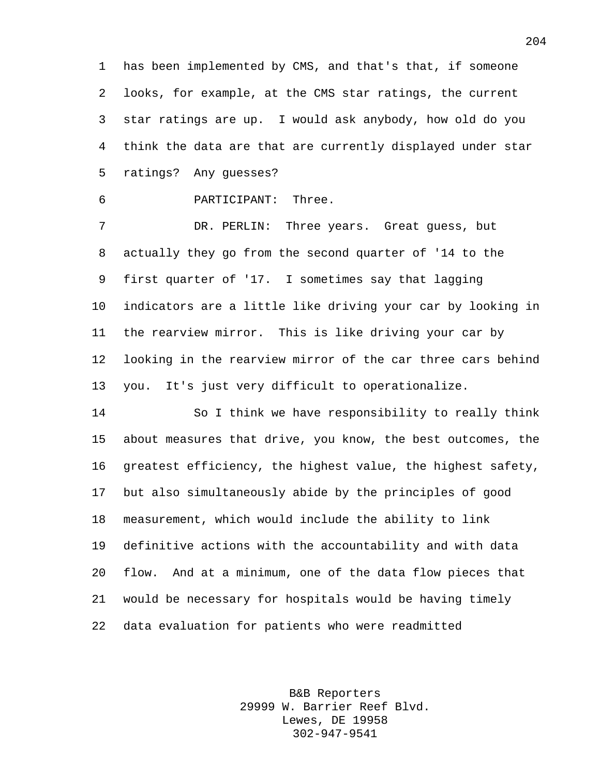has been implemented by CMS, and that's that, if someone looks, for example, at the CMS star ratings, the current star ratings are up. I would ask anybody, how old do you think the data are that are currently displayed under star ratings? Any guesses?

PARTICIPANT: Three.

 DR. PERLIN: Three years. Great guess, but actually they go from the second quarter of '14 to the first quarter of '17. I sometimes say that lagging indicators are a little like driving your car by looking in the rearview mirror. This is like driving your car by looking in the rearview mirror of the car three cars behind you. It's just very difficult to operationalize.

 So I think we have responsibility to really think about measures that drive, you know, the best outcomes, the greatest efficiency, the highest value, the highest safety, but also simultaneously abide by the principles of good measurement, which would include the ability to link definitive actions with the accountability and with data flow. And at a minimum, one of the data flow pieces that would be necessary for hospitals would be having timely data evaluation for patients who were readmitted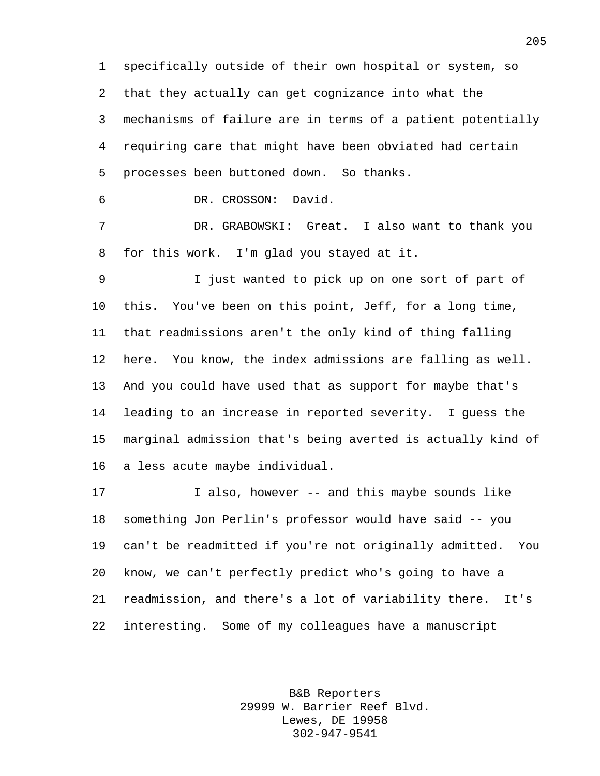specifically outside of their own hospital or system, so that they actually can get cognizance into what the mechanisms of failure are in terms of a patient potentially requiring care that might have been obviated had certain processes been buttoned down. So thanks. DR. CROSSON: David.

 DR. GRABOWSKI: Great. I also want to thank you for this work. I'm glad you stayed at it.

 I just wanted to pick up on one sort of part of this. You've been on this point, Jeff, for a long time, that readmissions aren't the only kind of thing falling here. You know, the index admissions are falling as well. And you could have used that as support for maybe that's leading to an increase in reported severity. I guess the marginal admission that's being averted is actually kind of a less acute maybe individual.

 I also, however -- and this maybe sounds like something Jon Perlin's professor would have said -- you can't be readmitted if you're not originally admitted. You know, we can't perfectly predict who's going to have a readmission, and there's a lot of variability there. It's interesting. Some of my colleagues have a manuscript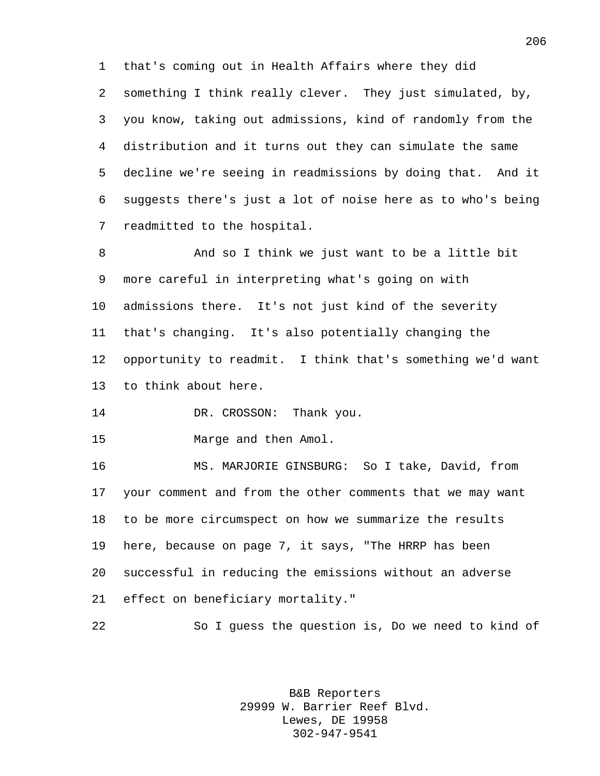that's coming out in Health Affairs where they did something I think really clever. They just simulated, by, you know, taking out admissions, kind of randomly from the distribution and it turns out they can simulate the same decline we're seeing in readmissions by doing that. And it suggests there's just a lot of noise here as to who's being readmitted to the hospital.

 And so I think we just want to be a little bit more careful in interpreting what's going on with admissions there. It's not just kind of the severity that's changing. It's also potentially changing the opportunity to readmit. I think that's something we'd want to think about here.

14 DR. CROSSON: Thank you.

Marge and then Amol.

 MS. MARJORIE GINSBURG: So I take, David, from your comment and from the other comments that we may want to be more circumspect on how we summarize the results here, because on page 7, it says, "The HRRP has been successful in reducing the emissions without an adverse effect on beneficiary mortality."

So I guess the question is, Do we need to kind of

B&B Reporters 29999 W. Barrier Reef Blvd. Lewes, DE 19958 302-947-9541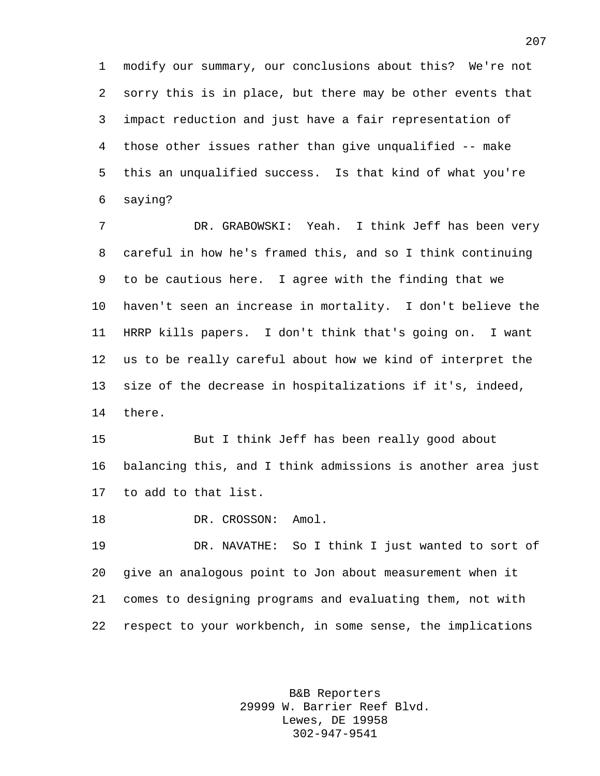modify our summary, our conclusions about this? We're not sorry this is in place, but there may be other events that impact reduction and just have a fair representation of those other issues rather than give unqualified -- make this an unqualified success. Is that kind of what you're saying?

 DR. GRABOWSKI: Yeah. I think Jeff has been very careful in how he's framed this, and so I think continuing to be cautious here. I agree with the finding that we haven't seen an increase in mortality. I don't believe the HRRP kills papers. I don't think that's going on. I want us to be really careful about how we kind of interpret the size of the decrease in hospitalizations if it's, indeed, there.

 But I think Jeff has been really good about balancing this, and I think admissions is another area just to add to that list.

18 DR. CROSSON: Amol.

 DR. NAVATHE: So I think I just wanted to sort of give an analogous point to Jon about measurement when it comes to designing programs and evaluating them, not with respect to your workbench, in some sense, the implications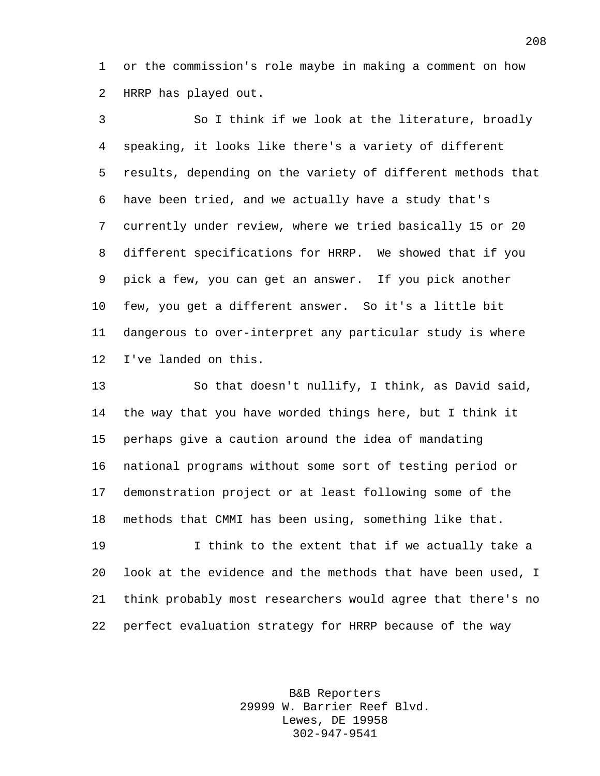or the commission's role maybe in making a comment on how HRRP has played out.

 So I think if we look at the literature, broadly speaking, it looks like there's a variety of different results, depending on the variety of different methods that have been tried, and we actually have a study that's currently under review, where we tried basically 15 or 20 different specifications for HRRP. We showed that if you pick a few, you can get an answer. If you pick another few, you get a different answer. So it's a little bit dangerous to over-interpret any particular study is where I've landed on this.

 So that doesn't nullify, I think, as David said, the way that you have worded things here, but I think it perhaps give a caution around the idea of mandating national programs without some sort of testing period or demonstration project or at least following some of the methods that CMMI has been using, something like that.

 I think to the extent that if we actually take a look at the evidence and the methods that have been used, I think probably most researchers would agree that there's no perfect evaluation strategy for HRRP because of the way

> B&B Reporters 29999 W. Barrier Reef Blvd. Lewes, DE 19958 302-947-9541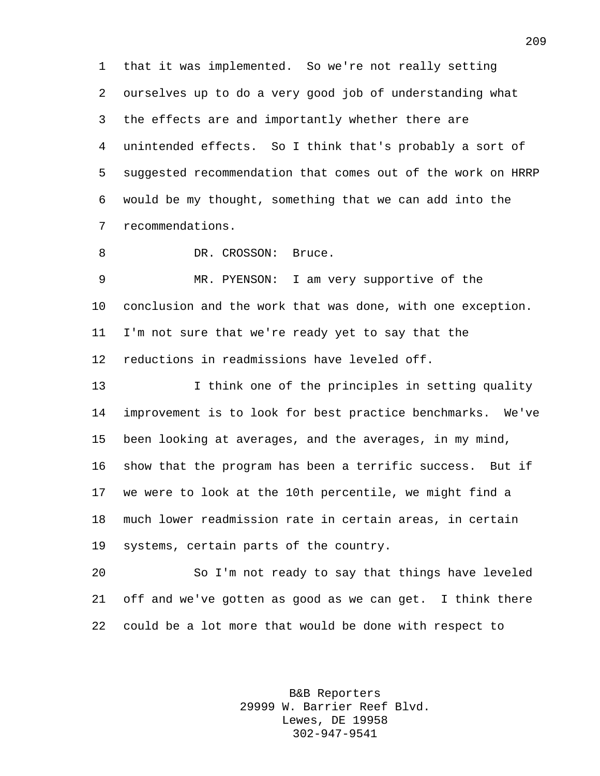that it was implemented. So we're not really setting ourselves up to do a very good job of understanding what the effects are and importantly whether there are unintended effects. So I think that's probably a sort of suggested recommendation that comes out of the work on HRRP would be my thought, something that we can add into the recommendations.

8 DR. CROSSON: Bruce.

 MR. PYENSON: I am very supportive of the conclusion and the work that was done, with one exception. I'm not sure that we're ready yet to say that the reductions in readmissions have leveled off.

 I think one of the principles in setting quality improvement is to look for best practice benchmarks. We've been looking at averages, and the averages, in my mind, show that the program has been a terrific success. But if we were to look at the 10th percentile, we might find a much lower readmission rate in certain areas, in certain systems, certain parts of the country.

 So I'm not ready to say that things have leveled off and we've gotten as good as we can get. I think there could be a lot more that would be done with respect to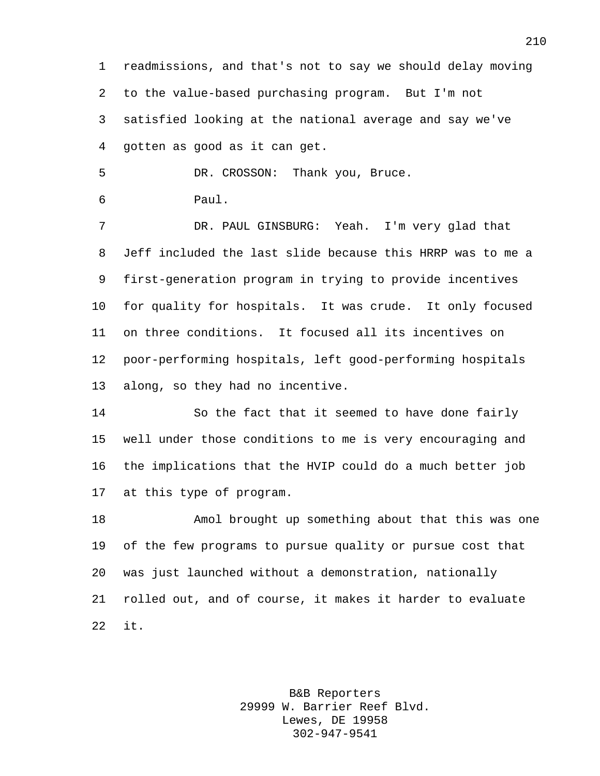readmissions, and that's not to say we should delay moving to the value-based purchasing program. But I'm not satisfied looking at the national average and say we've gotten as good as it can get.

DR. CROSSON: Thank you, Bruce.

Paul.

 DR. PAUL GINSBURG: Yeah. I'm very glad that Jeff included the last slide because this HRRP was to me a first-generation program in trying to provide incentives for quality for hospitals. It was crude. It only focused on three conditions. It focused all its incentives on poor-performing hospitals, left good-performing hospitals along, so they had no incentive.

 So the fact that it seemed to have done fairly well under those conditions to me is very encouraging and the implications that the HVIP could do a much better job at this type of program.

 Amol brought up something about that this was one of the few programs to pursue quality or pursue cost that was just launched without a demonstration, nationally rolled out, and of course, it makes it harder to evaluate it.

> B&B Reporters 29999 W. Barrier Reef Blvd. Lewes, DE 19958 302-947-9541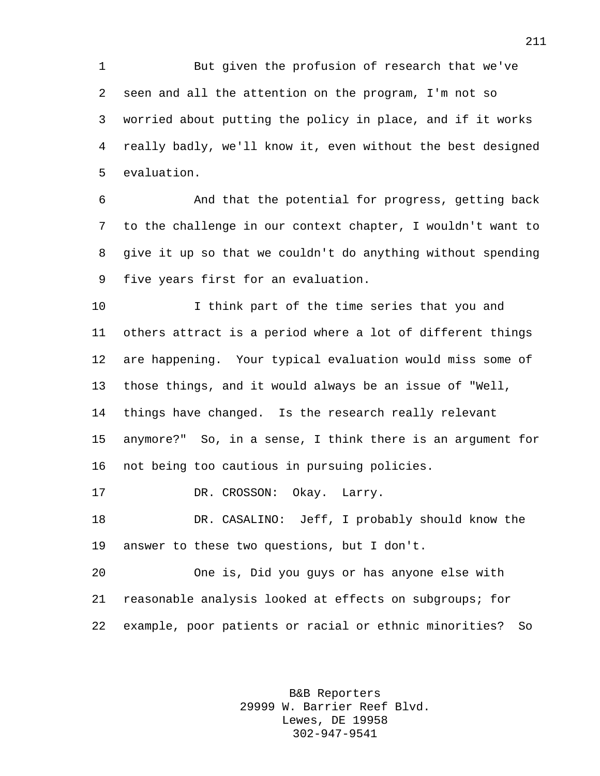But given the profusion of research that we've seen and all the attention on the program, I'm not so worried about putting the policy in place, and if it works really badly, we'll know it, even without the best designed evaluation.

 And that the potential for progress, getting back to the challenge in our context chapter, I wouldn't want to give it up so that we couldn't do anything without spending five years first for an evaluation.

 I think part of the time series that you and others attract is a period where a lot of different things are happening. Your typical evaluation would miss some of those things, and it would always be an issue of "Well, things have changed. Is the research really relevant anymore?" So, in a sense, I think there is an argument for not being too cautious in pursuing policies.

17 DR. CROSSON: Okay. Larry.

 DR. CASALINO: Jeff, I probably should know the answer to these two questions, but I don't.

 One is, Did you guys or has anyone else with reasonable analysis looked at effects on subgroups; for example, poor patients or racial or ethnic minorities? So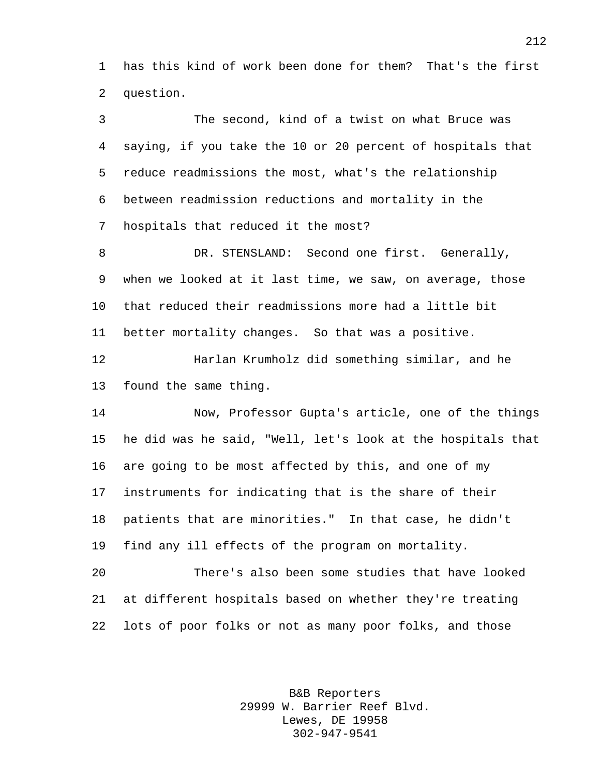has this kind of work been done for them? That's the first question.

 The second, kind of a twist on what Bruce was saying, if you take the 10 or 20 percent of hospitals that reduce readmissions the most, what's the relationship between readmission reductions and mortality in the hospitals that reduced it the most? 8 DR. STENSLAND: Second one first. Generally, when we looked at it last time, we saw, on average, those that reduced their readmissions more had a little bit better mortality changes. So that was a positive. Harlan Krumholz did something similar, and he found the same thing. Now, Professor Gupta's article, one of the things he did was he said, "Well, let's look at the hospitals that are going to be most affected by this, and one of my instruments for indicating that is the share of their patients that are minorities." In that case, he didn't find any ill effects of the program on mortality. There's also been some studies that have looked at different hospitals based on whether they're treating lots of poor folks or not as many poor folks, and those

> B&B Reporters 29999 W. Barrier Reef Blvd. Lewes, DE 19958 302-947-9541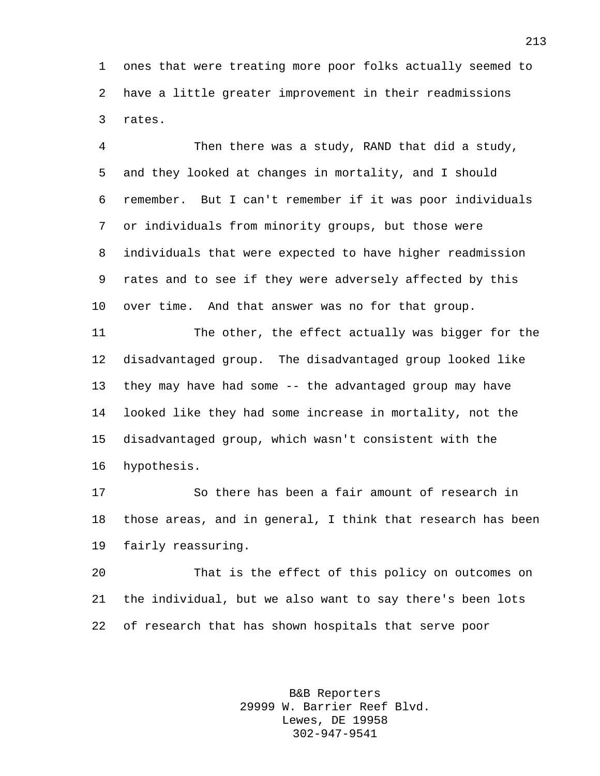ones that were treating more poor folks actually seemed to have a little greater improvement in their readmissions rates.

 Then there was a study, RAND that did a study, and they looked at changes in mortality, and I should remember. But I can't remember if it was poor individuals or individuals from minority groups, but those were individuals that were expected to have higher readmission rates and to see if they were adversely affected by this over time. And that answer was no for that group.

 The other, the effect actually was bigger for the disadvantaged group. The disadvantaged group looked like they may have had some -- the advantaged group may have looked like they had some increase in mortality, not the disadvantaged group, which wasn't consistent with the hypothesis.

 So there has been a fair amount of research in those areas, and in general, I think that research has been fairly reassuring.

 That is the effect of this policy on outcomes on the individual, but we also want to say there's been lots of research that has shown hospitals that serve poor

> B&B Reporters 29999 W. Barrier Reef Blvd. Lewes, DE 19958 302-947-9541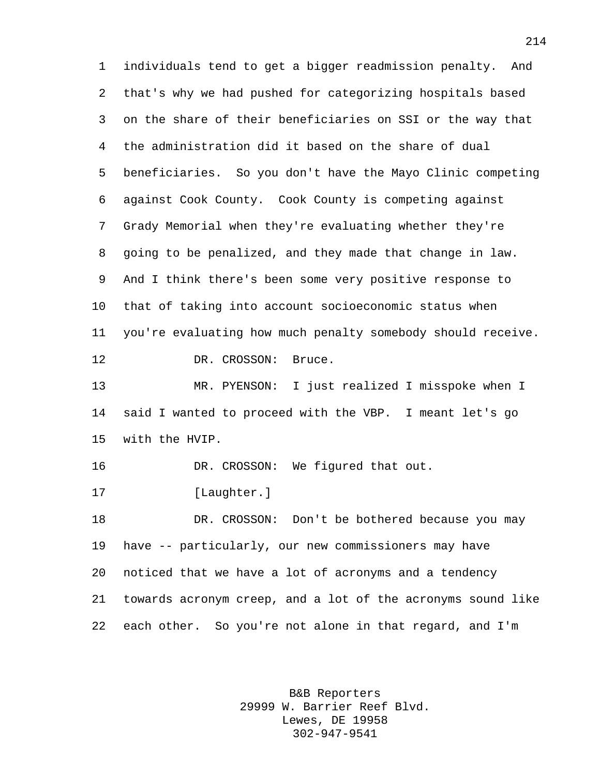individuals tend to get a bigger readmission penalty. And that's why we had pushed for categorizing hospitals based on the share of their beneficiaries on SSI or the way that the administration did it based on the share of dual beneficiaries. So you don't have the Mayo Clinic competing against Cook County. Cook County is competing against Grady Memorial when they're evaluating whether they're going to be penalized, and they made that change in law. And I think there's been some very positive response to that of taking into account socioeconomic status when you're evaluating how much penalty somebody should receive. 12 DR. CROSSON: Bruce. MR. PYENSON: I just realized I misspoke when I said I wanted to proceed with the VBP. I meant let's go with the HVIP. 16 DR. CROSSON: We figured that out. [Laughter.] DR. CROSSON: Don't be bothered because you may have -- particularly, our new commissioners may have noticed that we have a lot of acronyms and a tendency towards acronym creep, and a lot of the acronyms sound like each other. So you're not alone in that regard, and I'm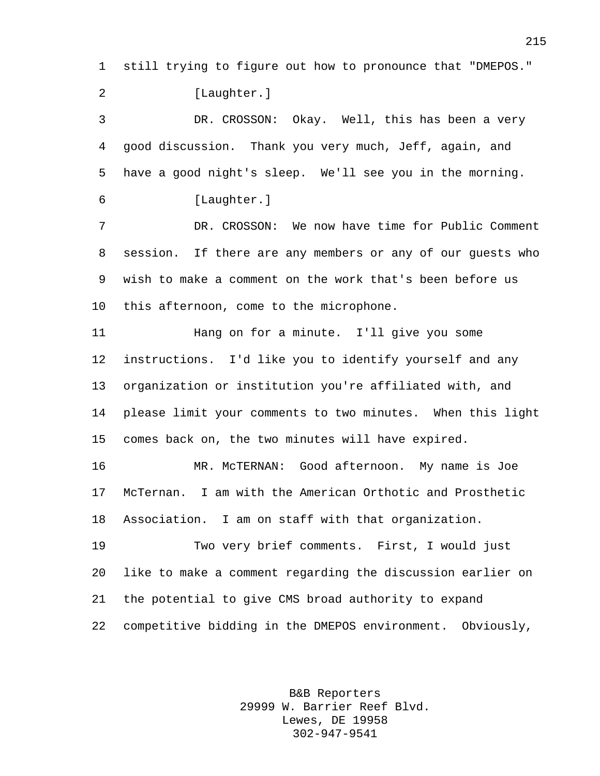still trying to figure out how to pronounce that "DMEPOS."

2 [Laughter.]

 DR. CROSSON: Okay. Well, this has been a very good discussion. Thank you very much, Jeff, again, and have a good night's sleep. We'll see you in the morning. [Laughter.]

 DR. CROSSON: We now have time for Public Comment session. If there are any members or any of our guests who wish to make a comment on the work that's been before us this afternoon, come to the microphone.

 Hang on for a minute. I'll give you some instructions. I'd like you to identify yourself and any organization or institution you're affiliated with, and please limit your comments to two minutes. When this light comes back on, the two minutes will have expired.

 MR. McTERNAN: Good afternoon. My name is Joe McTernan. I am with the American Orthotic and Prosthetic Association. I am on staff with that organization.

 Two very brief comments. First, I would just like to make a comment regarding the discussion earlier on the potential to give CMS broad authority to expand competitive bidding in the DMEPOS environment. Obviously,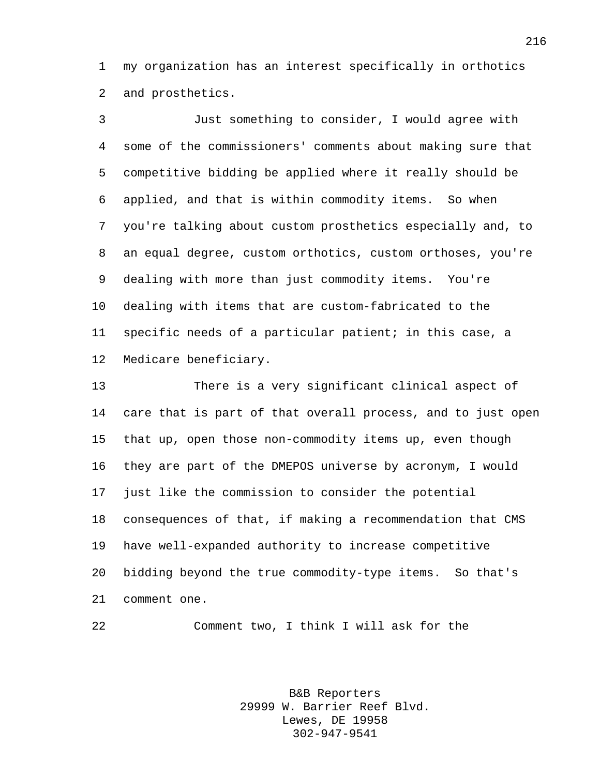my organization has an interest specifically in orthotics and prosthetics.

 Just something to consider, I would agree with some of the commissioners' comments about making sure that competitive bidding be applied where it really should be applied, and that is within commodity items. So when you're talking about custom prosthetics especially and, to an equal degree, custom orthotics, custom orthoses, you're dealing with more than just commodity items. You're dealing with items that are custom-fabricated to the specific needs of a particular patient; in this case, a Medicare beneficiary.

 There is a very significant clinical aspect of care that is part of that overall process, and to just open that up, open those non-commodity items up, even though they are part of the DMEPOS universe by acronym, I would just like the commission to consider the potential consequences of that, if making a recommendation that CMS have well-expanded authority to increase competitive bidding beyond the true commodity-type items. So that's comment one.

Comment two, I think I will ask for the

B&B Reporters 29999 W. Barrier Reef Blvd. Lewes, DE 19958 302-947-9541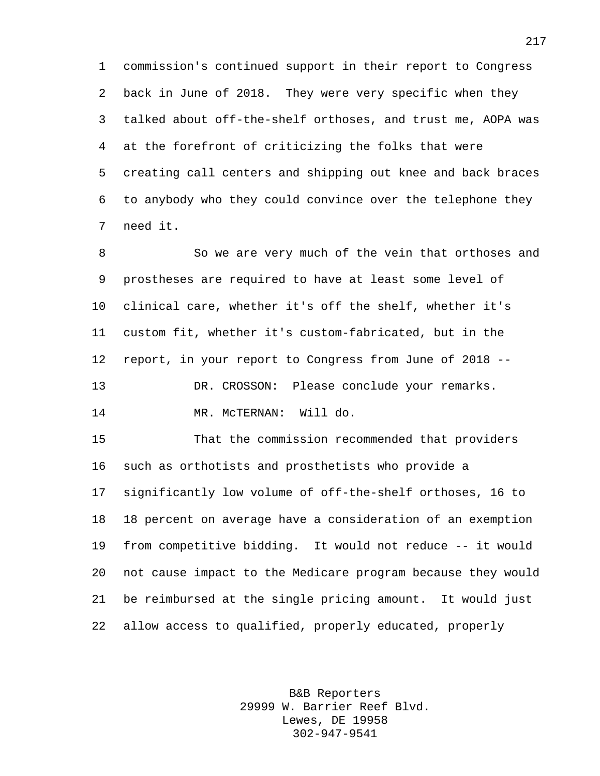commission's continued support in their report to Congress back in June of 2018. They were very specific when they talked about off-the-shelf orthoses, and trust me, AOPA was at the forefront of criticizing the folks that were creating call centers and shipping out knee and back braces to anybody who they could convince over the telephone they need it.

 So we are very much of the vein that orthoses and prostheses are required to have at least some level of clinical care, whether it's off the shelf, whether it's custom fit, whether it's custom-fabricated, but in the report, in your report to Congress from June of 2018 -- DR. CROSSON: Please conclude your remarks. MR. McTERNAN: Will do.

 That the commission recommended that providers such as orthotists and prosthetists who provide a significantly low volume of off-the-shelf orthoses, 16 to 18 percent on average have a consideration of an exemption from competitive bidding. It would not reduce -- it would not cause impact to the Medicare program because they would be reimbursed at the single pricing amount. It would just allow access to qualified, properly educated, properly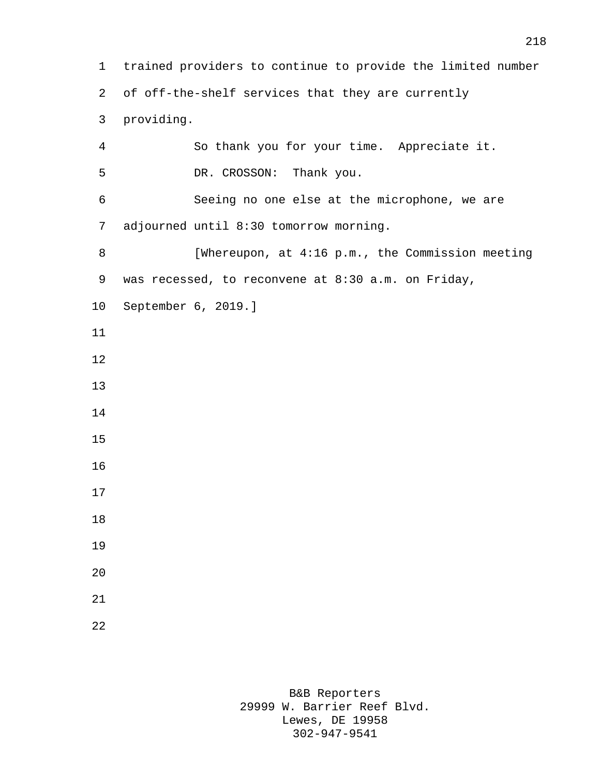trained providers to continue to provide the limited number of off-the-shelf services that they are currently providing. So thank you for your time. Appreciate it. DR. CROSSON: Thank you. Seeing no one else at the microphone, we are adjourned until 8:30 tomorrow morning. 8 [Whereupon, at 4:16 p.m., the Commission meeting was recessed, to reconvene at 8:30 a.m. on Friday, September 6, 2019.]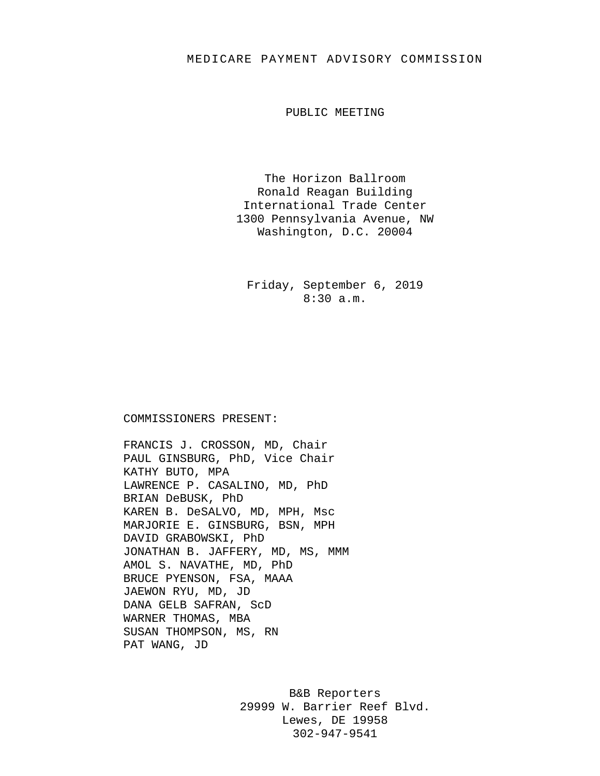## MEDICARE PAYMENT ADVISORY COMMISSION

PUBLIC MEETING

The Horizon Ballroom Ronald Reagan Building International Trade Center 1300 Pennsylvania Avenue, NW Washington, D.C. 20004

Friday, September 6, 2019 8:30 a.m.

## COMMISSIONERS PRESENT:

FRANCIS J. CROSSON, MD, Chair PAUL GINSBURG, PhD, Vice Chair KATHY BUTO, MPA LAWRENCE P. CASALINO, MD, PhD BRIAN DeBUSK, PhD KAREN B. DeSALVO, MD, MPH, Msc MARJORIE E. GINSBURG, BSN, MPH DAVID GRABOWSKI, PhD JONATHAN B. JAFFERY, MD, MS, MMM AMOL S. NAVATHE, MD, PhD BRUCE PYENSON, FSA, MAAA JAEWON RYU, MD, JD DANA GELB SAFRAN, ScD WARNER THOMAS, MBA SUSAN THOMPSON, MS, RN PAT WANG, JD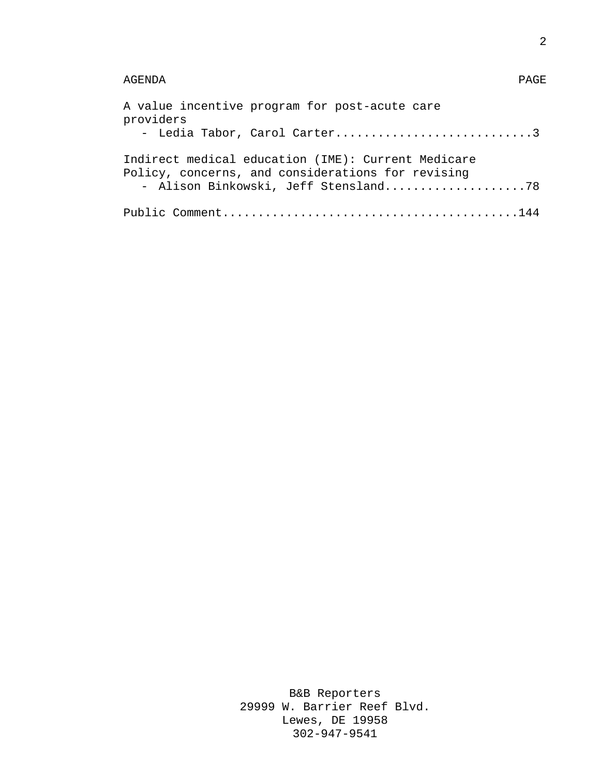## AGENDA PAGE

| A value incentive program for post-acute care<br>providers<br>- Ledia Tabor, Carol Carter3                                                      |
|-------------------------------------------------------------------------------------------------------------------------------------------------|
| Indirect medical education (IME): Current Medicare<br>Policy, concerns, and considerations for revising<br>- Alison Binkowski, Jeff Stensland78 |
|                                                                                                                                                 |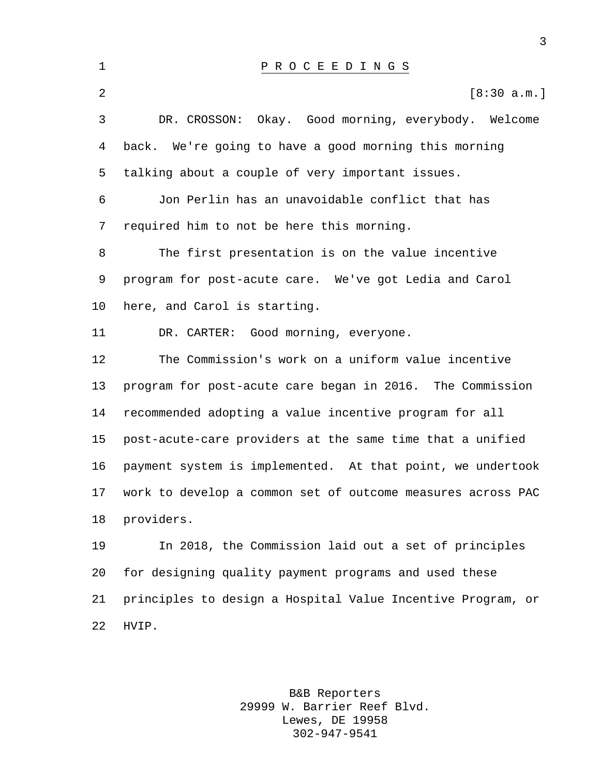| $\mathbf 1$    | PROCEEDINGS                                                 |
|----------------|-------------------------------------------------------------|
| $\overline{a}$ | [8:30 a.m.]                                                 |
| 3              | DR. CROSSON:<br>Okay. Good morning, everybody. Welcome      |
| $\overline{4}$ | back. We're going to have a good morning this morning       |
| 5              | talking about a couple of very important issues.            |
| 6              | Jon Perlin has an unavoidable conflict that has             |
| 7              | required him to not be here this morning.                   |
| 8              | The first presentation is on the value incentive            |
| 9              | program for post-acute care. We've got Ledia and Carol      |
| 10             | here, and Carol is starting.                                |
| 11             | DR. CARTER: Good morning, everyone.                         |
| 12             | The Commission's work on a uniform value incentive          |
| 13             | program for post-acute care began in 2016. The Commission   |
| 14             | recommended adopting a value incentive program for all      |
| 15             | post-acute-care providers at the same time that a unified   |
| 16             | payment system is implemented. At that point, we undertook  |
| 17             | work to develop a common set of outcome measures across PAC |
| 18             | providers.                                                  |
| 19             | In 2018, the Commission laid out a set of principles        |
| 20             | for designing quality payment programs and used these       |
| 21             | principles to design a Hospital Value Incentive Program, or |
| 22             | HVIP.                                                       |

B&B Reporters 29999 W. Barrier Reef Blvd. Lewes, DE 19958 302-947-9541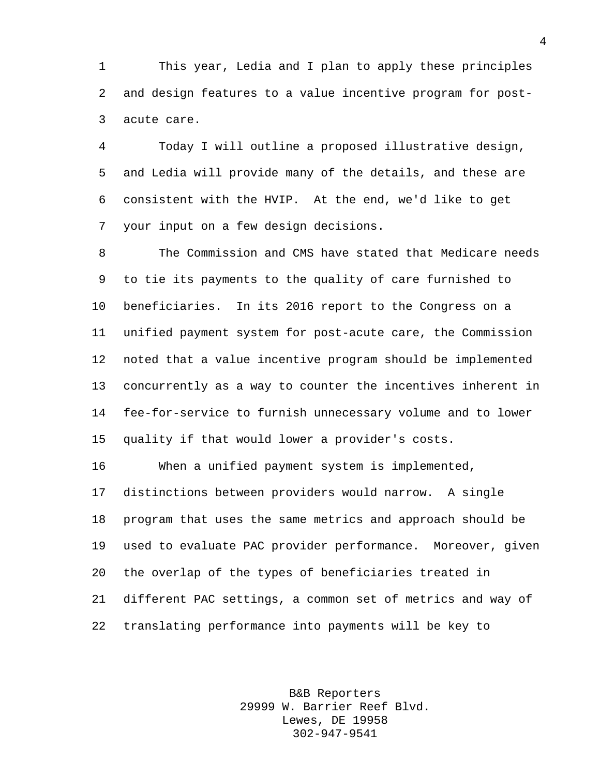This year, Ledia and I plan to apply these principles and design features to a value incentive program for post-acute care.

 Today I will outline a proposed illustrative design, and Ledia will provide many of the details, and these are consistent with the HVIP. At the end, we'd like to get your input on a few design decisions.

 The Commission and CMS have stated that Medicare needs to tie its payments to the quality of care furnished to beneficiaries. In its 2016 report to the Congress on a unified payment system for post-acute care, the Commission noted that a value incentive program should be implemented concurrently as a way to counter the incentives inherent in fee-for-service to furnish unnecessary volume and to lower quality if that would lower a provider's costs.

 When a unified payment system is implemented, distinctions between providers would narrow. A single program that uses the same metrics and approach should be used to evaluate PAC provider performance. Moreover, given the overlap of the types of beneficiaries treated in different PAC settings, a common set of metrics and way of translating performance into payments will be key to

> B&B Reporters 29999 W. Barrier Reef Blvd. Lewes, DE 19958 302-947-9541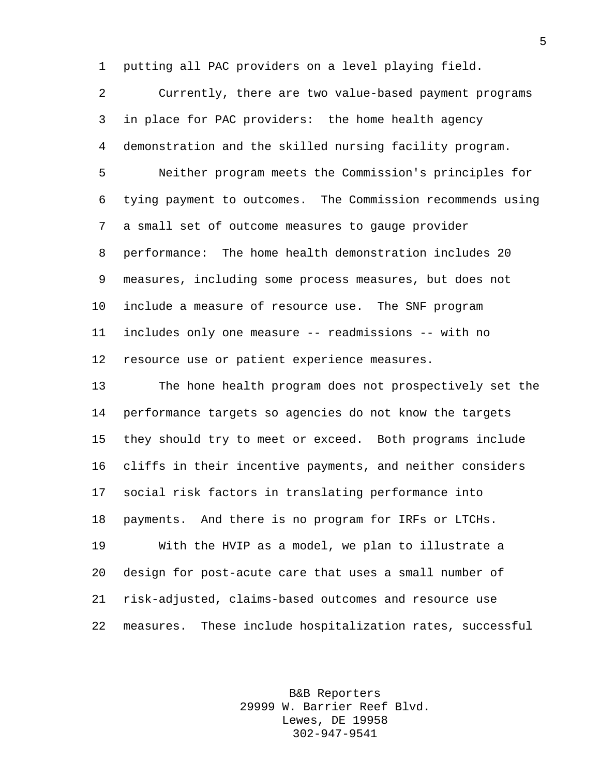putting all PAC providers on a level playing field.

 Currently, there are two value-based payment programs in place for PAC providers: the home health agency demonstration and the skilled nursing facility program. Neither program meets the Commission's principles for tying payment to outcomes. The Commission recommends using a small set of outcome measures to gauge provider performance: The home health demonstration includes 20 measures, including some process measures, but does not include a measure of resource use. The SNF program includes only one measure -- readmissions -- with no resource use or patient experience measures.

 The hone health program does not prospectively set the performance targets so agencies do not know the targets they should try to meet or exceed. Both programs include cliffs in their incentive payments, and neither considers social risk factors in translating performance into payments. And there is no program for IRFs or LTCHs. With the HVIP as a model, we plan to illustrate a design for post-acute care that uses a small number of risk-adjusted, claims-based outcomes and resource use measures. These include hospitalization rates, successful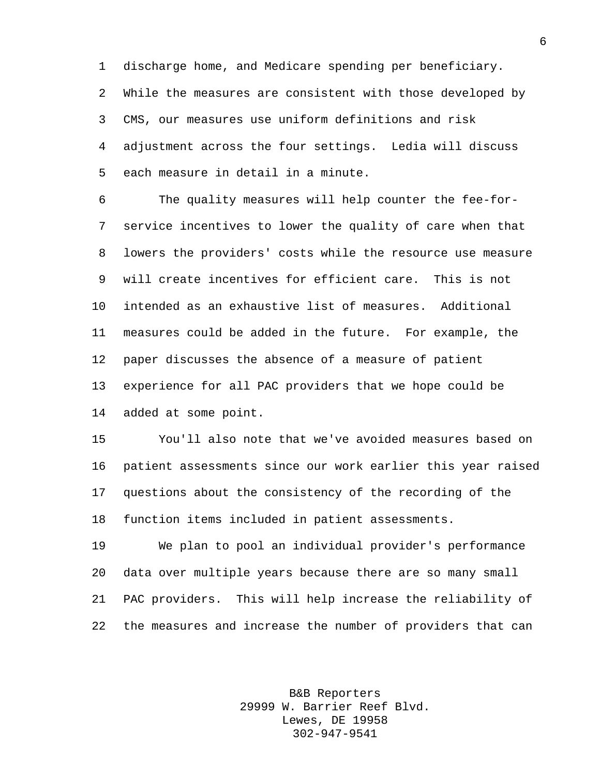discharge home, and Medicare spending per beneficiary. While the measures are consistent with those developed by CMS, our measures use uniform definitions and risk adjustment across the four settings. Ledia will discuss each measure in detail in a minute.

 The quality measures will help counter the fee-for- service incentives to lower the quality of care when that lowers the providers' costs while the resource use measure will create incentives for efficient care. This is not intended as an exhaustive list of measures. Additional measures could be added in the future. For example, the paper discusses the absence of a measure of patient experience for all PAC providers that we hope could be added at some point.

 You'll also note that we've avoided measures based on patient assessments since our work earlier this year raised questions about the consistency of the recording of the function items included in patient assessments.

 We plan to pool an individual provider's performance data over multiple years because there are so many small PAC providers. This will help increase the reliability of the measures and increase the number of providers that can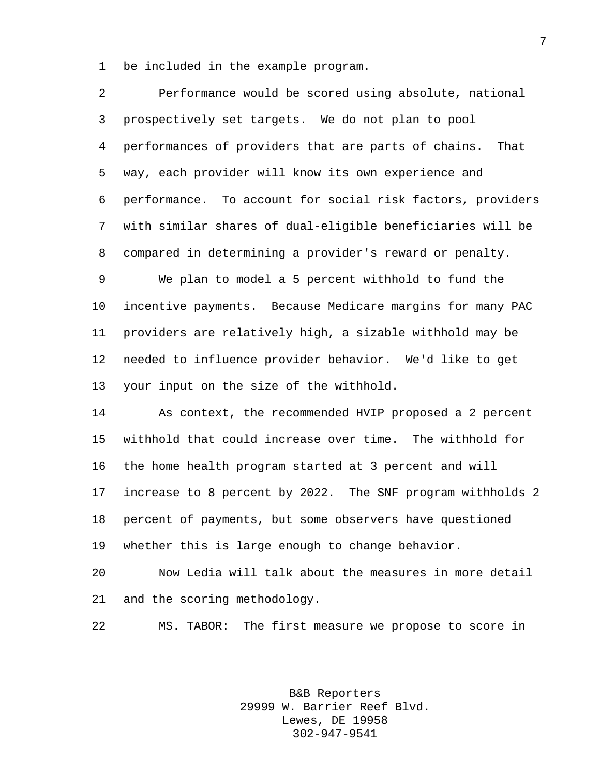be included in the example program.

| 2  | Performance would be scored using absolute, national        |
|----|-------------------------------------------------------------|
| 3  | prospectively set targets. We do not plan to pool           |
| 4  | performances of providers that are parts of chains.<br>That |
| 5  | way, each provider will know its own experience and         |
| 6  | performance. To account for social risk factors, providers  |
| 7  | with similar shares of dual-eligible beneficiaries will be  |
| 8  | compared in determining a provider's reward or penalty.     |
| 9  | We plan to model a 5 percent withhold to fund the           |
| 10 | incentive payments. Because Medicare margins for many PAC   |
| 11 | providers are relatively high, a sizable withhold may be    |
| 12 | needed to influence provider behavior. We'd like to get     |
| 13 | your input on the size of the withhold.                     |
| 14 | As context, the recommended HVIP proposed a 2 percent       |
| 15 | withhold that could increase over time. The withhold for    |
| 16 | the home health program started at 3 percent and will       |
| 17 | increase to 8 percent by 2022. The SNF program withholds 2  |
| 18 | percent of payments, but some observers have questioned     |
| 19 | whether this is large enough to change behavior.            |
| 20 | Now Ledia will talk about the measures in more detail       |
|    |                                                             |

and the scoring methodology.

MS. TABOR: The first measure we propose to score in

B&B Reporters 29999 W. Barrier Reef Blvd. Lewes, DE 19958 302-947-9541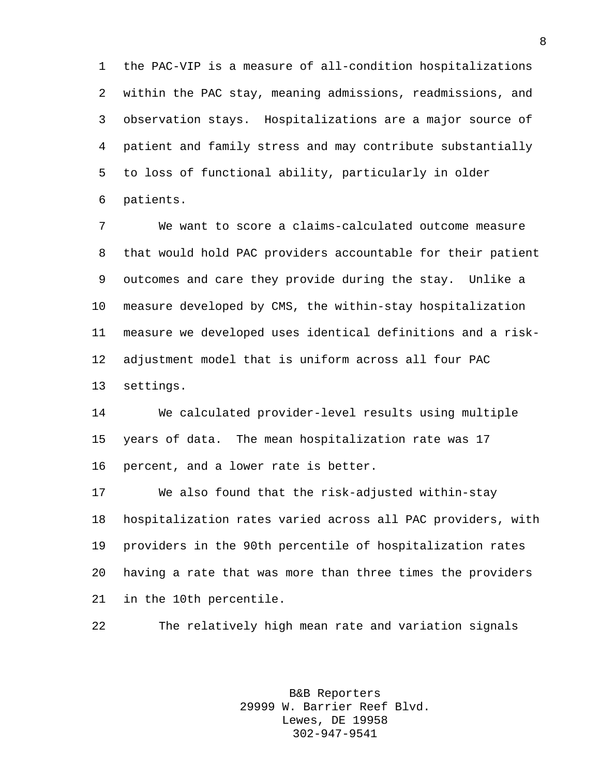the PAC-VIP is a measure of all-condition hospitalizations within the PAC stay, meaning admissions, readmissions, and observation stays. Hospitalizations are a major source of patient and family stress and may contribute substantially to loss of functional ability, particularly in older patients.

 We want to score a claims-calculated outcome measure that would hold PAC providers accountable for their patient outcomes and care they provide during the stay. Unlike a measure developed by CMS, the within-stay hospitalization measure we developed uses identical definitions and a risk- adjustment model that is uniform across all four PAC settings.

 We calculated provider-level results using multiple years of data. The mean hospitalization rate was 17 percent, and a lower rate is better.

 We also found that the risk-adjusted within-stay hospitalization rates varied across all PAC providers, with providers in the 90th percentile of hospitalization rates having a rate that was more than three times the providers in the 10th percentile.

The relatively high mean rate and variation signals

B&B Reporters 29999 W. Barrier Reef Blvd. Lewes, DE 19958 302-947-9541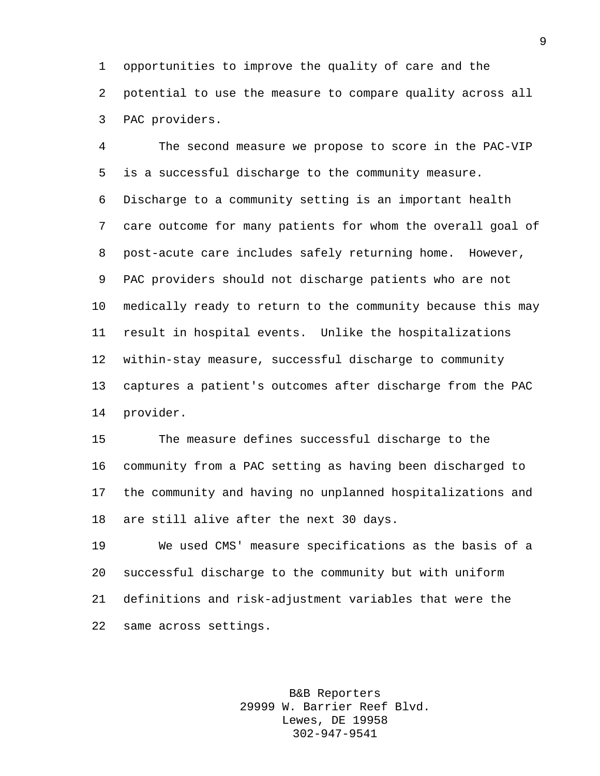opportunities to improve the quality of care and the potential to use the measure to compare quality across all PAC providers.

 The second measure we propose to score in the PAC-VIP is a successful discharge to the community measure. Discharge to a community setting is an important health care outcome for many patients for whom the overall goal of post-acute care includes safely returning home. However, PAC providers should not discharge patients who are not medically ready to return to the community because this may result in hospital events. Unlike the hospitalizations within-stay measure, successful discharge to community captures a patient's outcomes after discharge from the PAC provider.

 The measure defines successful discharge to the community from a PAC setting as having been discharged to the community and having no unplanned hospitalizations and are still alive after the next 30 days.

 We used CMS' measure specifications as the basis of a successful discharge to the community but with uniform definitions and risk-adjustment variables that were the same across settings.

> B&B Reporters 29999 W. Barrier Reef Blvd. Lewes, DE 19958 302-947-9541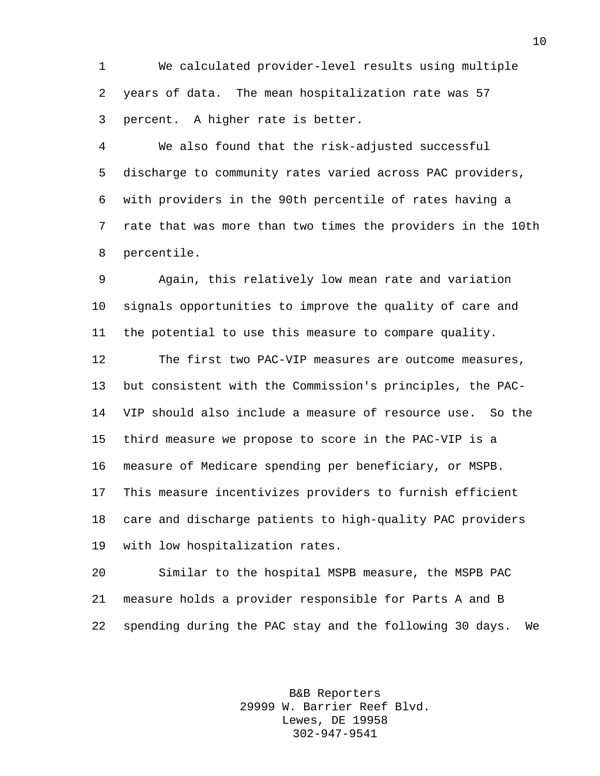We calculated provider-level results using multiple years of data. The mean hospitalization rate was 57 percent. A higher rate is better.

 We also found that the risk-adjusted successful discharge to community rates varied across PAC providers, with providers in the 90th percentile of rates having a rate that was more than two times the providers in the 10th percentile.

 Again, this relatively low mean rate and variation signals opportunities to improve the quality of care and the potential to use this measure to compare quality.

 The first two PAC-VIP measures are outcome measures, but consistent with the Commission's principles, the PAC- VIP should also include a measure of resource use. So the third measure we propose to score in the PAC-VIP is a measure of Medicare spending per beneficiary, or MSPB. This measure incentivizes providers to furnish efficient care and discharge patients to high-quality PAC providers with low hospitalization rates.

 Similar to the hospital MSPB measure, the MSPB PAC measure holds a provider responsible for Parts A and B spending during the PAC stay and the following 30 days. We

> B&B Reporters 29999 W. Barrier Reef Blvd. Lewes, DE 19958 302-947-9541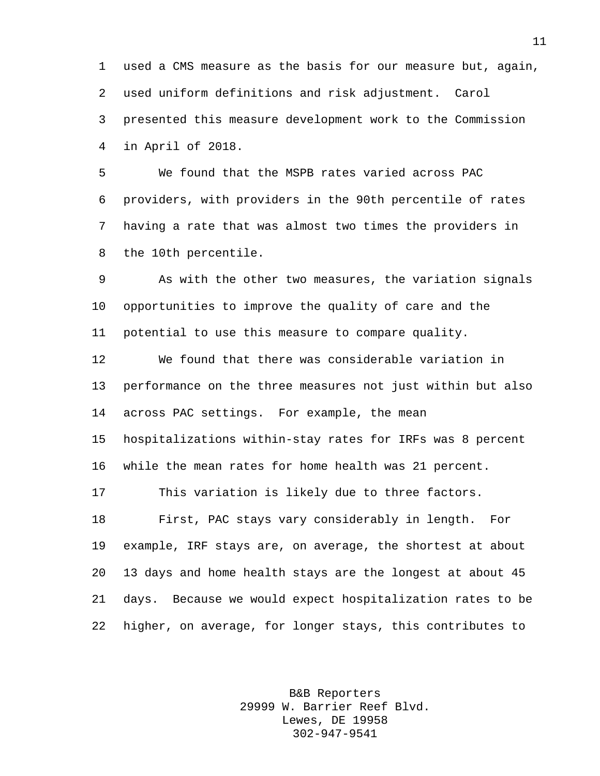used a CMS measure as the basis for our measure but, again, used uniform definitions and risk adjustment. Carol presented this measure development work to the Commission in April of 2018.

 We found that the MSPB rates varied across PAC providers, with providers in the 90th percentile of rates having a rate that was almost two times the providers in the 10th percentile.

 As with the other two measures, the variation signals opportunities to improve the quality of care and the potential to use this measure to compare quality.

 We found that there was considerable variation in performance on the three measures not just within but also across PAC settings. For example, the mean hospitalizations within-stay rates for IRFs was 8 percent while the mean rates for home health was 21 percent. This variation is likely due to three factors. First, PAC stays vary considerably in length. For example, IRF stays are, on average, the shortest at about 13 days and home health stays are the longest at about 45 days. Because we would expect hospitalization rates to be higher, on average, for longer stays, this contributes to

> B&B Reporters 29999 W. Barrier Reef Blvd. Lewes, DE 19958 302-947-9541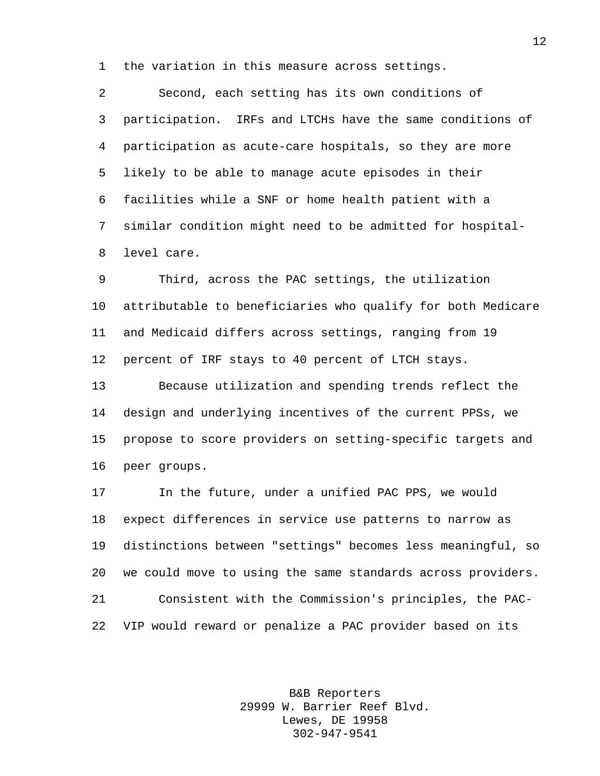the variation in this measure across settings.

 Second, each setting has its own conditions of participation. IRFs and LTCHs have the same conditions of participation as acute-care hospitals, so they are more likely to be able to manage acute episodes in their facilities while a SNF or home health patient with a similar condition might need to be admitted for hospital-level care.

 Third, across the PAC settings, the utilization attributable to beneficiaries who qualify for both Medicare and Medicaid differs across settings, ranging from 19 percent of IRF stays to 40 percent of LTCH stays.

 Because utilization and spending trends reflect the design and underlying incentives of the current PPSs, we propose to score providers on setting-specific targets and peer groups.

 In the future, under a unified PAC PPS, we would expect differences in service use patterns to narrow as distinctions between "settings" becomes less meaningful, so we could move to using the same standards across providers. Consistent with the Commission's principles, the PAC-VIP would reward or penalize a PAC provider based on its

> B&B Reporters 29999 W. Barrier Reef Blvd. Lewes, DE 19958 302-947-9541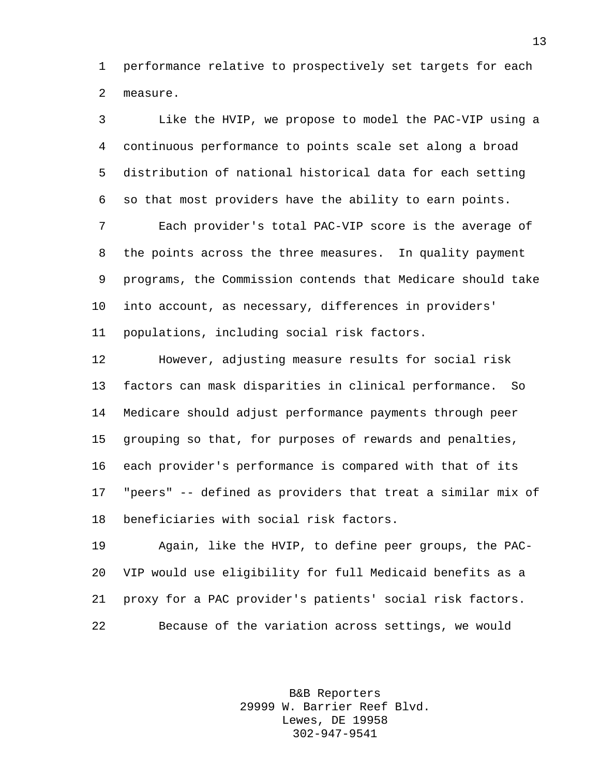performance relative to prospectively set targets for each measure.

 Like the HVIP, we propose to model the PAC-VIP using a continuous performance to points scale set along a broad distribution of national historical data for each setting so that most providers have the ability to earn points.

 Each provider's total PAC-VIP score is the average of the points across the three measures. In quality payment programs, the Commission contends that Medicare should take into account, as necessary, differences in providers' populations, including social risk factors.

 However, adjusting measure results for social risk factors can mask disparities in clinical performance. So Medicare should adjust performance payments through peer grouping so that, for purposes of rewards and penalties, each provider's performance is compared with that of its "peers" -- defined as providers that treat a similar mix of beneficiaries with social risk factors.

 Again, like the HVIP, to define peer groups, the PAC- VIP would use eligibility for full Medicaid benefits as a proxy for a PAC provider's patients' social risk factors. Because of the variation across settings, we would

> B&B Reporters 29999 W. Barrier Reef Blvd. Lewes, DE 19958 302-947-9541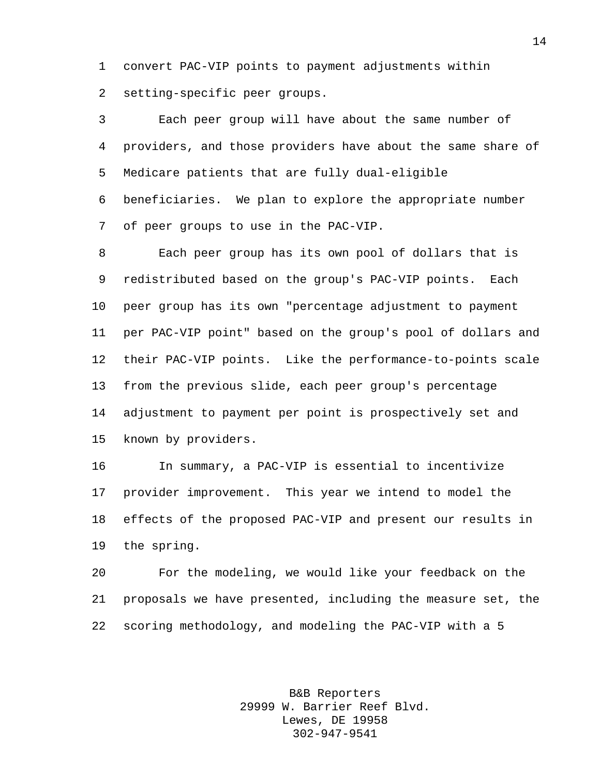convert PAC-VIP points to payment adjustments within setting-specific peer groups.

 Each peer group will have about the same number of providers, and those providers have about the same share of Medicare patients that are fully dual-eligible beneficiaries. We plan to explore the appropriate number

of peer groups to use in the PAC-VIP.

 Each peer group has its own pool of dollars that is redistributed based on the group's PAC-VIP points. Each peer group has its own "percentage adjustment to payment per PAC-VIP point" based on the group's pool of dollars and their PAC-VIP points. Like the performance-to-points scale from the previous slide, each peer group's percentage adjustment to payment per point is prospectively set and known by providers.

 In summary, a PAC-VIP is essential to incentivize provider improvement. This year we intend to model the effects of the proposed PAC-VIP and present our results in the spring.

 For the modeling, we would like your feedback on the proposals we have presented, including the measure set, the scoring methodology, and modeling the PAC-VIP with a 5

> B&B Reporters 29999 W. Barrier Reef Blvd. Lewes, DE 19958 302-947-9541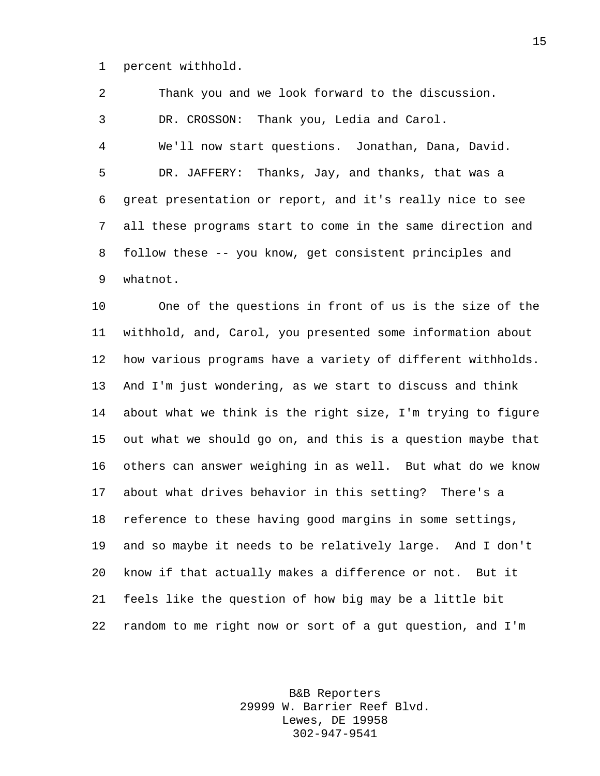percent withhold.

 Thank you and we look forward to the discussion. DR. CROSSON: Thank you, Ledia and Carol. We'll now start questions. Jonathan, Dana, David. DR. JAFFERY: Thanks, Jay, and thanks, that was a great presentation or report, and it's really nice to see all these programs start to come in the same direction and follow these -- you know, get consistent principles and whatnot.

 One of the questions in front of us is the size of the withhold, and, Carol, you presented some information about how various programs have a variety of different withholds. And I'm just wondering, as we start to discuss and think about what we think is the right size, I'm trying to figure out what we should go on, and this is a question maybe that others can answer weighing in as well. But what do we know about what drives behavior in this setting? There's a reference to these having good margins in some settings, and so maybe it needs to be relatively large. And I don't know if that actually makes a difference or not. But it feels like the question of how big may be a little bit random to me right now or sort of a gut question, and I'm

> B&B Reporters 29999 W. Barrier Reef Blvd. Lewes, DE 19958 302-947-9541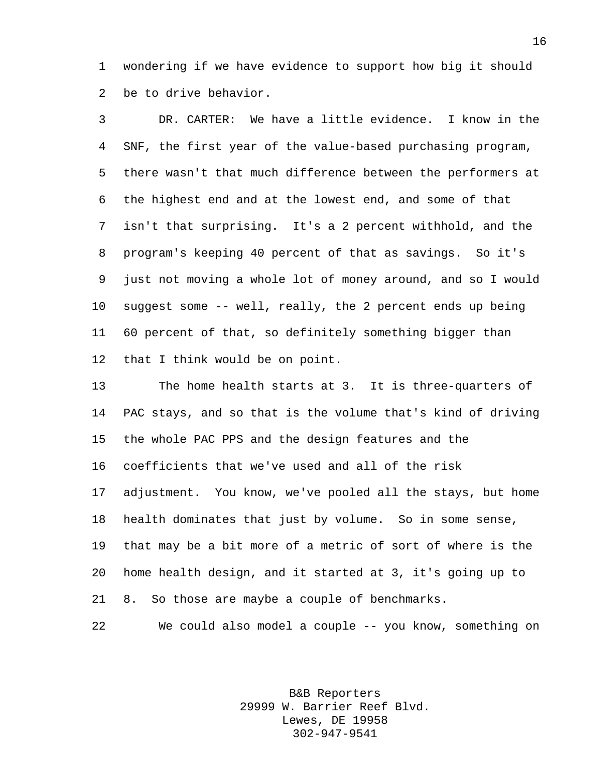wondering if we have evidence to support how big it should be to drive behavior.

 DR. CARTER: We have a little evidence. I know in the SNF, the first year of the value-based purchasing program, there wasn't that much difference between the performers at the highest end and at the lowest end, and some of that isn't that surprising. It's a 2 percent withhold, and the program's keeping 40 percent of that as savings. So it's just not moving a whole lot of money around, and so I would suggest some -- well, really, the 2 percent ends up being 60 percent of that, so definitely something bigger than that I think would be on point.

 The home health starts at 3. It is three-quarters of PAC stays, and so that is the volume that's kind of driving the whole PAC PPS and the design features and the coefficients that we've used and all of the risk adjustment. You know, we've pooled all the stays, but home health dominates that just by volume. So in some sense, that may be a bit more of a metric of sort of where is the home health design, and it started at 3, it's going up to 8. So those are maybe a couple of benchmarks.

We could also model a couple -- you know, something on

B&B Reporters 29999 W. Barrier Reef Blvd. Lewes, DE 19958 302-947-9541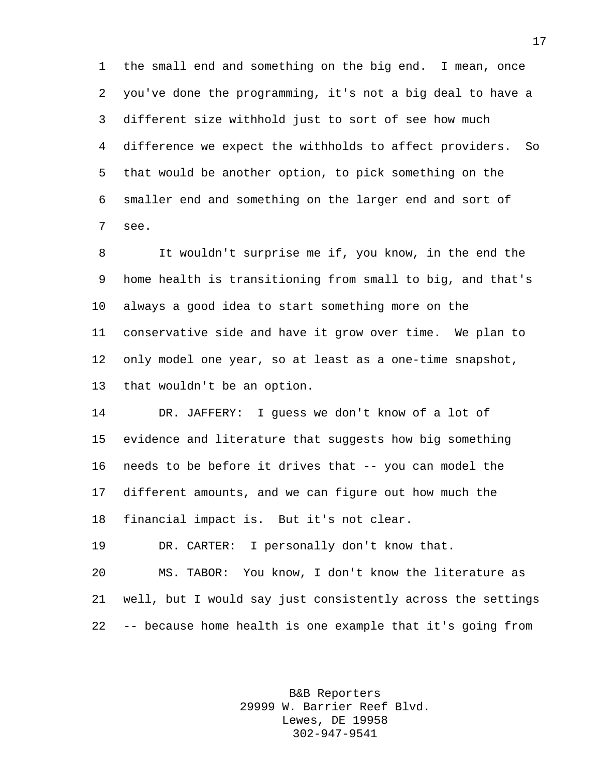the small end and something on the big end. I mean, once you've done the programming, it's not a big deal to have a different size withhold just to sort of see how much difference we expect the withholds to affect providers. So that would be another option, to pick something on the smaller end and something on the larger end and sort of see.

 It wouldn't surprise me if, you know, in the end the home health is transitioning from small to big, and that's always a good idea to start something more on the conservative side and have it grow over time. We plan to only model one year, so at least as a one-time snapshot, that wouldn't be an option.

 DR. JAFFERY: I guess we don't know of a lot of evidence and literature that suggests how big something needs to be before it drives that -- you can model the different amounts, and we can figure out how much the financial impact is. But it's not clear.

DR. CARTER: I personally don't know that.

 MS. TABOR: You know, I don't know the literature as well, but I would say just consistently across the settings -- because home health is one example that it's going from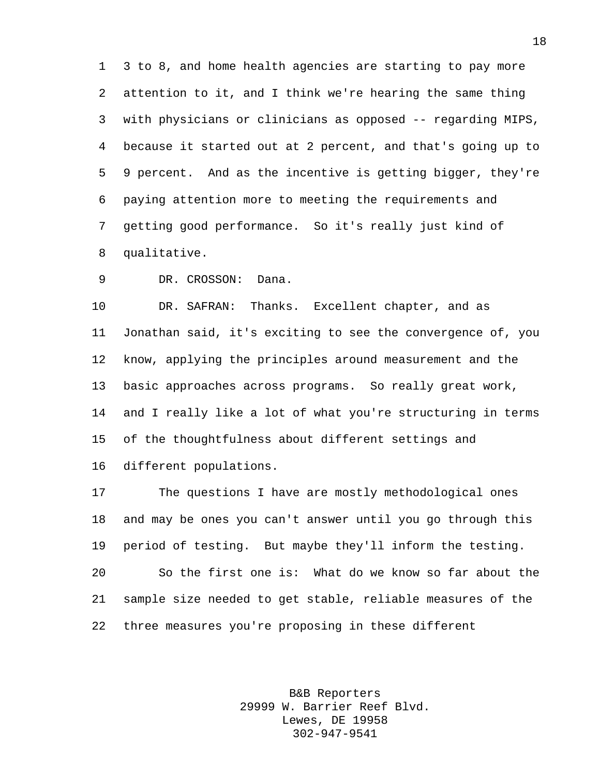3 to 8, and home health agencies are starting to pay more attention to it, and I think we're hearing the same thing with physicians or clinicians as opposed -- regarding MIPS, because it started out at 2 percent, and that's going up to 9 percent. And as the incentive is getting bigger, they're paying attention more to meeting the requirements and getting good performance. So it's really just kind of qualitative.

DR. CROSSON: Dana.

 DR. SAFRAN: Thanks. Excellent chapter, and as Jonathan said, it's exciting to see the convergence of, you know, applying the principles around measurement and the basic approaches across programs. So really great work, and I really like a lot of what you're structuring in terms of the thoughtfulness about different settings and different populations.

 The questions I have are mostly methodological ones and may be ones you can't answer until you go through this period of testing. But maybe they'll inform the testing. So the first one is: What do we know so far about the sample size needed to get stable, reliable measures of the three measures you're proposing in these different

> B&B Reporters 29999 W. Barrier Reef Blvd. Lewes, DE 19958 302-947-9541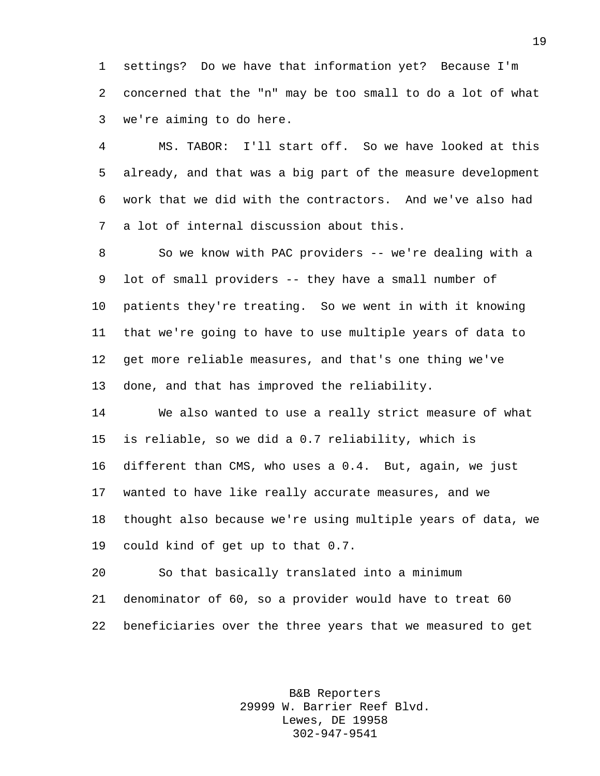settings? Do we have that information yet? Because I'm concerned that the "n" may be too small to do a lot of what we're aiming to do here.

 MS. TABOR: I'll start off. So we have looked at this already, and that was a big part of the measure development work that we did with the contractors. And we've also had a lot of internal discussion about this.

 So we know with PAC providers -- we're dealing with a lot of small providers -- they have a small number of patients they're treating. So we went in with it knowing that we're going to have to use multiple years of data to get more reliable measures, and that's one thing we've done, and that has improved the reliability.

 We also wanted to use a really strict measure of what is reliable, so we did a 0.7 reliability, which is different than CMS, who uses a 0.4. But, again, we just wanted to have like really accurate measures, and we thought also because we're using multiple years of data, we could kind of get up to that 0.7.

 So that basically translated into a minimum denominator of 60, so a provider would have to treat 60 beneficiaries over the three years that we measured to get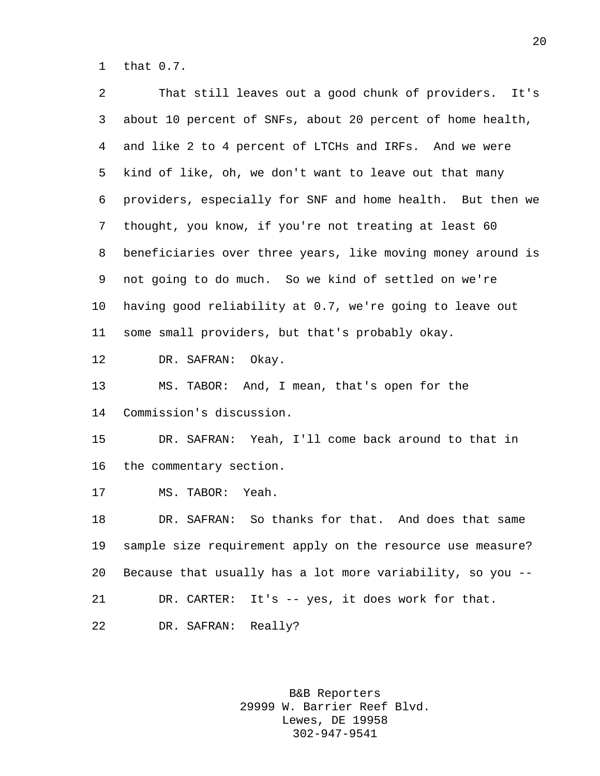that 0.7.

| 2  | That still leaves out a good chunk of providers. It's       |
|----|-------------------------------------------------------------|
| 3  | about 10 percent of SNFs, about 20 percent of home health,  |
| 4  | and like 2 to 4 percent of LTCHs and IRFs. And we were      |
| 5  | kind of like, oh, we don't want to leave out that many      |
| 6  | providers, especially for SNF and home health. But then we  |
| 7  | thought, you know, if you're not treating at least 60       |
| 8  | beneficiaries over three years, like moving money around is |
| 9  | not going to do much. So we kind of settled on we're        |
| 10 | having good reliability at 0.7, we're going to leave out    |
| 11 | some small providers, but that's probably okay.             |
| 12 | DR. SAFRAN:<br>Okay.                                        |
| 13 | MS. TABOR: And, I mean, that's open for the                 |
| 14 | Commission's discussion.                                    |
| 15 | DR. SAFRAN: Yeah, I'll come back around to that in          |
| 16 | the commentary section.                                     |
| 17 | MS. TABOR: Yeah.                                            |
| 18 | DR. SAFRAN: So thanks for that. And does that same          |
| 19 | sample size requirement apply on the resource use measure?  |
| 20 | Because that usually has a lot more variability, so you --  |
| 21 | DR. CARTER: It's -- yes, it does work for that.             |
| 22 | DR. SAFRAN: Really?                                         |
|    |                                                             |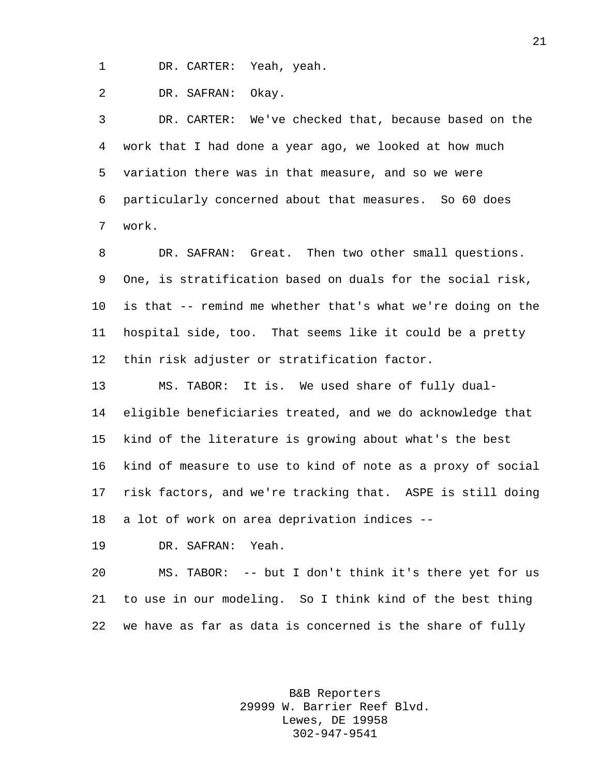DR. CARTER: Yeah, yeah.

DR. SAFRAN: Okay.

 DR. CARTER: We've checked that, because based on the work that I had done a year ago, we looked at how much variation there was in that measure, and so we were particularly concerned about that measures. So 60 does work.

 DR. SAFRAN: Great. Then two other small questions. One, is stratification based on duals for the social risk, is that -- remind me whether that's what we're doing on the hospital side, too. That seems like it could be a pretty thin risk adjuster or stratification factor.

 MS. TABOR: It is. We used share of fully dual- eligible beneficiaries treated, and we do acknowledge that kind of the literature is growing about what's the best kind of measure to use to kind of note as a proxy of social risk factors, and we're tracking that. ASPE is still doing a lot of work on area deprivation indices --

DR. SAFRAN: Yeah.

 MS. TABOR: -- but I don't think it's there yet for us to use in our modeling. So I think kind of the best thing we have as far as data is concerned is the share of fully

> B&B Reporters 29999 W. Barrier Reef Blvd. Lewes, DE 19958 302-947-9541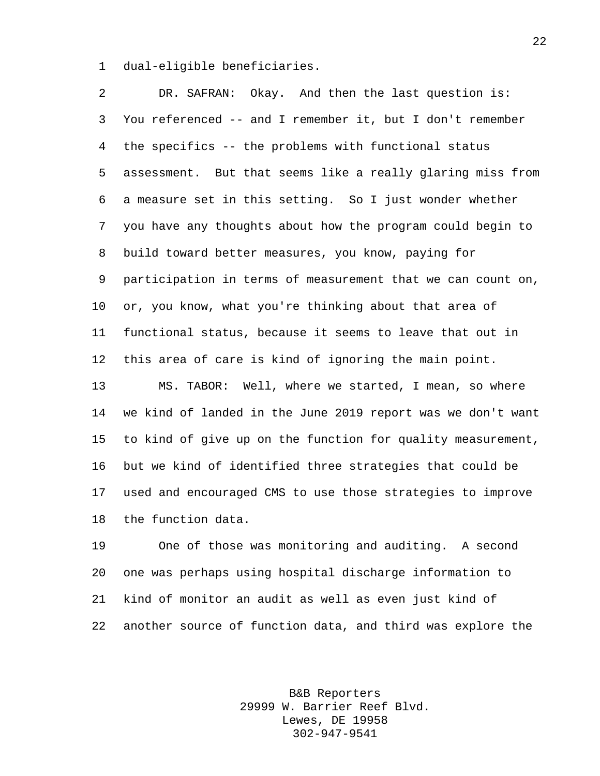dual-eligible beneficiaries.

 DR. SAFRAN: Okay. And then the last question is: You referenced -- and I remember it, but I don't remember the specifics -- the problems with functional status assessment. But that seems like a really glaring miss from a measure set in this setting. So I just wonder whether you have any thoughts about how the program could begin to build toward better measures, you know, paying for participation in terms of measurement that we can count on, or, you know, what you're thinking about that area of functional status, because it seems to leave that out in this area of care is kind of ignoring the main point. MS. TABOR: Well, where we started, I mean, so where we kind of landed in the June 2019 report was we don't want to kind of give up on the function for quality measurement, but we kind of identified three strategies that could be used and encouraged CMS to use those strategies to improve the function data.

 One of those was monitoring and auditing. A second one was perhaps using hospital discharge information to kind of monitor an audit as well as even just kind of another source of function data, and third was explore the

> B&B Reporters 29999 W. Barrier Reef Blvd. Lewes, DE 19958 302-947-9541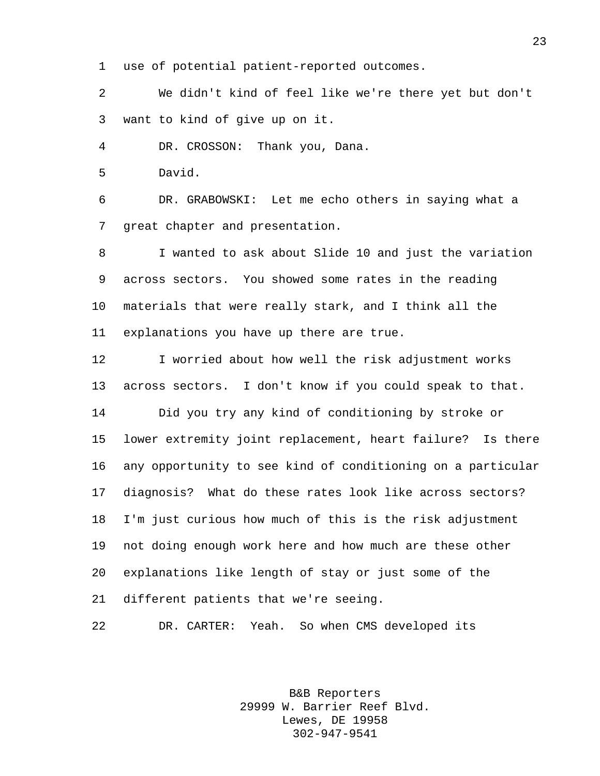use of potential patient-reported outcomes.

 We didn't kind of feel like we're there yet but don't want to kind of give up on it.

DR. CROSSON: Thank you, Dana.

David.

 DR. GRABOWSKI: Let me echo others in saying what a great chapter and presentation.

 I wanted to ask about Slide 10 and just the variation across sectors. You showed some rates in the reading materials that were really stark, and I think all the explanations you have up there are true.

 I worried about how well the risk adjustment works across sectors. I don't know if you could speak to that. Did you try any kind of conditioning by stroke or lower extremity joint replacement, heart failure? Is there any opportunity to see kind of conditioning on a particular diagnosis? What do these rates look like across sectors? I'm just curious how much of this is the risk adjustment not doing enough work here and how much are these other explanations like length of stay or just some of the different patients that we're seeing.

DR. CARTER: Yeah. So when CMS developed its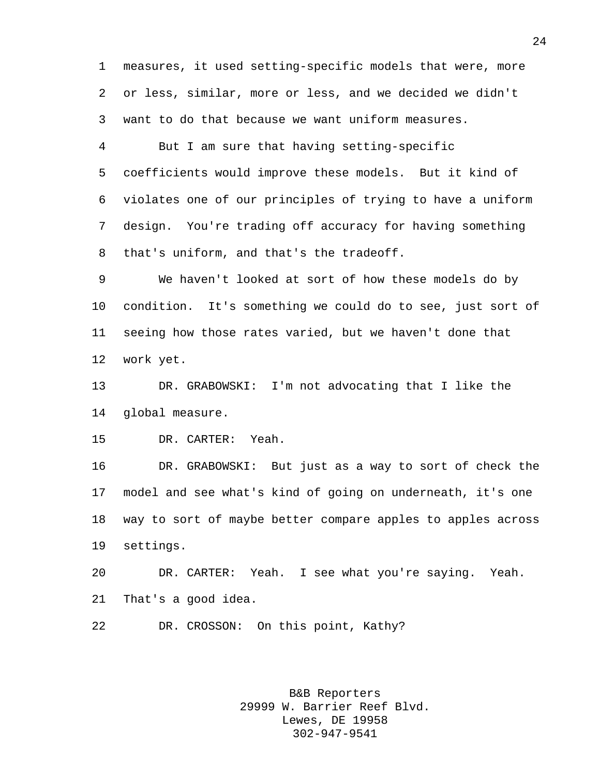measures, it used setting-specific models that were, more or less, similar, more or less, and we decided we didn't want to do that because we want uniform measures.

 But I am sure that having setting-specific coefficients would improve these models. But it kind of violates one of our principles of trying to have a uniform design. You're trading off accuracy for having something that's uniform, and that's the tradeoff.

 We haven't looked at sort of how these models do by condition. It's something we could do to see, just sort of seeing how those rates varied, but we haven't done that work yet.

 DR. GRABOWSKI: I'm not advocating that I like the global measure.

DR. CARTER: Yeah.

 DR. GRABOWSKI: But just as a way to sort of check the model and see what's kind of going on underneath, it's one way to sort of maybe better compare apples to apples across settings.

 DR. CARTER: Yeah. I see what you're saying. Yeah. That's a good idea.

DR. CROSSON: On this point, Kathy?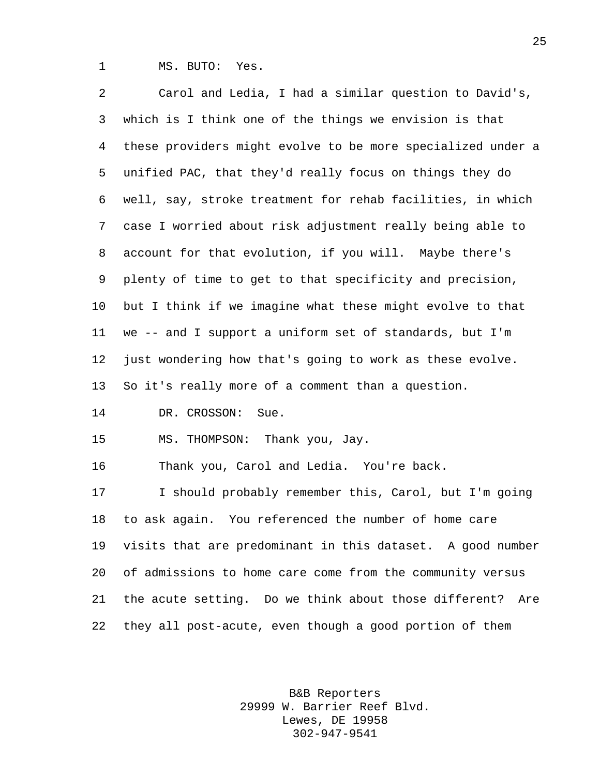MS. BUTO: Yes.

 Carol and Ledia, I had a similar question to David's, which is I think one of the things we envision is that these providers might evolve to be more specialized under a unified PAC, that they'd really focus on things they do well, say, stroke treatment for rehab facilities, in which case I worried about risk adjustment really being able to account for that evolution, if you will. Maybe there's plenty of time to get to that specificity and precision, but I think if we imagine what these might evolve to that we -- and I support a uniform set of standards, but I'm just wondering how that's going to work as these evolve. So it's really more of a comment than a question. DR. CROSSON: Sue. MS. THOMPSON: Thank you, Jay. Thank you, Carol and Ledia. You're back. I should probably remember this, Carol, but I'm going to ask again. You referenced the number of home care visits that are predominant in this dataset. A good number of admissions to home care come from the community versus the acute setting. Do we think about those different? Are they all post-acute, even though a good portion of them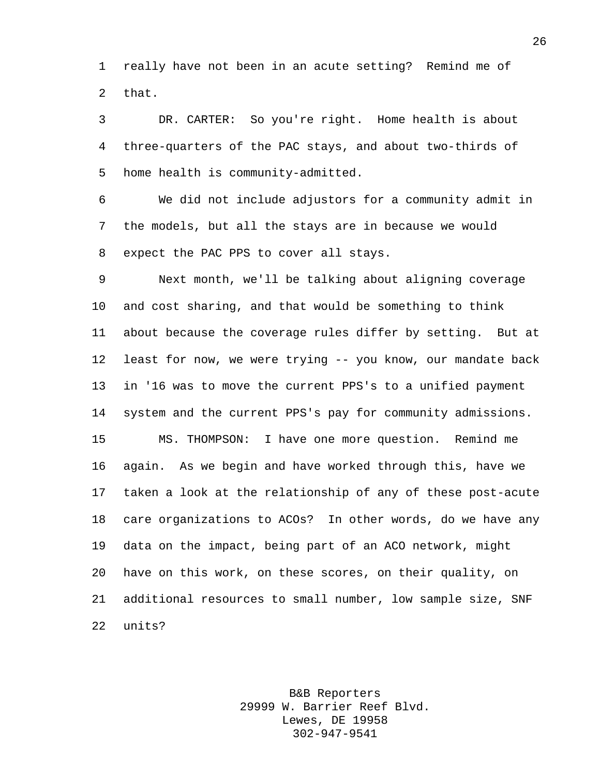really have not been in an acute setting? Remind me of that.

 DR. CARTER: So you're right. Home health is about three-quarters of the PAC stays, and about two-thirds of home health is community-admitted.

 We did not include adjustors for a community admit in the models, but all the stays are in because we would expect the PAC PPS to cover all stays.

 Next month, we'll be talking about aligning coverage and cost sharing, and that would be something to think about because the coverage rules differ by setting. But at least for now, we were trying -- you know, our mandate back in '16 was to move the current PPS's to a unified payment system and the current PPS's pay for community admissions. MS. THOMPSON: I have one more question. Remind me again. As we begin and have worked through this, have we taken a look at the relationship of any of these post-acute care organizations to ACOs? In other words, do we have any data on the impact, being part of an ACO network, might have on this work, on these scores, on their quality, on additional resources to small number, low sample size, SNF units?

> B&B Reporters 29999 W. Barrier Reef Blvd. Lewes, DE 19958 302-947-9541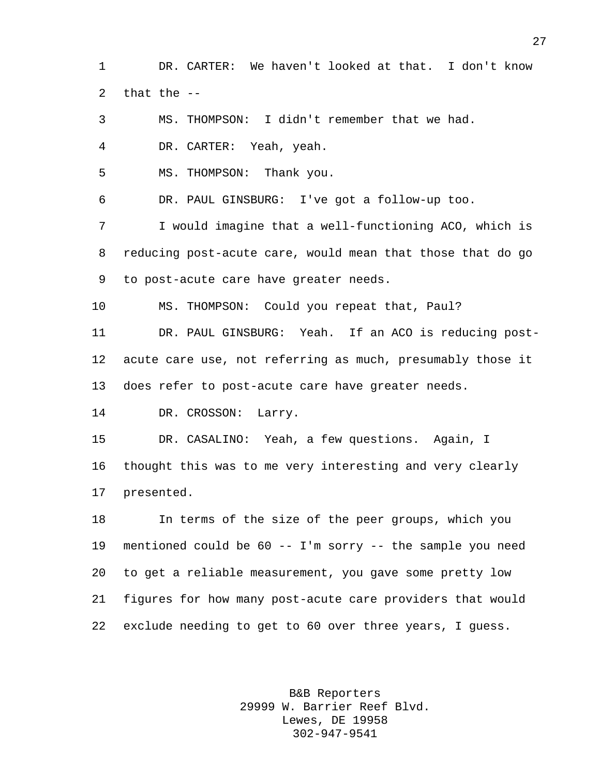DR. CARTER: We haven't looked at that. I don't know that the --

MS. THOMPSON: I didn't remember that we had.

DR. CARTER: Yeah, yeah.

MS. THOMPSON: Thank you.

DR. PAUL GINSBURG: I've got a follow-up too.

 I would imagine that a well-functioning ACO, which is reducing post-acute care, would mean that those that do go to post-acute care have greater needs.

MS. THOMPSON: Could you repeat that, Paul?

 DR. PAUL GINSBURG: Yeah. If an ACO is reducing post- acute care use, not referring as much, presumably those it does refer to post-acute care have greater needs.

DR. CROSSON: Larry.

DR. CASALINO: Yeah, a few questions. Again, I

 thought this was to me very interesting and very clearly presented.

 In terms of the size of the peer groups, which you mentioned could be 60 -- I'm sorry -- the sample you need to get a reliable measurement, you gave some pretty low figures for how many post-acute care providers that would exclude needing to get to 60 over three years, I guess.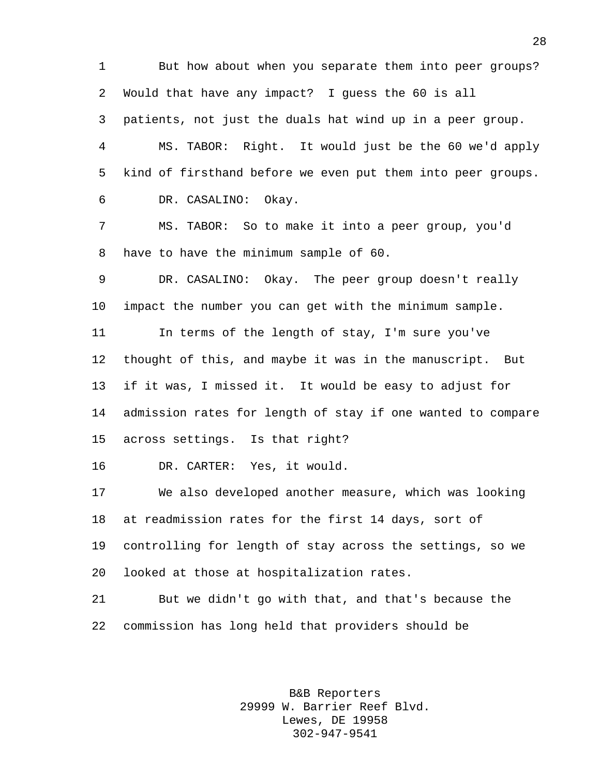But how about when you separate them into peer groups? Would that have any impact? I guess the 60 is all patients, not just the duals hat wind up in a peer group. MS. TABOR: Right. It would just be the 60 we'd apply kind of firsthand before we even put them into peer groups. DR. CASALINO: Okay. MS. TABOR: So to make it into a peer group, you'd have to have the minimum sample of 60. DR. CASALINO: Okay. The peer group doesn't really impact the number you can get with the minimum sample. In terms of the length of stay, I'm sure you've thought of this, and maybe it was in the manuscript. But if it was, I missed it. It would be easy to adjust for admission rates for length of stay if one wanted to compare across settings. Is that right? DR. CARTER: Yes, it would. We also developed another measure, which was looking at readmission rates for the first 14 days, sort of controlling for length of stay across the settings, so we looked at those at hospitalization rates. But we didn't go with that, and that's because the commission has long held that providers should be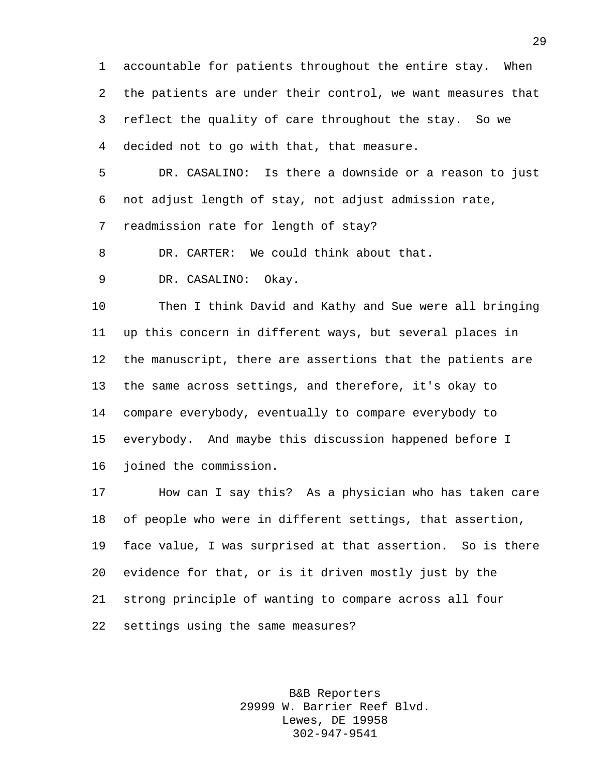accountable for patients throughout the entire stay. When the patients are under their control, we want measures that reflect the quality of care throughout the stay. So we decided not to go with that, that measure.

 DR. CASALINO: Is there a downside or a reason to just not adjust length of stay, not adjust admission rate,

readmission rate for length of stay?

DR. CARTER: We could think about that.

DR. CASALINO: Okay.

 Then I think David and Kathy and Sue were all bringing up this concern in different ways, but several places in the manuscript, there are assertions that the patients are the same across settings, and therefore, it's okay to compare everybody, eventually to compare everybody to everybody. And maybe this discussion happened before I joined the commission.

 How can I say this? As a physician who has taken care of people who were in different settings, that assertion, face value, I was surprised at that assertion. So is there evidence for that, or is it driven mostly just by the strong principle of wanting to compare across all four settings using the same measures?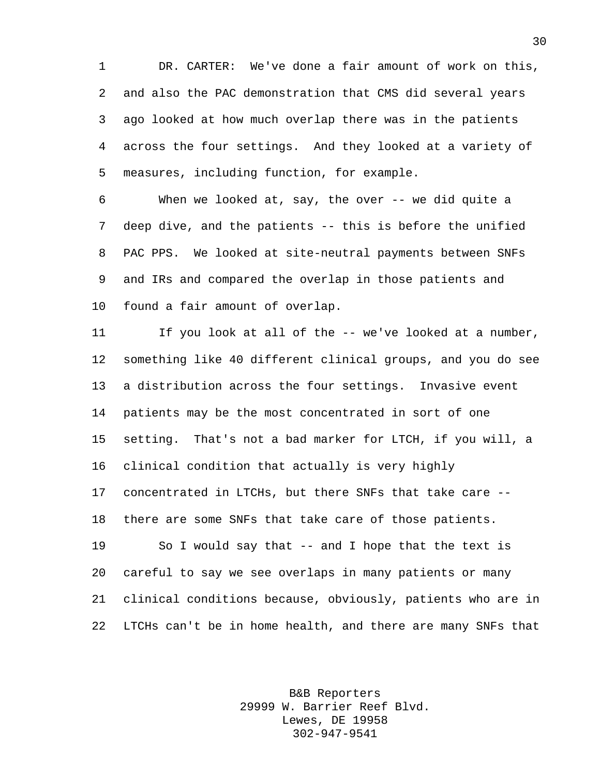DR. CARTER: We've done a fair amount of work on this, and also the PAC demonstration that CMS did several years ago looked at how much overlap there was in the patients across the four settings. And they looked at a variety of measures, including function, for example.

 When we looked at, say, the over -- we did quite a deep dive, and the patients -- this is before the unified PAC PPS. We looked at site-neutral payments between SNFs and IRs and compared the overlap in those patients and found a fair amount of overlap.

 If you look at all of the -- we've looked at a number, something like 40 different clinical groups, and you do see a distribution across the four settings. Invasive event patients may be the most concentrated in sort of one setting. That's not a bad marker for LTCH, if you will, a clinical condition that actually is very highly concentrated in LTCHs, but there SNFs that take care -- there are some SNFs that take care of those patients. 19 So I would say that -- and I hope that the text is careful to say we see overlaps in many patients or many clinical conditions because, obviously, patients who are in LTCHs can't be in home health, and there are many SNFs that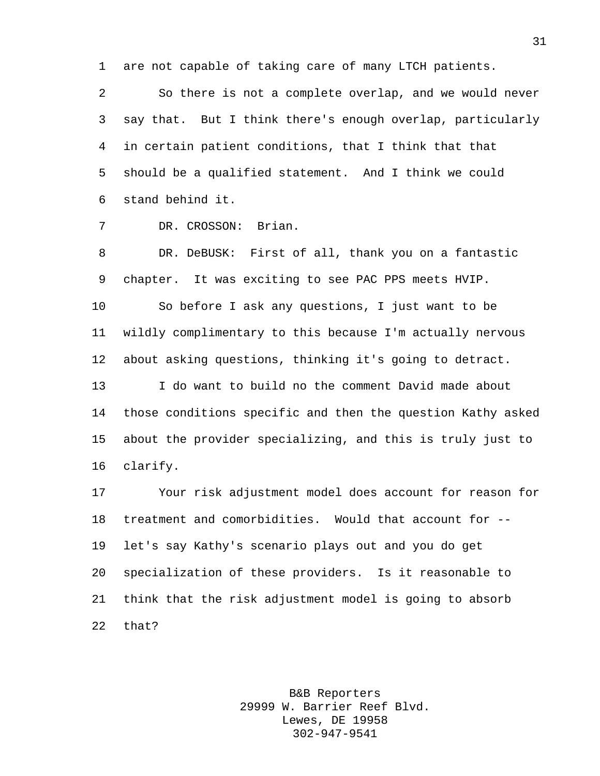are not capable of taking care of many LTCH patients.

 So there is not a complete overlap, and we would never say that. But I think there's enough overlap, particularly in certain patient conditions, that I think that that should be a qualified statement. And I think we could stand behind it.

## DR. CROSSON: Brian.

 DR. DeBUSK: First of all, thank you on a fantastic chapter. It was exciting to see PAC PPS meets HVIP.

 So before I ask any questions, I just want to be wildly complimentary to this because I'm actually nervous about asking questions, thinking it's going to detract.

 I do want to build no the comment David made about those conditions specific and then the question Kathy asked about the provider specializing, and this is truly just to clarify.

 Your risk adjustment model does account for reason for treatment and comorbidities. Would that account for -- let's say Kathy's scenario plays out and you do get specialization of these providers. Is it reasonable to think that the risk adjustment model is going to absorb that?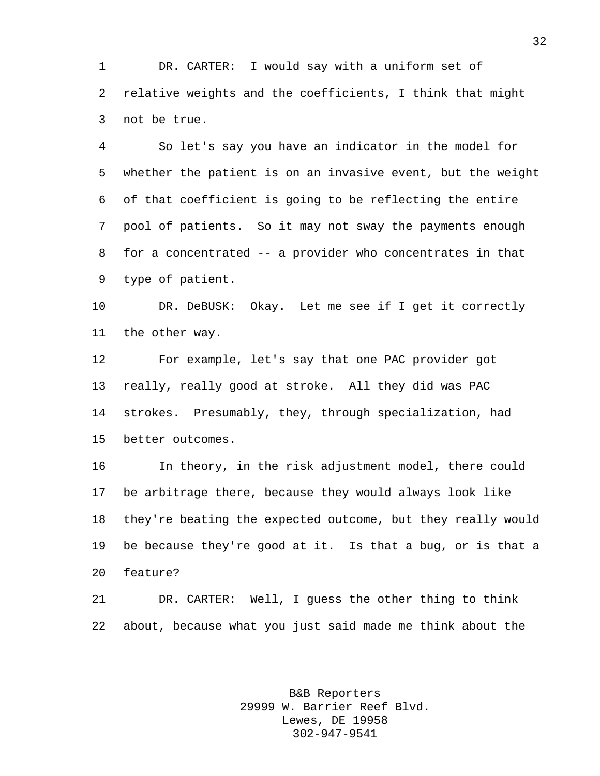DR. CARTER: I would say with a uniform set of relative weights and the coefficients, I think that might not be true.

 So let's say you have an indicator in the model for whether the patient is on an invasive event, but the weight of that coefficient is going to be reflecting the entire pool of patients. So it may not sway the payments enough for a concentrated -- a provider who concentrates in that type of patient.

 DR. DeBUSK: Okay. Let me see if I get it correctly the other way.

 For example, let's say that one PAC provider got really, really good at stroke. All they did was PAC strokes. Presumably, they, through specialization, had better outcomes.

 In theory, in the risk adjustment model, there could be arbitrage there, because they would always look like they're beating the expected outcome, but they really would be because they're good at it. Is that a bug, or is that a feature?

 DR. CARTER: Well, I guess the other thing to think about, because what you just said made me think about the

> B&B Reporters 29999 W. Barrier Reef Blvd. Lewes, DE 19958 302-947-9541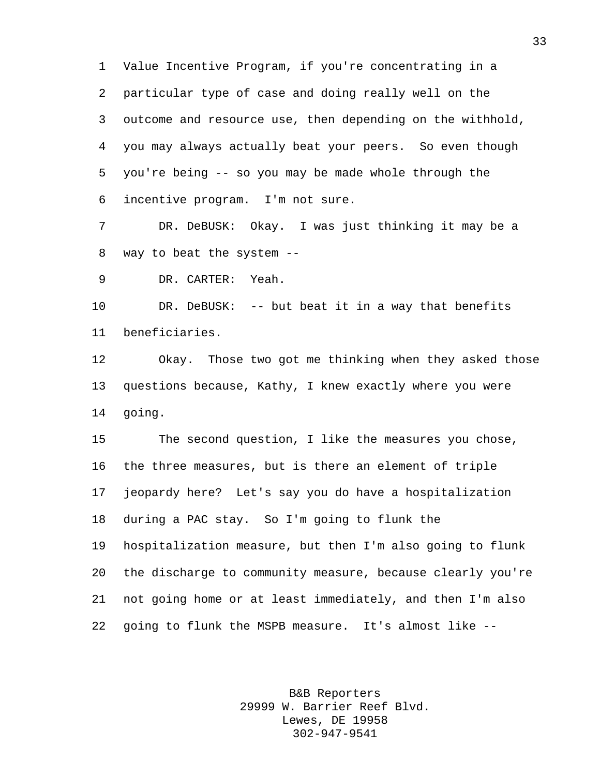Value Incentive Program, if you're concentrating in a particular type of case and doing really well on the outcome and resource use, then depending on the withhold, you may always actually beat your peers. So even though you're being -- so you may be made whole through the incentive program. I'm not sure.

 DR. DeBUSK: Okay. I was just thinking it may be a way to beat the system --

DR. CARTER: Yeah.

 DR. DeBUSK: -- but beat it in a way that benefits beneficiaries.

 Okay. Those two got me thinking when they asked those questions because, Kathy, I knew exactly where you were going.

 The second question, I like the measures you chose, the three measures, but is there an element of triple jeopardy here? Let's say you do have a hospitalization during a PAC stay. So I'm going to flunk the hospitalization measure, but then I'm also going to flunk the discharge to community measure, because clearly you're not going home or at least immediately, and then I'm also going to flunk the MSPB measure. It's almost like --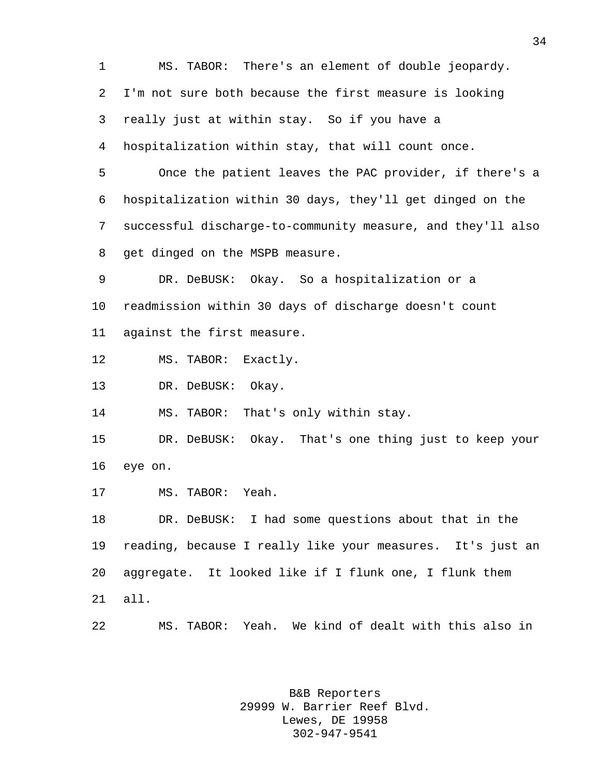MS. TABOR: There's an element of double jeopardy. I'm not sure both because the first measure is looking really just at within stay. So if you have a hospitalization within stay, that will count once. Once the patient leaves the PAC provider, if there's a hospitalization within 30 days, they'll get dinged on the successful discharge-to-community measure, and they'll also get dinged on the MSPB measure. DR. DeBUSK: Okay. So a hospitalization or a readmission within 30 days of discharge doesn't count against the first measure. MS. TABOR: Exactly. DR. DeBUSK: Okay. MS. TABOR: That's only within stay. DR. DeBUSK: Okay. That's one thing just to keep your eye on. MS. TABOR: Yeah. DR. DeBUSK: I had some questions about that in the reading, because I really like your measures. It's just an aggregate. It looked like if I flunk one, I flunk them all. MS. TABOR: Yeah. We kind of dealt with this also in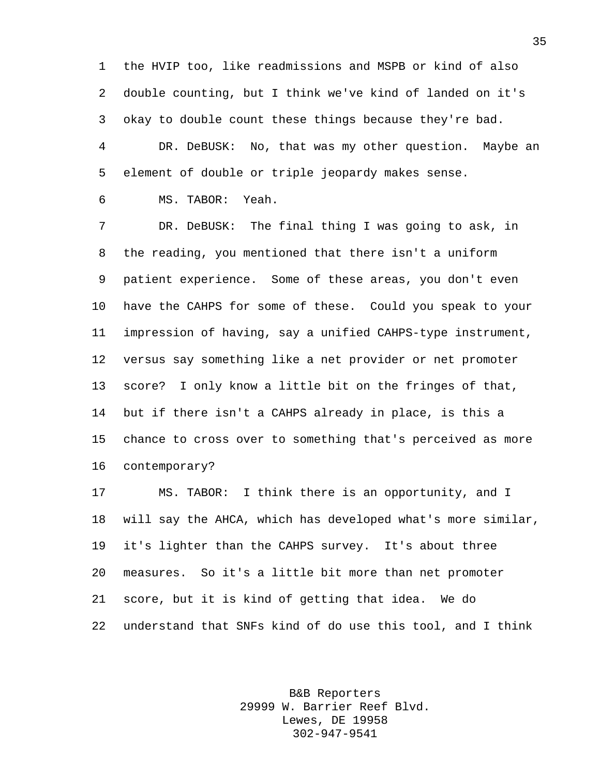the HVIP too, like readmissions and MSPB or kind of also double counting, but I think we've kind of landed on it's okay to double count these things because they're bad. DR. DeBUSK: No, that was my other question. Maybe an element of double or triple jeopardy makes sense.

MS. TABOR: Yeah.

 DR. DeBUSK: The final thing I was going to ask, in the reading, you mentioned that there isn't a uniform patient experience. Some of these areas, you don't even have the CAHPS for some of these. Could you speak to your impression of having, say a unified CAHPS-type instrument, versus say something like a net provider or net promoter score? I only know a little bit on the fringes of that, but if there isn't a CAHPS already in place, is this a chance to cross over to something that's perceived as more contemporary?

 MS. TABOR: I think there is an opportunity, and I will say the AHCA, which has developed what's more similar, it's lighter than the CAHPS survey. It's about three measures. So it's a little bit more than net promoter score, but it is kind of getting that idea. We do understand that SNFs kind of do use this tool, and I think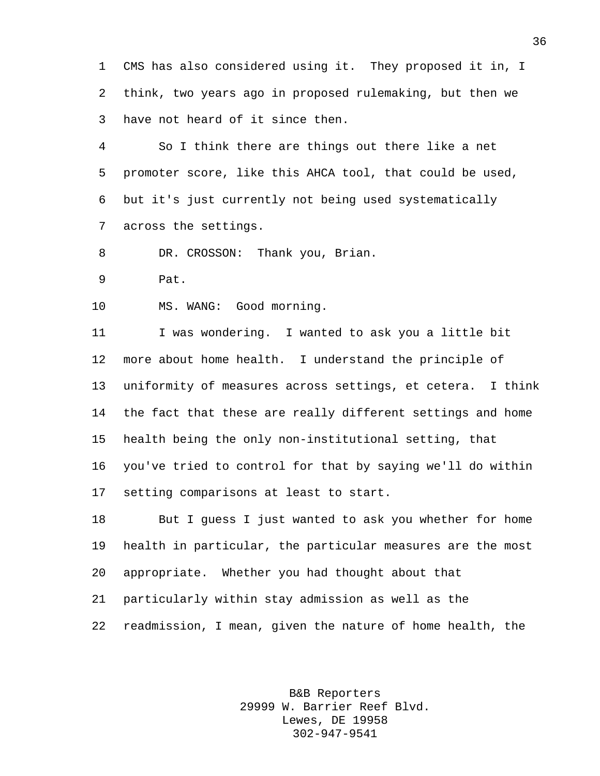CMS has also considered using it. They proposed it in, I think, two years ago in proposed rulemaking, but then we have not heard of it since then.

 So I think there are things out there like a net promoter score, like this AHCA tool, that could be used, but it's just currently not being used systematically across the settings.

DR. CROSSON: Thank you, Brian.

Pat.

MS. WANG: Good morning.

 I was wondering. I wanted to ask you a little bit more about home health. I understand the principle of uniformity of measures across settings, et cetera. I think the fact that these are really different settings and home health being the only non-institutional setting, that you've tried to control for that by saying we'll do within setting comparisons at least to start.

 But I guess I just wanted to ask you whether for home health in particular, the particular measures are the most appropriate. Whether you had thought about that particularly within stay admission as well as the readmission, I mean, given the nature of home health, the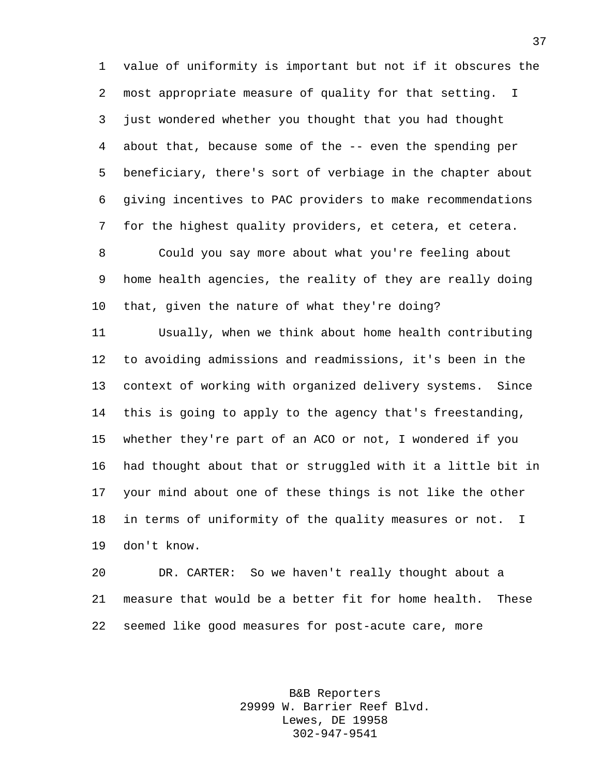value of uniformity is important but not if it obscures the most appropriate measure of quality for that setting. I just wondered whether you thought that you had thought about that, because some of the -- even the spending per beneficiary, there's sort of verbiage in the chapter about giving incentives to PAC providers to make recommendations for the highest quality providers, et cetera, et cetera.

 Could you say more about what you're feeling about home health agencies, the reality of they are really doing that, given the nature of what they're doing?

 Usually, when we think about home health contributing to avoiding admissions and readmissions, it's been in the context of working with organized delivery systems. Since this is going to apply to the agency that's freestanding, whether they're part of an ACO or not, I wondered if you had thought about that or struggled with it a little bit in your mind about one of these things is not like the other in terms of uniformity of the quality measures or not. I don't know.

 DR. CARTER: So we haven't really thought about a measure that would be a better fit for home health. These seemed like good measures for post-acute care, more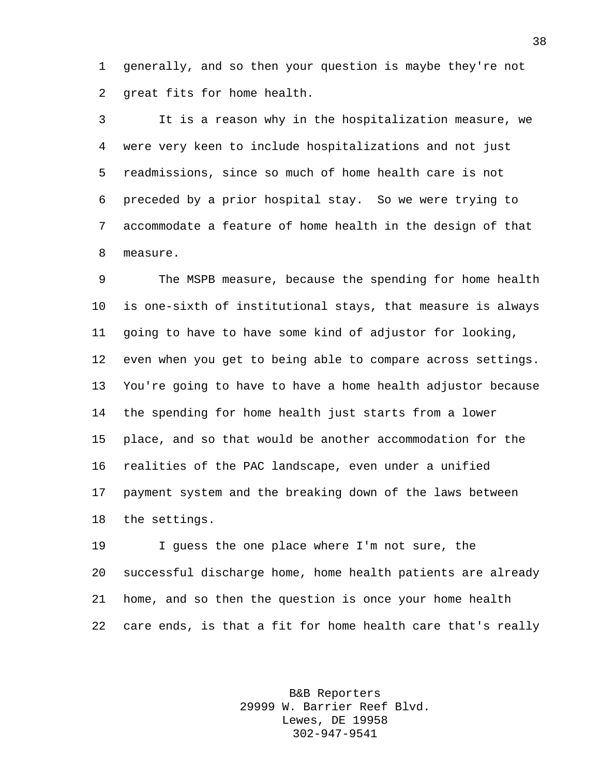generally, and so then your question is maybe they're not great fits for home health.

 It is a reason why in the hospitalization measure, we were very keen to include hospitalizations and not just readmissions, since so much of home health care is not preceded by a prior hospital stay. So we were trying to accommodate a feature of home health in the design of that measure.

 The MSPB measure, because the spending for home health is one-sixth of institutional stays, that measure is always going to have to have some kind of adjustor for looking, even when you get to being able to compare across settings. You're going to have to have a home health adjustor because the spending for home health just starts from a lower place, and so that would be another accommodation for the realities of the PAC landscape, even under a unified payment system and the breaking down of the laws between the settings.

 I guess the one place where I'm not sure, the successful discharge home, home health patients are already home, and so then the question is once your home health care ends, is that a fit for home health care that's really

> B&B Reporters 29999 W. Barrier Reef Blvd. Lewes, DE 19958 302-947-9541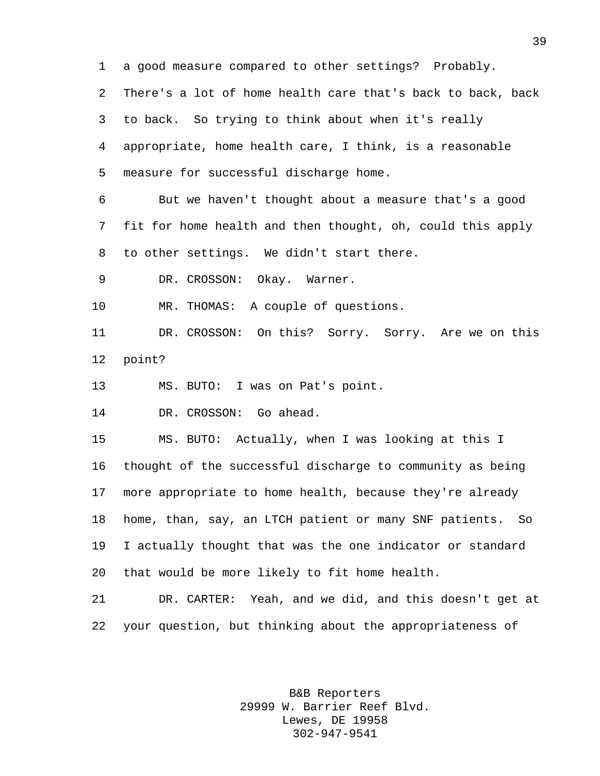a good measure compared to other settings? Probably. There's a lot of home health care that's back to back, back to back. So trying to think about when it's really appropriate, home health care, I think, is a reasonable measure for successful discharge home. But we haven't thought about a measure that's a good fit for home health and then thought, oh, could this apply to other settings. We didn't start there. DR. CROSSON: Okay. Warner. MR. THOMAS: A couple of questions. DR. CROSSON: On this? Sorry. Sorry. Are we on this point? MS. BUTO: I was on Pat's point. DR. CROSSON: Go ahead. MS. BUTO: Actually, when I was looking at this I thought of the successful discharge to community as being more appropriate to home health, because they're already home, than, say, an LTCH patient or many SNF patients. So I actually thought that was the one indicator or standard

that would be more likely to fit home health.

 DR. CARTER: Yeah, and we did, and this doesn't get at your question, but thinking about the appropriateness of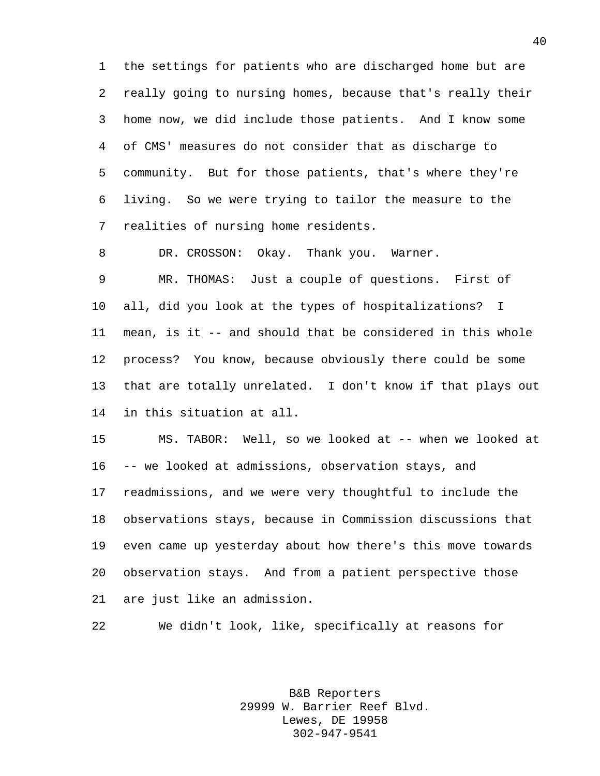the settings for patients who are discharged home but are really going to nursing homes, because that's really their home now, we did include those patients. And I know some of CMS' measures do not consider that as discharge to community. But for those patients, that's where they're living. So we were trying to tailor the measure to the realities of nursing home residents.

DR. CROSSON: Okay. Thank you. Warner.

 MR. THOMAS: Just a couple of questions. First of all, did you look at the types of hospitalizations? I mean, is it -- and should that be considered in this whole process? You know, because obviously there could be some that are totally unrelated. I don't know if that plays out in this situation at all.

 MS. TABOR: Well, so we looked at -- when we looked at -- we looked at admissions, observation stays, and readmissions, and we were very thoughtful to include the observations stays, because in Commission discussions that even came up yesterday about how there's this move towards observation stays. And from a patient perspective those are just like an admission.

We didn't look, like, specifically at reasons for

B&B Reporters 29999 W. Barrier Reef Blvd. Lewes, DE 19958 302-947-9541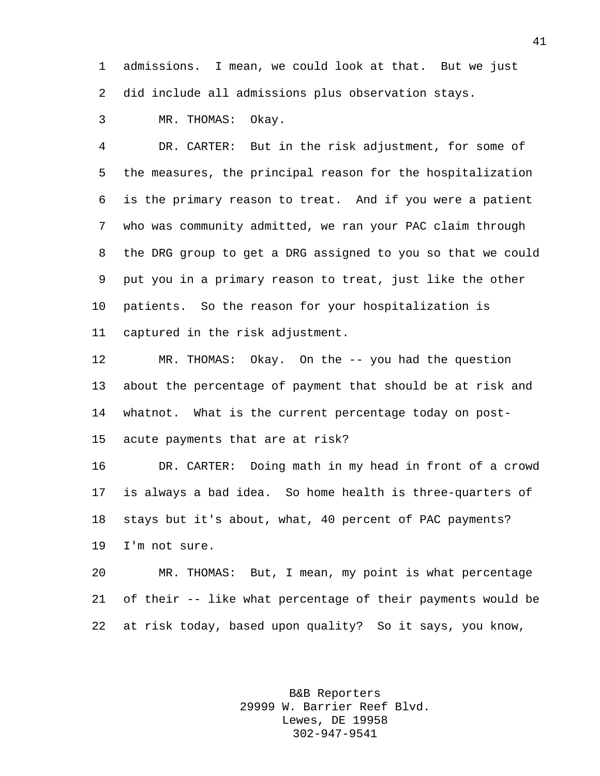admissions. I mean, we could look at that. But we just did include all admissions plus observation stays.

MR. THOMAS: Okay.

 DR. CARTER: But in the risk adjustment, for some of the measures, the principal reason for the hospitalization is the primary reason to treat. And if you were a patient who was community admitted, we ran your PAC claim through the DRG group to get a DRG assigned to you so that we could put you in a primary reason to treat, just like the other patients. So the reason for your hospitalization is captured in the risk adjustment.

 MR. THOMAS: Okay. On the -- you had the question about the percentage of payment that should be at risk and whatnot. What is the current percentage today on post-acute payments that are at risk?

 DR. CARTER: Doing math in my head in front of a crowd is always a bad idea. So home health is three-quarters of stays but it's about, what, 40 percent of PAC payments? I'm not sure.

 MR. THOMAS: But, I mean, my point is what percentage of their -- like what percentage of their payments would be at risk today, based upon quality? So it says, you know,

> B&B Reporters 29999 W. Barrier Reef Blvd. Lewes, DE 19958 302-947-9541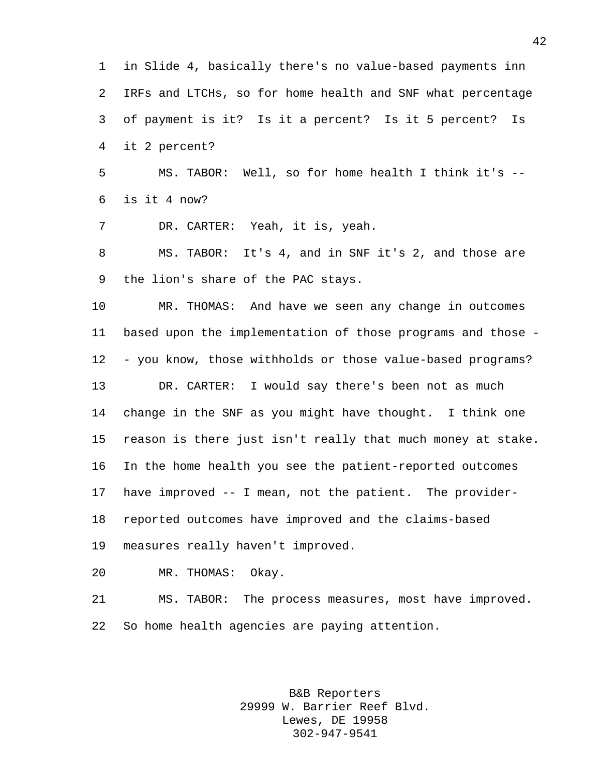in Slide 4, basically there's no value-based payments inn IRFs and LTCHs, so for home health and SNF what percentage of payment is it? Is it a percent? Is it 5 percent? Is it 2 percent? MS. TABOR: Well, so for home health I think it's -- is it 4 now? DR. CARTER: Yeah, it is, yeah. MS. TABOR: It's 4, and in SNF it's 2, and those are the lion's share of the PAC stays. MR. THOMAS: And have we seen any change in outcomes based upon the implementation of those programs and those - - you know, those withholds or those value-based programs?

 DR. CARTER: I would say there's been not as much change in the SNF as you might have thought. I think one reason is there just isn't really that much money at stake. In the home health you see the patient-reported outcomes have improved -- I mean, not the patient. The provider- reported outcomes have improved and the claims-based measures really haven't improved.

MR. THOMAS: Okay.

 MS. TABOR: The process measures, most have improved. So home health agencies are paying attention.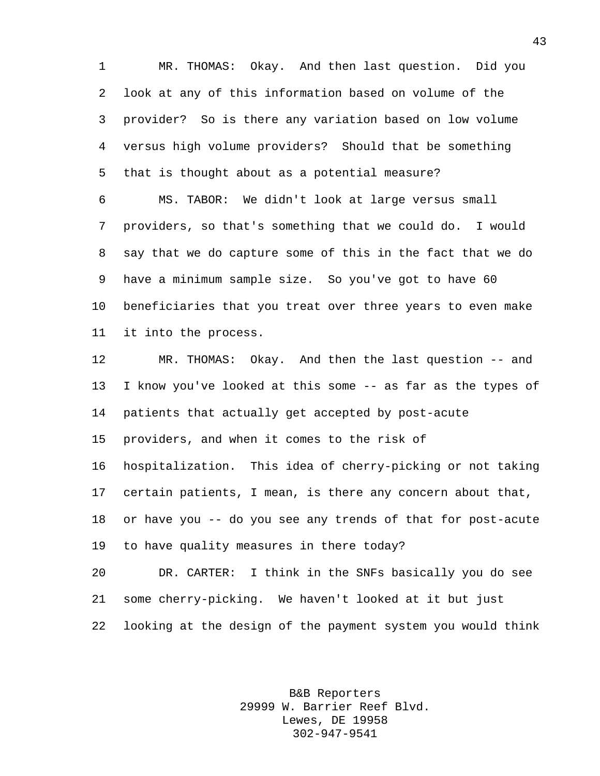MR. THOMAS: Okay. And then last question. Did you look at any of this information based on volume of the provider? So is there any variation based on low volume versus high volume providers? Should that be something that is thought about as a potential measure?

 MS. TABOR: We didn't look at large versus small providers, so that's something that we could do. I would say that we do capture some of this in the fact that we do have a minimum sample size. So you've got to have 60 beneficiaries that you treat over three years to even make it into the process.

 MR. THOMAS: Okay. And then the last question -- and I know you've looked at this some -- as far as the types of patients that actually get accepted by post-acute providers, and when it comes to the risk of hospitalization. This idea of cherry-picking or not taking certain patients, I mean, is there any concern about that, or have you -- do you see any trends of that for post-acute to have quality measures in there today? DR. CARTER: I think in the SNFs basically you do see

 some cherry-picking. We haven't looked at it but just looking at the design of the payment system you would think

> B&B Reporters 29999 W. Barrier Reef Blvd. Lewes, DE 19958 302-947-9541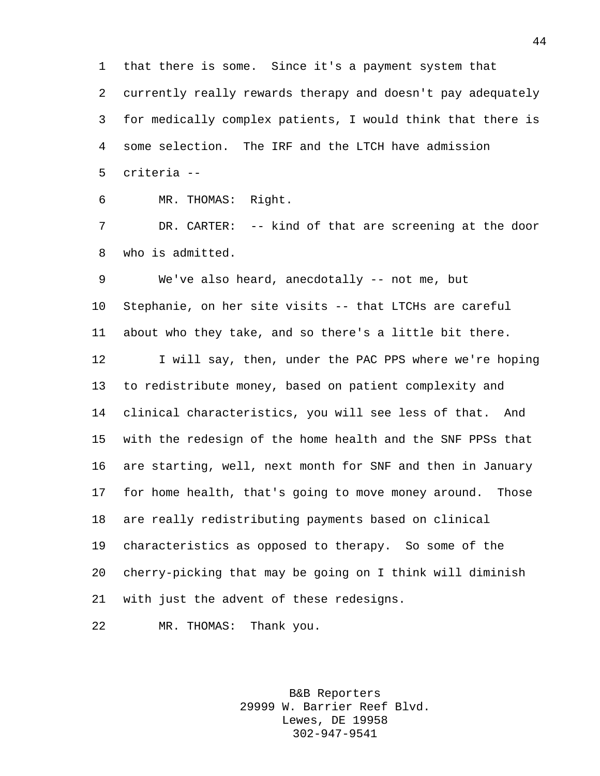that there is some. Since it's a payment system that currently really rewards therapy and doesn't pay adequately for medically complex patients, I would think that there is some selection. The IRF and the LTCH have admission criteria --

MR. THOMAS: Right.

 DR. CARTER: -- kind of that are screening at the door who is admitted.

 We've also heard, anecdotally -- not me, but Stephanie, on her site visits -- that LTCHs are careful about who they take, and so there's a little bit there. 12 I will say, then, under the PAC PPS where we're hoping to redistribute money, based on patient complexity and clinical characteristics, you will see less of that. And with the redesign of the home health and the SNF PPSs that are starting, well, next month for SNF and then in January for home health, that's going to move money around. Those are really redistributing payments based on clinical characteristics as opposed to therapy. So some of the cherry-picking that may be going on I think will diminish with just the advent of these redesigns.

MR. THOMAS: Thank you.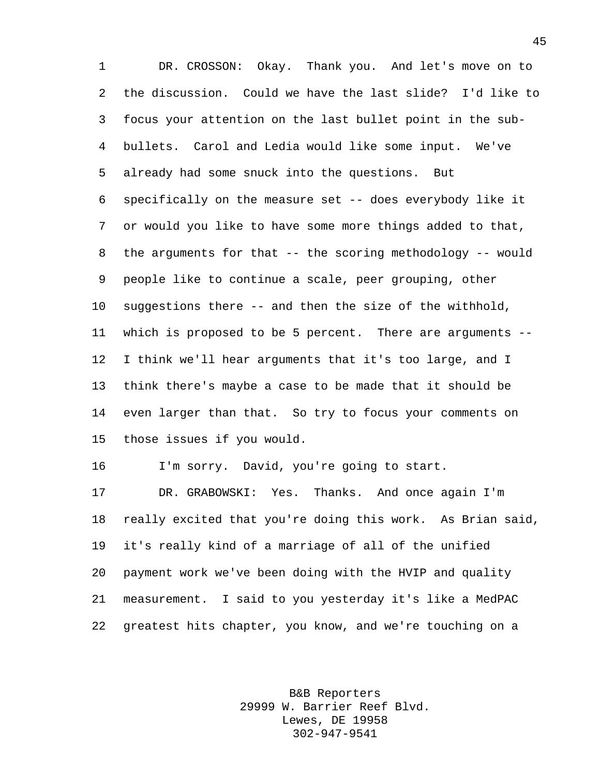DR. CROSSON: Okay. Thank you. And let's move on to the discussion. Could we have the last slide? I'd like to focus your attention on the last bullet point in the sub- bullets. Carol and Ledia would like some input. We've already had some snuck into the questions. But specifically on the measure set -- does everybody like it or would you like to have some more things added to that, the arguments for that -- the scoring methodology -- would people like to continue a scale, peer grouping, other suggestions there -- and then the size of the withhold, which is proposed to be 5 percent. There are arguments -- I think we'll hear arguments that it's too large, and I think there's maybe a case to be made that it should be even larger than that. So try to focus your comments on those issues if you would.

I'm sorry. David, you're going to start.

 DR. GRABOWSKI: Yes. Thanks. And once again I'm really excited that you're doing this work. As Brian said, it's really kind of a marriage of all of the unified payment work we've been doing with the HVIP and quality measurement. I said to you yesterday it's like a MedPAC greatest hits chapter, you know, and we're touching on a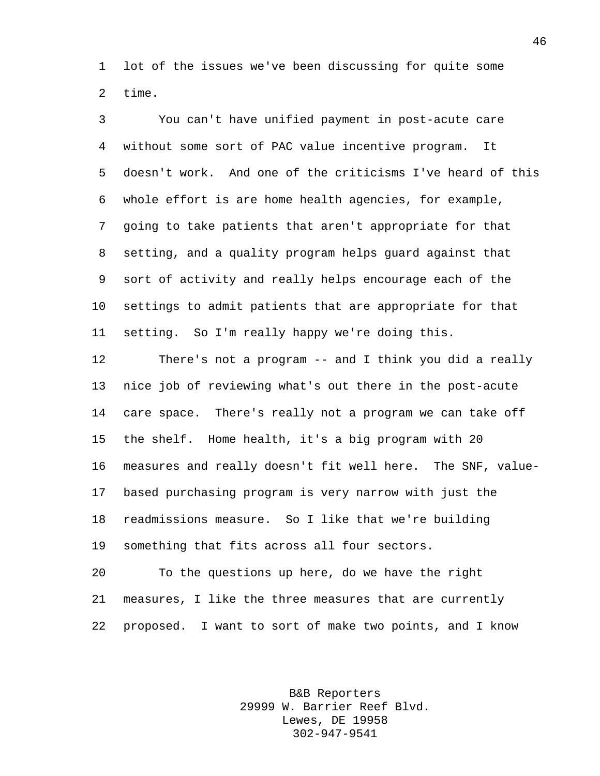lot of the issues we've been discussing for quite some time.

 You can't have unified payment in post-acute care without some sort of PAC value incentive program. It doesn't work. And one of the criticisms I've heard of this whole effort is are home health agencies, for example, going to take patients that aren't appropriate for that setting, and a quality program helps guard against that sort of activity and really helps encourage each of the settings to admit patients that are appropriate for that setting. So I'm really happy we're doing this.

 There's not a program -- and I think you did a really nice job of reviewing what's out there in the post-acute care space. There's really not a program we can take off the shelf. Home health, it's a big program with 20 measures and really doesn't fit well here. The SNF, value- based purchasing program is very narrow with just the readmissions measure. So I like that we're building something that fits across all four sectors.

 To the questions up here, do we have the right measures, I like the three measures that are currently proposed. I want to sort of make two points, and I know

> B&B Reporters 29999 W. Barrier Reef Blvd. Lewes, DE 19958 302-947-9541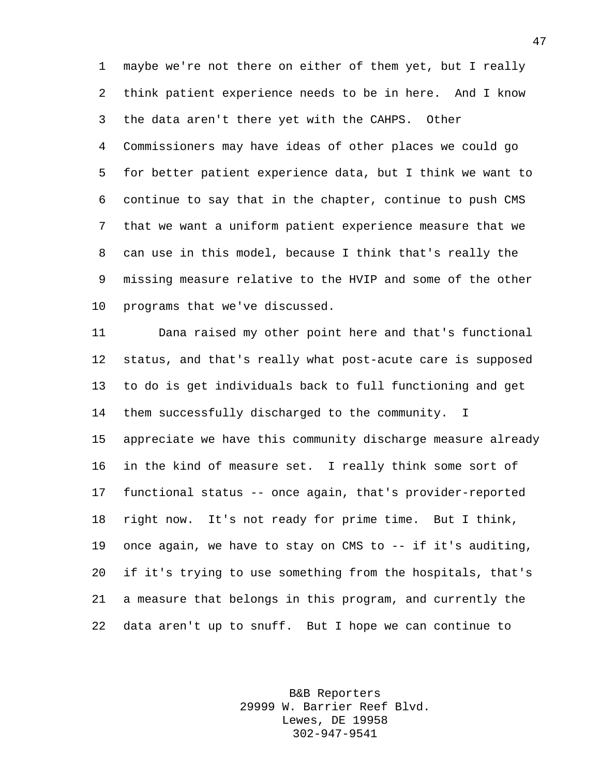maybe we're not there on either of them yet, but I really think patient experience needs to be in here. And I know the data aren't there yet with the CAHPS. Other Commissioners may have ideas of other places we could go for better patient experience data, but I think we want to continue to say that in the chapter, continue to push CMS that we want a uniform patient experience measure that we can use in this model, because I think that's really the missing measure relative to the HVIP and some of the other programs that we've discussed.

 Dana raised my other point here and that's functional status, and that's really what post-acute care is supposed to do is get individuals back to full functioning and get them successfully discharged to the community. I appreciate we have this community discharge measure already in the kind of measure set. I really think some sort of functional status -- once again, that's provider-reported right now. It's not ready for prime time. But I think, once again, we have to stay on CMS to -- if it's auditing, if it's trying to use something from the hospitals, that's a measure that belongs in this program, and currently the data aren't up to snuff. But I hope we can continue to

> B&B Reporters 29999 W. Barrier Reef Blvd. Lewes, DE 19958 302-947-9541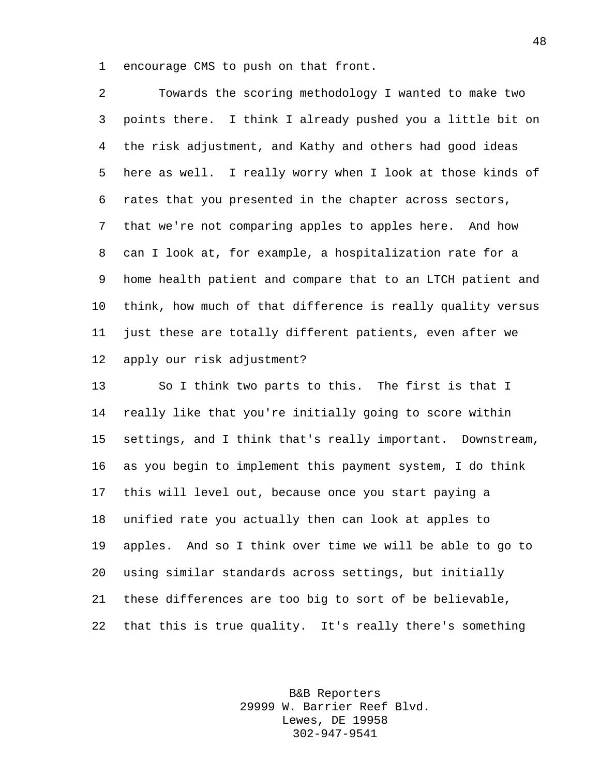encourage CMS to push on that front.

 Towards the scoring methodology I wanted to make two points there. I think I already pushed you a little bit on the risk adjustment, and Kathy and others had good ideas here as well. I really worry when I look at those kinds of rates that you presented in the chapter across sectors, that we're not comparing apples to apples here. And how can I look at, for example, a hospitalization rate for a home health patient and compare that to an LTCH patient and think, how much of that difference is really quality versus just these are totally different patients, even after we apply our risk adjustment?

 So I think two parts to this. The first is that I really like that you're initially going to score within settings, and I think that's really important. Downstream, as you begin to implement this payment system, I do think this will level out, because once you start paying a unified rate you actually then can look at apples to apples. And so I think over time we will be able to go to using similar standards across settings, but initially these differences are too big to sort of be believable, that this is true quality. It's really there's something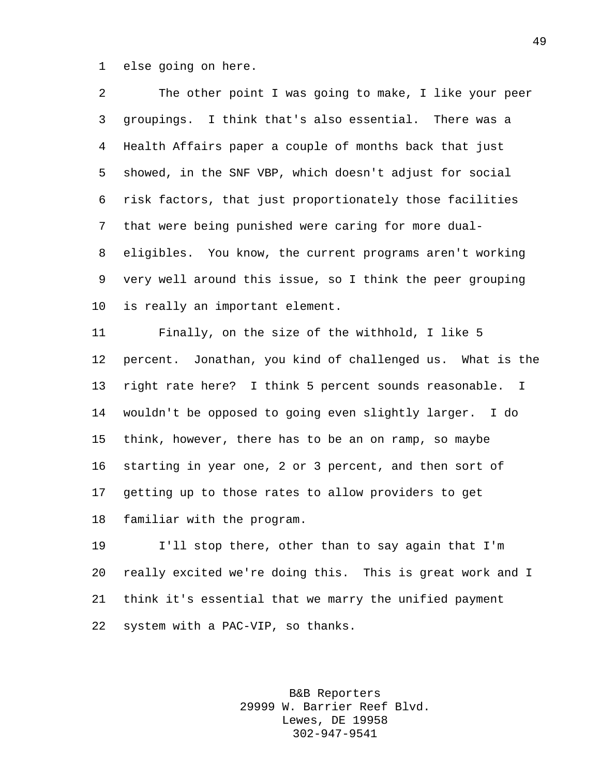else going on here.

 The other point I was going to make, I like your peer groupings. I think that's also essential. There was a Health Affairs paper a couple of months back that just showed, in the SNF VBP, which doesn't adjust for social risk factors, that just proportionately those facilities that were being punished were caring for more dual- eligibles. You know, the current programs aren't working very well around this issue, so I think the peer grouping is really an important element.

 Finally, on the size of the withhold, I like 5 percent. Jonathan, you kind of challenged us. What is the right rate here? I think 5 percent sounds reasonable. I wouldn't be opposed to going even slightly larger. I do think, however, there has to be an on ramp, so maybe starting in year one, 2 or 3 percent, and then sort of getting up to those rates to allow providers to get familiar with the program.

 I'll stop there, other than to say again that I'm really excited we're doing this. This is great work and I think it's essential that we marry the unified payment system with a PAC-VIP, so thanks.

> B&B Reporters 29999 W. Barrier Reef Blvd. Lewes, DE 19958 302-947-9541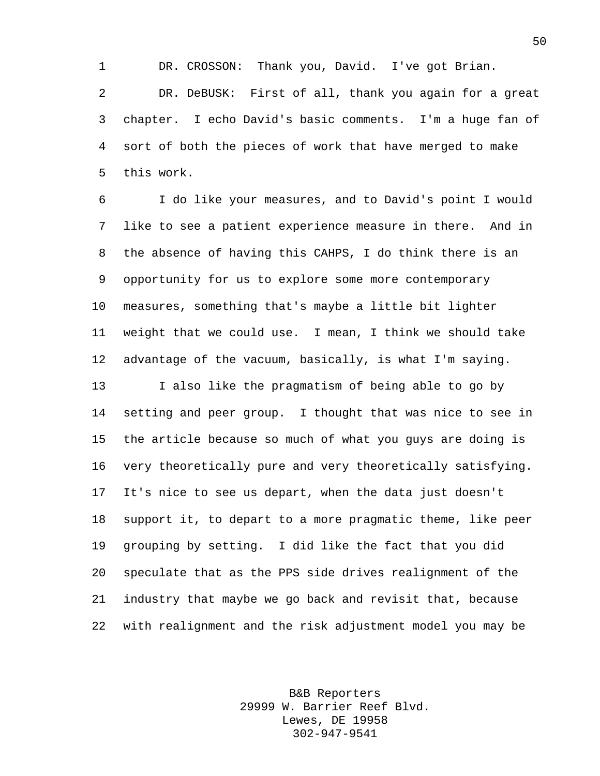DR. CROSSON: Thank you, David. I've got Brian. DR. DeBUSK: First of all, thank you again for a great chapter. I echo David's basic comments. I'm a huge fan of sort of both the pieces of work that have merged to make this work.

 I do like your measures, and to David's point I would like to see a patient experience measure in there. And in the absence of having this CAHPS, I do think there is an opportunity for us to explore some more contemporary measures, something that's maybe a little bit lighter weight that we could use. I mean, I think we should take advantage of the vacuum, basically, is what I'm saying. I also like the pragmatism of being able to go by setting and peer group. I thought that was nice to see in the article because so much of what you guys are doing is very theoretically pure and very theoretically satisfying. It's nice to see us depart, when the data just doesn't support it, to depart to a more pragmatic theme, like peer grouping by setting. I did like the fact that you did speculate that as the PPS side drives realignment of the industry that maybe we go back and revisit that, because with realignment and the risk adjustment model you may be

> B&B Reporters 29999 W. Barrier Reef Blvd. Lewes, DE 19958 302-947-9541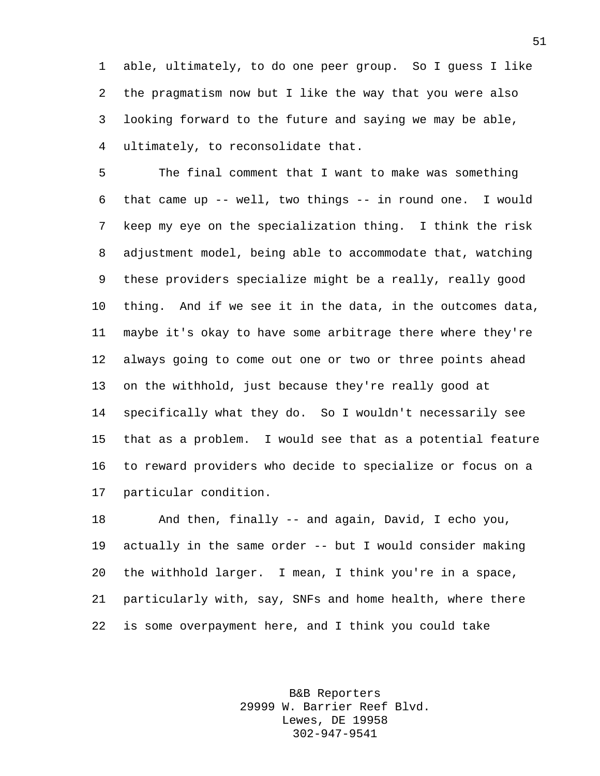able, ultimately, to do one peer group. So I guess I like the pragmatism now but I like the way that you were also looking forward to the future and saying we may be able, ultimately, to reconsolidate that.

 The final comment that I want to make was something that came up -- well, two things -- in round one. I would keep my eye on the specialization thing. I think the risk adjustment model, being able to accommodate that, watching these providers specialize might be a really, really good thing. And if we see it in the data, in the outcomes data, maybe it's okay to have some arbitrage there where they're always going to come out one or two or three points ahead on the withhold, just because they're really good at specifically what they do. So I wouldn't necessarily see that as a problem. I would see that as a potential feature to reward providers who decide to specialize or focus on a particular condition.

 And then, finally -- and again, David, I echo you, actually in the same order -- but I would consider making the withhold larger. I mean, I think you're in a space, particularly with, say, SNFs and home health, where there is some overpayment here, and I think you could take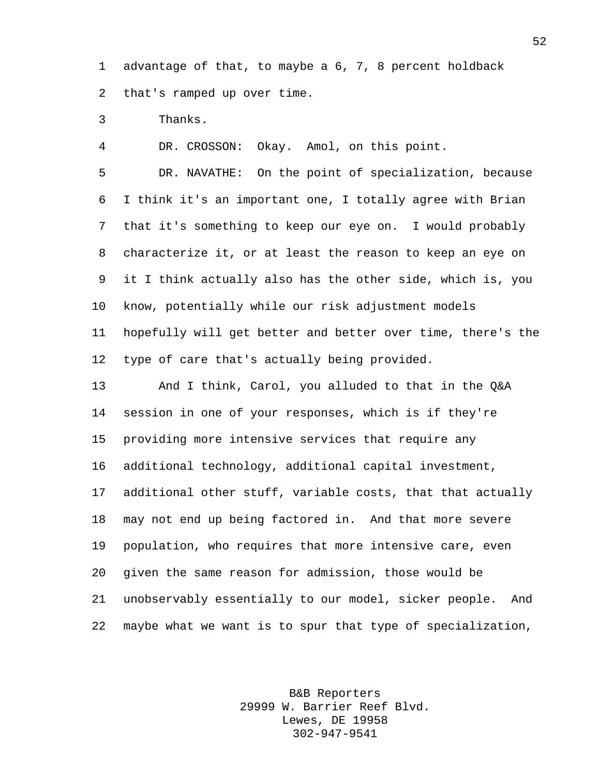advantage of that, to maybe a 6, 7, 8 percent holdback that's ramped up over time.

Thanks.

DR. CROSSON: Okay. Amol, on this point.

 DR. NAVATHE: On the point of specialization, because I think it's an important one, I totally agree with Brian that it's something to keep our eye on. I would probably characterize it, or at least the reason to keep an eye on it I think actually also has the other side, which is, you know, potentially while our risk adjustment models hopefully will get better and better over time, there's the type of care that's actually being provided.

 And I think, Carol, you alluded to that in the Q&A session in one of your responses, which is if they're providing more intensive services that require any additional technology, additional capital investment, additional other stuff, variable costs, that that actually may not end up being factored in. And that more severe population, who requires that more intensive care, even given the same reason for admission, those would be unobservably essentially to our model, sicker people. And maybe what we want is to spur that type of specialization,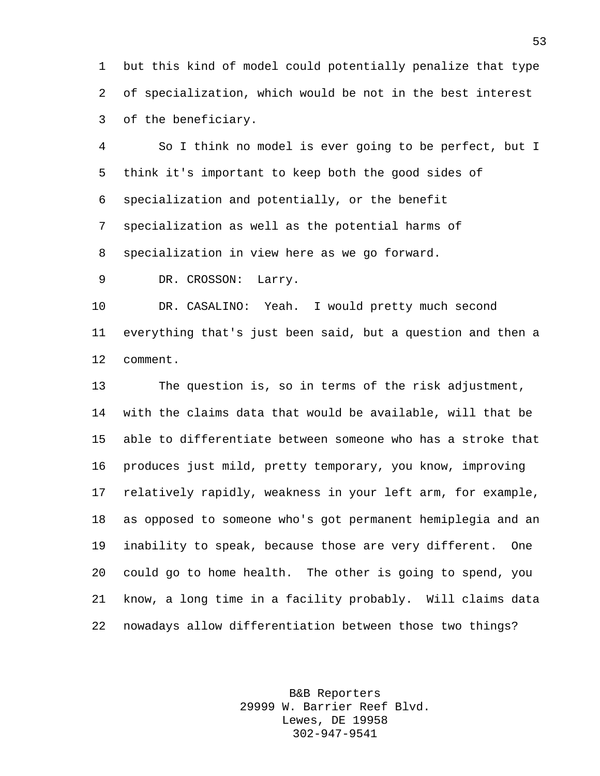but this kind of model could potentially penalize that type of specialization, which would be not in the best interest of the beneficiary.

 So I think no model is ever going to be perfect, but I think it's important to keep both the good sides of specialization and potentially, or the benefit specialization as well as the potential harms of specialization in view here as we go forward.

DR. CROSSON: Larry.

 DR. CASALINO: Yeah. I would pretty much second everything that's just been said, but a question and then a comment.

 The question is, so in terms of the risk adjustment, with the claims data that would be available, will that be able to differentiate between someone who has a stroke that produces just mild, pretty temporary, you know, improving relatively rapidly, weakness in your left arm, for example, as opposed to someone who's got permanent hemiplegia and an inability to speak, because those are very different. One could go to home health. The other is going to spend, you know, a long time in a facility probably. Will claims data nowadays allow differentiation between those two things?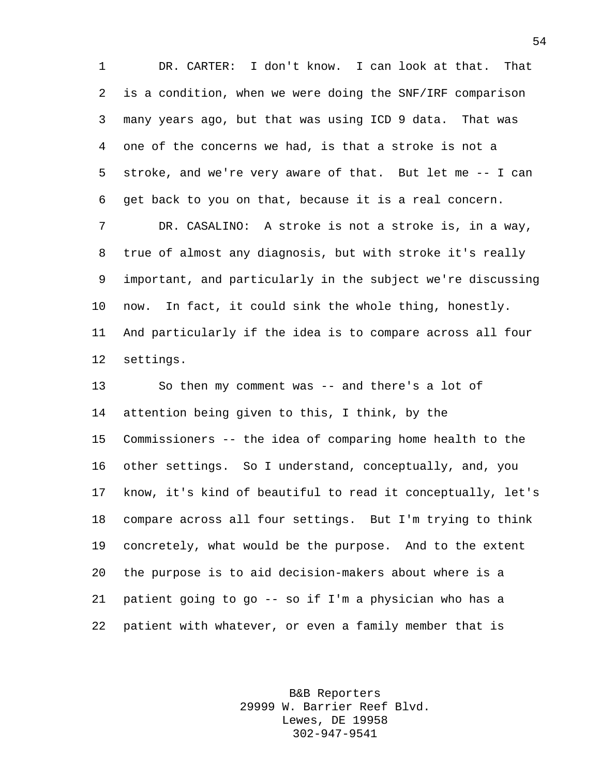DR. CARTER: I don't know. I can look at that. That is a condition, when we were doing the SNF/IRF comparison many years ago, but that was using ICD 9 data. That was one of the concerns we had, is that a stroke is not a stroke, and we're very aware of that. But let me -- I can get back to you on that, because it is a real concern. DR. CASALINO: A stroke is not a stroke is, in a way, true of almost any diagnosis, but with stroke it's really important, and particularly in the subject we're discussing now. In fact, it could sink the whole thing, honestly. And particularly if the idea is to compare across all four settings.

 So then my comment was -- and there's a lot of attention being given to this, I think, by the Commissioners -- the idea of comparing home health to the other settings. So I understand, conceptually, and, you know, it's kind of beautiful to read it conceptually, let's compare across all four settings. But I'm trying to think concretely, what would be the purpose. And to the extent the purpose is to aid decision-makers about where is a patient going to go -- so if I'm a physician who has a patient with whatever, or even a family member that is

> B&B Reporters 29999 W. Barrier Reef Blvd. Lewes, DE 19958 302-947-9541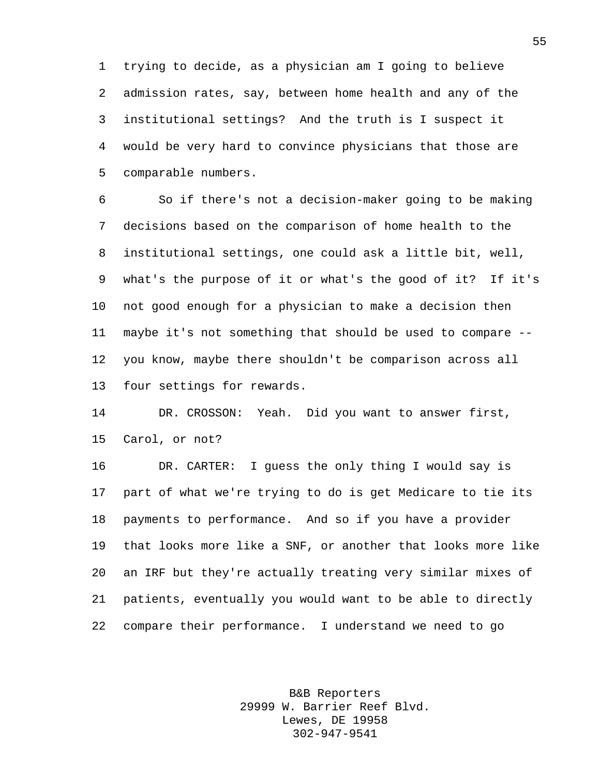trying to decide, as a physician am I going to believe admission rates, say, between home health and any of the institutional settings? And the truth is I suspect it would be very hard to convince physicians that those are comparable numbers.

 So if there's not a decision-maker going to be making decisions based on the comparison of home health to the institutional settings, one could ask a little bit, well, what's the purpose of it or what's the good of it? If it's not good enough for a physician to make a decision then maybe it's not something that should be used to compare -- you know, maybe there shouldn't be comparison across all four settings for rewards.

 DR. CROSSON: Yeah. Did you want to answer first, Carol, or not?

 DR. CARTER: I guess the only thing I would say is part of what we're trying to do is get Medicare to tie its payments to performance. And so if you have a provider that looks more like a SNF, or another that looks more like an IRF but they're actually treating very similar mixes of patients, eventually you would want to be able to directly compare their performance. I understand we need to go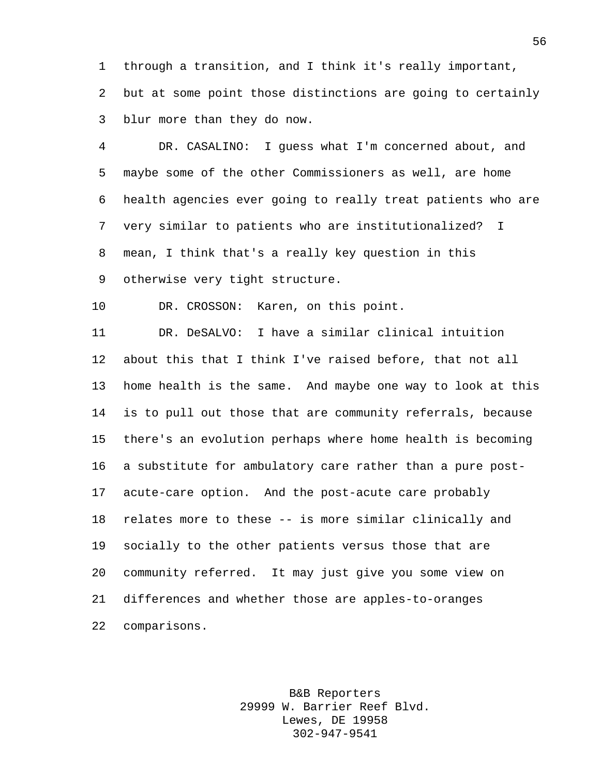through a transition, and I think it's really important, but at some point those distinctions are going to certainly blur more than they do now.

 DR. CASALINO: I guess what I'm concerned about, and maybe some of the other Commissioners as well, are home health agencies ever going to really treat patients who are very similar to patients who are institutionalized? I mean, I think that's a really key question in this otherwise very tight structure.

DR. CROSSON: Karen, on this point.

 DR. DeSALVO: I have a similar clinical intuition about this that I think I've raised before, that not all home health is the same. And maybe one way to look at this is to pull out those that are community referrals, because there's an evolution perhaps where home health is becoming a substitute for ambulatory care rather than a pure post- acute-care option. And the post-acute care probably relates more to these -- is more similar clinically and socially to the other patients versus those that are community referred. It may just give you some view on differences and whether those are apples-to-oranges comparisons.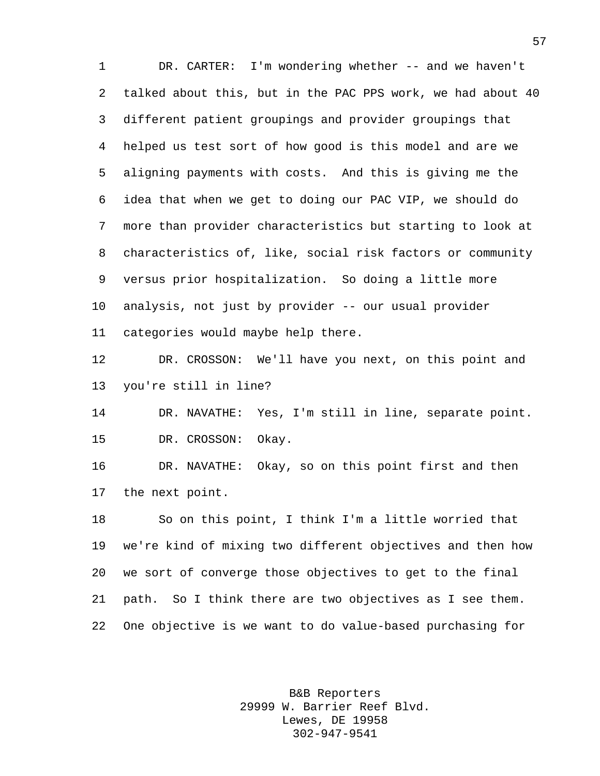DR. CARTER: I'm wondering whether -- and we haven't talked about this, but in the PAC PPS work, we had about 40 different patient groupings and provider groupings that helped us test sort of how good is this model and are we aligning payments with costs. And this is giving me the idea that when we get to doing our PAC VIP, we should do more than provider characteristics but starting to look at characteristics of, like, social risk factors or community versus prior hospitalization. So doing a little more analysis, not just by provider -- our usual provider categories would maybe help there.

 DR. CROSSON: We'll have you next, on this point and you're still in line?

 DR. NAVATHE: Yes, I'm still in line, separate point. DR. CROSSON: Okay.

 DR. NAVATHE: Okay, so on this point first and then the next point.

 So on this point, I think I'm a little worried that we're kind of mixing two different objectives and then how we sort of converge those objectives to get to the final path. So I think there are two objectives as I see them. One objective is we want to do value-based purchasing for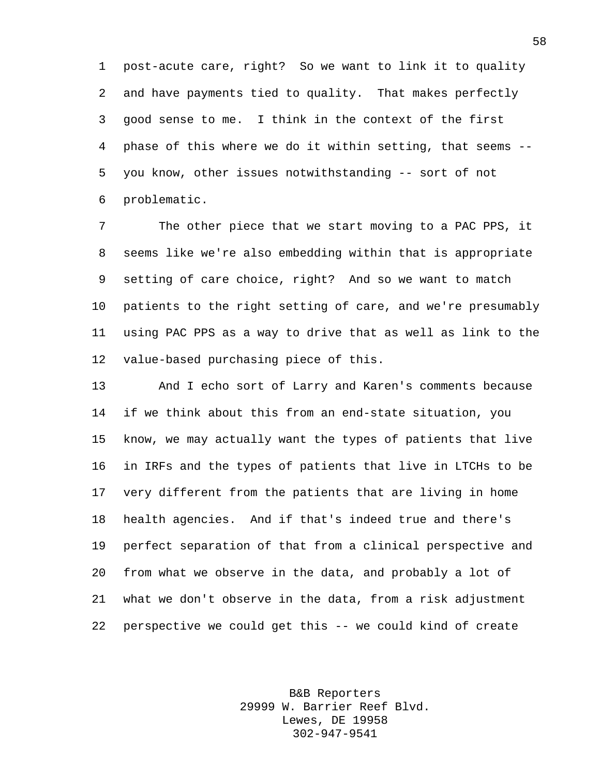post-acute care, right? So we want to link it to quality and have payments tied to quality. That makes perfectly good sense to me. I think in the context of the first phase of this where we do it within setting, that seems -- you know, other issues notwithstanding -- sort of not problematic.

 The other piece that we start moving to a PAC PPS, it seems like we're also embedding within that is appropriate setting of care choice, right? And so we want to match patients to the right setting of care, and we're presumably using PAC PPS as a way to drive that as well as link to the value-based purchasing piece of this.

 And I echo sort of Larry and Karen's comments because if we think about this from an end-state situation, you know, we may actually want the types of patients that live in IRFs and the types of patients that live in LTCHs to be very different from the patients that are living in home health agencies. And if that's indeed true and there's perfect separation of that from a clinical perspective and from what we observe in the data, and probably a lot of what we don't observe in the data, from a risk adjustment perspective we could get this -- we could kind of create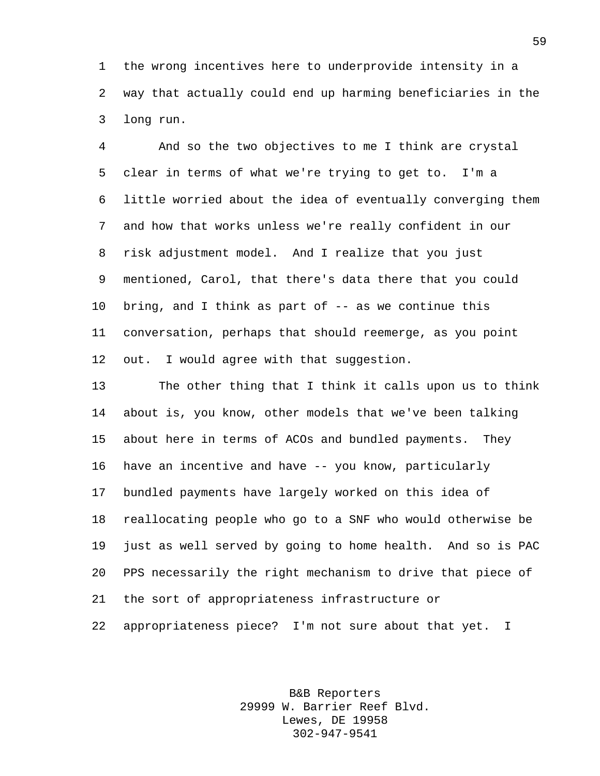the wrong incentives here to underprovide intensity in a way that actually could end up harming beneficiaries in the long run.

 And so the two objectives to me I think are crystal clear in terms of what we're trying to get to. I'm a little worried about the idea of eventually converging them and how that works unless we're really confident in our risk adjustment model. And I realize that you just mentioned, Carol, that there's data there that you could bring, and I think as part of -- as we continue this conversation, perhaps that should reemerge, as you point 12 out. I would agree with that suggestion.

 The other thing that I think it calls upon us to think about is, you know, other models that we've been talking about here in terms of ACOs and bundled payments. They have an incentive and have -- you know, particularly bundled payments have largely worked on this idea of reallocating people who go to a SNF who would otherwise be just as well served by going to home health. And so is PAC PPS necessarily the right mechanism to drive that piece of the sort of appropriateness infrastructure or appropriateness piece? I'm not sure about that yet. I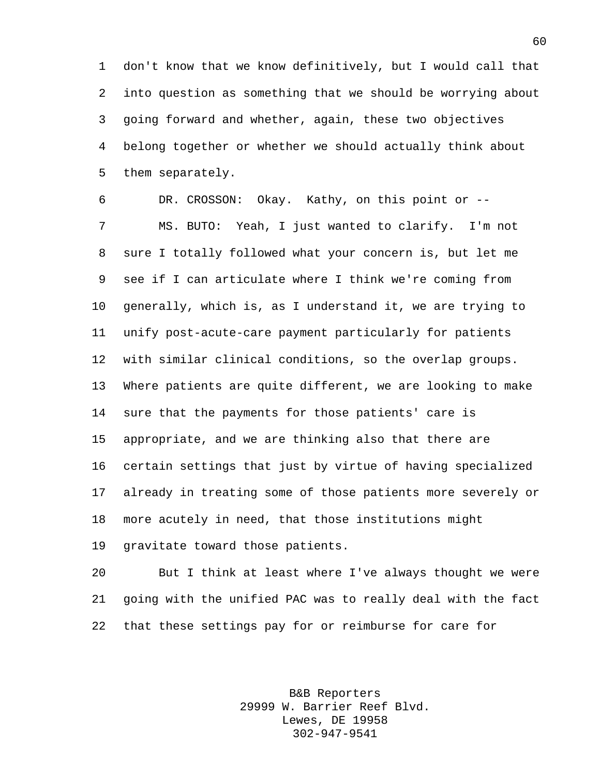don't know that we know definitively, but I would call that into question as something that we should be worrying about going forward and whether, again, these two objectives belong together or whether we should actually think about them separately.

 DR. CROSSON: Okay. Kathy, on this point or -- MS. BUTO: Yeah, I just wanted to clarify. I'm not sure I totally followed what your concern is, but let me see if I can articulate where I think we're coming from generally, which is, as I understand it, we are trying to unify post-acute-care payment particularly for patients with similar clinical conditions, so the overlap groups. Where patients are quite different, we are looking to make sure that the payments for those patients' care is appropriate, and we are thinking also that there are certain settings that just by virtue of having specialized already in treating some of those patients more severely or more acutely in need, that those institutions might gravitate toward those patients.

 But I think at least where I've always thought we were going with the unified PAC was to really deal with the fact that these settings pay for or reimburse for care for

> B&B Reporters 29999 W. Barrier Reef Blvd. Lewes, DE 19958 302-947-9541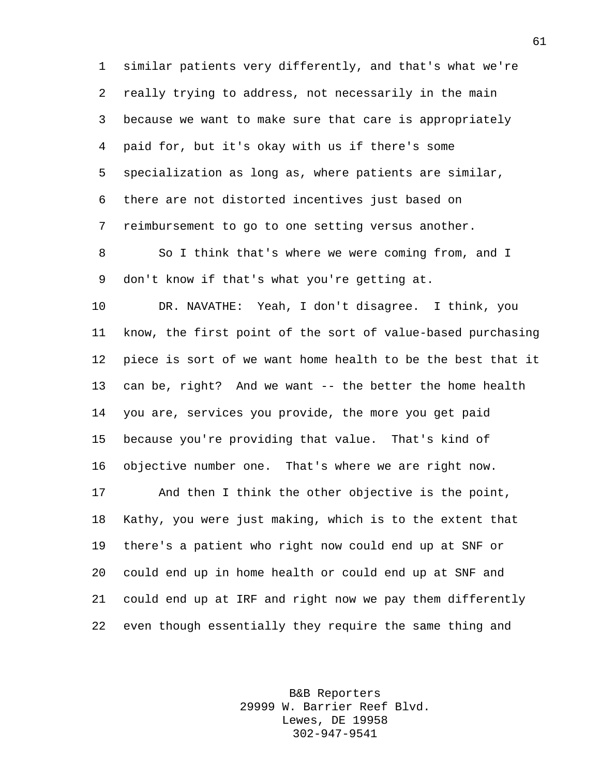similar patients very differently, and that's what we're really trying to address, not necessarily in the main because we want to make sure that care is appropriately paid for, but it's okay with us if there's some specialization as long as, where patients are similar, there are not distorted incentives just based on reimbursement to go to one setting versus another.

 So I think that's where we were coming from, and I don't know if that's what you're getting at.

 DR. NAVATHE: Yeah, I don't disagree. I think, you know, the first point of the sort of value-based purchasing piece is sort of we want home health to be the best that it 13 can be, right? And we want -- the better the home health you are, services you provide, the more you get paid because you're providing that value. That's kind of objective number one. That's where we are right now.

 And then I think the other objective is the point, Kathy, you were just making, which is to the extent that there's a patient who right now could end up at SNF or could end up in home health or could end up at SNF and could end up at IRF and right now we pay them differently even though essentially they require the same thing and

> B&B Reporters 29999 W. Barrier Reef Blvd. Lewes, DE 19958 302-947-9541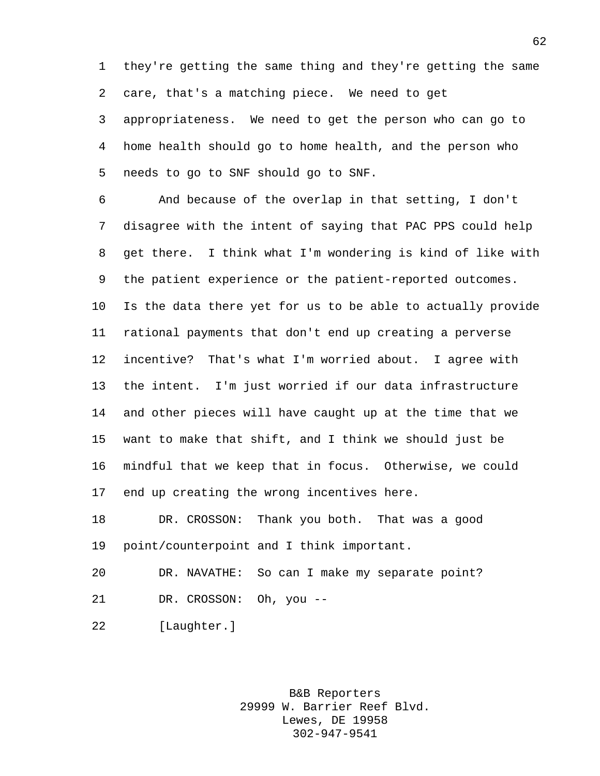they're getting the same thing and they're getting the same care, that's a matching piece. We need to get

 appropriateness. We need to get the person who can go to home health should go to home health, and the person who needs to go to SNF should go to SNF.

 And because of the overlap in that setting, I don't disagree with the intent of saying that PAC PPS could help get there. I think what I'm wondering is kind of like with the patient experience or the patient-reported outcomes. Is the data there yet for us to be able to actually provide rational payments that don't end up creating a perverse incentive? That's what I'm worried about. I agree with the intent. I'm just worried if our data infrastructure and other pieces will have caught up at the time that we want to make that shift, and I think we should just be mindful that we keep that in focus. Otherwise, we could end up creating the wrong incentives here.

 DR. CROSSON: Thank you both. That was a good point/counterpoint and I think important.

 DR. NAVATHE: So can I make my separate point? DR. CROSSON: Oh, you --

[Laughter.]

B&B Reporters 29999 W. Barrier Reef Blvd. Lewes, DE 19958 302-947-9541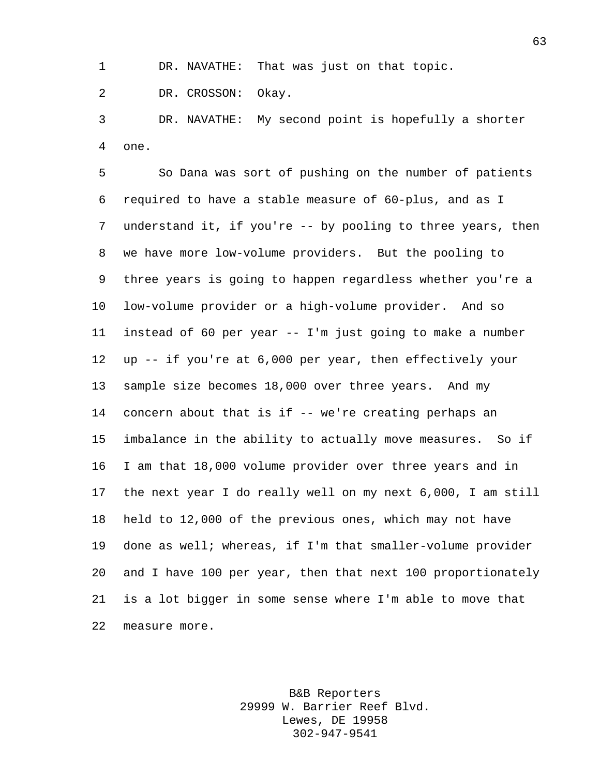DR. NAVATHE: That was just on that topic.

DR. CROSSON: Okay.

 DR. NAVATHE: My second point is hopefully a shorter one.

 So Dana was sort of pushing on the number of patients required to have a stable measure of 60-plus, and as I understand it, if you're -- by pooling to three years, then we have more low-volume providers. But the pooling to three years is going to happen regardless whether you're a low-volume provider or a high-volume provider. And so instead of 60 per year -- I'm just going to make a number up -- if you're at 6,000 per year, then effectively your sample size becomes 18,000 over three years. And my concern about that is if -- we're creating perhaps an imbalance in the ability to actually move measures. So if I am that 18,000 volume provider over three years and in the next year I do really well on my next 6,000, I am still held to 12,000 of the previous ones, which may not have done as well; whereas, if I'm that smaller-volume provider and I have 100 per year, then that next 100 proportionately is a lot bigger in some sense where I'm able to move that measure more.

> B&B Reporters 29999 W. Barrier Reef Blvd. Lewes, DE 19958 302-947-9541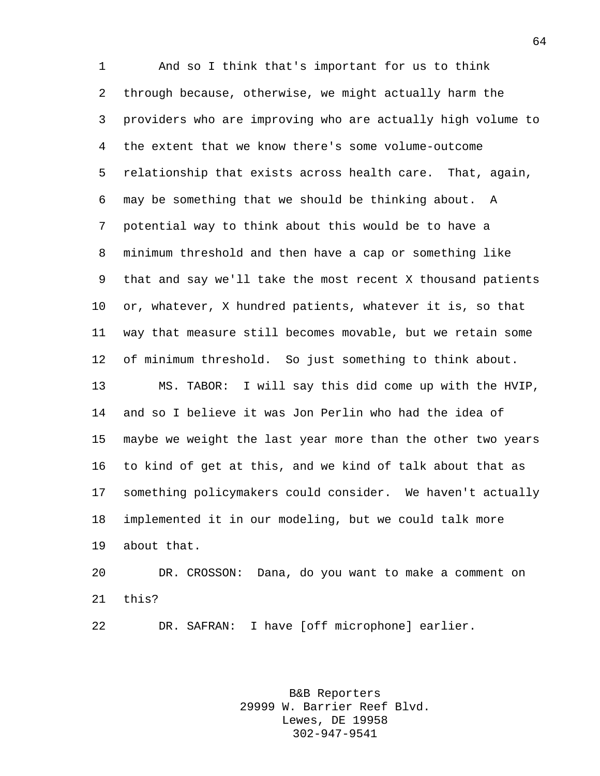And so I think that's important for us to think through because, otherwise, we might actually harm the providers who are improving who are actually high volume to the extent that we know there's some volume-outcome relationship that exists across health care. That, again, may be something that we should be thinking about. A potential way to think about this would be to have a minimum threshold and then have a cap or something like that and say we'll take the most recent X thousand patients or, whatever, X hundred patients, whatever it is, so that way that measure still becomes movable, but we retain some of minimum threshold. So just something to think about. MS. TABOR: I will say this did come up with the HVIP, and so I believe it was Jon Perlin who had the idea of maybe we weight the last year more than the other two years to kind of get at this, and we kind of talk about that as something policymakers could consider. We haven't actually implemented it in our modeling, but we could talk more about that. DR. CROSSON: Dana, do you want to make a comment on

this?

DR. SAFRAN: I have [off microphone] earlier.

B&B Reporters 29999 W. Barrier Reef Blvd. Lewes, DE 19958 302-947-9541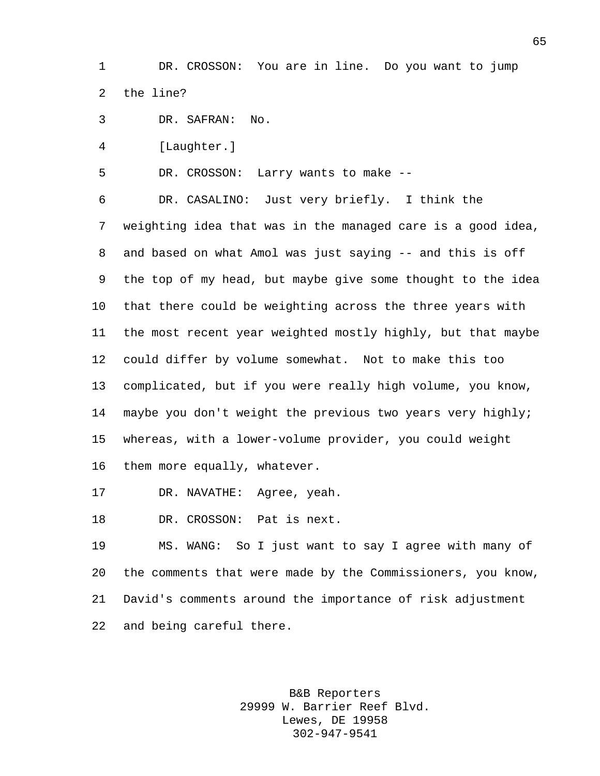DR. CROSSON: You are in line. Do you want to jump the line?

DR. SAFRAN: No.

[Laughter.]

DR. CROSSON: Larry wants to make --

 DR. CASALINO: Just very briefly. I think the weighting idea that was in the managed care is a good idea, and based on what Amol was just saying -- and this is off the top of my head, but maybe give some thought to the idea that there could be weighting across the three years with the most recent year weighted mostly highly, but that maybe could differ by volume somewhat. Not to make this too complicated, but if you were really high volume, you know, maybe you don't weight the previous two years very highly; whereas, with a lower-volume provider, you could weight them more equally, whatever.

DR. NAVATHE: Agree, yeah.

DR. CROSSON: Pat is next.

 MS. WANG: So I just want to say I agree with many of the comments that were made by the Commissioners, you know, David's comments around the importance of risk adjustment and being careful there.

> B&B Reporters 29999 W. Barrier Reef Blvd. Lewes, DE 19958 302-947-9541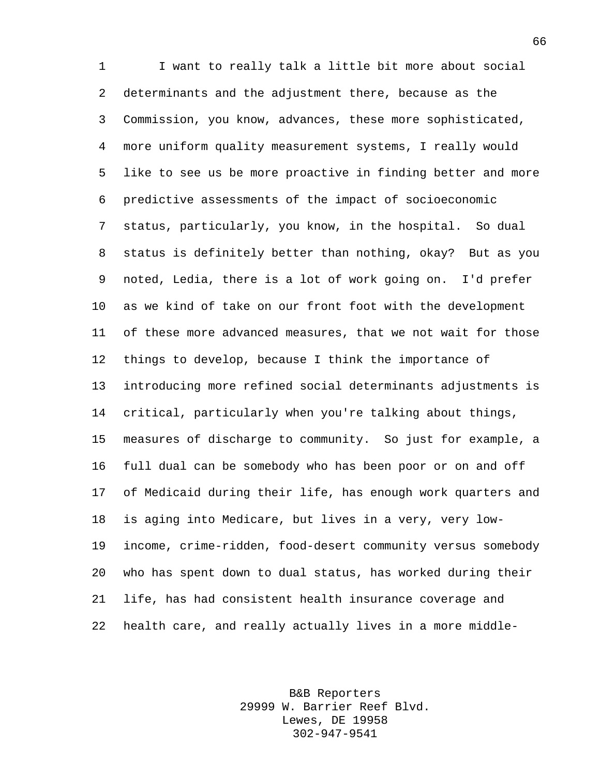I want to really talk a little bit more about social determinants and the adjustment there, because as the Commission, you know, advances, these more sophisticated, more uniform quality measurement systems, I really would like to see us be more proactive in finding better and more predictive assessments of the impact of socioeconomic status, particularly, you know, in the hospital. So dual status is definitely better than nothing, okay? But as you noted, Ledia, there is a lot of work going on. I'd prefer as we kind of take on our front foot with the development of these more advanced measures, that we not wait for those things to develop, because I think the importance of introducing more refined social determinants adjustments is critical, particularly when you're talking about things, measures of discharge to community. So just for example, a full dual can be somebody who has been poor or on and off of Medicaid during their life, has enough work quarters and is aging into Medicare, but lives in a very, very low- income, crime-ridden, food-desert community versus somebody who has spent down to dual status, has worked during their life, has had consistent health insurance coverage and health care, and really actually lives in a more middle-

> B&B Reporters 29999 W. Barrier Reef Blvd. Lewes, DE 19958 302-947-9541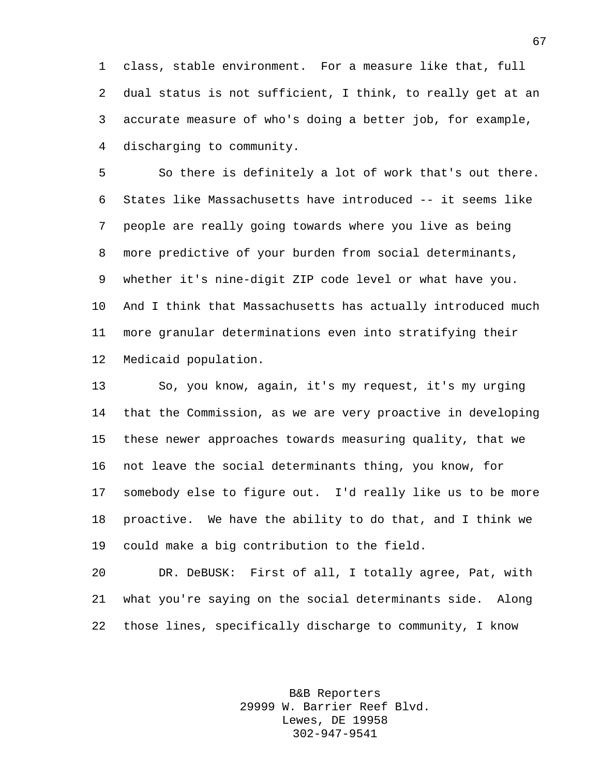class, stable environment. For a measure like that, full dual status is not sufficient, I think, to really get at an accurate measure of who's doing a better job, for example, discharging to community.

 So there is definitely a lot of work that's out there. States like Massachusetts have introduced -- it seems like people are really going towards where you live as being more predictive of your burden from social determinants, whether it's nine-digit ZIP code level or what have you. And I think that Massachusetts has actually introduced much more granular determinations even into stratifying their Medicaid population.

 So, you know, again, it's my request, it's my urging that the Commission, as we are very proactive in developing these newer approaches towards measuring quality, that we not leave the social determinants thing, you know, for somebody else to figure out. I'd really like us to be more proactive. We have the ability to do that, and I think we could make a big contribution to the field.

 DR. DeBUSK: First of all, I totally agree, Pat, with what you're saying on the social determinants side. Along those lines, specifically discharge to community, I know

> B&B Reporters 29999 W. Barrier Reef Blvd. Lewes, DE 19958 302-947-9541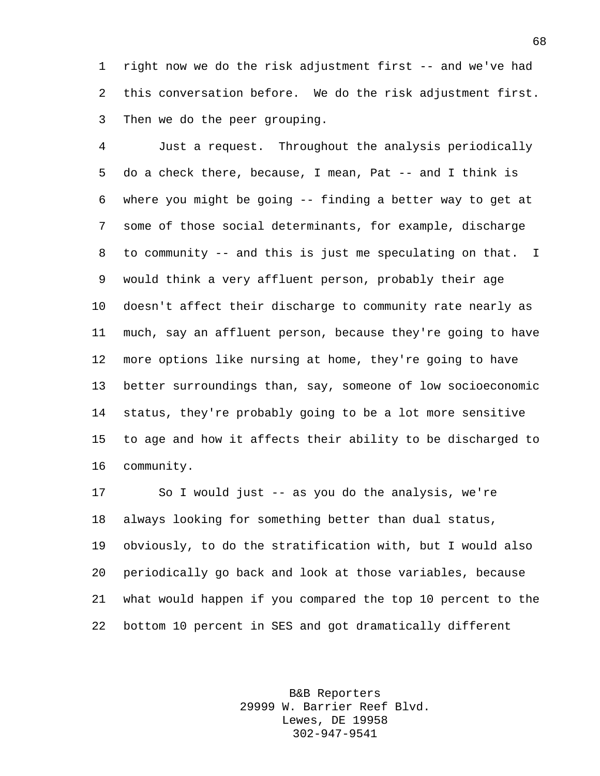right now we do the risk adjustment first -- and we've had this conversation before. We do the risk adjustment first. Then we do the peer grouping.

 Just a request. Throughout the analysis periodically do a check there, because, I mean, Pat -- and I think is where you might be going -- finding a better way to get at some of those social determinants, for example, discharge to community -- and this is just me speculating on that. I would think a very affluent person, probably their age doesn't affect their discharge to community rate nearly as much, say an affluent person, because they're going to have more options like nursing at home, they're going to have better surroundings than, say, someone of low socioeconomic status, they're probably going to be a lot more sensitive to age and how it affects their ability to be discharged to community.

 So I would just -- as you do the analysis, we're always looking for something better than dual status, obviously, to do the stratification with, but I would also periodically go back and look at those variables, because what would happen if you compared the top 10 percent to the bottom 10 percent in SES and got dramatically different

> B&B Reporters 29999 W. Barrier Reef Blvd. Lewes, DE 19958 302-947-9541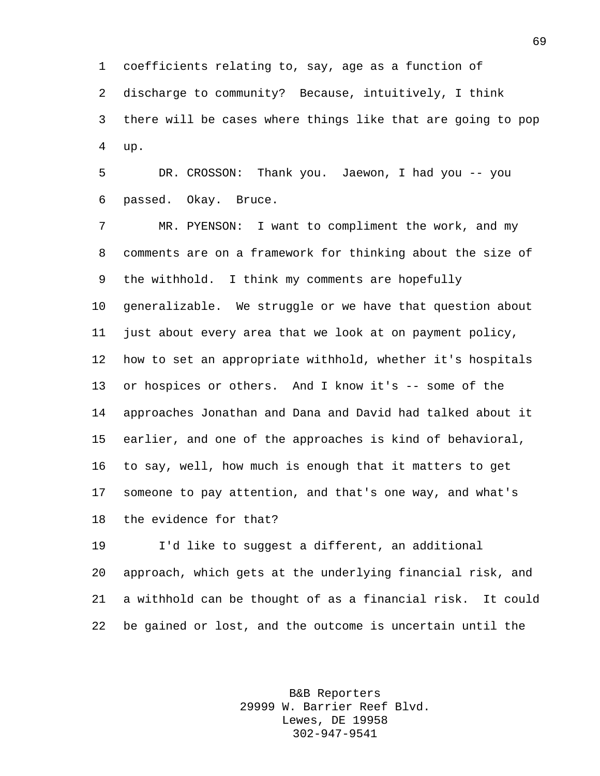coefficients relating to, say, age as a function of

discharge to community? Because, intuitively, I think

 there will be cases where things like that are going to pop up.

 DR. CROSSON: Thank you. Jaewon, I had you -- you passed. Okay. Bruce.

 MR. PYENSON: I want to compliment the work, and my comments are on a framework for thinking about the size of the withhold. I think my comments are hopefully generalizable. We struggle or we have that question about just about every area that we look at on payment policy, how to set an appropriate withhold, whether it's hospitals or hospices or others. And I know it's -- some of the approaches Jonathan and Dana and David had talked about it earlier, and one of the approaches is kind of behavioral, to say, well, how much is enough that it matters to get someone to pay attention, and that's one way, and what's the evidence for that?

 I'd like to suggest a different, an additional approach, which gets at the underlying financial risk, and a withhold can be thought of as a financial risk. It could be gained or lost, and the outcome is uncertain until the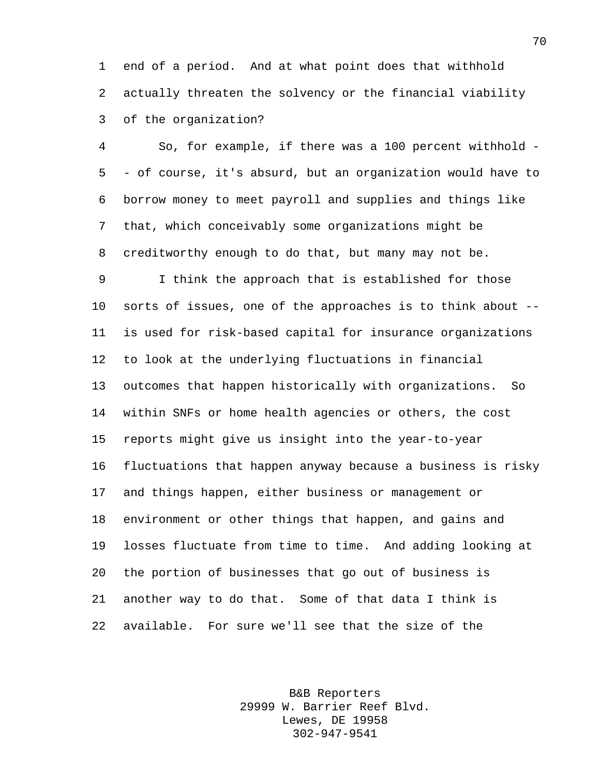end of a period. And at what point does that withhold actually threaten the solvency or the financial viability of the organization?

 So, for example, if there was a 100 percent withhold - - of course, it's absurd, but an organization would have to borrow money to meet payroll and supplies and things like that, which conceivably some organizations might be creditworthy enough to do that, but many may not be.

 I think the approach that is established for those sorts of issues, one of the approaches is to think about -- is used for risk-based capital for insurance organizations to look at the underlying fluctuations in financial outcomes that happen historically with organizations. So within SNFs or home health agencies or others, the cost reports might give us insight into the year-to-year fluctuations that happen anyway because a business is risky and things happen, either business or management or environment or other things that happen, and gains and losses fluctuate from time to time. And adding looking at the portion of businesses that go out of business is another way to do that. Some of that data I think is available. For sure we'll see that the size of the

> B&B Reporters 29999 W. Barrier Reef Blvd. Lewes, DE 19958 302-947-9541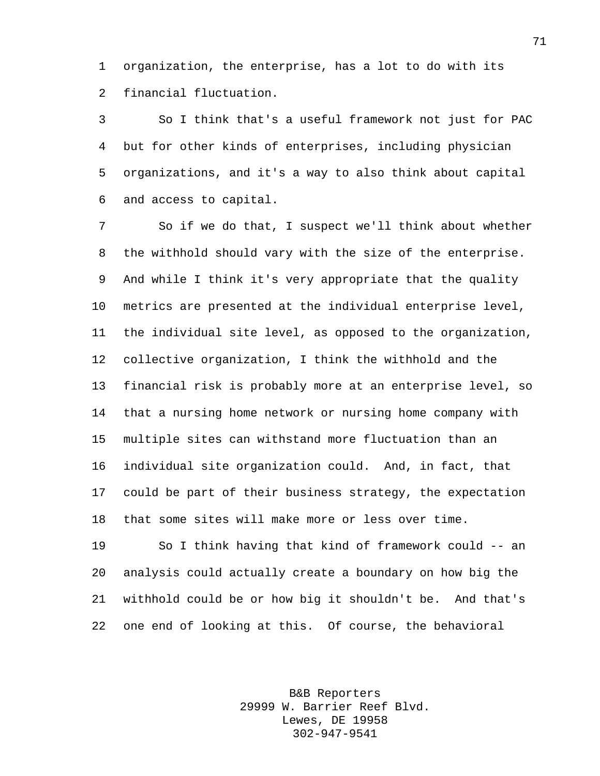organization, the enterprise, has a lot to do with its financial fluctuation.

 So I think that's a useful framework not just for PAC but for other kinds of enterprises, including physician organizations, and it's a way to also think about capital and access to capital.

 So if we do that, I suspect we'll think about whether the withhold should vary with the size of the enterprise. And while I think it's very appropriate that the quality metrics are presented at the individual enterprise level, the individual site level, as opposed to the organization, collective organization, I think the withhold and the financial risk is probably more at an enterprise level, so that a nursing home network or nursing home company with multiple sites can withstand more fluctuation than an individual site organization could. And, in fact, that could be part of their business strategy, the expectation that some sites will make more or less over time.

 So I think having that kind of framework could -- an analysis could actually create a boundary on how big the withhold could be or how big it shouldn't be. And that's one end of looking at this. Of course, the behavioral

> B&B Reporters 29999 W. Barrier Reef Blvd. Lewes, DE 19958 302-947-9541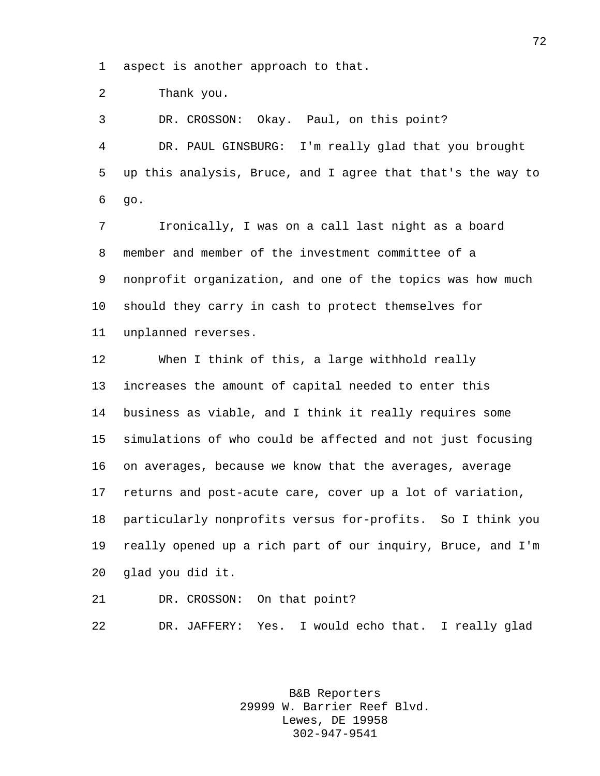aspect is another approach to that.

Thank you.

 DR. CROSSON: Okay. Paul, on this point? DR. PAUL GINSBURG: I'm really glad that you brought up this analysis, Bruce, and I agree that that's the way to go.

 Ironically, I was on a call last night as a board member and member of the investment committee of a nonprofit organization, and one of the topics was how much should they carry in cash to protect themselves for unplanned reverses.

 When I think of this, a large withhold really increases the amount of capital needed to enter this business as viable, and I think it really requires some simulations of who could be affected and not just focusing on averages, because we know that the averages, average returns and post-acute care, cover up a lot of variation, particularly nonprofits versus for-profits. So I think you really opened up a rich part of our inquiry, Bruce, and I'm glad you did it.

DR. CROSSON: On that point?

DR. JAFFERY: Yes. I would echo that. I really glad

B&B Reporters 29999 W. Barrier Reef Blvd. Lewes, DE 19958 302-947-9541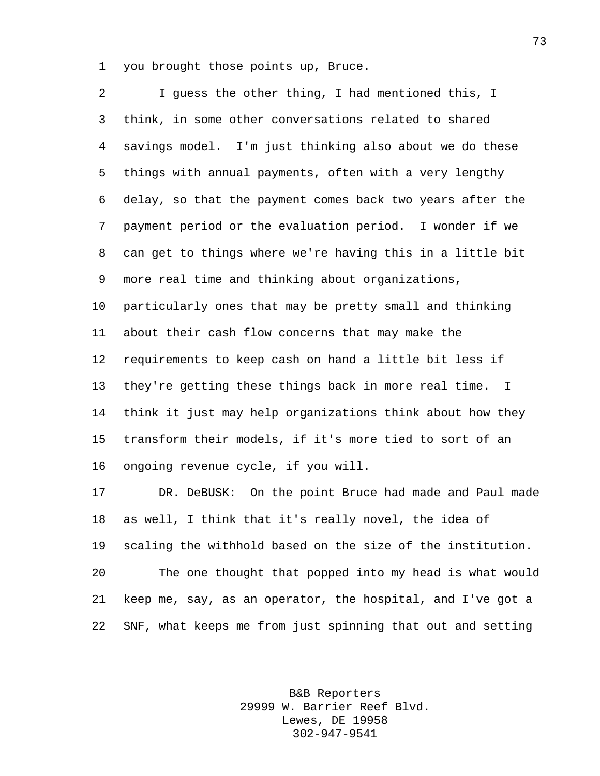you brought those points up, Bruce.

 I guess the other thing, I had mentioned this, I think, in some other conversations related to shared savings model. I'm just thinking also about we do these things with annual payments, often with a very lengthy delay, so that the payment comes back two years after the payment period or the evaluation period. I wonder if we can get to things where we're having this in a little bit more real time and thinking about organizations, particularly ones that may be pretty small and thinking about their cash flow concerns that may make the requirements to keep cash on hand a little bit less if they're getting these things back in more real time. I think it just may help organizations think about how they transform their models, if it's more tied to sort of an ongoing revenue cycle, if you will.

 DR. DeBUSK: On the point Bruce had made and Paul made as well, I think that it's really novel, the idea of scaling the withhold based on the size of the institution. The one thought that popped into my head is what would keep me, say, as an operator, the hospital, and I've got a SNF, what keeps me from just spinning that out and setting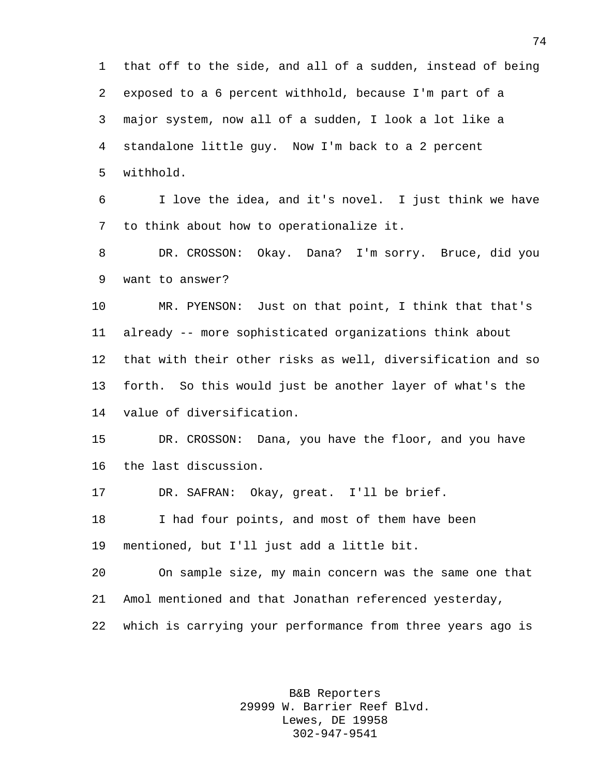that off to the side, and all of a sudden, instead of being exposed to a 6 percent withhold, because I'm part of a major system, now all of a sudden, I look a lot like a standalone little guy. Now I'm back to a 2 percent withhold.

 I love the idea, and it's novel. I just think we have to think about how to operationalize it.

 DR. CROSSON: Okay. Dana? I'm sorry. Bruce, did you want to answer?

 MR. PYENSON: Just on that point, I think that that's already -- more sophisticated organizations think about that with their other risks as well, diversification and so forth. So this would just be another layer of what's the value of diversification.

 DR. CROSSON: Dana, you have the floor, and you have the last discussion.

DR. SAFRAN: Okay, great. I'll be brief.

18 I had four points, and most of them have been mentioned, but I'll just add a little bit.

 On sample size, my main concern was the same one that Amol mentioned and that Jonathan referenced yesterday, which is carrying your performance from three years ago is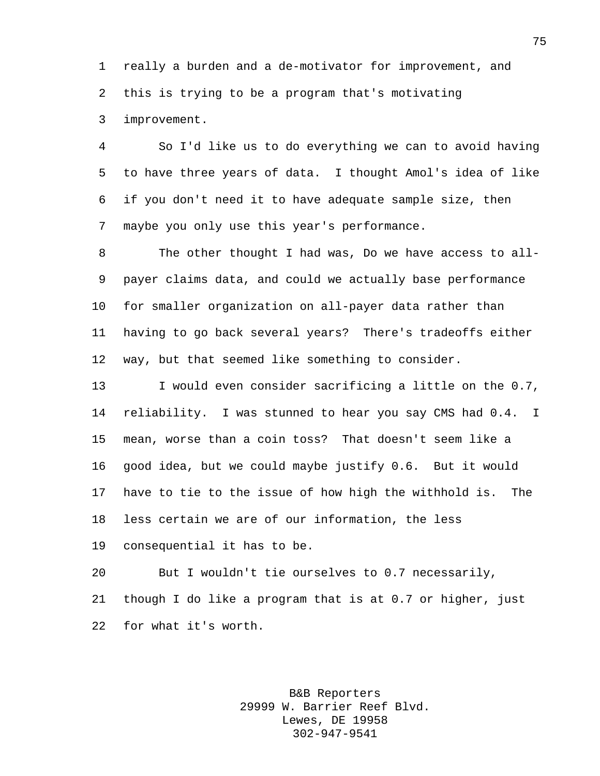really a burden and a de-motivator for improvement, and this is trying to be a program that's motivating

improvement.

 So I'd like us to do everything we can to avoid having to have three years of data. I thought Amol's idea of like if you don't need it to have adequate sample size, then maybe you only use this year's performance.

 The other thought I had was, Do we have access to all- payer claims data, and could we actually base performance for smaller organization on all-payer data rather than having to go back several years? There's tradeoffs either way, but that seemed like something to consider.

 I would even consider sacrificing a little on the 0.7, reliability. I was stunned to hear you say CMS had 0.4. I mean, worse than a coin toss? That doesn't seem like a good idea, but we could maybe justify 0.6. But it would have to tie to the issue of how high the withhold is. The less certain we are of our information, the less

consequential it has to be.

 But I wouldn't tie ourselves to 0.7 necessarily, though I do like a program that is at 0.7 or higher, just for what it's worth.

> B&B Reporters 29999 W. Barrier Reef Blvd. Lewes, DE 19958 302-947-9541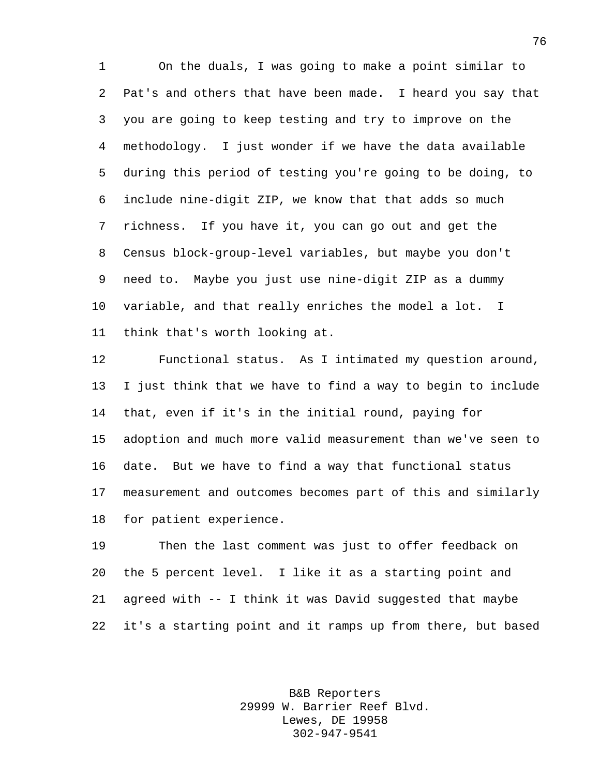On the duals, I was going to make a point similar to Pat's and others that have been made. I heard you say that you are going to keep testing and try to improve on the methodology. I just wonder if we have the data available during this period of testing you're going to be doing, to include nine-digit ZIP, we know that that adds so much richness. If you have it, you can go out and get the Census block-group-level variables, but maybe you don't need to. Maybe you just use nine-digit ZIP as a dummy variable, and that really enriches the model a lot. I think that's worth looking at.

 Functional status. As I intimated my question around, I just think that we have to find a way to begin to include that, even if it's in the initial round, paying for adoption and much more valid measurement than we've seen to date. But we have to find a way that functional status measurement and outcomes becomes part of this and similarly for patient experience.

 Then the last comment was just to offer feedback on the 5 percent level. I like it as a starting point and agreed with -- I think it was David suggested that maybe it's a starting point and it ramps up from there, but based

> B&B Reporters 29999 W. Barrier Reef Blvd. Lewes, DE 19958 302-947-9541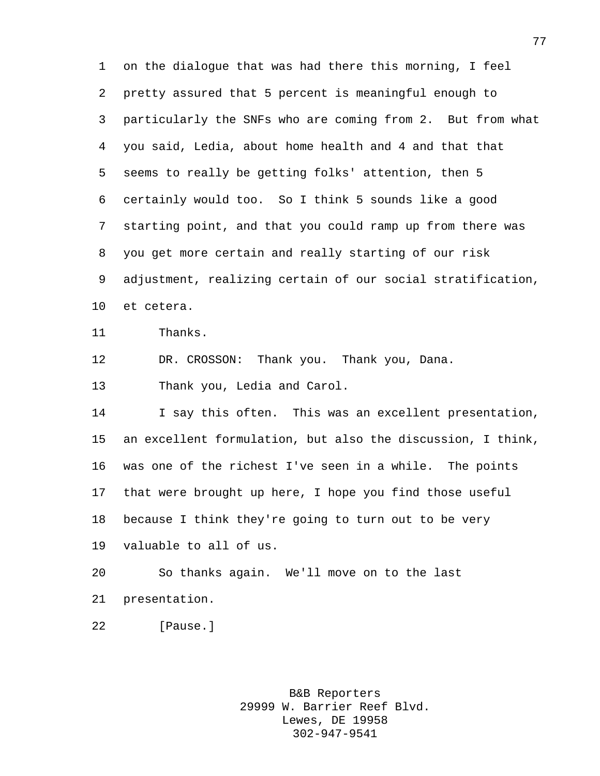on the dialogue that was had there this morning, I feel pretty assured that 5 percent is meaningful enough to particularly the SNFs who are coming from 2. But from what you said, Ledia, about home health and 4 and that that seems to really be getting folks' attention, then 5 certainly would too. So I think 5 sounds like a good starting point, and that you could ramp up from there was you get more certain and really starting of our risk adjustment, realizing certain of our social stratification, et cetera.

Thanks.

DR. CROSSON: Thank you. Thank you, Dana.

Thank you, Ledia and Carol.

14 I say this often. This was an excellent presentation, an excellent formulation, but also the discussion, I think, was one of the richest I've seen in a while. The points that were brought up here, I hope you find those useful because I think they're going to turn out to be very valuable to all of us.

 So thanks again. We'll move on to the last presentation.

[Pause.]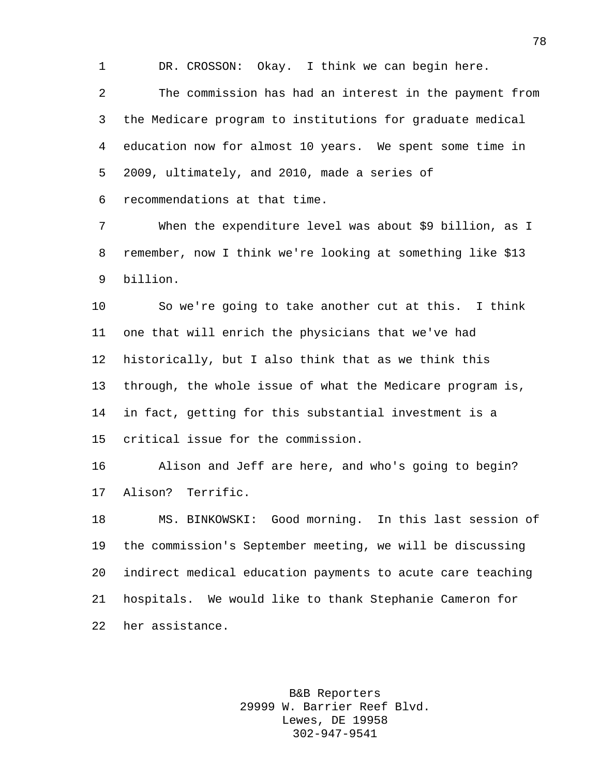DR. CROSSON: Okay. I think we can begin here.

 The commission has had an interest in the payment from the Medicare program to institutions for graduate medical education now for almost 10 years. We spent some time in 2009, ultimately, and 2010, made a series of

recommendations at that time.

 When the expenditure level was about \$9 billion, as I remember, now I think we're looking at something like \$13 billion.

 So we're going to take another cut at this. I think one that will enrich the physicians that we've had historically, but I also think that as we think this through, the whole issue of what the Medicare program is, in fact, getting for this substantial investment is a critical issue for the commission.

 Alison and Jeff are here, and who's going to begin? Alison? Terrific.

 MS. BINKOWSKI: Good morning. In this last session of the commission's September meeting, we will be discussing indirect medical education payments to acute care teaching hospitals. We would like to thank Stephanie Cameron for her assistance.

> B&B Reporters 29999 W. Barrier Reef Blvd. Lewes, DE 19958 302-947-9541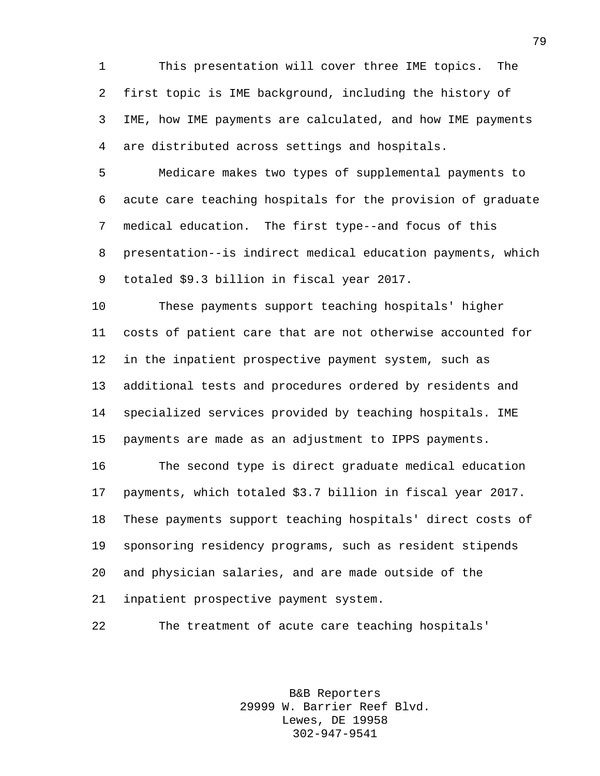This presentation will cover three IME topics. The first topic is IME background, including the history of IME, how IME payments are calculated, and how IME payments are distributed across settings and hospitals.

 Medicare makes two types of supplemental payments to acute care teaching hospitals for the provision of graduate medical education. The first type--and focus of this presentation--is indirect medical education payments, which totaled \$9.3 billion in fiscal year 2017.

 These payments support teaching hospitals' higher costs of patient care that are not otherwise accounted for in the inpatient prospective payment system, such as additional tests and procedures ordered by residents and specialized services provided by teaching hospitals. IME payments are made as an adjustment to IPPS payments.

 The second type is direct graduate medical education payments, which totaled \$3.7 billion in fiscal year 2017. These payments support teaching hospitals' direct costs of sponsoring residency programs, such as resident stipends and physician salaries, and are made outside of the inpatient prospective payment system.

The treatment of acute care teaching hospitals'

B&B Reporters 29999 W. Barrier Reef Blvd. Lewes, DE 19958 302-947-9541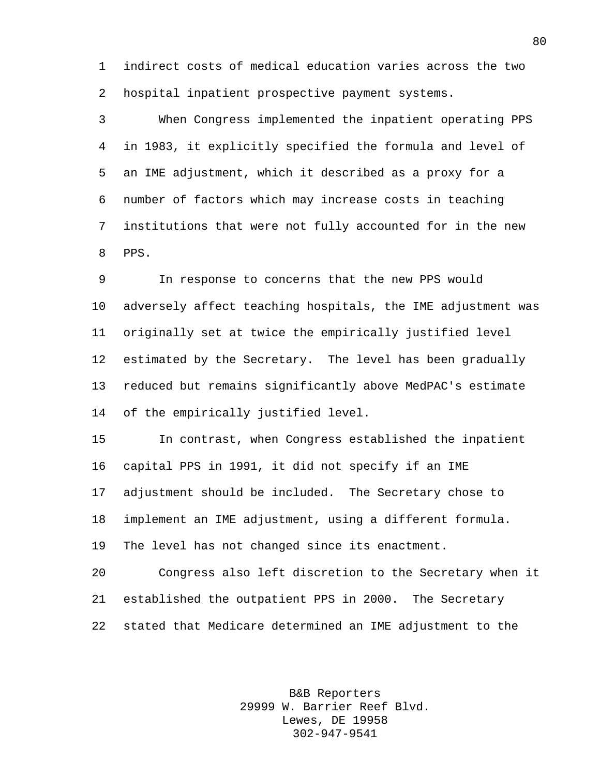indirect costs of medical education varies across the two hospital inpatient prospective payment systems.

 When Congress implemented the inpatient operating PPS in 1983, it explicitly specified the formula and level of an IME adjustment, which it described as a proxy for a number of factors which may increase costs in teaching institutions that were not fully accounted for in the new PPS.

 In response to concerns that the new PPS would adversely affect teaching hospitals, the IME adjustment was originally set at twice the empirically justified level estimated by the Secretary. The level has been gradually reduced but remains significantly above MedPAC's estimate of the empirically justified level.

 In contrast, when Congress established the inpatient capital PPS in 1991, it did not specify if an IME adjustment should be included. The Secretary chose to implement an IME adjustment, using a different formula. The level has not changed since its enactment.

 Congress also left discretion to the Secretary when it established the outpatient PPS in 2000. The Secretary stated that Medicare determined an IME adjustment to the

> B&B Reporters 29999 W. Barrier Reef Blvd. Lewes, DE 19958 302-947-9541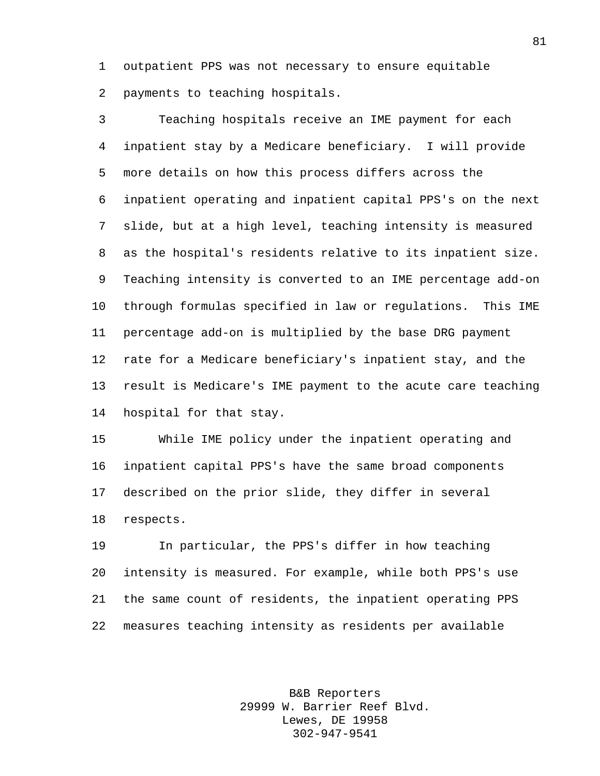outpatient PPS was not necessary to ensure equitable payments to teaching hospitals.

 Teaching hospitals receive an IME payment for each inpatient stay by a Medicare beneficiary. I will provide more details on how this process differs across the inpatient operating and inpatient capital PPS's on the next slide, but at a high level, teaching intensity is measured as the hospital's residents relative to its inpatient size. Teaching intensity is converted to an IME percentage add-on through formulas specified in law or regulations. This IME percentage add-on is multiplied by the base DRG payment rate for a Medicare beneficiary's inpatient stay, and the result is Medicare's IME payment to the acute care teaching hospital for that stay.

 While IME policy under the inpatient operating and inpatient capital PPS's have the same broad components described on the prior slide, they differ in several respects.

 In particular, the PPS's differ in how teaching intensity is measured. For example, while both PPS's use the same count of residents, the inpatient operating PPS measures teaching intensity as residents per available

> B&B Reporters 29999 W. Barrier Reef Blvd. Lewes, DE 19958 302-947-9541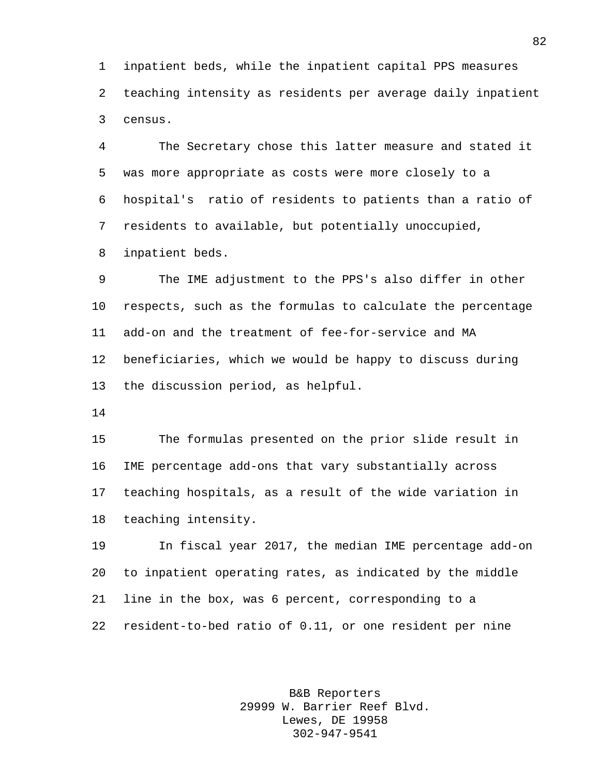inpatient beds, while the inpatient capital PPS measures teaching intensity as residents per average daily inpatient census.

 The Secretary chose this latter measure and stated it was more appropriate as costs were more closely to a hospital's ratio of residents to patients than a ratio of residents to available, but potentially unoccupied, inpatient beds.

 The IME adjustment to the PPS's also differ in other respects, such as the formulas to calculate the percentage add-on and the treatment of fee-for-service and MA beneficiaries, which we would be happy to discuss during the discussion period, as helpful.

 The formulas presented on the prior slide result in IME percentage add-ons that vary substantially across teaching hospitals, as a result of the wide variation in teaching intensity.

 In fiscal year 2017, the median IME percentage add-on to inpatient operating rates, as indicated by the middle line in the box, was 6 percent, corresponding to a resident-to-bed ratio of 0.11, or one resident per nine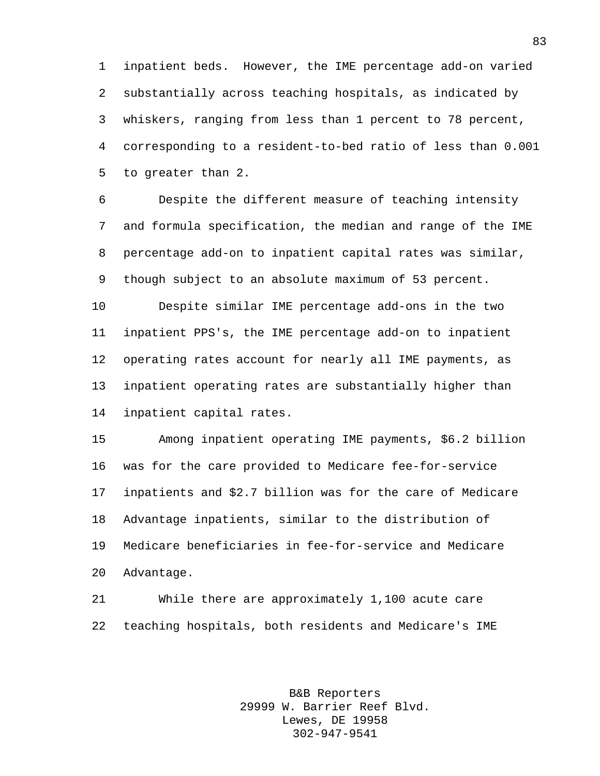inpatient beds. However, the IME percentage add-on varied substantially across teaching hospitals, as indicated by whiskers, ranging from less than 1 percent to 78 percent, corresponding to a resident-to-bed ratio of less than 0.001 to greater than 2.

 Despite the different measure of teaching intensity and formula specification, the median and range of the IME percentage add-on to inpatient capital rates was similar, though subject to an absolute maximum of 53 percent.

 Despite similar IME percentage add-ons in the two inpatient PPS's, the IME percentage add-on to inpatient operating rates account for nearly all IME payments, as inpatient operating rates are substantially higher than inpatient capital rates.

 Among inpatient operating IME payments, \$6.2 billion was for the care provided to Medicare fee-for-service inpatients and \$2.7 billion was for the care of Medicare Advantage inpatients, similar to the distribution of Medicare beneficiaries in fee-for-service and Medicare Advantage.

 While there are approximately 1,100 acute care teaching hospitals, both residents and Medicare's IME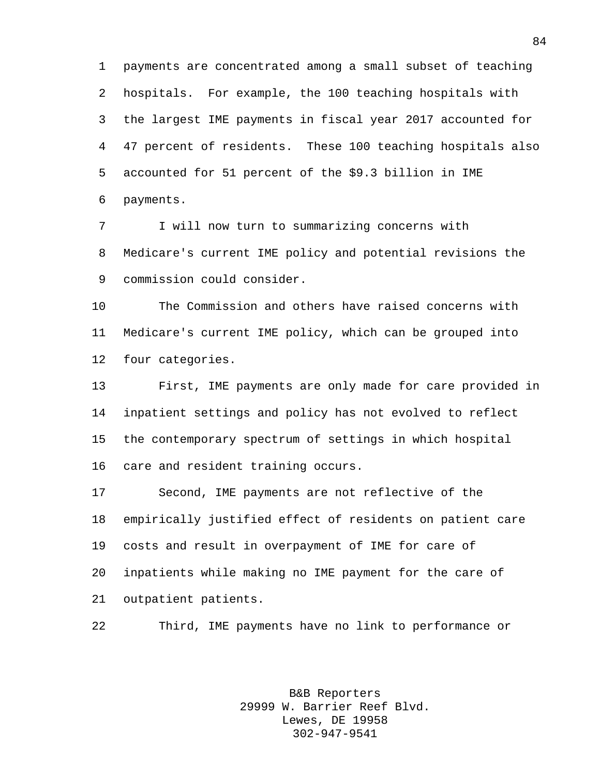payments are concentrated among a small subset of teaching hospitals. For example, the 100 teaching hospitals with the largest IME payments in fiscal year 2017 accounted for 47 percent of residents. These 100 teaching hospitals also accounted for 51 percent of the \$9.3 billion in IME payments.

 I will now turn to summarizing concerns with Medicare's current IME policy and potential revisions the commission could consider.

 The Commission and others have raised concerns with Medicare's current IME policy, which can be grouped into four categories.

 First, IME payments are only made for care provided in inpatient settings and policy has not evolved to reflect the contemporary spectrum of settings in which hospital care and resident training occurs.

 Second, IME payments are not reflective of the empirically justified effect of residents on patient care costs and result in overpayment of IME for care of inpatients while making no IME payment for the care of outpatient patients.

Third, IME payments have no link to performance or

B&B Reporters 29999 W. Barrier Reef Blvd. Lewes, DE 19958 302-947-9541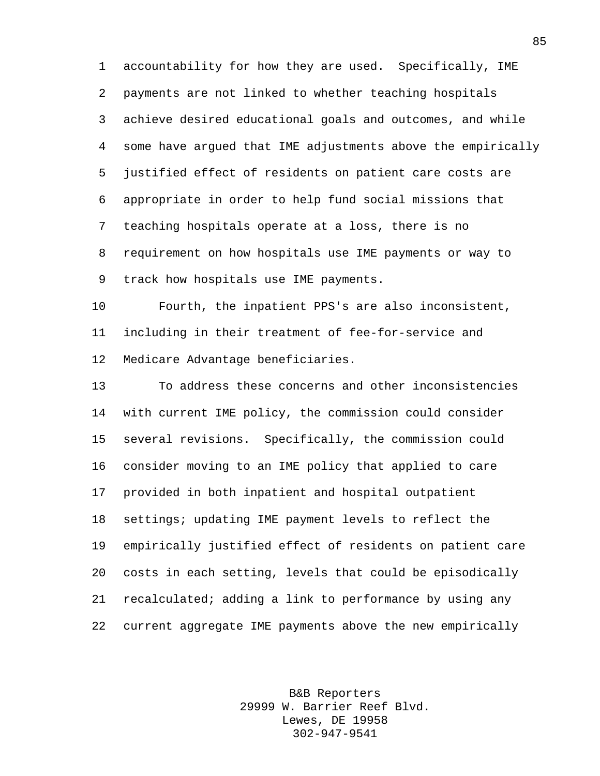accountability for how they are used. Specifically, IME payments are not linked to whether teaching hospitals achieve desired educational goals and outcomes, and while some have argued that IME adjustments above the empirically justified effect of residents on patient care costs are appropriate in order to help fund social missions that teaching hospitals operate at a loss, there is no requirement on how hospitals use IME payments or way to track how hospitals use IME payments.

 Fourth, the inpatient PPS's are also inconsistent, including in their treatment of fee-for-service and Medicare Advantage beneficiaries.

 To address these concerns and other inconsistencies with current IME policy, the commission could consider several revisions. Specifically, the commission could consider moving to an IME policy that applied to care provided in both inpatient and hospital outpatient settings; updating IME payment levels to reflect the empirically justified effect of residents on patient care costs in each setting, levels that could be episodically recalculated; adding a link to performance by using any current aggregate IME payments above the new empirically

> B&B Reporters 29999 W. Barrier Reef Blvd. Lewes, DE 19958 302-947-9541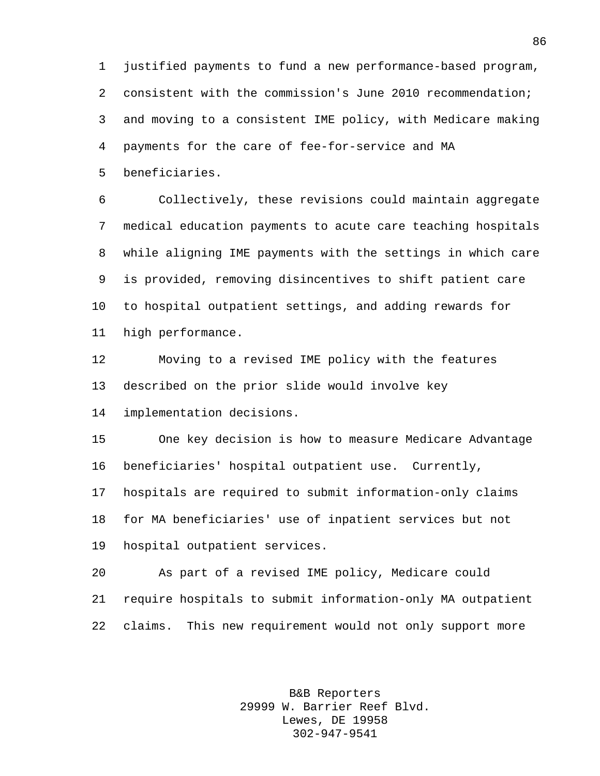justified payments to fund a new performance-based program, consistent with the commission's June 2010 recommendation; and moving to a consistent IME policy, with Medicare making payments for the care of fee-for-service and MA beneficiaries.

 Collectively, these revisions could maintain aggregate medical education payments to acute care teaching hospitals while aligning IME payments with the settings in which care is provided, removing disincentives to shift patient care to hospital outpatient settings, and adding rewards for high performance.

 Moving to a revised IME policy with the features described on the prior slide would involve key

implementation decisions.

 One key decision is how to measure Medicare Advantage beneficiaries' hospital outpatient use. Currently,

 hospitals are required to submit information-only claims for MA beneficiaries' use of inpatient services but not hospital outpatient services.

 As part of a revised IME policy, Medicare could require hospitals to submit information-only MA outpatient claims. This new requirement would not only support more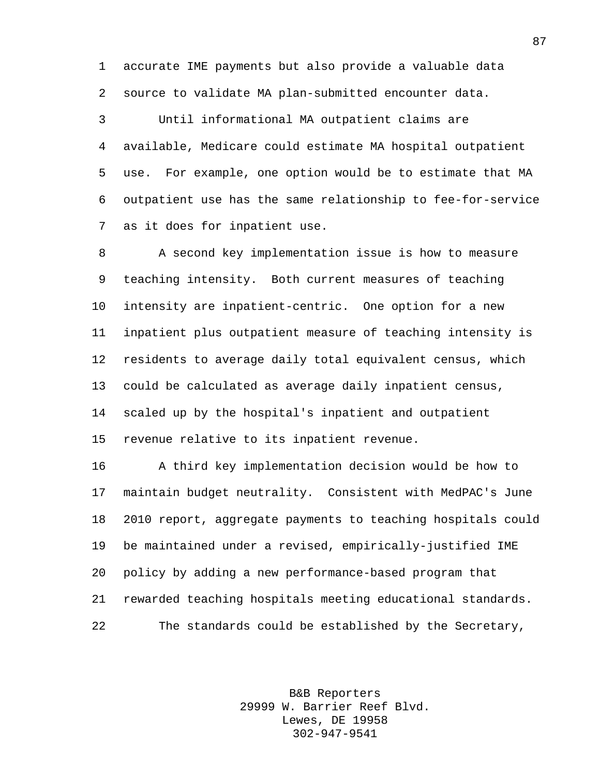accurate IME payments but also provide a valuable data source to validate MA plan-submitted encounter data.

 Until informational MA outpatient claims are available, Medicare could estimate MA hospital outpatient use. For example, one option would be to estimate that MA outpatient use has the same relationship to fee-for-service as it does for inpatient use.

 A second key implementation issue is how to measure teaching intensity. Both current measures of teaching intensity are inpatient-centric. One option for a new inpatient plus outpatient measure of teaching intensity is residents to average daily total equivalent census, which could be calculated as average daily inpatient census, scaled up by the hospital's inpatient and outpatient revenue relative to its inpatient revenue.

 A third key implementation decision would be how to maintain budget neutrality. Consistent with MedPAC's June 2010 report, aggregate payments to teaching hospitals could be maintained under a revised, empirically-justified IME policy by adding a new performance-based program that rewarded teaching hospitals meeting educational standards. The standards could be established by the Secretary,

> B&B Reporters 29999 W. Barrier Reef Blvd. Lewes, DE 19958 302-947-9541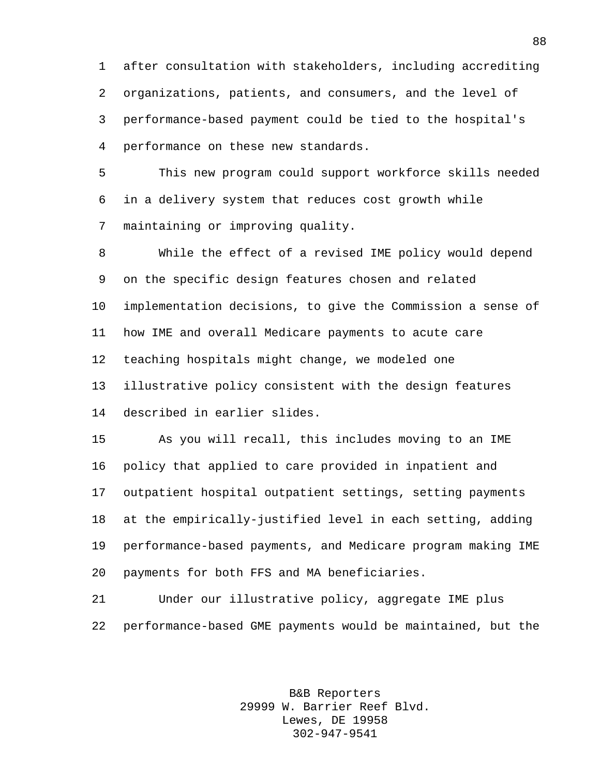after consultation with stakeholders, including accrediting organizations, patients, and consumers, and the level of performance-based payment could be tied to the hospital's performance on these new standards.

 This new program could support workforce skills needed in a delivery system that reduces cost growth while maintaining or improving quality.

 While the effect of a revised IME policy would depend on the specific design features chosen and related implementation decisions, to give the Commission a sense of how IME and overall Medicare payments to acute care teaching hospitals might change, we modeled one illustrative policy consistent with the design features described in earlier slides.

 As you will recall, this includes moving to an IME policy that applied to care provided in inpatient and outpatient hospital outpatient settings, setting payments at the empirically-justified level in each setting, adding performance-based payments, and Medicare program making IME payments for both FFS and MA beneficiaries.

 Under our illustrative policy, aggregate IME plus performance-based GME payments would be maintained, but the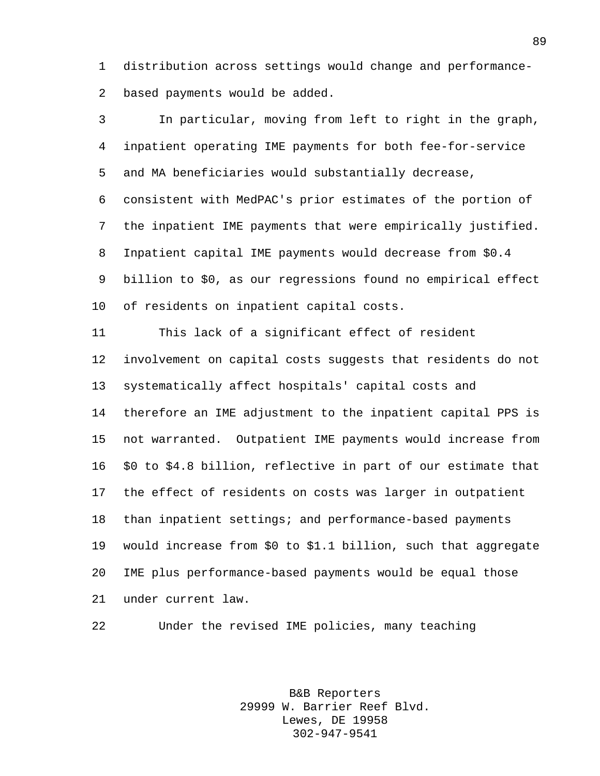distribution across settings would change and performance-based payments would be added.

 In particular, moving from left to right in the graph, inpatient operating IME payments for both fee-for-service and MA beneficiaries would substantially decrease, consistent with MedPAC's prior estimates of the portion of the inpatient IME payments that were empirically justified. Inpatient capital IME payments would decrease from \$0.4 billion to \$0, as our regressions found no empirical effect of residents on inpatient capital costs. This lack of a significant effect of resident involvement on capital costs suggests that residents do not systematically affect hospitals' capital costs and therefore an IME adjustment to the inpatient capital PPS is

 not warranted. Outpatient IME payments would increase from \$0 to \$4.8 billion, reflective in part of our estimate that the effect of residents on costs was larger in outpatient than inpatient settings; and performance-based payments would increase from \$0 to \$1.1 billion, such that aggregate IME plus performance-based payments would be equal those under current law.

Under the revised IME policies, many teaching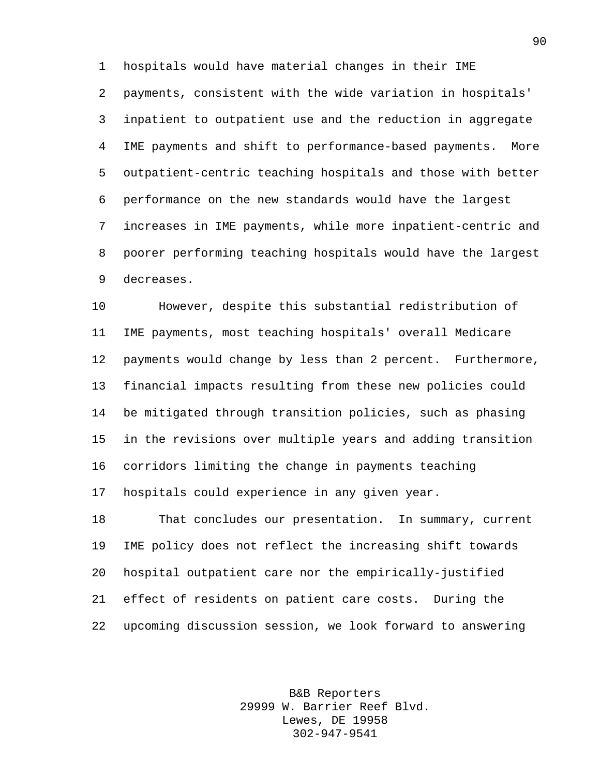hospitals would have material changes in their IME

 payments, consistent with the wide variation in hospitals' inpatient to outpatient use and the reduction in aggregate IME payments and shift to performance-based payments. More outpatient-centric teaching hospitals and those with better performance on the new standards would have the largest increases in IME payments, while more inpatient-centric and poorer performing teaching hospitals would have the largest decreases.

 However, despite this substantial redistribution of IME payments, most teaching hospitals' overall Medicare payments would change by less than 2 percent. Furthermore, financial impacts resulting from these new policies could be mitigated through transition policies, such as phasing in the revisions over multiple years and adding transition corridors limiting the change in payments teaching hospitals could experience in any given year.

 That concludes our presentation. In summary, current IME policy does not reflect the increasing shift towards hospital outpatient care nor the empirically-justified effect of residents on patient care costs. During the upcoming discussion session, we look forward to answering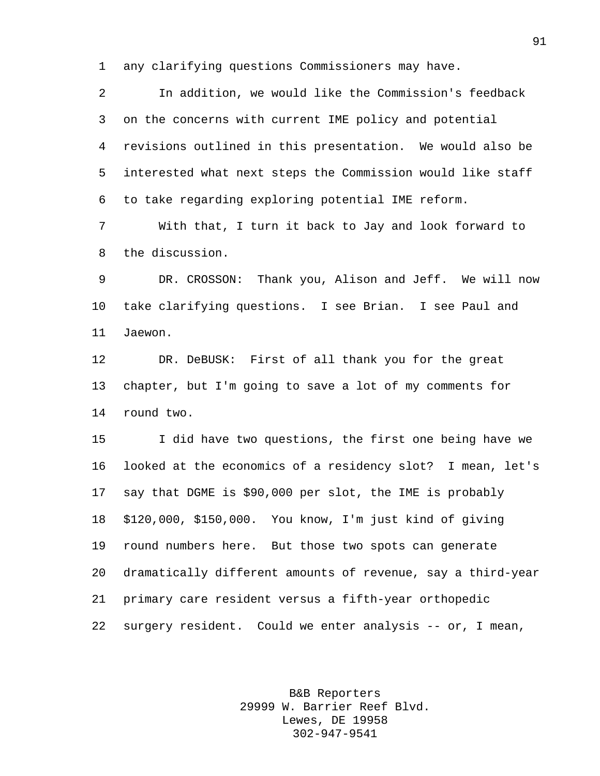any clarifying questions Commissioners may have.

 In addition, we would like the Commission's feedback on the concerns with current IME policy and potential revisions outlined in this presentation. We would also be interested what next steps the Commission would like staff to take regarding exploring potential IME reform.

 With that, I turn it back to Jay and look forward to the discussion.

 DR. CROSSON: Thank you, Alison and Jeff. We will now take clarifying questions. I see Brian. I see Paul and Jaewon.

 DR. DeBUSK: First of all thank you for the great chapter, but I'm going to save a lot of my comments for round two.

 I did have two questions, the first one being have we looked at the economics of a residency slot? I mean, let's say that DGME is \$90,000 per slot, the IME is probably \$120,000, \$150,000. You know, I'm just kind of giving round numbers here. But those two spots can generate dramatically different amounts of revenue, say a third-year primary care resident versus a fifth-year orthopedic surgery resident. Could we enter analysis -- or, I mean,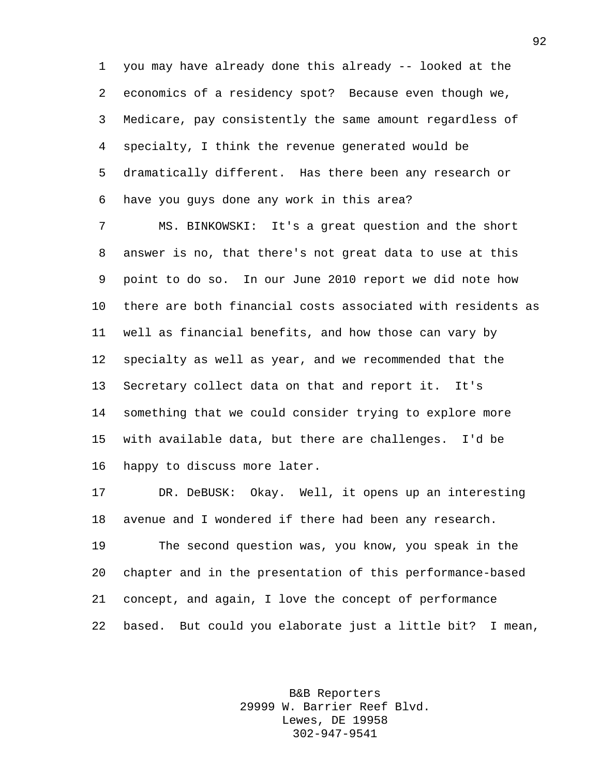you may have already done this already -- looked at the economics of a residency spot? Because even though we, Medicare, pay consistently the same amount regardless of specialty, I think the revenue generated would be dramatically different. Has there been any research or have you guys done any work in this area?

 MS. BINKOWSKI: It's a great question and the short answer is no, that there's not great data to use at this point to do so. In our June 2010 report we did note how there are both financial costs associated with residents as well as financial benefits, and how those can vary by specialty as well as year, and we recommended that the Secretary collect data on that and report it. It's something that we could consider trying to explore more with available data, but there are challenges. I'd be happy to discuss more later.

 DR. DeBUSK: Okay. Well, it opens up an interesting avenue and I wondered if there had been any research. The second question was, you know, you speak in the

 chapter and in the presentation of this performance-based concept, and again, I love the concept of performance based. But could you elaborate just a little bit? I mean,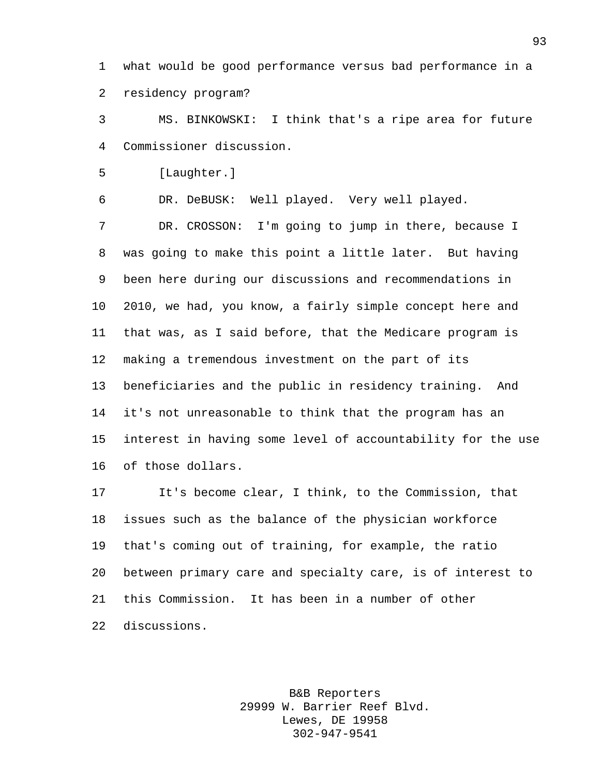what would be good performance versus bad performance in a residency program?

 MS. BINKOWSKI: I think that's a ripe area for future Commissioner discussion.

[Laughter.]

DR. DeBUSK: Well played. Very well played.

 DR. CROSSON: I'm going to jump in there, because I was going to make this point a little later. But having been here during our discussions and recommendations in 2010, we had, you know, a fairly simple concept here and that was, as I said before, that the Medicare program is making a tremendous investment on the part of its beneficiaries and the public in residency training. And it's not unreasonable to think that the program has an interest in having some level of accountability for the use of those dollars.

 It's become clear, I think, to the Commission, that issues such as the balance of the physician workforce that's coming out of training, for example, the ratio between primary care and specialty care, is of interest to this Commission. It has been in a number of other discussions.

> B&B Reporters 29999 W. Barrier Reef Blvd. Lewes, DE 19958 302-947-9541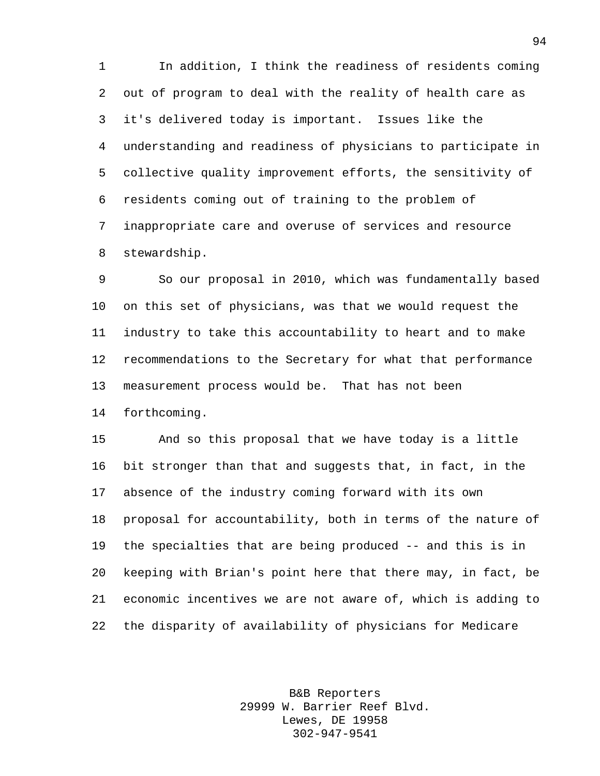In addition, I think the readiness of residents coming out of program to deal with the reality of health care as it's delivered today is important. Issues like the understanding and readiness of physicians to participate in collective quality improvement efforts, the sensitivity of residents coming out of training to the problem of inappropriate care and overuse of services and resource stewardship.

 So our proposal in 2010, which was fundamentally based on this set of physicians, was that we would request the industry to take this accountability to heart and to make recommendations to the Secretary for what that performance measurement process would be. That has not been forthcoming.

 And so this proposal that we have today is a little bit stronger than that and suggests that, in fact, in the absence of the industry coming forward with its own proposal for accountability, both in terms of the nature of the specialties that are being produced -- and this is in keeping with Brian's point here that there may, in fact, be economic incentives we are not aware of, which is adding to the disparity of availability of physicians for Medicare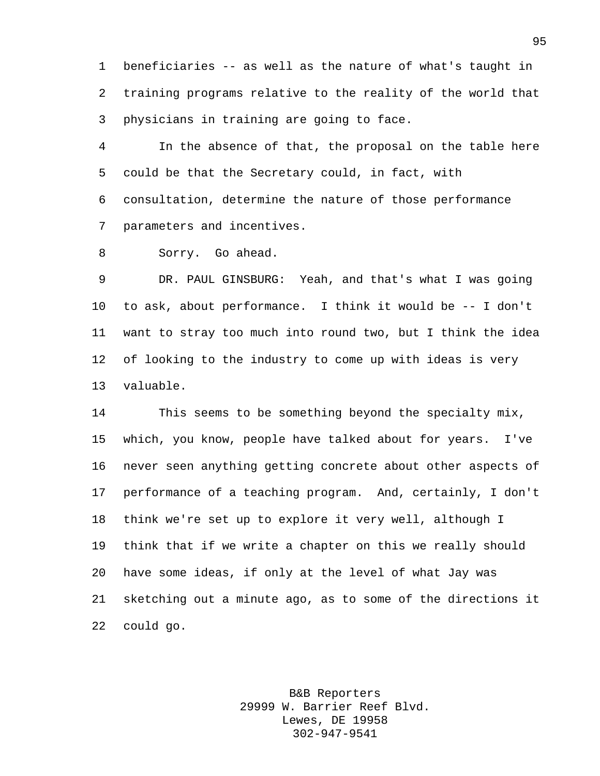beneficiaries -- as well as the nature of what's taught in training programs relative to the reality of the world that physicians in training are going to face.

 In the absence of that, the proposal on the table here could be that the Secretary could, in fact, with consultation, determine the nature of those performance parameters and incentives.

Sorry. Go ahead.

 DR. PAUL GINSBURG: Yeah, and that's what I was going to ask, about performance. I think it would be -- I don't want to stray too much into round two, but I think the idea of looking to the industry to come up with ideas is very valuable.

 This seems to be something beyond the specialty mix, which, you know, people have talked about for years. I've never seen anything getting concrete about other aspects of performance of a teaching program. And, certainly, I don't think we're set up to explore it very well, although I think that if we write a chapter on this we really should have some ideas, if only at the level of what Jay was sketching out a minute ago, as to some of the directions it could go.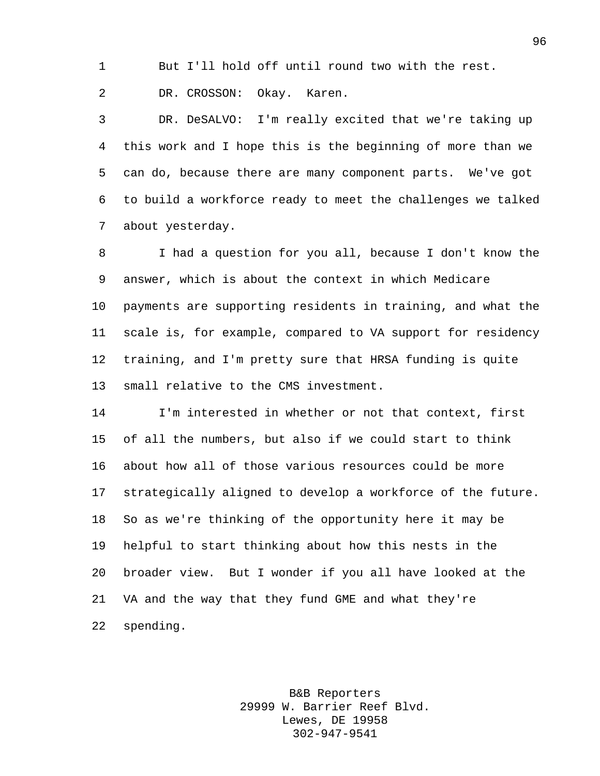But I'll hold off until round two with the rest.

DR. CROSSON: Okay. Karen.

 DR. DeSALVO: I'm really excited that we're taking up this work and I hope this is the beginning of more than we can do, because there are many component parts. We've got to build a workforce ready to meet the challenges we talked about yesterday.

 I had a question for you all, because I don't know the answer, which is about the context in which Medicare payments are supporting residents in training, and what the scale is, for example, compared to VA support for residency training, and I'm pretty sure that HRSA funding is quite small relative to the CMS investment.

 I'm interested in whether or not that context, first of all the numbers, but also if we could start to think about how all of those various resources could be more strategically aligned to develop a workforce of the future. So as we're thinking of the opportunity here it may be helpful to start thinking about how this nests in the broader view. But I wonder if you all have looked at the VA and the way that they fund GME and what they're spending.

> B&B Reporters 29999 W. Barrier Reef Blvd. Lewes, DE 19958 302-947-9541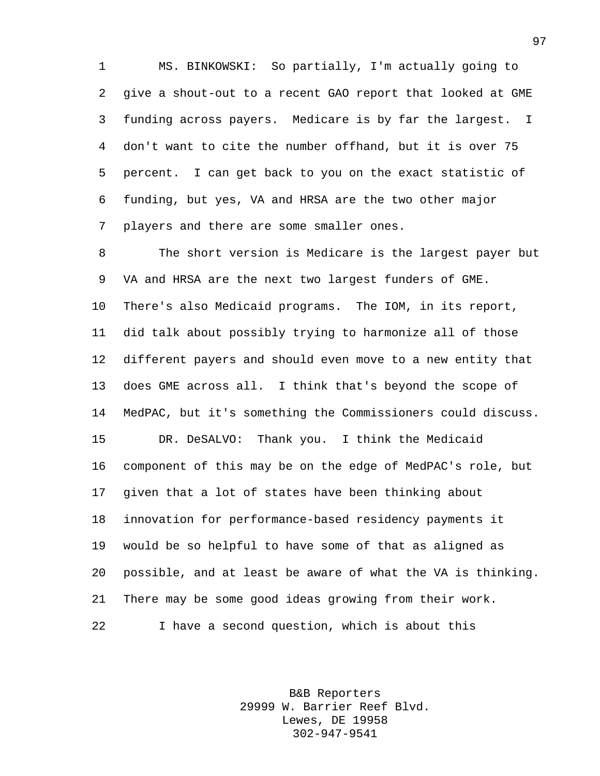MS. BINKOWSKI: So partially, I'm actually going to give a shout-out to a recent GAO report that looked at GME funding across payers. Medicare is by far the largest. I don't want to cite the number offhand, but it is over 75 percent. I can get back to you on the exact statistic of funding, but yes, VA and HRSA are the two other major players and there are some smaller ones.

 The short version is Medicare is the largest payer but VA and HRSA are the next two largest funders of GME. There's also Medicaid programs. The IOM, in its report, did talk about possibly trying to harmonize all of those different payers and should even move to a new entity that does GME across all. I think that's beyond the scope of MedPAC, but it's something the Commissioners could discuss. DR. DeSALVO: Thank you. I think the Medicaid component of this may be on the edge of MedPAC's role, but given that a lot of states have been thinking about innovation for performance-based residency payments it would be so helpful to have some of that as aligned as possible, and at least be aware of what the VA is thinking. There may be some good ideas growing from their work. I have a second question, which is about this

> B&B Reporters 29999 W. Barrier Reef Blvd. Lewes, DE 19958 302-947-9541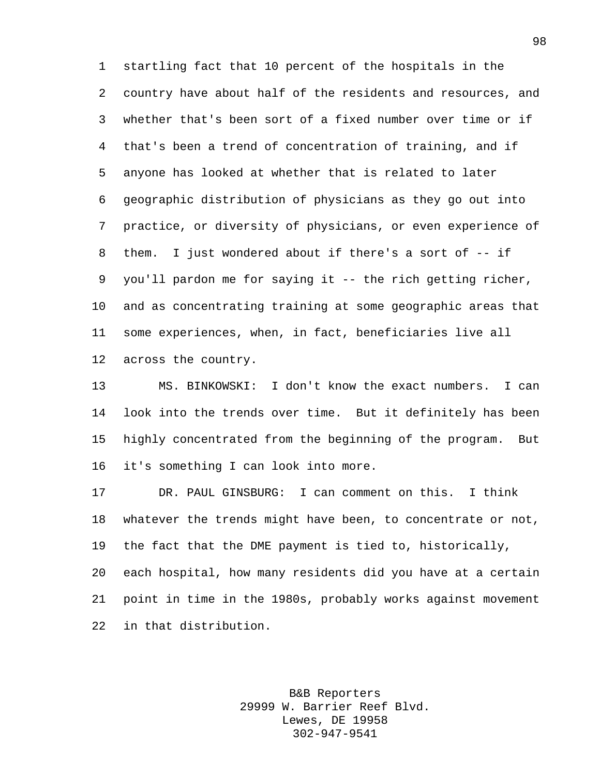startling fact that 10 percent of the hospitals in the country have about half of the residents and resources, and whether that's been sort of a fixed number over time or if that's been a trend of concentration of training, and if anyone has looked at whether that is related to later geographic distribution of physicians as they go out into practice, or diversity of physicians, or even experience of them. I just wondered about if there's a sort of -- if you'll pardon me for saying it -- the rich getting richer, and as concentrating training at some geographic areas that some experiences, when, in fact, beneficiaries live all across the country.

 MS. BINKOWSKI: I don't know the exact numbers. I can look into the trends over time. But it definitely has been highly concentrated from the beginning of the program. But it's something I can look into more.

 DR. PAUL GINSBURG: I can comment on this. I think whatever the trends might have been, to concentrate or not, the fact that the DME payment is tied to, historically, each hospital, how many residents did you have at a certain point in time in the 1980s, probably works against movement in that distribution.

> B&B Reporters 29999 W. Barrier Reef Blvd. Lewes, DE 19958 302-947-9541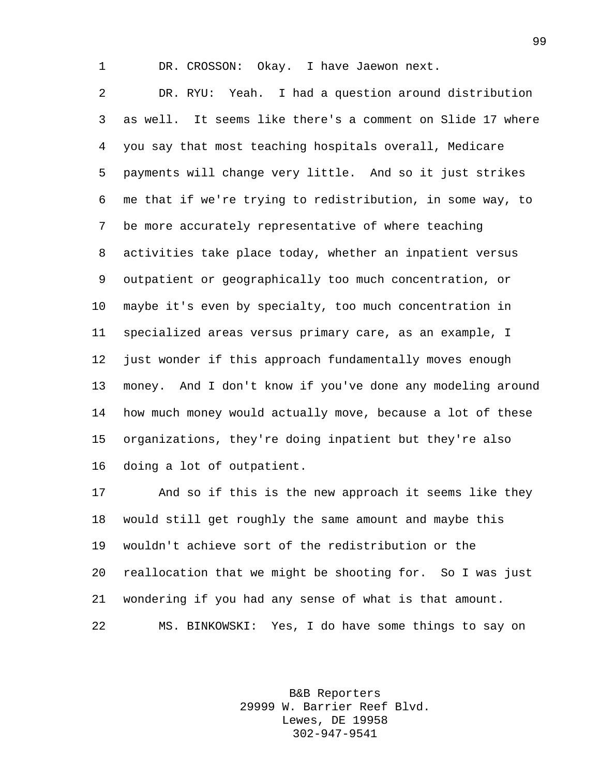DR. CROSSON: Okay. I have Jaewon next.

 DR. RYU: Yeah. I had a question around distribution as well. It seems like there's a comment on Slide 17 where you say that most teaching hospitals overall, Medicare payments will change very little. And so it just strikes me that if we're trying to redistribution, in some way, to be more accurately representative of where teaching activities take place today, whether an inpatient versus outpatient or geographically too much concentration, or maybe it's even by specialty, too much concentration in specialized areas versus primary care, as an example, I just wonder if this approach fundamentally moves enough money. And I don't know if you've done any modeling around how much money would actually move, because a lot of these organizations, they're doing inpatient but they're also doing a lot of outpatient.

 And so if this is the new approach it seems like they would still get roughly the same amount and maybe this wouldn't achieve sort of the redistribution or the reallocation that we might be shooting for. So I was just wondering if you had any sense of what is that amount. MS. BINKOWSKI: Yes, I do have some things to say on

> B&B Reporters 29999 W. Barrier Reef Blvd. Lewes, DE 19958 302-947-9541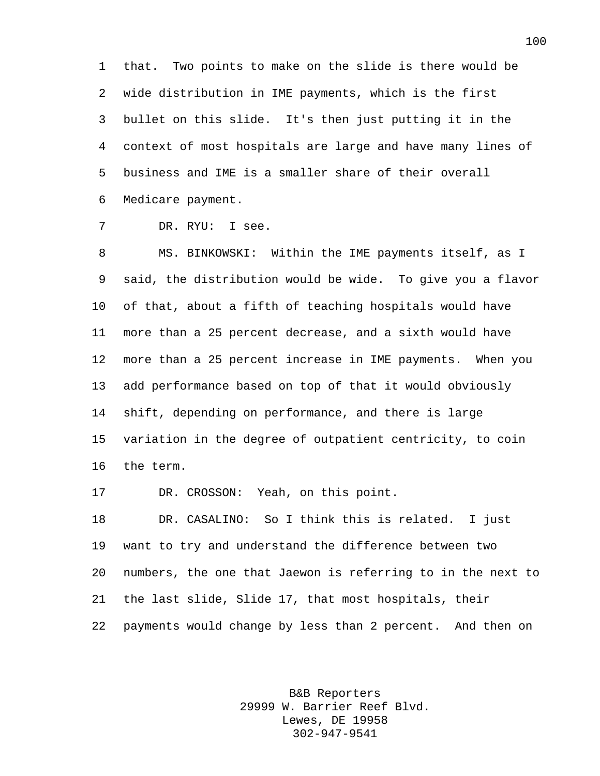that. Two points to make on the slide is there would be wide distribution in IME payments, which is the first bullet on this slide. It's then just putting it in the context of most hospitals are large and have many lines of business and IME is a smaller share of their overall Medicare payment.

DR. RYU: I see.

 MS. BINKOWSKI: Within the IME payments itself, as I said, the distribution would be wide. To give you a flavor of that, about a fifth of teaching hospitals would have more than a 25 percent decrease, and a sixth would have more than a 25 percent increase in IME payments. When you add performance based on top of that it would obviously shift, depending on performance, and there is large variation in the degree of outpatient centricity, to coin the term.

DR. CROSSON: Yeah, on this point.

 DR. CASALINO: So I think this is related. I just want to try and understand the difference between two numbers, the one that Jaewon is referring to in the next to the last slide, Slide 17, that most hospitals, their payments would change by less than 2 percent. And then on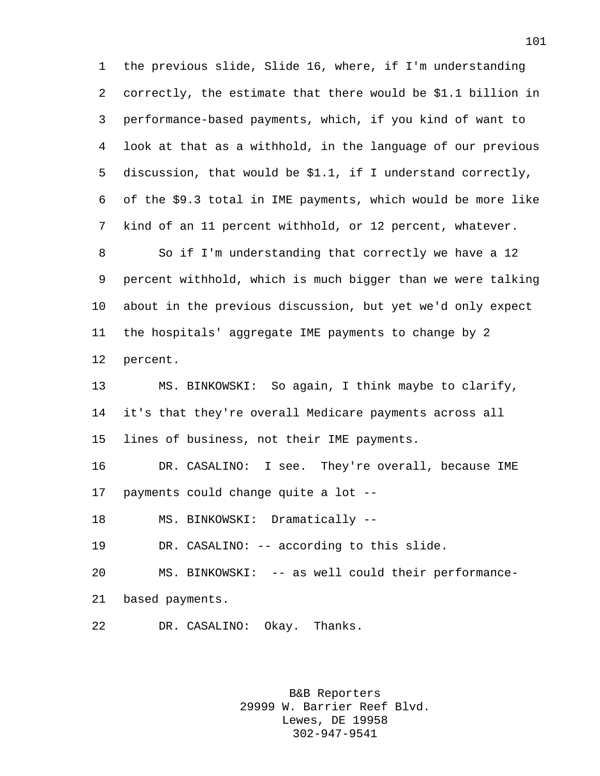the previous slide, Slide 16, where, if I'm understanding correctly, the estimate that there would be \$1.1 billion in performance-based payments, which, if you kind of want to look at that as a withhold, in the language of our previous discussion, that would be \$1.1, if I understand correctly, of the \$9.3 total in IME payments, which would be more like kind of an 11 percent withhold, or 12 percent, whatever. So if I'm understanding that correctly we have a 12 percent withhold, which is much bigger than we were talking about in the previous discussion, but yet we'd only expect the hospitals' aggregate IME payments to change by 2 percent. MS. BINKOWSKI: So again, I think maybe to clarify, it's that they're overall Medicare payments across all lines of business, not their IME payments. DR. CASALINO: I see. They're overall, because IME payments could change quite a lot -- MS. BINKOWSKI: Dramatically --

DR. CASALINO: -- according to this slide.

MS. BINKOWSKI: -- as well could their performance-

based payments.

DR. CASALINO: Okay. Thanks.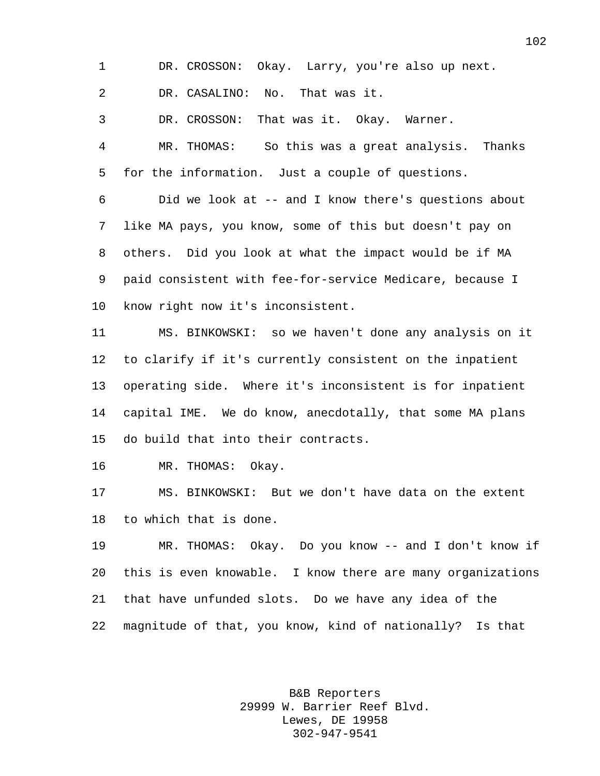DR. CROSSON: Okay. Larry, you're also up next.

DR. CASALINO: No. That was it.

DR. CROSSON: That was it. Okay. Warner.

 MR. THOMAS: So this was a great analysis. Thanks for the information. Just a couple of questions.

 Did we look at -- and I know there's questions about like MA pays, you know, some of this but doesn't pay on others. Did you look at what the impact would be if MA paid consistent with fee-for-service Medicare, because I know right now it's inconsistent.

 MS. BINKOWSKI: so we haven't done any analysis on it to clarify if it's currently consistent on the inpatient operating side. Where it's inconsistent is for inpatient capital IME. We do know, anecdotally, that some MA plans do build that into their contracts.

MR. THOMAS: Okay.

 MS. BINKOWSKI: But we don't have data on the extent to which that is done.

 MR. THOMAS: Okay. Do you know -- and I don't know if this is even knowable. I know there are many organizations that have unfunded slots. Do we have any idea of the magnitude of that, you know, kind of nationally? Is that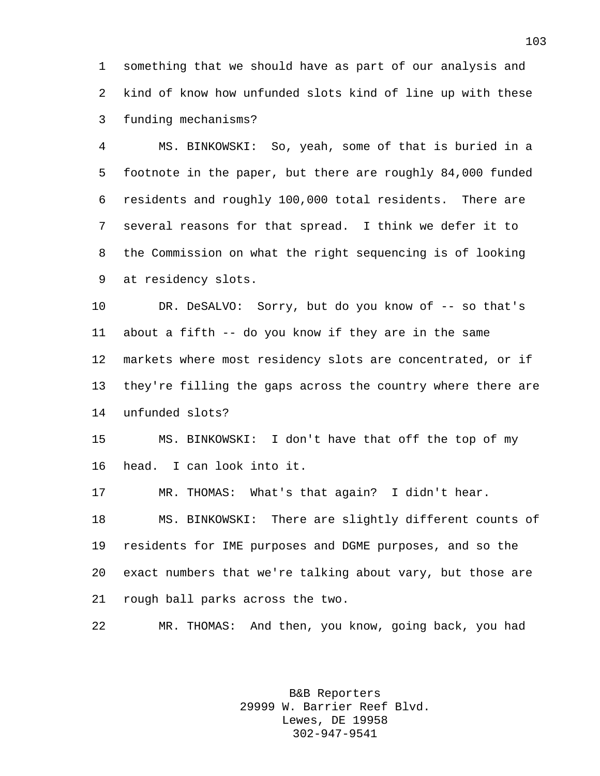something that we should have as part of our analysis and kind of know how unfunded slots kind of line up with these funding mechanisms?

 MS. BINKOWSKI: So, yeah, some of that is buried in a footnote in the paper, but there are roughly 84,000 funded residents and roughly 100,000 total residents. There are several reasons for that spread. I think we defer it to the Commission on what the right sequencing is of looking at residency slots.

10 DR. DeSALVO: Sorry, but do you know of -- so that's about a fifth -- do you know if they are in the same markets where most residency slots are concentrated, or if they're filling the gaps across the country where there are unfunded slots?

 MS. BINKOWSKI: I don't have that off the top of my head. I can look into it.

 MR. THOMAS: What's that again? I didn't hear. MS. BINKOWSKI: There are slightly different counts of residents for IME purposes and DGME purposes, and so the exact numbers that we're talking about vary, but those are rough ball parks across the two.

MR. THOMAS: And then, you know, going back, you had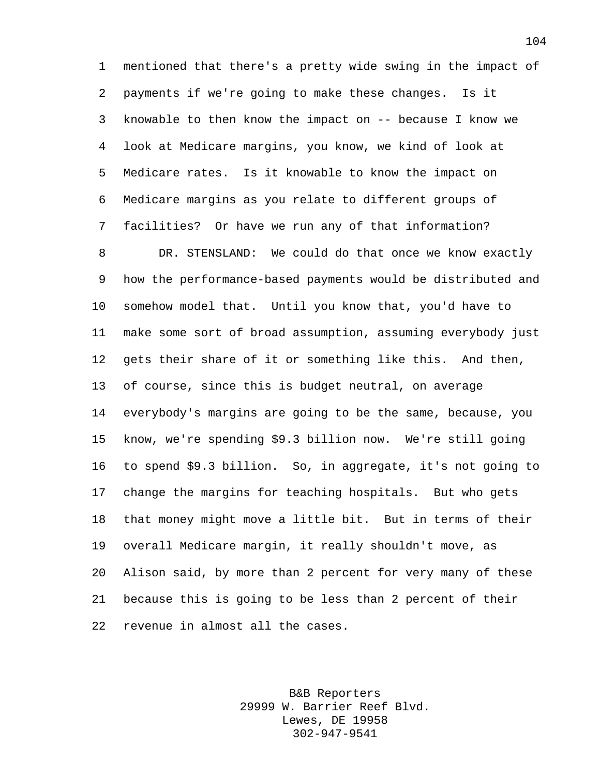mentioned that there's a pretty wide swing in the impact of payments if we're going to make these changes. Is it knowable to then know the impact on -- because I know we look at Medicare margins, you know, we kind of look at Medicare rates. Is it knowable to know the impact on Medicare margins as you relate to different groups of facilities? Or have we run any of that information? DR. STENSLAND: We could do that once we know exactly how the performance-based payments would be distributed and somehow model that. Until you know that, you'd have to make some sort of broad assumption, assuming everybody just gets their share of it or something like this. And then, of course, since this is budget neutral, on average everybody's margins are going to be the same, because, you know, we're spending \$9.3 billion now. We're still going to spend \$9.3 billion. So, in aggregate, it's not going to change the margins for teaching hospitals. But who gets that money might move a little bit. But in terms of their overall Medicare margin, it really shouldn't move, as Alison said, by more than 2 percent for very many of these because this is going to be less than 2 percent of their revenue in almost all the cases.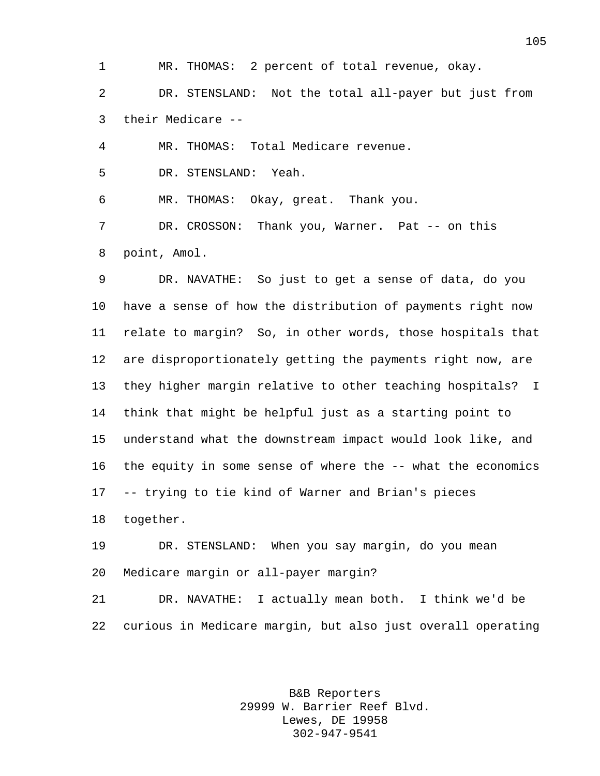MR. THOMAS: 2 percent of total revenue, okay.

 DR. STENSLAND: Not the total all-payer but just from their Medicare --

MR. THOMAS: Total Medicare revenue.

DR. STENSLAND: Yeah.

MR. THOMAS: Okay, great. Thank you.

7 DR. CROSSON: Thank you, Warner. Pat -- on this point, Amol.

 DR. NAVATHE: So just to get a sense of data, do you have a sense of how the distribution of payments right now relate to margin? So, in other words, those hospitals that are disproportionately getting the payments right now, are they higher margin relative to other teaching hospitals? I think that might be helpful just as a starting point to understand what the downstream impact would look like, and the equity in some sense of where the -- what the economics -- trying to tie kind of Warner and Brian's pieces together.

 DR. STENSLAND: When you say margin, do you mean Medicare margin or all-payer margin?

 DR. NAVATHE: I actually mean both. I think we'd be curious in Medicare margin, but also just overall operating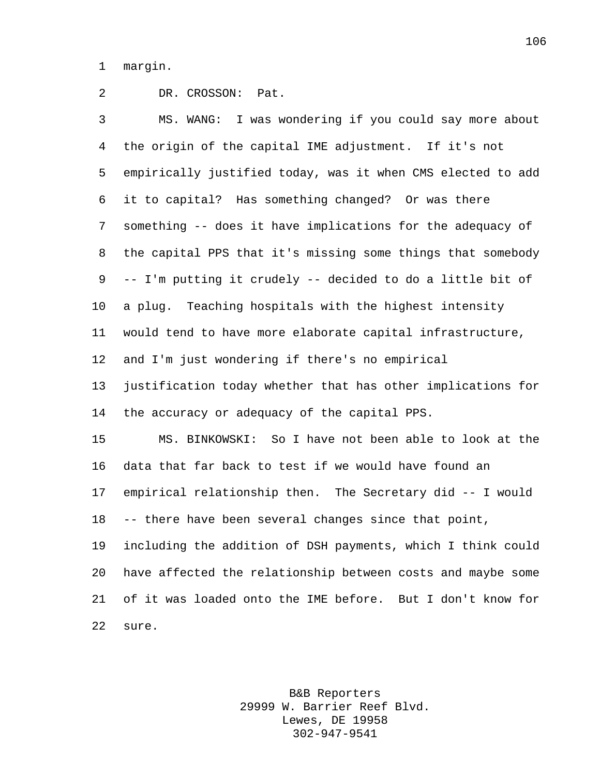margin.

## DR. CROSSON: Pat.

 MS. WANG: I was wondering if you could say more about the origin of the capital IME adjustment. If it's not empirically justified today, was it when CMS elected to add it to capital? Has something changed? Or was there something -- does it have implications for the adequacy of the capital PPS that it's missing some things that somebody -- I'm putting it crudely -- decided to do a little bit of a plug. Teaching hospitals with the highest intensity would tend to have more elaborate capital infrastructure, and I'm just wondering if there's no empirical justification today whether that has other implications for the accuracy or adequacy of the capital PPS. MS. BINKOWSKI: So I have not been able to look at the data that far back to test if we would have found an empirical relationship then. The Secretary did -- I would -- there have been several changes since that point, including the addition of DSH payments, which I think could have affected the relationship between costs and maybe some of it was loaded onto the IME before. But I don't know for sure.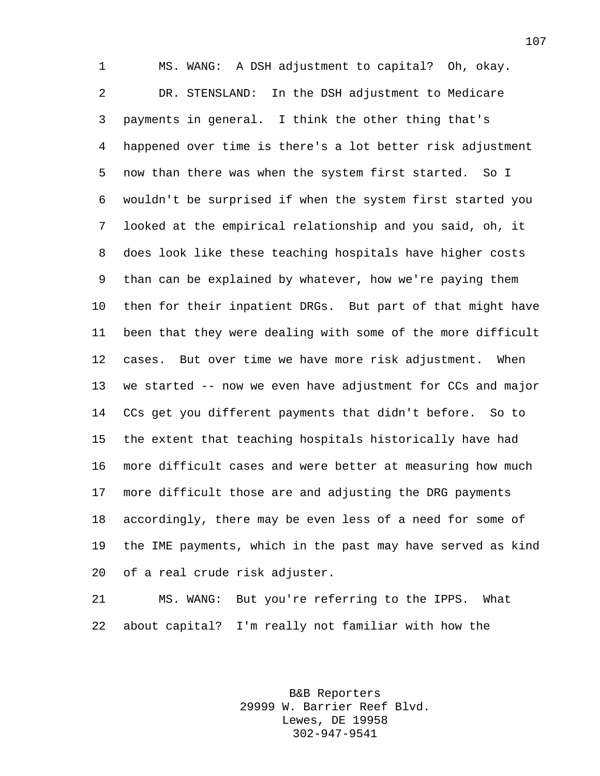MS. WANG: A DSH adjustment to capital? Oh, okay. DR. STENSLAND: In the DSH adjustment to Medicare payments in general. I think the other thing that's happened over time is there's a lot better risk adjustment now than there was when the system first started. So I wouldn't be surprised if when the system first started you looked at the empirical relationship and you said, oh, it does look like these teaching hospitals have higher costs than can be explained by whatever, how we're paying them then for their inpatient DRGs. But part of that might have been that they were dealing with some of the more difficult cases. But over time we have more risk adjustment. When we started -- now we even have adjustment for CCs and major CCs get you different payments that didn't before. So to the extent that teaching hospitals historically have had more difficult cases and were better at measuring how much more difficult those are and adjusting the DRG payments accordingly, there may be even less of a need for some of the IME payments, which in the past may have served as kind of a real crude risk adjuster.

 MS. WANG: But you're referring to the IPPS. What about capital? I'm really not familiar with how the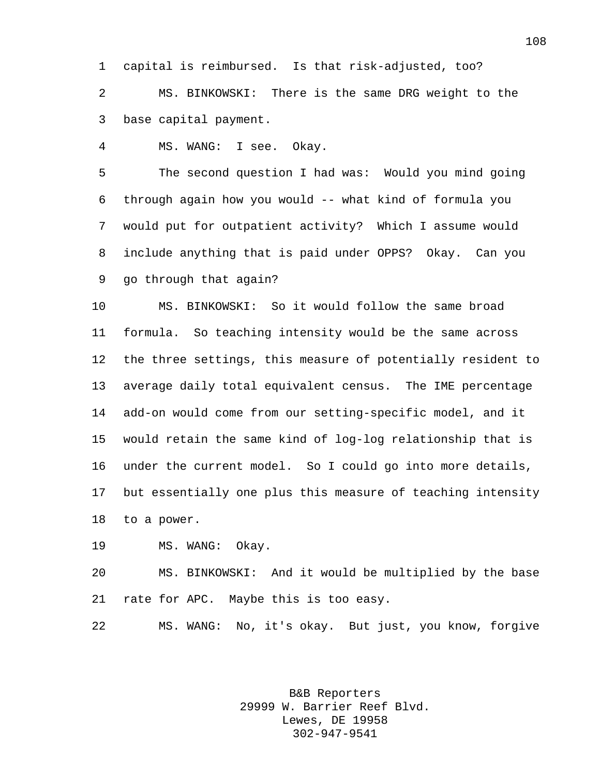capital is reimbursed. Is that risk-adjusted, too?

 MS. BINKOWSKI: There is the same DRG weight to the base capital payment.

MS. WANG: I see. Okay.

 The second question I had was: Would you mind going through again how you would -- what kind of formula you would put for outpatient activity? Which I assume would include anything that is paid under OPPS? Okay. Can you go through that again?

 MS. BINKOWSKI: So it would follow the same broad formula. So teaching intensity would be the same across the three settings, this measure of potentially resident to average daily total equivalent census. The IME percentage add-on would come from our setting-specific model, and it would retain the same kind of log-log relationship that is under the current model. So I could go into more details, but essentially one plus this measure of teaching intensity to a power.

MS. WANG: Okay.

 MS. BINKOWSKI: And it would be multiplied by the base rate for APC. Maybe this is too easy.

MS. WANG: No, it's okay. But just, you know, forgive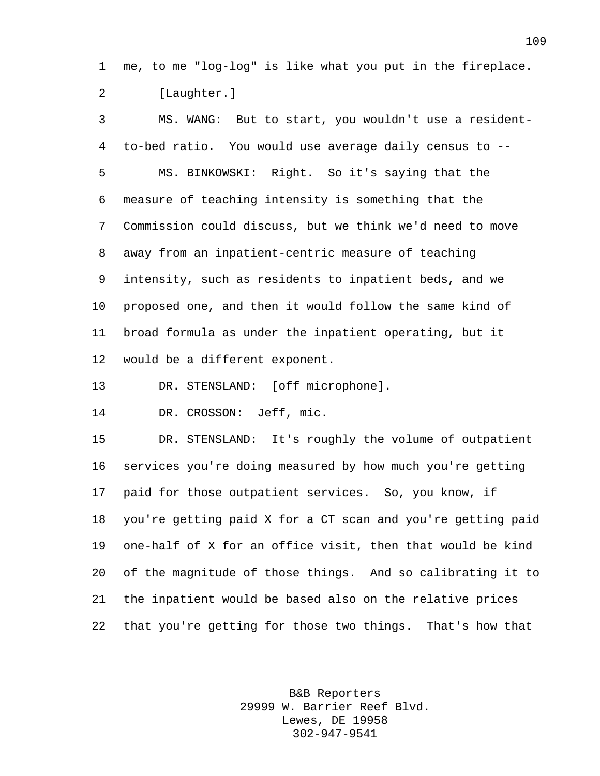me, to me "log-log" is like what you put in the fireplace. [Laughter.]

 MS. WANG: But to start, you wouldn't use a resident- to-bed ratio. You would use average daily census to -- MS. BINKOWSKI: Right. So it's saying that the measure of teaching intensity is something that the Commission could discuss, but we think we'd need to move away from an inpatient-centric measure of teaching intensity, such as residents to inpatient beds, and we proposed one, and then it would follow the same kind of broad formula as under the inpatient operating, but it would be a different exponent.

DR. STENSLAND: [off microphone].

DR. CROSSON: Jeff, mic.

 DR. STENSLAND: It's roughly the volume of outpatient services you're doing measured by how much you're getting paid for those outpatient services. So, you know, if you're getting paid X for a CT scan and you're getting paid one-half of X for an office visit, then that would be kind of the magnitude of those things. And so calibrating it to the inpatient would be based also on the relative prices that you're getting for those two things. That's how that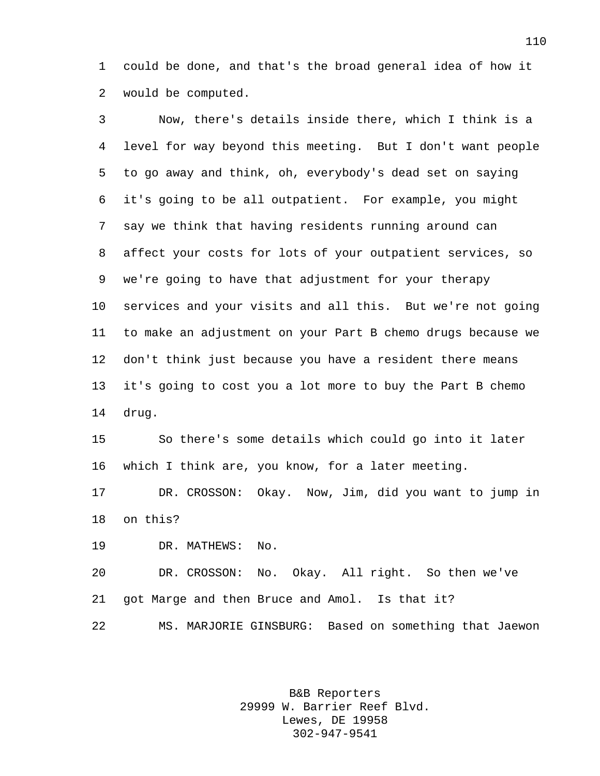could be done, and that's the broad general idea of how it would be computed.

 Now, there's details inside there, which I think is a level for way beyond this meeting. But I don't want people to go away and think, oh, everybody's dead set on saying it's going to be all outpatient. For example, you might say we think that having residents running around can affect your costs for lots of your outpatient services, so we're going to have that adjustment for your therapy services and your visits and all this. But we're not going to make an adjustment on your Part B chemo drugs because we don't think just because you have a resident there means it's going to cost you a lot more to buy the Part B chemo drug.

 So there's some details which could go into it later which I think are, you know, for a later meeting.

 DR. CROSSON: Okay. Now, Jim, did you want to jump in on this?

DR. MATHEWS: No.

 DR. CROSSON: No. Okay. All right. So then we've got Marge and then Bruce and Amol. Is that it? MS. MARJORIE GINSBURG: Based on something that Jaewon

> B&B Reporters 29999 W. Barrier Reef Blvd. Lewes, DE 19958 302-947-9541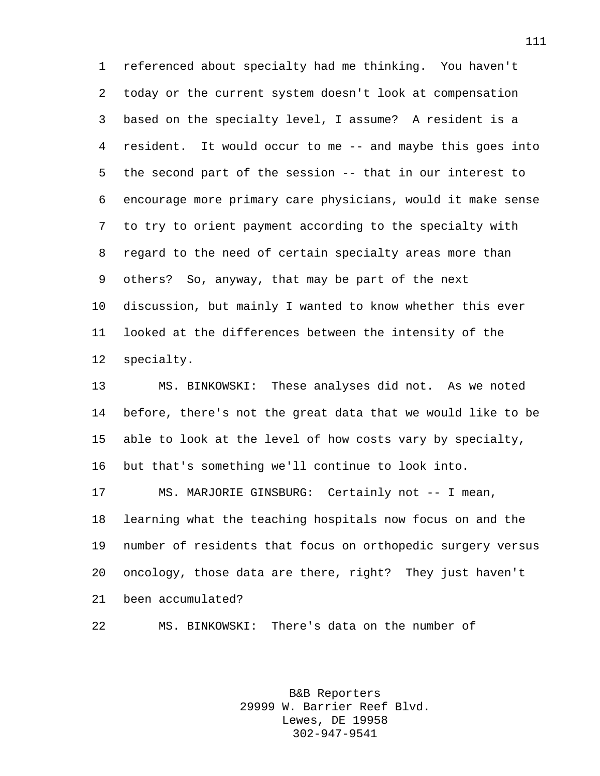referenced about specialty had me thinking. You haven't today or the current system doesn't look at compensation based on the specialty level, I assume? A resident is a resident. It would occur to me -- and maybe this goes into the second part of the session -- that in our interest to encourage more primary care physicians, would it make sense to try to orient payment according to the specialty with regard to the need of certain specialty areas more than others? So, anyway, that may be part of the next discussion, but mainly I wanted to know whether this ever looked at the differences between the intensity of the specialty.

 MS. BINKOWSKI: These analyses did not. As we noted before, there's not the great data that we would like to be able to look at the level of how costs vary by specialty, but that's something we'll continue to look into.

 MS. MARJORIE GINSBURG: Certainly not -- I mean, learning what the teaching hospitals now focus on and the number of residents that focus on orthopedic surgery versus oncology, those data are there, right? They just haven't been accumulated?

MS. BINKOWSKI: There's data on the number of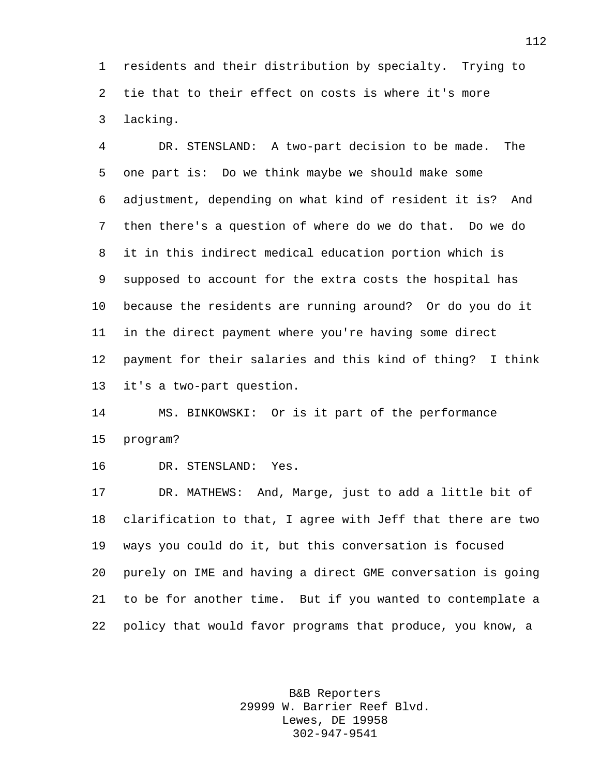residents and their distribution by specialty. Trying to tie that to their effect on costs is where it's more lacking.

 DR. STENSLAND: A two-part decision to be made. The one part is: Do we think maybe we should make some adjustment, depending on what kind of resident it is? And then there's a question of where do we do that. Do we do it in this indirect medical education portion which is supposed to account for the extra costs the hospital has because the residents are running around? Or do you do it in the direct payment where you're having some direct payment for their salaries and this kind of thing? I think it's a two-part question.

 MS. BINKOWSKI: Or is it part of the performance program?

DR. STENSLAND: Yes.

 DR. MATHEWS: And, Marge, just to add a little bit of clarification to that, I agree with Jeff that there are two ways you could do it, but this conversation is focused purely on IME and having a direct GME conversation is going to be for another time. But if you wanted to contemplate a policy that would favor programs that produce, you know, a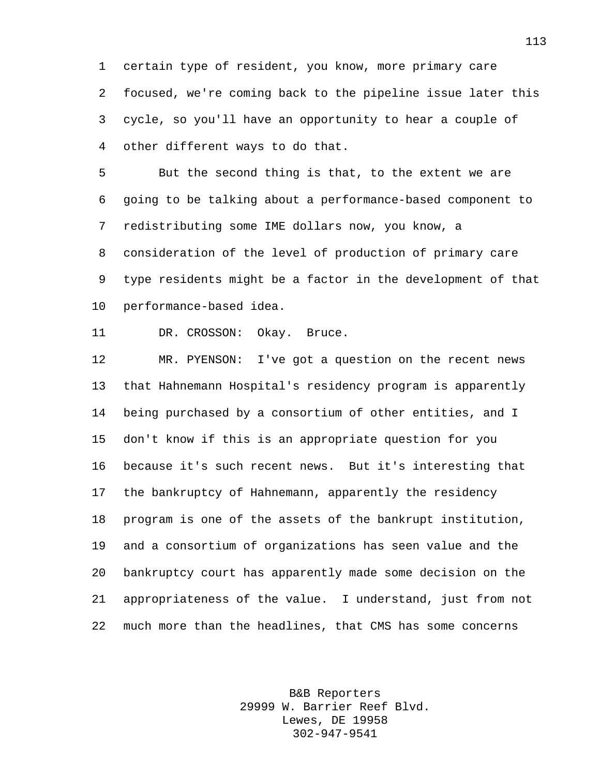certain type of resident, you know, more primary care focused, we're coming back to the pipeline issue later this cycle, so you'll have an opportunity to hear a couple of other different ways to do that.

 But the second thing is that, to the extent we are going to be talking about a performance-based component to redistributing some IME dollars now, you know, a consideration of the level of production of primary care type residents might be a factor in the development of that performance-based idea.

DR. CROSSON: Okay. Bruce.

 MR. PYENSON: I've got a question on the recent news that Hahnemann Hospital's residency program is apparently being purchased by a consortium of other entities, and I don't know if this is an appropriate question for you because it's such recent news. But it's interesting that the bankruptcy of Hahnemann, apparently the residency program is one of the assets of the bankrupt institution, and a consortium of organizations has seen value and the bankruptcy court has apparently made some decision on the appropriateness of the value. I understand, just from not much more than the headlines, that CMS has some concerns

> B&B Reporters 29999 W. Barrier Reef Blvd. Lewes, DE 19958 302-947-9541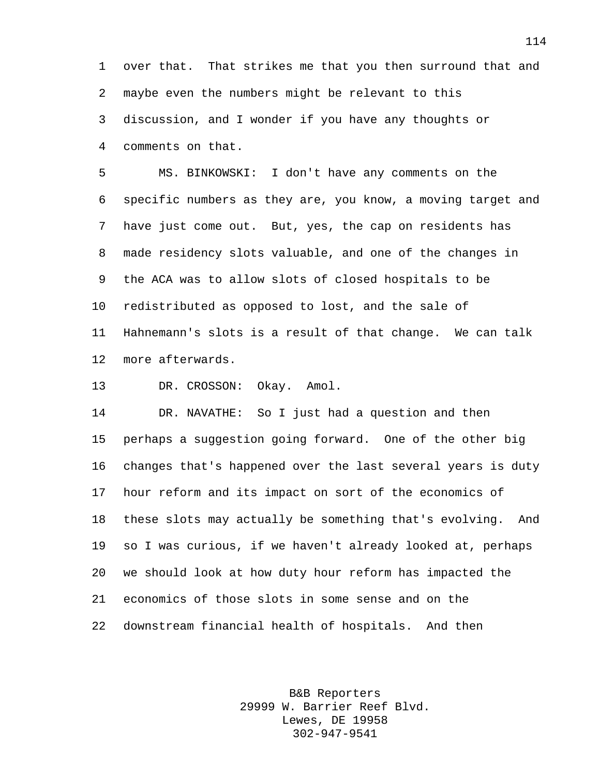over that. That strikes me that you then surround that and maybe even the numbers might be relevant to this discussion, and I wonder if you have any thoughts or comments on that.

 MS. BINKOWSKI: I don't have any comments on the specific numbers as they are, you know, a moving target and have just come out. But, yes, the cap on residents has made residency slots valuable, and one of the changes in the ACA was to allow slots of closed hospitals to be redistributed as opposed to lost, and the sale of Hahnemann's slots is a result of that change. We can talk more afterwards.

DR. CROSSON: Okay. Amol.

 DR. NAVATHE: So I just had a question and then perhaps a suggestion going forward. One of the other big changes that's happened over the last several years is duty hour reform and its impact on sort of the economics of these slots may actually be something that's evolving. And so I was curious, if we haven't already looked at, perhaps we should look at how duty hour reform has impacted the economics of those slots in some sense and on the downstream financial health of hospitals. And then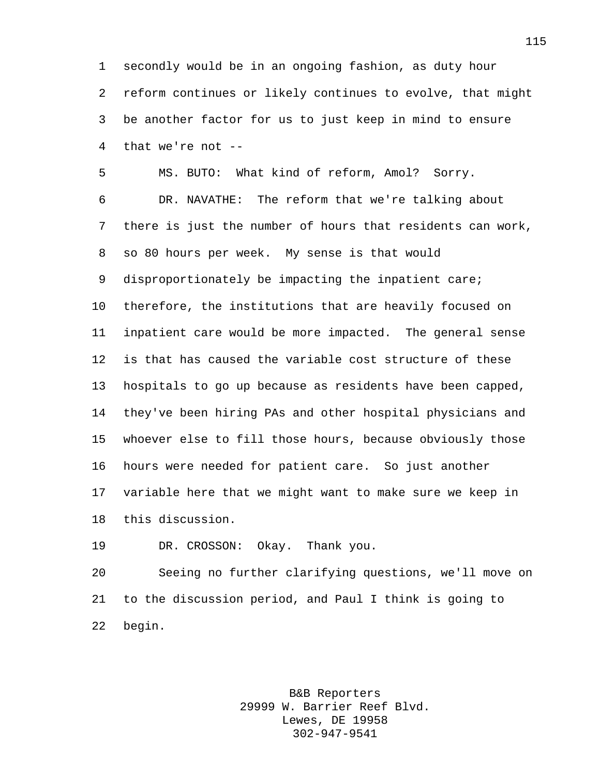secondly would be in an ongoing fashion, as duty hour reform continues or likely continues to evolve, that might be another factor for us to just keep in mind to ensure that we're not --

 MS. BUTO: What kind of reform, Amol? Sorry. DR. NAVATHE: The reform that we're talking about there is just the number of hours that residents can work, so 80 hours per week. My sense is that would disproportionately be impacting the inpatient care; therefore, the institutions that are heavily focused on inpatient care would be more impacted. The general sense is that has caused the variable cost structure of these hospitals to go up because as residents have been capped, they've been hiring PAs and other hospital physicians and whoever else to fill those hours, because obviously those hours were needed for patient care. So just another variable here that we might want to make sure we keep in this discussion.

DR. CROSSON: Okay. Thank you.

 Seeing no further clarifying questions, we'll move on to the discussion period, and Paul I think is going to begin.

> B&B Reporters 29999 W. Barrier Reef Blvd. Lewes, DE 19958 302-947-9541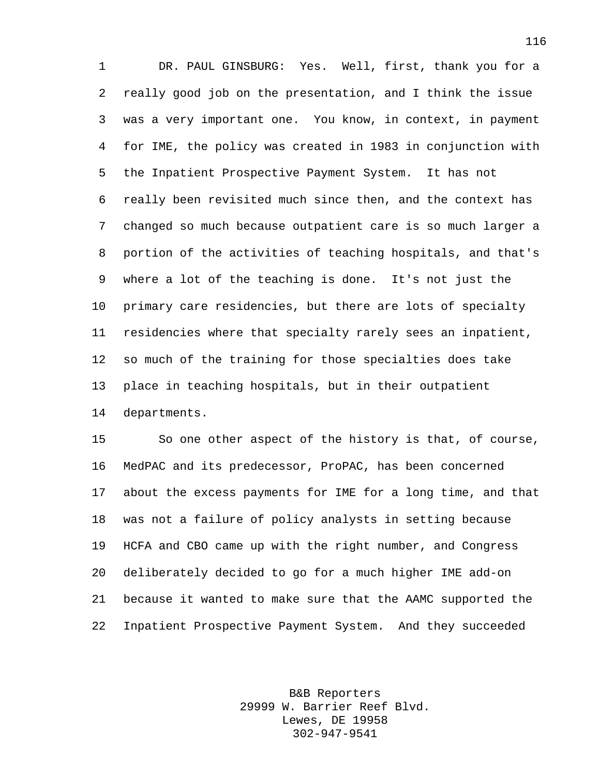DR. PAUL GINSBURG: Yes. Well, first, thank you for a really good job on the presentation, and I think the issue was a very important one. You know, in context, in payment for IME, the policy was created in 1983 in conjunction with the Inpatient Prospective Payment System. It has not really been revisited much since then, and the context has changed so much because outpatient care is so much larger a portion of the activities of teaching hospitals, and that's where a lot of the teaching is done. It's not just the primary care residencies, but there are lots of specialty residencies where that specialty rarely sees an inpatient, so much of the training for those specialties does take place in teaching hospitals, but in their outpatient departments.

 So one other aspect of the history is that, of course, MedPAC and its predecessor, ProPAC, has been concerned about the excess payments for IME for a long time, and that was not a failure of policy analysts in setting because HCFA and CBO came up with the right number, and Congress deliberately decided to go for a much higher IME add-on because it wanted to make sure that the AAMC supported the Inpatient Prospective Payment System. And they succeeded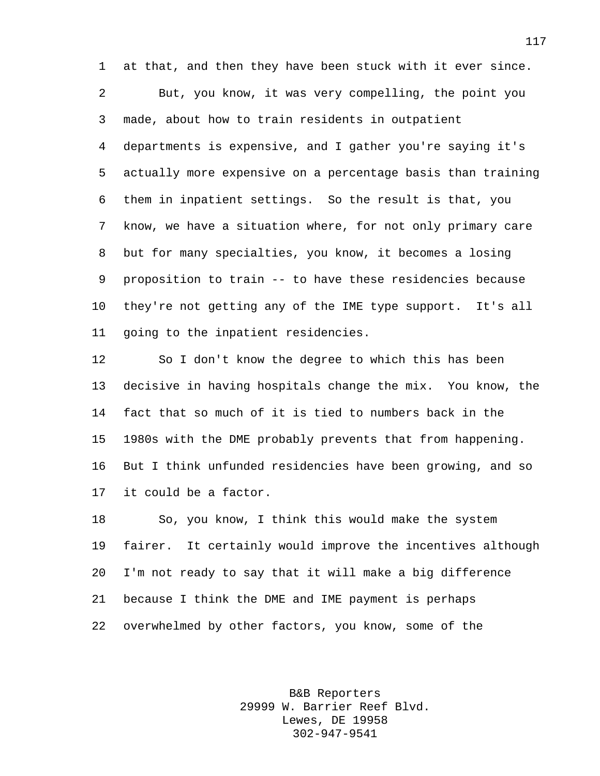at that, and then they have been stuck with it ever since. But, you know, it was very compelling, the point you made, about how to train residents in outpatient departments is expensive, and I gather you're saying it's actually more expensive on a percentage basis than training them in inpatient settings. So the result is that, you know, we have a situation where, for not only primary care but for many specialties, you know, it becomes a losing proposition to train -- to have these residencies because they're not getting any of the IME type support. It's all going to the inpatient residencies.

 So I don't know the degree to which this has been decisive in having hospitals change the mix. You know, the fact that so much of it is tied to numbers back in the 1980s with the DME probably prevents that from happening. But I think unfunded residencies have been growing, and so it could be a factor.

 So, you know, I think this would make the system fairer. It certainly would improve the incentives although I'm not ready to say that it will make a big difference because I think the DME and IME payment is perhaps overwhelmed by other factors, you know, some of the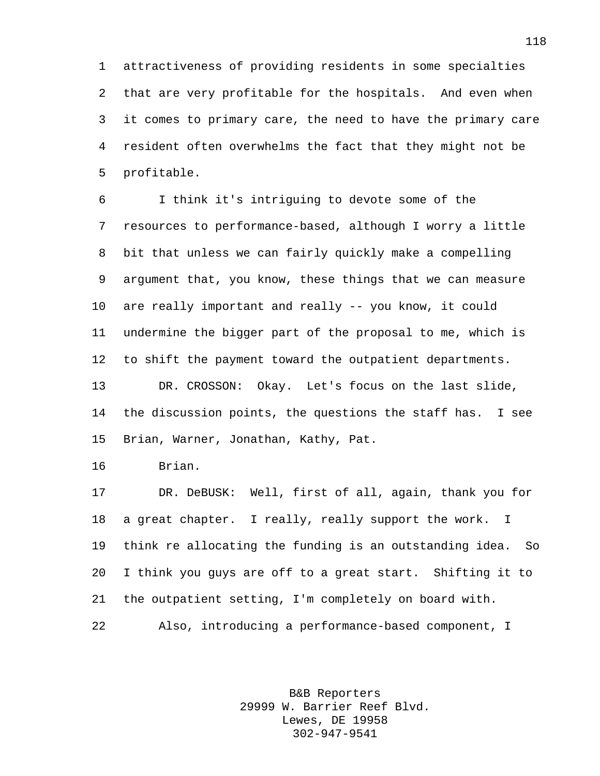attractiveness of providing residents in some specialties that are very profitable for the hospitals. And even when it comes to primary care, the need to have the primary care resident often overwhelms the fact that they might not be profitable.

 I think it's intriguing to devote some of the resources to performance-based, although I worry a little bit that unless we can fairly quickly make a compelling argument that, you know, these things that we can measure are really important and really -- you know, it could undermine the bigger part of the proposal to me, which is to shift the payment toward the outpatient departments. DR. CROSSON: Okay. Let's focus on the last slide, the discussion points, the questions the staff has. I see Brian, Warner, Jonathan, Kathy, Pat.

Brian.

 DR. DeBUSK: Well, first of all, again, thank you for a great chapter. I really, really support the work. I think re allocating the funding is an outstanding idea. So I think you guys are off to a great start. Shifting it to the outpatient setting, I'm completely on board with.

Also, introducing a performance-based component, I

B&B Reporters 29999 W. Barrier Reef Blvd. Lewes, DE 19958 302-947-9541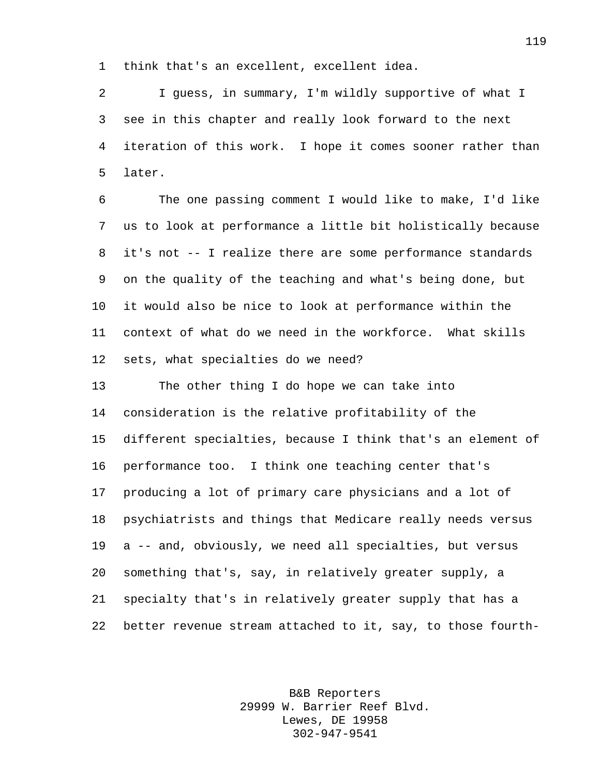think that's an excellent, excellent idea.

 I guess, in summary, I'm wildly supportive of what I see in this chapter and really look forward to the next iteration of this work. I hope it comes sooner rather than later.

 The one passing comment I would like to make, I'd like us to look at performance a little bit holistically because it's not -- I realize there are some performance standards on the quality of the teaching and what's being done, but it would also be nice to look at performance within the context of what do we need in the workforce. What skills sets, what specialties do we need?

 The other thing I do hope we can take into consideration is the relative profitability of the different specialties, because I think that's an element of performance too. I think one teaching center that's producing a lot of primary care physicians and a lot of psychiatrists and things that Medicare really needs versus a -- and, obviously, we need all specialties, but versus something that's, say, in relatively greater supply, a specialty that's in relatively greater supply that has a better revenue stream attached to it, say, to those fourth-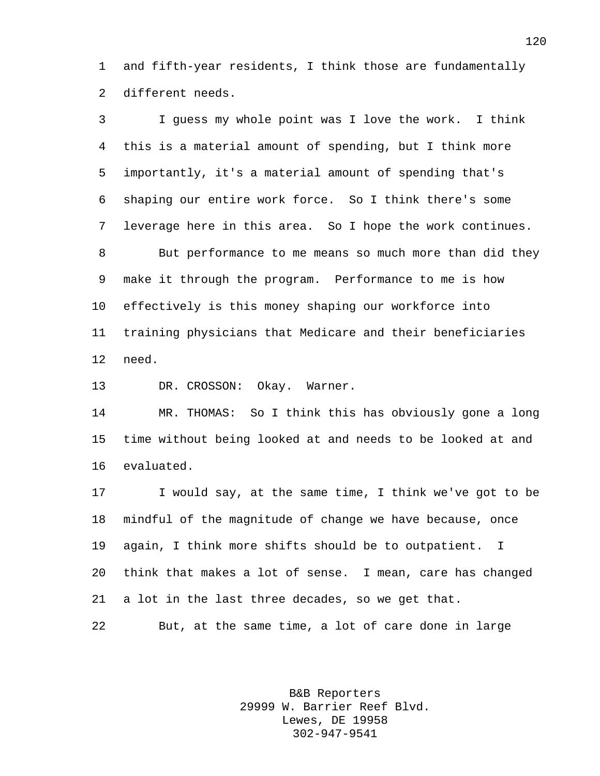and fifth-year residents, I think those are fundamentally different needs.

 I guess my whole point was I love the work. I think this is a material amount of spending, but I think more importantly, it's a material amount of spending that's shaping our entire work force. So I think there's some leverage here in this area. So I hope the work continues. But performance to me means so much more than did they make it through the program. Performance to me is how effectively is this money shaping our workforce into training physicians that Medicare and their beneficiaries need.

DR. CROSSON: Okay. Warner.

 MR. THOMAS: So I think this has obviously gone a long time without being looked at and needs to be looked at and evaluated.

 I would say, at the same time, I think we've got to be mindful of the magnitude of change we have because, once again, I think more shifts should be to outpatient. I think that makes a lot of sense. I mean, care has changed a lot in the last three decades, so we get that. But, at the same time, a lot of care done in large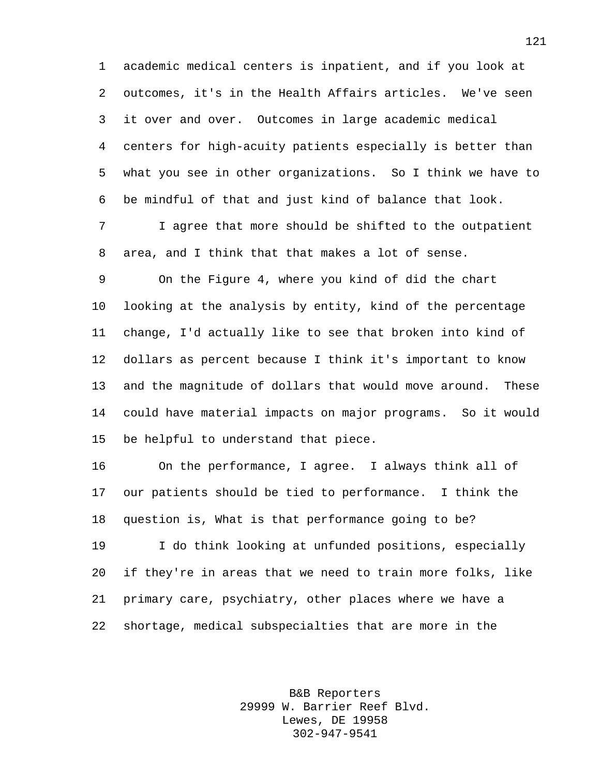academic medical centers is inpatient, and if you look at outcomes, it's in the Health Affairs articles. We've seen it over and over. Outcomes in large academic medical centers for high-acuity patients especially is better than what you see in other organizations. So I think we have to be mindful of that and just kind of balance that look.

 I agree that more should be shifted to the outpatient area, and I think that that makes a lot of sense.

 On the Figure 4, where you kind of did the chart looking at the analysis by entity, kind of the percentage change, I'd actually like to see that broken into kind of dollars as percent because I think it's important to know and the magnitude of dollars that would move around. These could have material impacts on major programs. So it would be helpful to understand that piece.

 On the performance, I agree. I always think all of our patients should be tied to performance. I think the question is, What is that performance going to be?

 I do think looking at unfunded positions, especially if they're in areas that we need to train more folks, like primary care, psychiatry, other places where we have a shortage, medical subspecialties that are more in the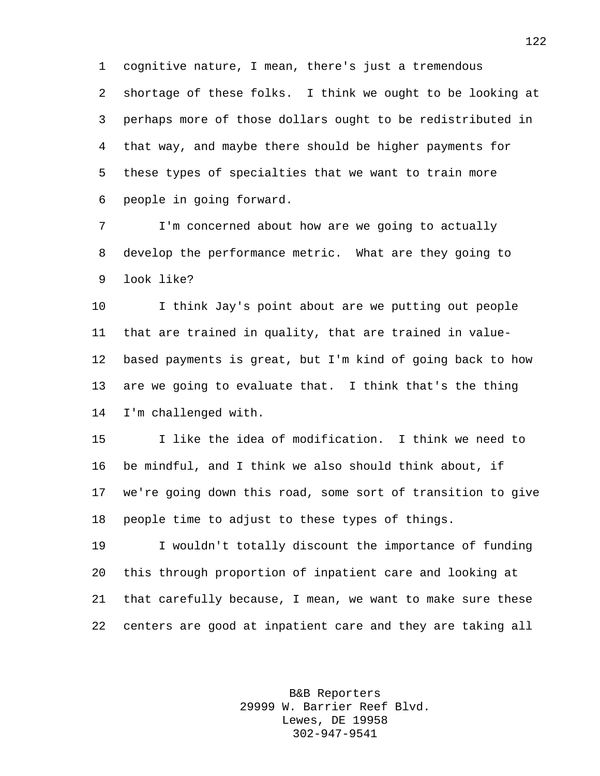cognitive nature, I mean, there's just a tremendous shortage of these folks. I think we ought to be looking at perhaps more of those dollars ought to be redistributed in that way, and maybe there should be higher payments for these types of specialties that we want to train more people in going forward.

 I'm concerned about how are we going to actually develop the performance metric. What are they going to look like?

 I think Jay's point about are we putting out people that are trained in quality, that are trained in value- based payments is great, but I'm kind of going back to how are we going to evaluate that. I think that's the thing I'm challenged with.

 I like the idea of modification. I think we need to be mindful, and I think we also should think about, if we're going down this road, some sort of transition to give people time to adjust to these types of things.

 I wouldn't totally discount the importance of funding this through proportion of inpatient care and looking at that carefully because, I mean, we want to make sure these centers are good at inpatient care and they are taking all

> B&B Reporters 29999 W. Barrier Reef Blvd. Lewes, DE 19958 302-947-9541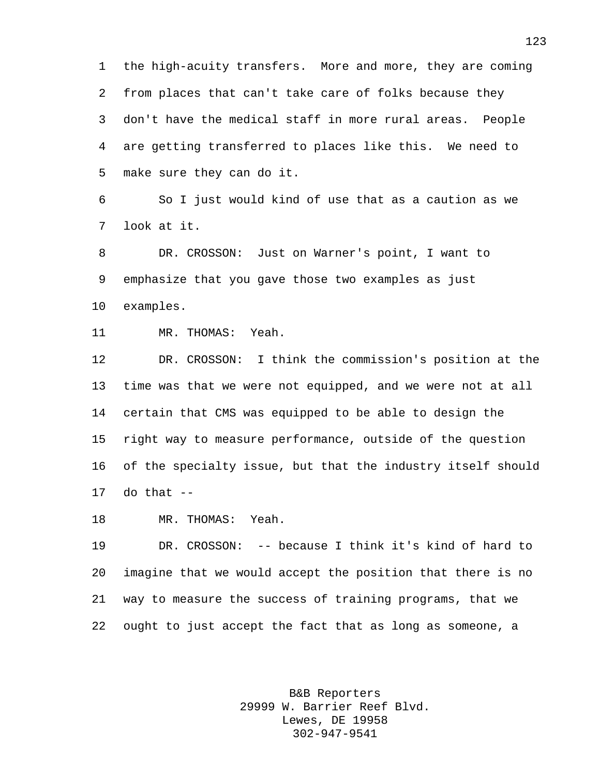the high-acuity transfers. More and more, they are coming from places that can't take care of folks because they don't have the medical staff in more rural areas. People are getting transferred to places like this. We need to make sure they can do it.

 So I just would kind of use that as a caution as we look at it.

 DR. CROSSON: Just on Warner's point, I want to emphasize that you gave those two examples as just examples.

MR. THOMAS: Yeah.

 DR. CROSSON: I think the commission's position at the time was that we were not equipped, and we were not at all certain that CMS was equipped to be able to design the right way to measure performance, outside of the question of the specialty issue, but that the industry itself should do that  $-$ 

MR. THOMAS: Yeah.

 DR. CROSSON: -- because I think it's kind of hard to imagine that we would accept the position that there is no way to measure the success of training programs, that we ought to just accept the fact that as long as someone, a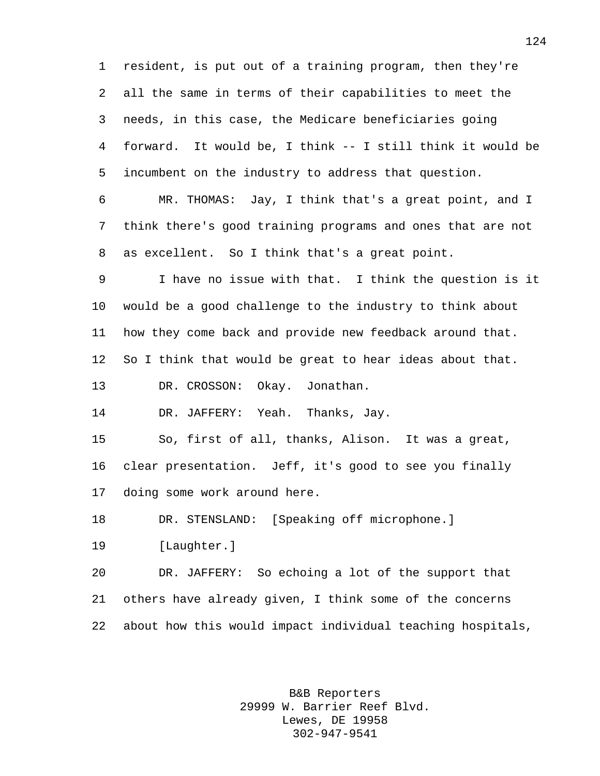resident, is put out of a training program, then they're all the same in terms of their capabilities to meet the needs, in this case, the Medicare beneficiaries going forward. It would be, I think -- I still think it would be incumbent on the industry to address that question.

 MR. THOMAS: Jay, I think that's a great point, and I think there's good training programs and ones that are not as excellent. So I think that's a great point.

 I have no issue with that. I think the question is it would be a good challenge to the industry to think about how they come back and provide new feedback around that. So I think that would be great to hear ideas about that.

DR. CROSSON: Okay. Jonathan.

DR. JAFFERY: Yeah. Thanks, Jay.

 So, first of all, thanks, Alison. It was a great, clear presentation. Jeff, it's good to see you finally doing some work around here.

DR. STENSLAND: [Speaking off microphone.]

[Laughter.]

 DR. JAFFERY: So echoing a lot of the support that others have already given, I think some of the concerns about how this would impact individual teaching hospitals,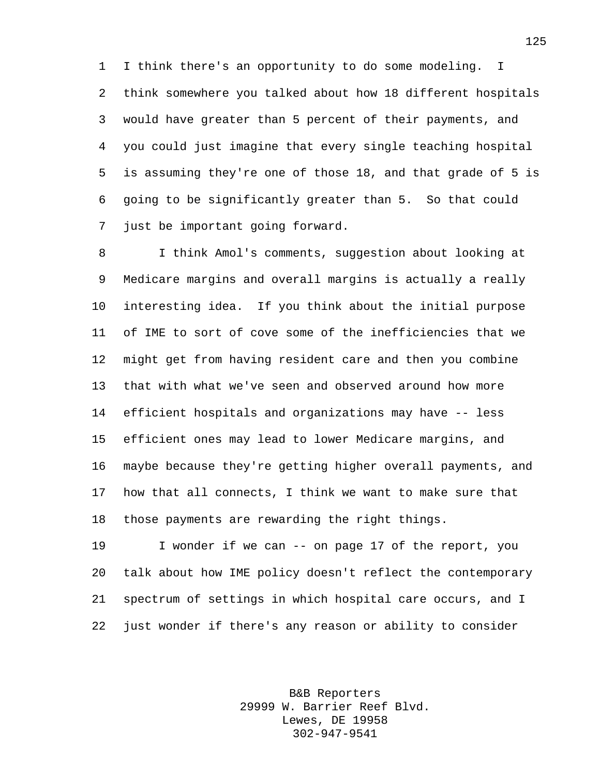I think there's an opportunity to do some modeling. I think somewhere you talked about how 18 different hospitals would have greater than 5 percent of their payments, and you could just imagine that every single teaching hospital is assuming they're one of those 18, and that grade of 5 is going to be significantly greater than 5. So that could just be important going forward.

 I think Amol's comments, suggestion about looking at Medicare margins and overall margins is actually a really interesting idea. If you think about the initial purpose of IME to sort of cove some of the inefficiencies that we might get from having resident care and then you combine that with what we've seen and observed around how more efficient hospitals and organizations may have -- less efficient ones may lead to lower Medicare margins, and maybe because they're getting higher overall payments, and how that all connects, I think we want to make sure that those payments are rewarding the right things.

 I wonder if we can -- on page 17 of the report, you talk about how IME policy doesn't reflect the contemporary spectrum of settings in which hospital care occurs, and I just wonder if there's any reason or ability to consider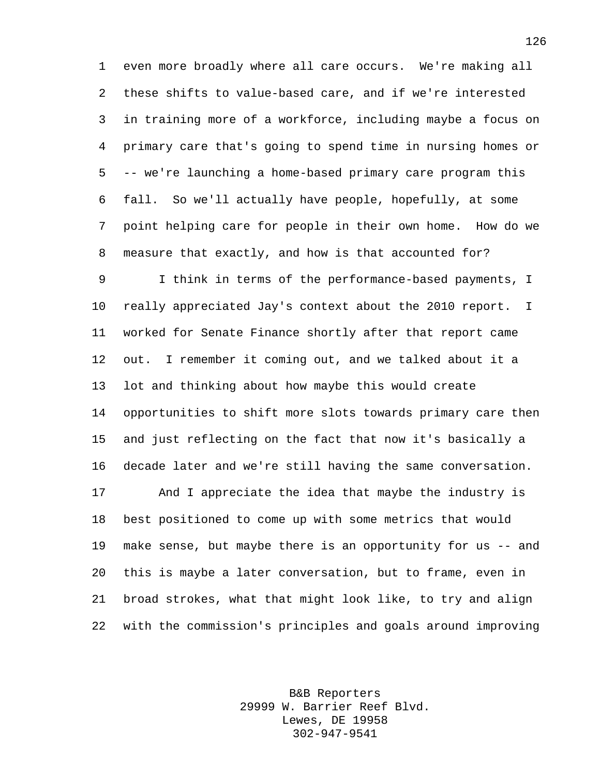even more broadly where all care occurs. We're making all these shifts to value-based care, and if we're interested in training more of a workforce, including maybe a focus on primary care that's going to spend time in nursing homes or -- we're launching a home-based primary care program this fall. So we'll actually have people, hopefully, at some point helping care for people in their own home. How do we measure that exactly, and how is that accounted for?

 I think in terms of the performance-based payments, I really appreciated Jay's context about the 2010 report. I worked for Senate Finance shortly after that report came out. I remember it coming out, and we talked about it a lot and thinking about how maybe this would create opportunities to shift more slots towards primary care then and just reflecting on the fact that now it's basically a decade later and we're still having the same conversation.

 And I appreciate the idea that maybe the industry is best positioned to come up with some metrics that would make sense, but maybe there is an opportunity for us -- and this is maybe a later conversation, but to frame, even in broad strokes, what that might look like, to try and align with the commission's principles and goals around improving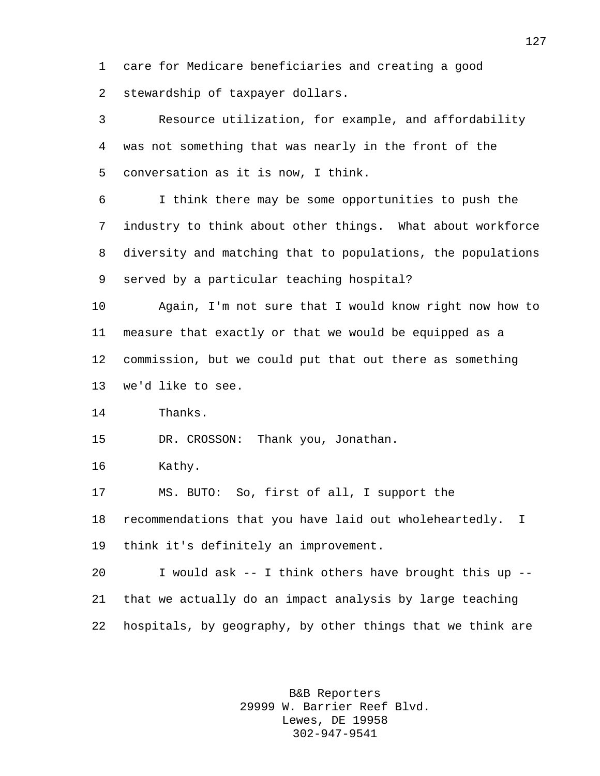care for Medicare beneficiaries and creating a good stewardship of taxpayer dollars.

 Resource utilization, for example, and affordability was not something that was nearly in the front of the conversation as it is now, I think. I think there may be some opportunities to push the industry to think about other things. What about workforce diversity and matching that to populations, the populations served by a particular teaching hospital? Again, I'm not sure that I would know right now how to measure that exactly or that we would be equipped as a commission, but we could put that out there as something we'd like to see. Thanks. DR. CROSSON: Thank you, Jonathan. Kathy. MS. BUTO: So, first of all, I support the recommendations that you have laid out wholeheartedly. I think it's definitely an improvement. I would ask -- I think others have brought this up -- that we actually do an impact analysis by large teaching

hospitals, by geography, by other things that we think are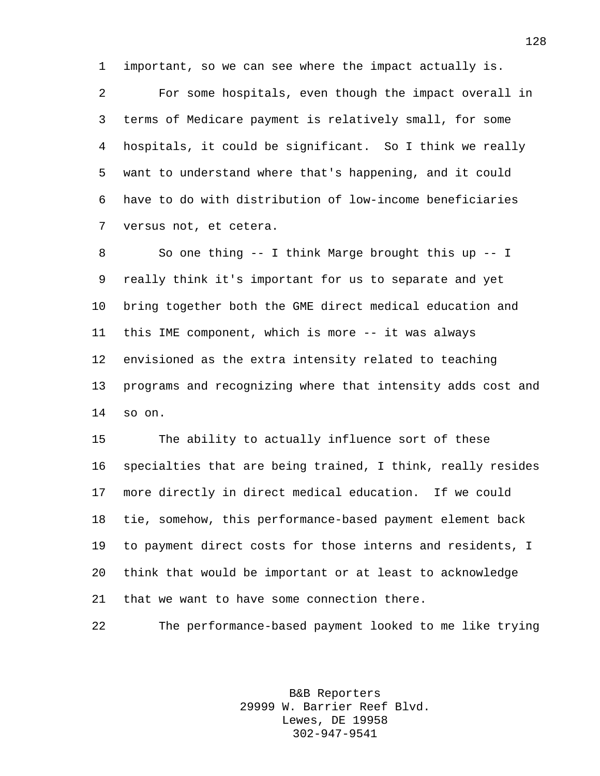important, so we can see where the impact actually is.

 For some hospitals, even though the impact overall in terms of Medicare payment is relatively small, for some hospitals, it could be significant. So I think we really want to understand where that's happening, and it could have to do with distribution of low-income beneficiaries versus not, et cetera.

 So one thing -- I think Marge brought this up -- I really think it's important for us to separate and yet bring together both the GME direct medical education and this IME component, which is more -- it was always envisioned as the extra intensity related to teaching programs and recognizing where that intensity adds cost and so on.

 The ability to actually influence sort of these specialties that are being trained, I think, really resides more directly in direct medical education. If we could tie, somehow, this performance-based payment element back to payment direct costs for those interns and residents, I think that would be important or at least to acknowledge that we want to have some connection there.

The performance-based payment looked to me like trying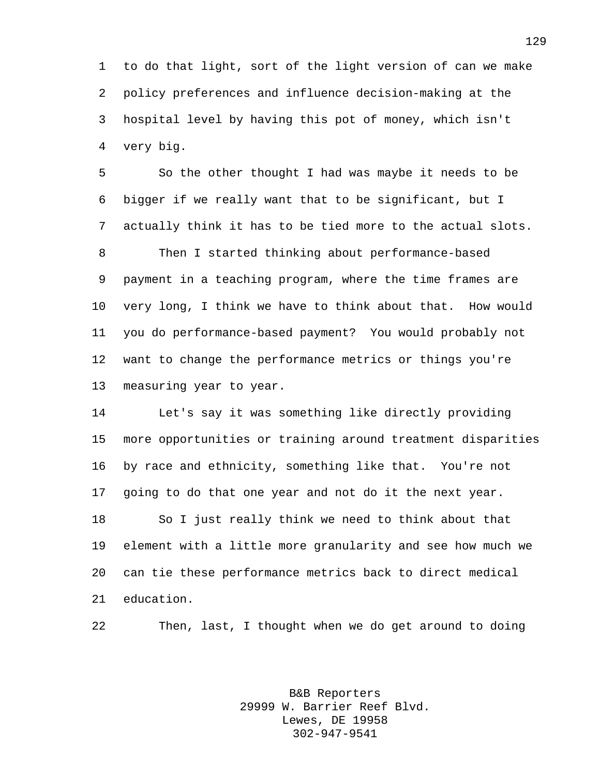to do that light, sort of the light version of can we make policy preferences and influence decision-making at the hospital level by having this pot of money, which isn't very big.

 So the other thought I had was maybe it needs to be bigger if we really want that to be significant, but I actually think it has to be tied more to the actual slots. Then I started thinking about performance-based payment in a teaching program, where the time frames are very long, I think we have to think about that. How would you do performance-based payment? You would probably not want to change the performance metrics or things you're measuring year to year.

 Let's say it was something like directly providing more opportunities or training around treatment disparities by race and ethnicity, something like that. You're not going to do that one year and not do it the next year. So I just really think we need to think about that element with a little more granularity and see how much we can tie these performance metrics back to direct medical education.

Then, last, I thought when we do get around to doing

B&B Reporters 29999 W. Barrier Reef Blvd. Lewes, DE 19958 302-947-9541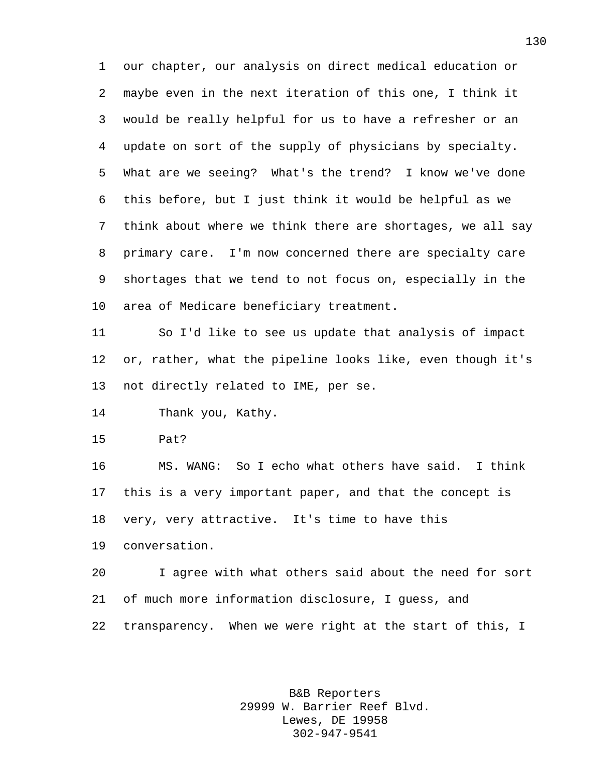our chapter, our analysis on direct medical education or maybe even in the next iteration of this one, I think it would be really helpful for us to have a refresher or an update on sort of the supply of physicians by specialty. What are we seeing? What's the trend? I know we've done this before, but I just think it would be helpful as we think about where we think there are shortages, we all say primary care. I'm now concerned there are specialty care shortages that we tend to not focus on, especially in the area of Medicare beneficiary treatment.

 So I'd like to see us update that analysis of impact or, rather, what the pipeline looks like, even though it's not directly related to IME, per se.

Thank you, Kathy.

Pat?

 MS. WANG: So I echo what others have said. I think this is a very important paper, and that the concept is very, very attractive. It's time to have this

conversation.

 I agree with what others said about the need for sort of much more information disclosure, I guess, and transparency. When we were right at the start of this, I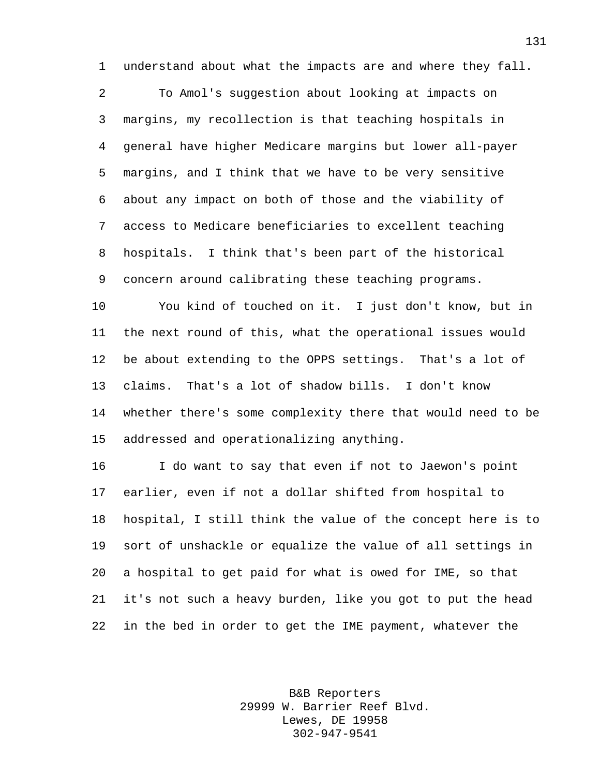understand about what the impacts are and where they fall.

 To Amol's suggestion about looking at impacts on margins, my recollection is that teaching hospitals in general have higher Medicare margins but lower all-payer margins, and I think that we have to be very sensitive about any impact on both of those and the viability of access to Medicare beneficiaries to excellent teaching hospitals. I think that's been part of the historical concern around calibrating these teaching programs.

 You kind of touched on it. I just don't know, but in the next round of this, what the operational issues would be about extending to the OPPS settings. That's a lot of claims. That's a lot of shadow bills. I don't know whether there's some complexity there that would need to be addressed and operationalizing anything.

 I do want to say that even if not to Jaewon's point earlier, even if not a dollar shifted from hospital to hospital, I still think the value of the concept here is to sort of unshackle or equalize the value of all settings in a hospital to get paid for what is owed for IME, so that it's not such a heavy burden, like you got to put the head in the bed in order to get the IME payment, whatever the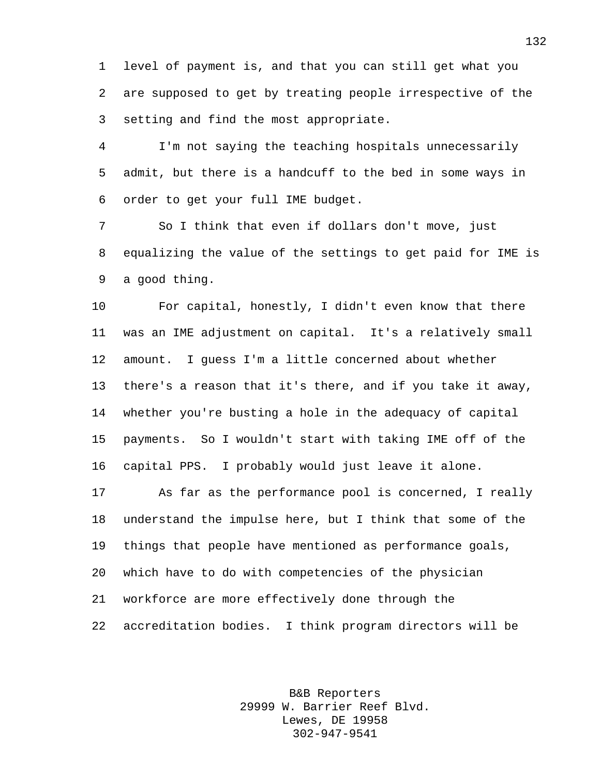level of payment is, and that you can still get what you are supposed to get by treating people irrespective of the setting and find the most appropriate.

 I'm not saying the teaching hospitals unnecessarily admit, but there is a handcuff to the bed in some ways in order to get your full IME budget.

 So I think that even if dollars don't move, just equalizing the value of the settings to get paid for IME is a good thing.

 For capital, honestly, I didn't even know that there was an IME adjustment on capital. It's a relatively small amount. I guess I'm a little concerned about whether there's a reason that it's there, and if you take it away, whether you're busting a hole in the adequacy of capital payments. So I wouldn't start with taking IME off of the capital PPS. I probably would just leave it alone.

 As far as the performance pool is concerned, I really understand the impulse here, but I think that some of the things that people have mentioned as performance goals, which have to do with competencies of the physician workforce are more effectively done through the accreditation bodies. I think program directors will be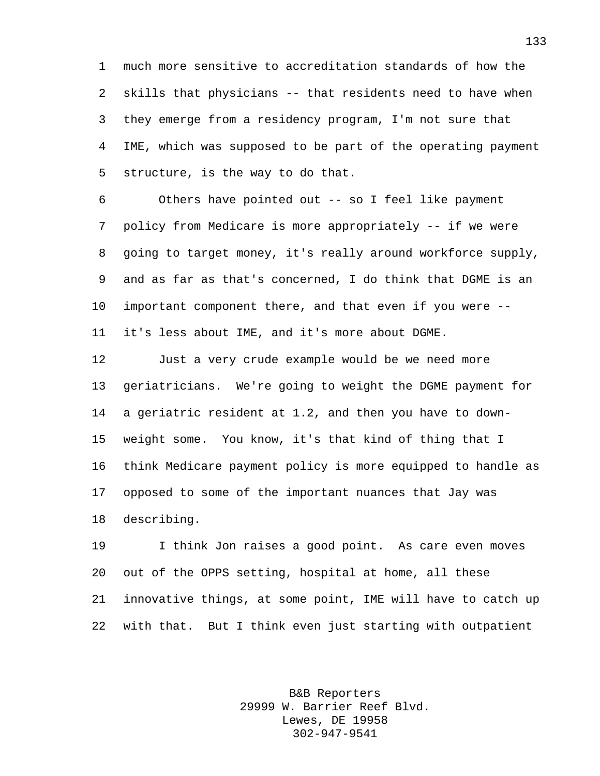much more sensitive to accreditation standards of how the skills that physicians -- that residents need to have when they emerge from a residency program, I'm not sure that IME, which was supposed to be part of the operating payment structure, is the way to do that.

 Others have pointed out -- so I feel like payment policy from Medicare is more appropriately -- if we were going to target money, it's really around workforce supply, and as far as that's concerned, I do think that DGME is an important component there, and that even if you were -- it's less about IME, and it's more about DGME.

 Just a very crude example would be we need more geriatricians. We're going to weight the DGME payment for a geriatric resident at 1.2, and then you have to down- weight some. You know, it's that kind of thing that I think Medicare payment policy is more equipped to handle as opposed to some of the important nuances that Jay was describing.

 I think Jon raises a good point. As care even moves out of the OPPS setting, hospital at home, all these innovative things, at some point, IME will have to catch up with that. But I think even just starting with outpatient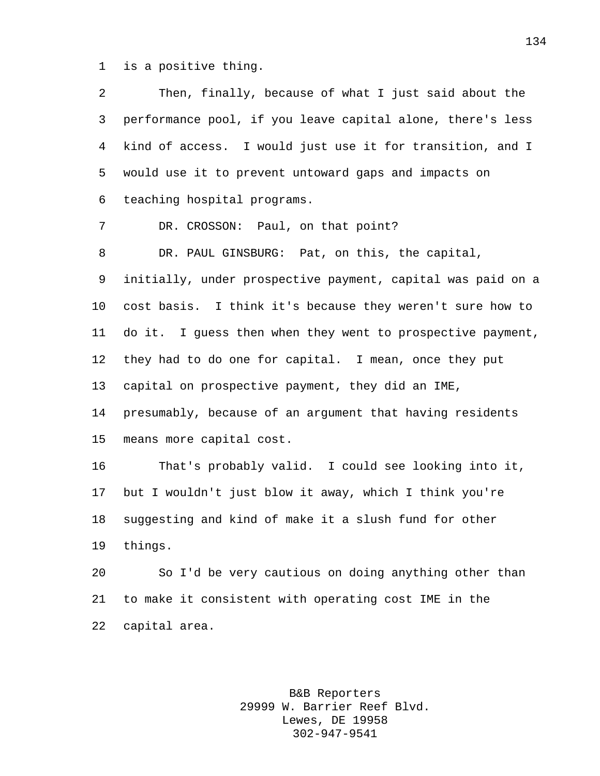is a positive thing.

| 2              | Then, finally, because of what I just said about the        |
|----------------|-------------------------------------------------------------|
| 3              | performance pool, if you leave capital alone, there's less  |
| $\overline{4}$ | kind of access. I would just use it for transition, and I   |
| 5              | would use it to prevent untoward gaps and impacts on        |
| 6              | teaching hospital programs.                                 |
| 7              | DR. CROSSON: Paul, on that point?                           |
| 8              | DR. PAUL GINSBURG: Pat, on this, the capital,               |
| 9              | initially, under prospective payment, capital was paid on a |
| 10             | cost basis. I think it's because they weren't sure how to   |
| 11             | do it. I guess then when they went to prospective payment,  |
| 12             | they had to do one for capital. I mean, once they put       |
| 13             | capital on prospective payment, they did an IME,            |
| 14             | presumably, because of an argument that having residents    |
| 15             | means more capital cost.                                    |
| 16             | That's probably valid. I could see looking into it,         |
| 17             | but I wouldn't just blow it away, which I think you're      |
| 18             | suggesting and kind of make it a slush fund for other       |
| 19             | things.                                                     |
| 20             | So I'd be very cautious on doing anything other than        |
| 21             | to make it consistent with operating cost IME in the        |
| 22             | capital area.                                               |
|                |                                                             |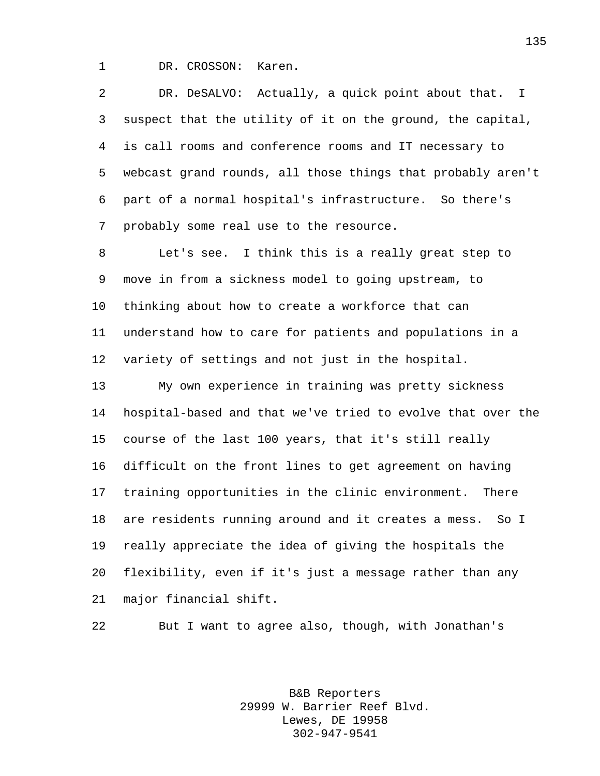DR. CROSSON: Karen.

 DR. DeSALVO: Actually, a quick point about that. I suspect that the utility of it on the ground, the capital, is call rooms and conference rooms and IT necessary to webcast grand rounds, all those things that probably aren't part of a normal hospital's infrastructure. So there's probably some real use to the resource.

 Let's see. I think this is a really great step to move in from a sickness model to going upstream, to thinking about how to create a workforce that can understand how to care for patients and populations in a variety of settings and not just in the hospital.

 My own experience in training was pretty sickness hospital-based and that we've tried to evolve that over the course of the last 100 years, that it's still really difficult on the front lines to get agreement on having training opportunities in the clinic environment. There are residents running around and it creates a mess. So I really appreciate the idea of giving the hospitals the flexibility, even if it's just a message rather than any major financial shift.

But I want to agree also, though, with Jonathan's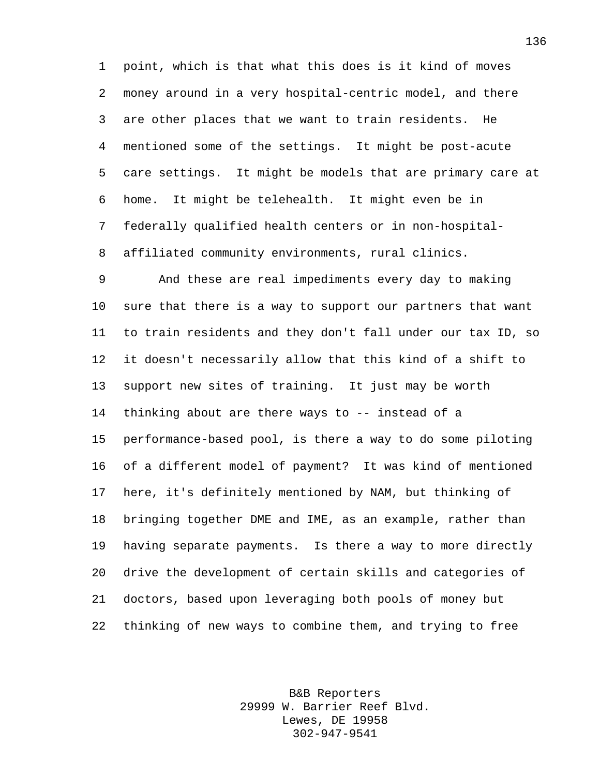point, which is that what this does is it kind of moves money around in a very hospital-centric model, and there are other places that we want to train residents. He mentioned some of the settings. It might be post-acute care settings. It might be models that are primary care at home. It might be telehealth. It might even be in federally qualified health centers or in non-hospital-affiliated community environments, rural clinics.

 And these are real impediments every day to making sure that there is a way to support our partners that want to train residents and they don't fall under our tax ID, so it doesn't necessarily allow that this kind of a shift to support new sites of training. It just may be worth thinking about are there ways to -- instead of a performance-based pool, is there a way to do some piloting of a different model of payment? It was kind of mentioned here, it's definitely mentioned by NAM, but thinking of bringing together DME and IME, as an example, rather than having separate payments. Is there a way to more directly drive the development of certain skills and categories of doctors, based upon leveraging both pools of money but thinking of new ways to combine them, and trying to free

> B&B Reporters 29999 W. Barrier Reef Blvd. Lewes, DE 19958 302-947-9541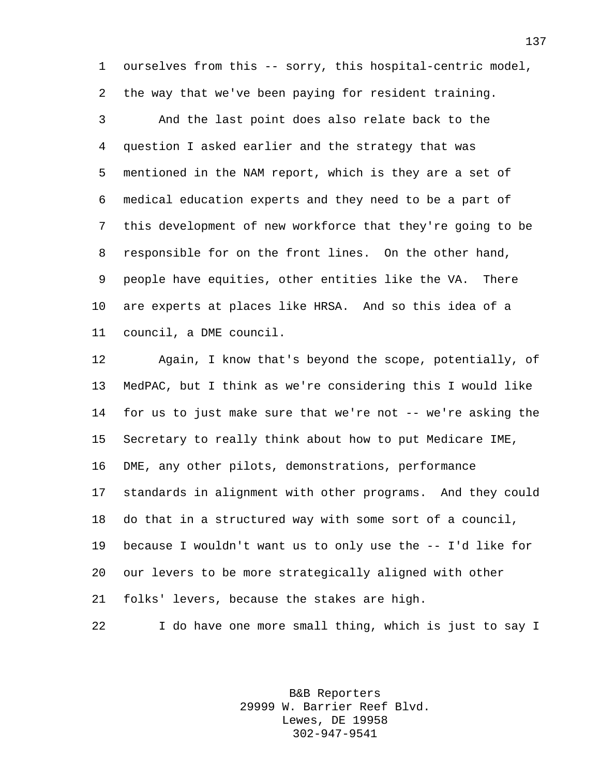ourselves from this -- sorry, this hospital-centric model, the way that we've been paying for resident training.

 And the last point does also relate back to the question I asked earlier and the strategy that was mentioned in the NAM report, which is they are a set of medical education experts and they need to be a part of this development of new workforce that they're going to be responsible for on the front lines. On the other hand, people have equities, other entities like the VA. There are experts at places like HRSA. And so this idea of a council, a DME council.

 Again, I know that's beyond the scope, potentially, of MedPAC, but I think as we're considering this I would like for us to just make sure that we're not -- we're asking the Secretary to really think about how to put Medicare IME, DME, any other pilots, demonstrations, performance standards in alignment with other programs. And they could do that in a structured way with some sort of a council, because I wouldn't want us to only use the -- I'd like for our levers to be more strategically aligned with other folks' levers, because the stakes are high.

I do have one more small thing, which is just to say I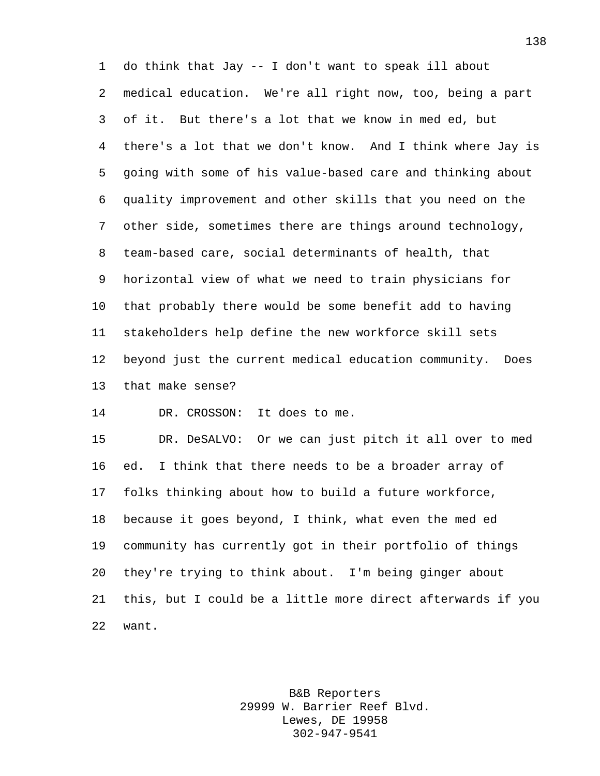do think that Jay -- I don't want to speak ill about medical education. We're all right now, too, being a part of it. But there's a lot that we know in med ed, but there's a lot that we don't know. And I think where Jay is going with some of his value-based care and thinking about quality improvement and other skills that you need on the other side, sometimes there are things around technology, team-based care, social determinants of health, that horizontal view of what we need to train physicians for that probably there would be some benefit add to having stakeholders help define the new workforce skill sets beyond just the current medical education community. Does that make sense?

DR. CROSSON: It does to me.

 DR. DeSALVO: Or we can just pitch it all over to med ed. I think that there needs to be a broader array of folks thinking about how to build a future workforce, because it goes beyond, I think, what even the med ed community has currently got in their portfolio of things they're trying to think about. I'm being ginger about this, but I could be a little more direct afterwards if you want.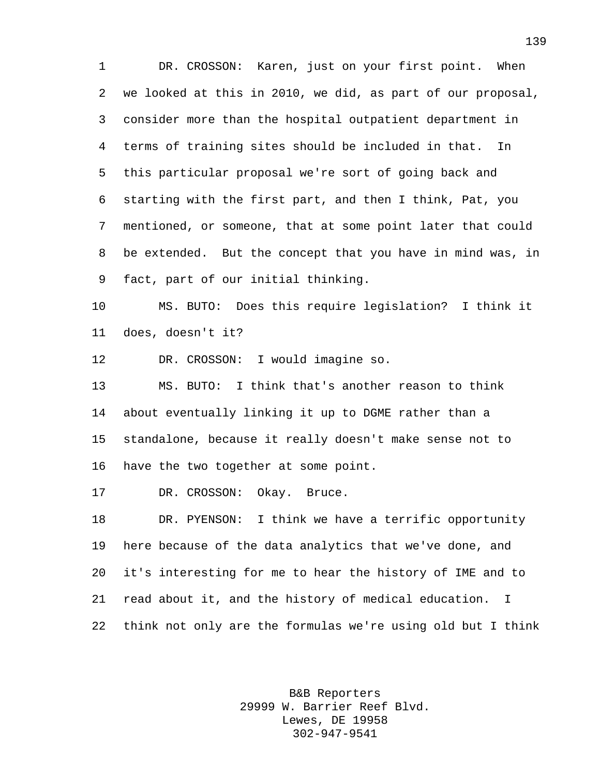DR. CROSSON: Karen, just on your first point. When we looked at this in 2010, we did, as part of our proposal, consider more than the hospital outpatient department in terms of training sites should be included in that. In this particular proposal we're sort of going back and starting with the first part, and then I think, Pat, you mentioned, or someone, that at some point later that could be extended. But the concept that you have in mind was, in fact, part of our initial thinking.

 MS. BUTO: Does this require legislation? I think it does, doesn't it?

DR. CROSSON: I would imagine so.

 MS. BUTO: I think that's another reason to think about eventually linking it up to DGME rather than a standalone, because it really doesn't make sense not to have the two together at some point.

DR. CROSSON: Okay. Bruce.

 DR. PYENSON: I think we have a terrific opportunity here because of the data analytics that we've done, and it's interesting for me to hear the history of IME and to read about it, and the history of medical education. I think not only are the formulas we're using old but I think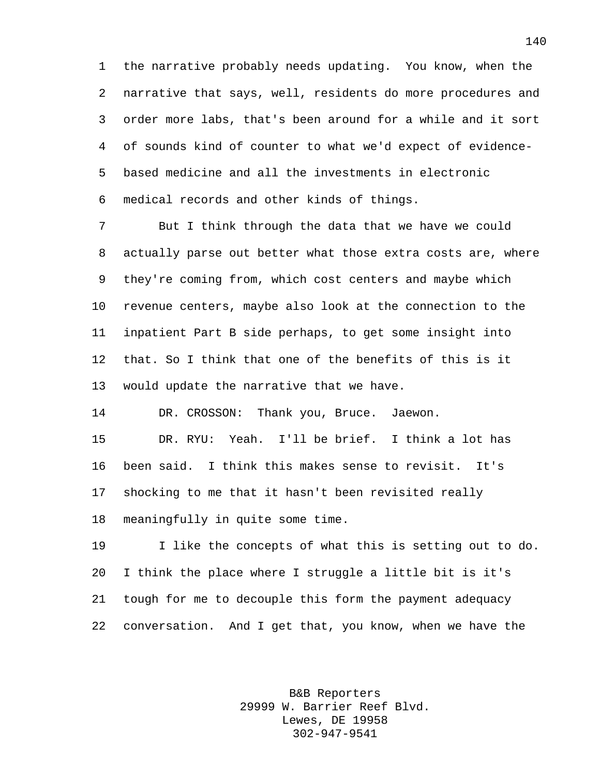the narrative probably needs updating. You know, when the narrative that says, well, residents do more procedures and order more labs, that's been around for a while and it sort of sounds kind of counter to what we'd expect of evidence- based medicine and all the investments in electronic medical records and other kinds of things.

 But I think through the data that we have we could actually parse out better what those extra costs are, where they're coming from, which cost centers and maybe which revenue centers, maybe also look at the connection to the inpatient Part B side perhaps, to get some insight into that. So I think that one of the benefits of this is it would update the narrative that we have.

DR. CROSSON: Thank you, Bruce. Jaewon.

 DR. RYU: Yeah. I'll be brief. I think a lot has been said. I think this makes sense to revisit. It's shocking to me that it hasn't been revisited really meaningfully in quite some time.

 I like the concepts of what this is setting out to do. I think the place where I struggle a little bit is it's tough for me to decouple this form the payment adequacy conversation. And I get that, you know, when we have the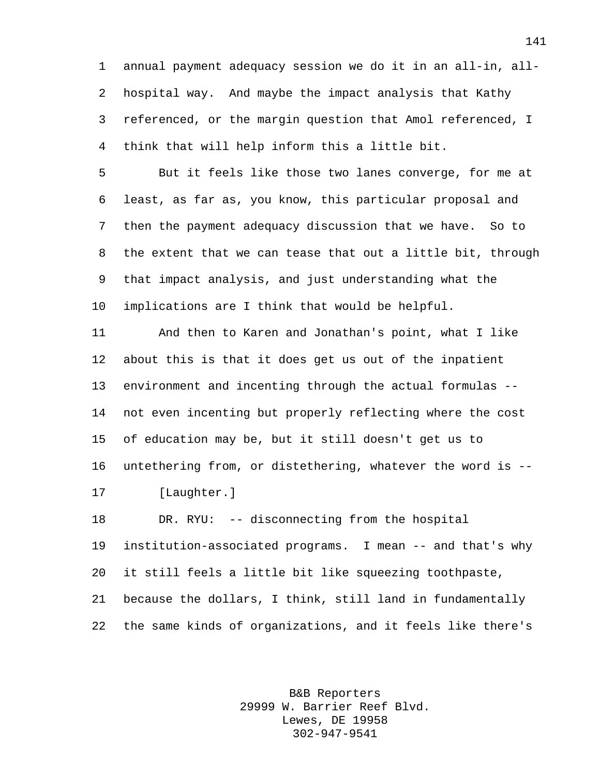annual payment adequacy session we do it in an all-in, all- hospital way. And maybe the impact analysis that Kathy referenced, or the margin question that Amol referenced, I think that will help inform this a little bit.

 But it feels like those two lanes converge, for me at least, as far as, you know, this particular proposal and then the payment adequacy discussion that we have. So to the extent that we can tease that out a little bit, through that impact analysis, and just understanding what the implications are I think that would be helpful.

 And then to Karen and Jonathan's point, what I like about this is that it does get us out of the inpatient environment and incenting through the actual formulas -- not even incenting but properly reflecting where the cost of education may be, but it still doesn't get us to untethering from, or distethering, whatever the word is -- [Laughter.]

 DR. RYU: -- disconnecting from the hospital institution-associated programs. I mean -- and that's why it still feels a little bit like squeezing toothpaste, because the dollars, I think, still land in fundamentally the same kinds of organizations, and it feels like there's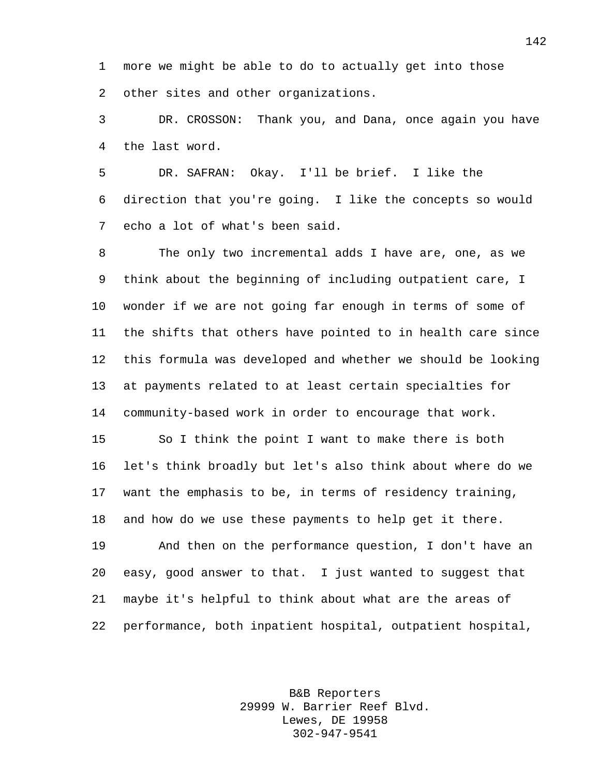more we might be able to do to actually get into those other sites and other organizations.

 DR. CROSSON: Thank you, and Dana, once again you have the last word.

 DR. SAFRAN: Okay. I'll be brief. I like the direction that you're going. I like the concepts so would echo a lot of what's been said.

 The only two incremental adds I have are, one, as we think about the beginning of including outpatient care, I wonder if we are not going far enough in terms of some of the shifts that others have pointed to in health care since this formula was developed and whether we should be looking at payments related to at least certain specialties for community-based work in order to encourage that work.

 So I think the point I want to make there is both let's think broadly but let's also think about where do we want the emphasis to be, in terms of residency training, and how do we use these payments to help get it there. And then on the performance question, I don't have an easy, good answer to that. I just wanted to suggest that maybe it's helpful to think about what are the areas of performance, both inpatient hospital, outpatient hospital,

> B&B Reporters 29999 W. Barrier Reef Blvd. Lewes, DE 19958 302-947-9541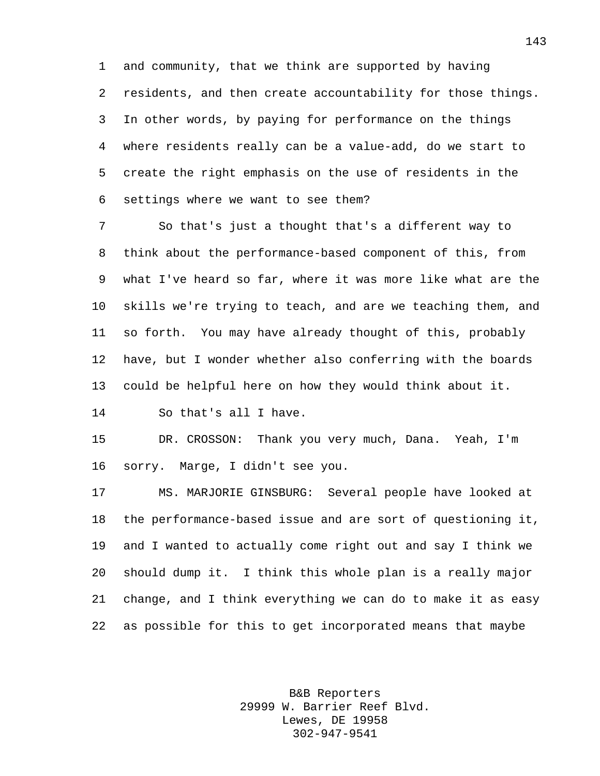and community, that we think are supported by having residents, and then create accountability for those things. In other words, by paying for performance on the things where residents really can be a value-add, do we start to create the right emphasis on the use of residents in the settings where we want to see them?

 So that's just a thought that's a different way to think about the performance-based component of this, from what I've heard so far, where it was more like what are the skills we're trying to teach, and are we teaching them, and so forth. You may have already thought of this, probably have, but I wonder whether also conferring with the boards could be helpful here on how they would think about it.

So that's all I have.

 DR. CROSSON: Thank you very much, Dana. Yeah, I'm sorry. Marge, I didn't see you.

 MS. MARJORIE GINSBURG: Several people have looked at the performance-based issue and are sort of questioning it, and I wanted to actually come right out and say I think we should dump it. I think this whole plan is a really major change, and I think everything we can do to make it as easy as possible for this to get incorporated means that maybe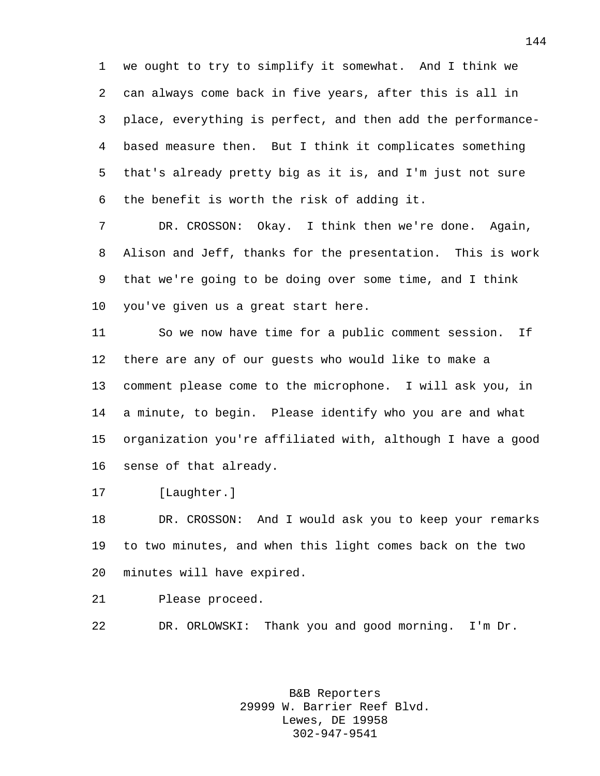we ought to try to simplify it somewhat. And I think we can always come back in five years, after this is all in place, everything is perfect, and then add the performance- based measure then. But I think it complicates something that's already pretty big as it is, and I'm just not sure the benefit is worth the risk of adding it.

 DR. CROSSON: Okay. I think then we're done. Again, Alison and Jeff, thanks for the presentation. This is work that we're going to be doing over some time, and I think you've given us a great start here.

 So we now have time for a public comment session. If there are any of our guests who would like to make a comment please come to the microphone. I will ask you, in a minute, to begin. Please identify who you are and what organization you're affiliated with, although I have a good sense of that already.

[Laughter.]

 DR. CROSSON: And I would ask you to keep your remarks to two minutes, and when this light comes back on the two minutes will have expired.

Please proceed.

DR. ORLOWSKI: Thank you and good morning. I'm Dr.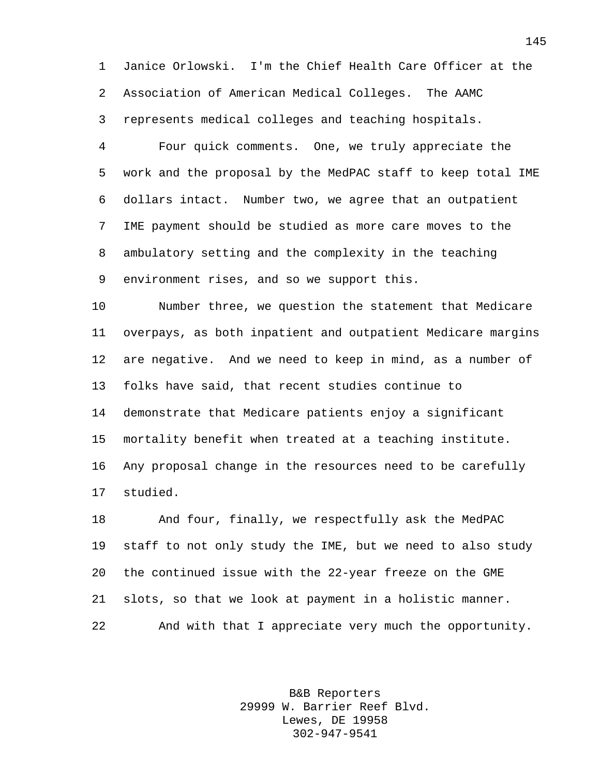Janice Orlowski. I'm the Chief Health Care Officer at the Association of American Medical Colleges. The AAMC represents medical colleges and teaching hospitals.

 Four quick comments. One, we truly appreciate the work and the proposal by the MedPAC staff to keep total IME dollars intact. Number two, we agree that an outpatient IME payment should be studied as more care moves to the ambulatory setting and the complexity in the teaching environment rises, and so we support this.

 Number three, we question the statement that Medicare overpays, as both inpatient and outpatient Medicare margins are negative. And we need to keep in mind, as a number of folks have said, that recent studies continue to demonstrate that Medicare patients enjoy a significant mortality benefit when treated at a teaching institute. Any proposal change in the resources need to be carefully studied.

 And four, finally, we respectfully ask the MedPAC staff to not only study the IME, but we need to also study the continued issue with the 22-year freeze on the GME slots, so that we look at payment in a holistic manner. And with that I appreciate very much the opportunity.